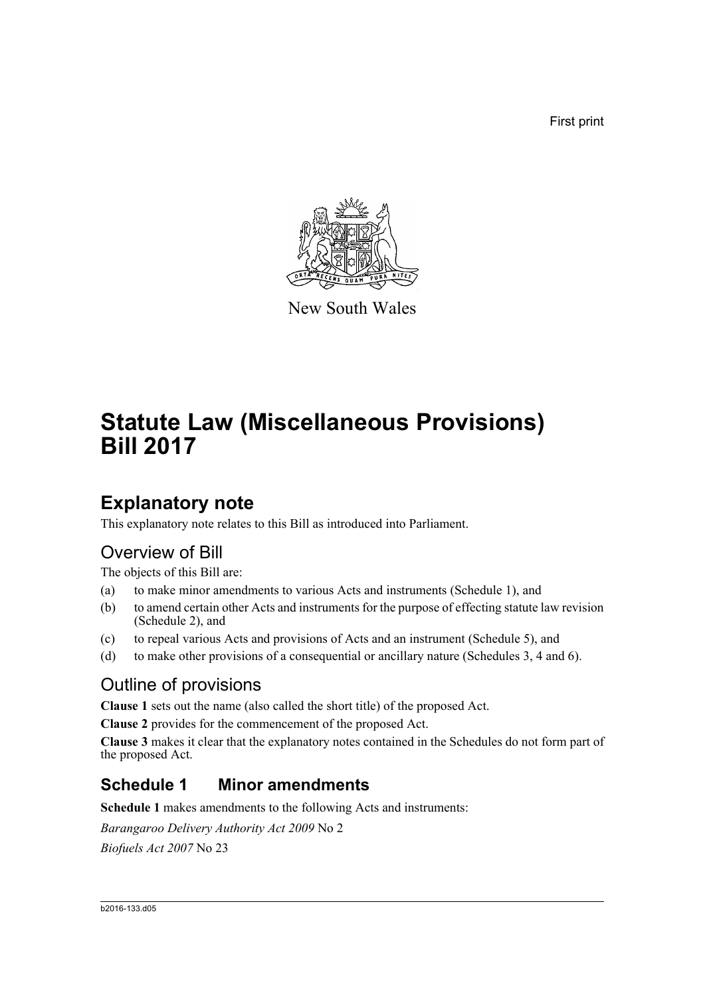First print



New South Wales

# **Statute Law (Miscellaneous Provisions) Bill 2017**

# **Explanatory note**

This explanatory note relates to this Bill as introduced into Parliament.

# Overview of Bill

The objects of this Bill are:

- (a) to make minor amendments to various Acts and instruments (Schedule 1), and
- (b) to amend certain other Acts and instruments for the purpose of effecting statute law revision (Schedule 2), and
- (c) to repeal various Acts and provisions of Acts and an instrument (Schedule 5), and
- (d) to make other provisions of a consequential or ancillary nature (Schedules 3, 4 and 6).

# Outline of provisions

**Clause 1** sets out the name (also called the short title) of the proposed Act.

**Clause 2** provides for the commencement of the proposed Act.

**Clause 3** makes it clear that the explanatory notes contained in the Schedules do not form part of the proposed Act.

# **Schedule 1 Minor amendments**

**Schedule 1** makes amendments to the following Acts and instruments:

*Barangaroo Delivery Authority Act 2009* No 2

*Biofuels Act 2007* No 23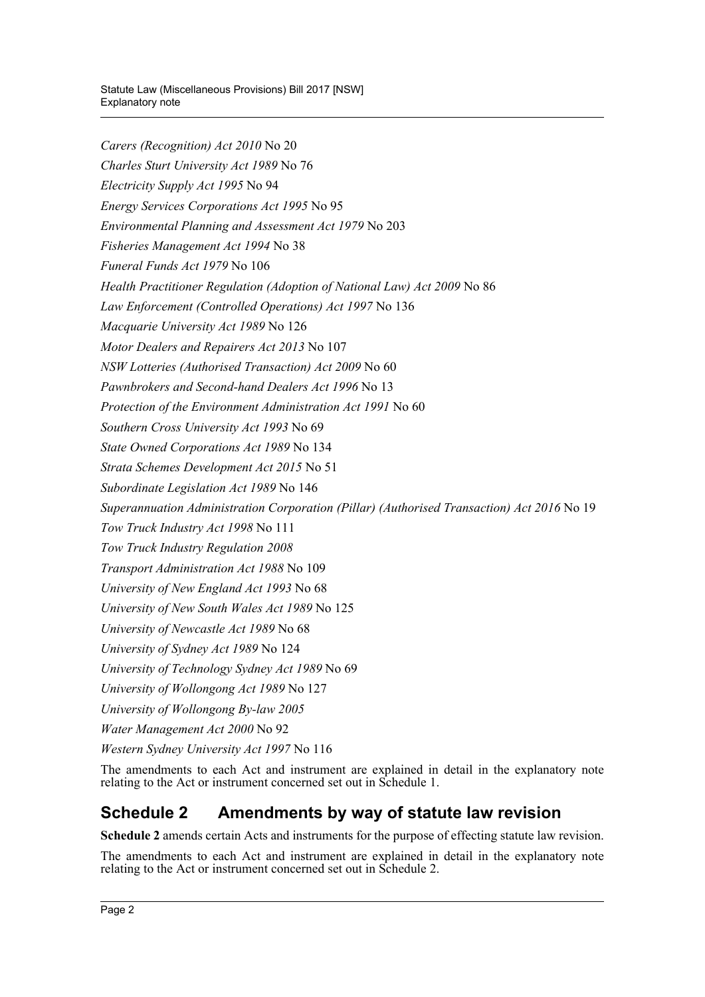*Carers (Recognition) Act 2010* No 20 *Charles Sturt University Act 1989* No 76 *Electricity Supply Act 1995* No 94 *Energy Services Corporations Act 1995* No 95 *Environmental Planning and Assessment Act 1979* No 203 *Fisheries Management Act 1994* No 38 *Funeral Funds Act 1979* No 106 *Health Practitioner Regulation (Adoption of National Law) Act 2009* No 86 *Law Enforcement (Controlled Operations) Act 1997* No 136 *Macquarie University Act 1989* No 126 *Motor Dealers and Repairers Act 2013* No 107 *NSW Lotteries (Authorised Transaction) Act 2009* No 60 *Pawnbrokers and Second-hand Dealers Act 1996* No 13 *Protection of the Environment Administration Act 1991* No 60 *Southern Cross University Act 1993* No 69 *State Owned Corporations Act 1989* No 134 *Strata Schemes Development Act 2015* No 51 *Subordinate Legislation Act 1989* No 146 *Superannuation Administration Corporation (Pillar) (Authorised Transaction) Act 2016* No 19 *Tow Truck Industry Act 1998* No 111 *Tow Truck Industry Regulation 2008 Transport Administration Act 1988* No 109 *University of New England Act 1993* No 68 *University of New South Wales Act 1989* No 125 *University of Newcastle Act 1989* No 68 *University of Sydney Act 1989* No 124 *University of Technology Sydney Act 1989* No 69 *University of Wollongong Act 1989* No 127 *University of Wollongong By-law 2005 Water Management Act 2000* No 92 *Western Sydney University Act 1997* No 116

The amendments to each Act and instrument are explained in detail in the explanatory note relating to the Act or instrument concerned set out in Schedule 1.

# **Schedule 2 Amendments by way of statute law revision**

**Schedule 2** amends certain Acts and instruments for the purpose of effecting statute law revision.

The amendments to each Act and instrument are explained in detail in the explanatory note relating to the Act or instrument concerned set out in Schedule 2.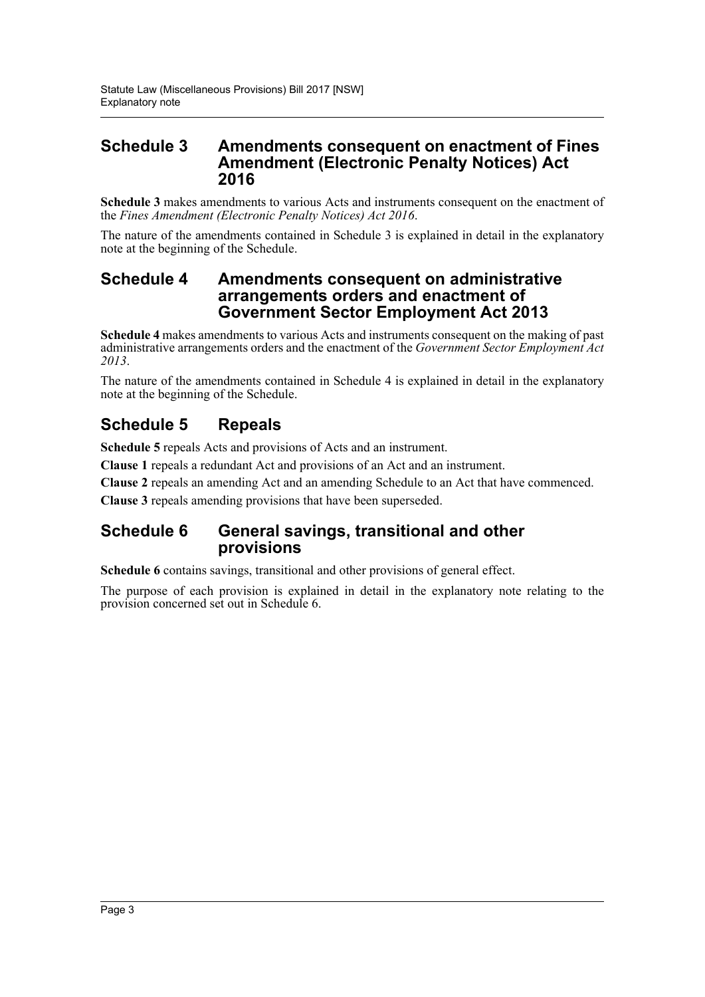# **Schedule 3 Amendments consequent on enactment of Fines Amendment (Electronic Penalty Notices) Act 2016**

**Schedule 3** makes amendments to various Acts and instruments consequent on the enactment of the *Fines Amendment (Electronic Penalty Notices) Act 2016*.

The nature of the amendments contained in Schedule 3 is explained in detail in the explanatory note at the beginning of the Schedule.

# **Schedule 4 Amendments consequent on administrative arrangements orders and enactment of Government Sector Employment Act 2013**

**Schedule 4** makes amendments to various Acts and instruments consequent on the making of past administrative arrangements orders and the enactment of the *Government Sector Employment Act 2013*.

The nature of the amendments contained in Schedule 4 is explained in detail in the explanatory note at the beginning of the Schedule.

# **Schedule 5 Repeals**

**Schedule 5** repeals Acts and provisions of Acts and an instrument.

**Clause 1** repeals a redundant Act and provisions of an Act and an instrument.

**Clause 2** repeals an amending Act and an amending Schedule to an Act that have commenced.

**Clause 3** repeals amending provisions that have been superseded.

# **Schedule 6 General savings, transitional and other provisions**

**Schedule 6** contains savings, transitional and other provisions of general effect.

The purpose of each provision is explained in detail in the explanatory note relating to the provision concerned set out in Schedule 6.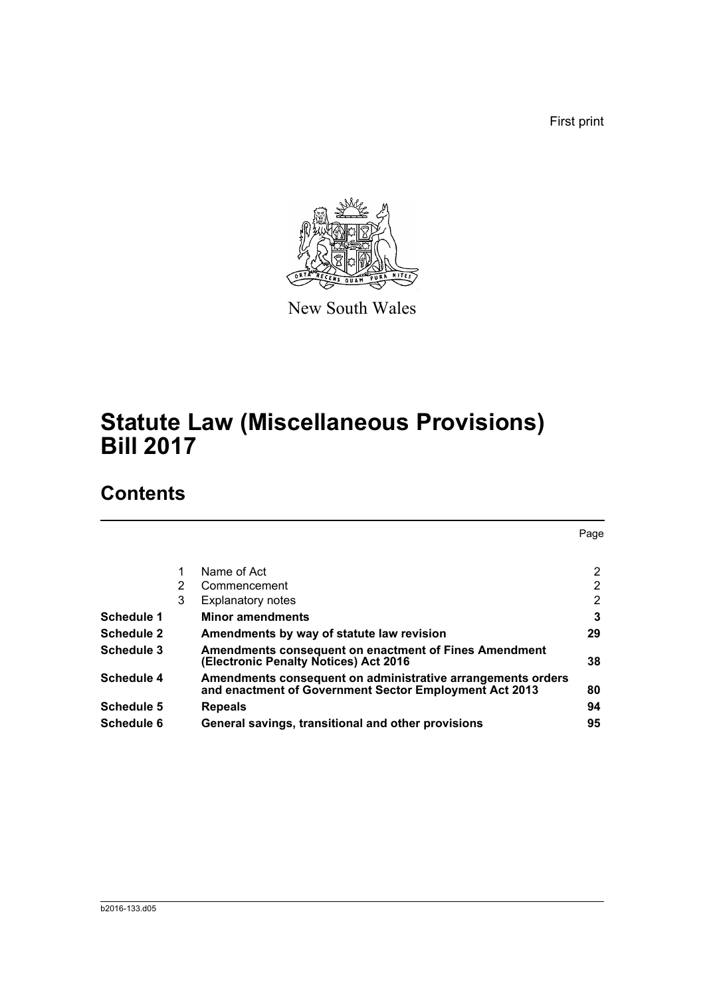First print



New South Wales

# **Statute Law (Miscellaneous Provisions) Bill 2017**

# **Contents**

|                   |   |                                                                                                                       | Page           |
|-------------------|---|-----------------------------------------------------------------------------------------------------------------------|----------------|
|                   |   | Name of Act                                                                                                           | $\overline{2}$ |
|                   | 2 | Commencement                                                                                                          | 2              |
|                   | 3 | <b>Explanatory notes</b>                                                                                              | 2              |
| Schedule 1        |   | <b>Minor amendments</b>                                                                                               | 3              |
| <b>Schedule 2</b> |   | Amendments by way of statute law revision                                                                             | 29             |
| Schedule 3        |   | <b>Amendments consequent on enactment of Fines Amendment</b><br>(Electronic Penalty Notices) Act 2016                 | 38             |
| <b>Schedule 4</b> |   | Amendments consequent on administrative arrangements orders<br>and enactment of Government Sector Employment Act 2013 | 80             |
| Schedule 5        |   | <b>Repeals</b>                                                                                                        | 94             |
| Schedule 6        |   | General savings, transitional and other provisions                                                                    | 95             |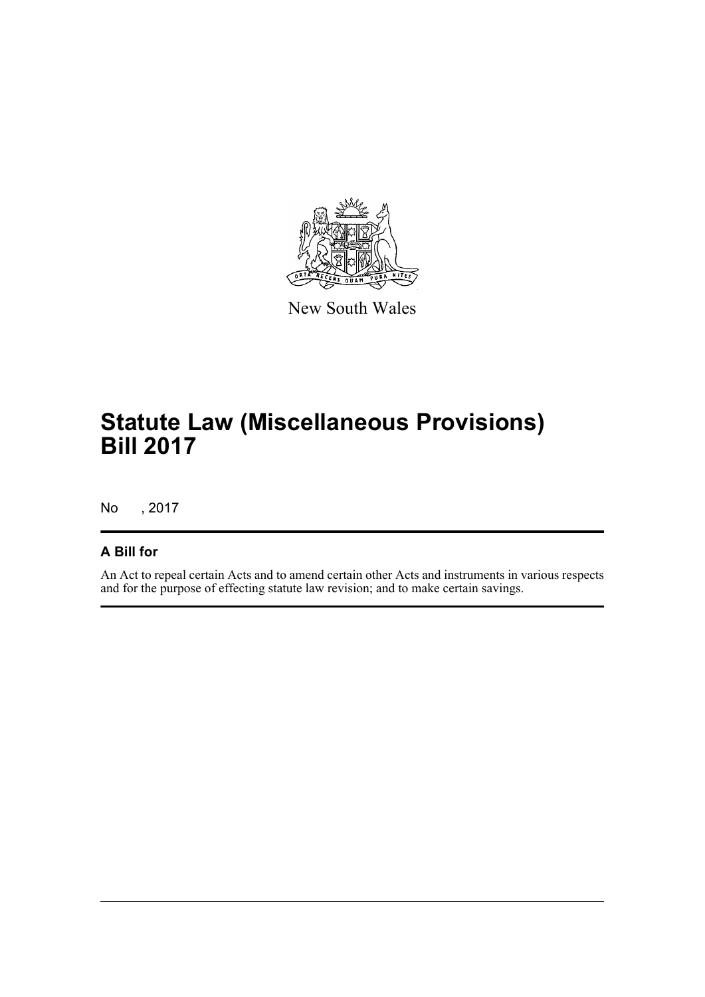

New South Wales

# **Statute Law (Miscellaneous Provisions) Bill 2017**

No , 2017

# **A Bill for**

An Act to repeal certain Acts and to amend certain other Acts and instruments in various respects and for the purpose of effecting statute law revision; and to make certain savings.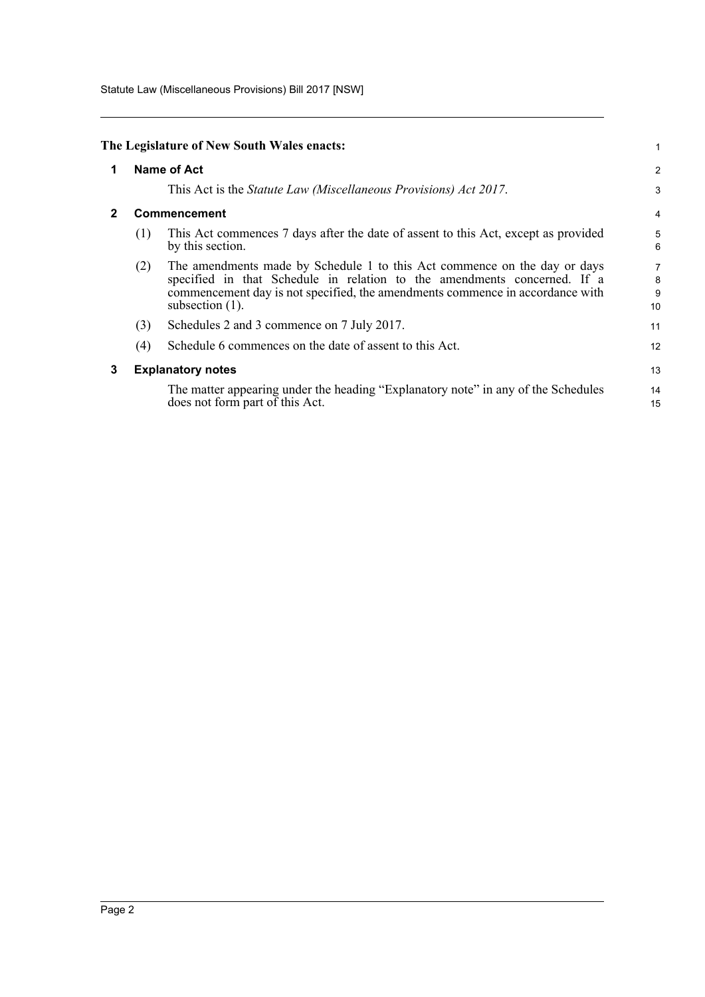Statute Law (Miscellaneous Provisions) Bill 2017 [NSW]

<span id="page-5-2"></span><span id="page-5-1"></span><span id="page-5-0"></span>

|              |             | The Legislature of New South Wales enacts:                                                                                                                                                                                                                   | 1                 |  |
|--------------|-------------|--------------------------------------------------------------------------------------------------------------------------------------------------------------------------------------------------------------------------------------------------------------|-------------------|--|
| 1            | Name of Act |                                                                                                                                                                                                                                                              |                   |  |
|              |             | This Act is the Statute Law (Miscellaneous Provisions) Act 2017.                                                                                                                                                                                             | 3                 |  |
| $\mathbf{2}$ |             | Commencement                                                                                                                                                                                                                                                 | 4                 |  |
|              | (1)         | This Act commences 7 days after the date of assent to this Act, except as provided<br>by this section.                                                                                                                                                       | 5<br>6            |  |
|              | (2)         | The amendments made by Schedule 1 to this Act commence on the day or days<br>specified in that Schedule in relation to the amendments concerned. If a<br>commencement day is not specified, the amendments commence in accordance with<br>subsection $(1)$ . | 7<br>8<br>9<br>10 |  |
|              | (3)         | Schedules 2 and 3 commence on 7 July 2017.                                                                                                                                                                                                                   | 11                |  |
|              | (4)         | Schedule 6 commences on the date of assent to this Act.                                                                                                                                                                                                      | 12                |  |
| 3            |             | <b>Explanatory notes</b>                                                                                                                                                                                                                                     | 13                |  |
|              |             | The matter appearing under the heading "Explanatory note" in any of the Schedules<br>does not form part of this Act.                                                                                                                                         | 14<br>15          |  |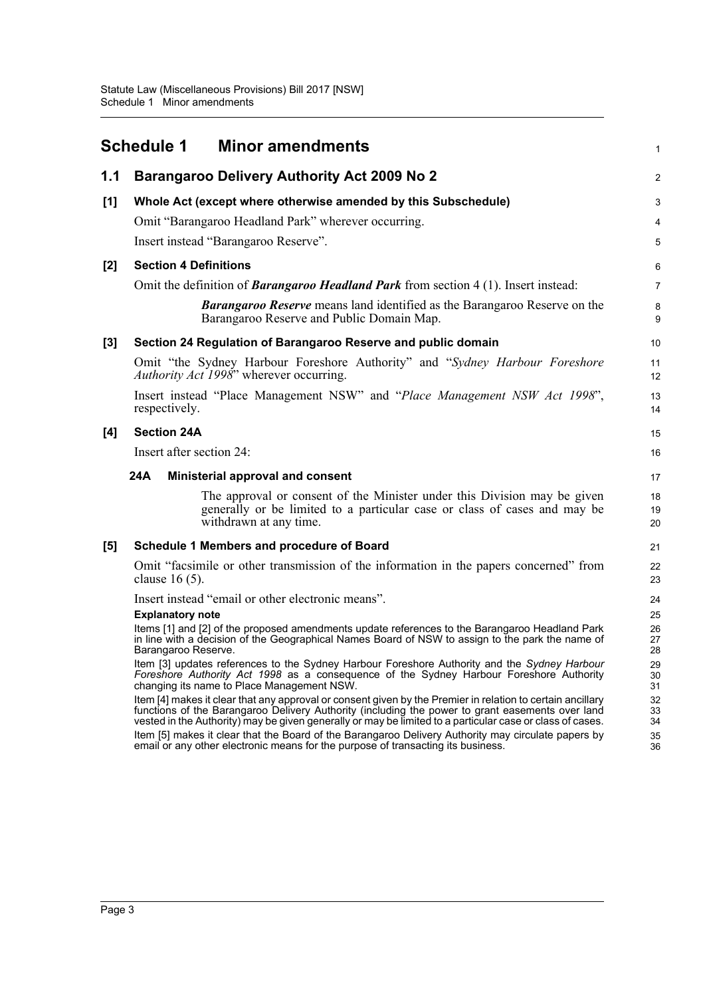<span id="page-6-0"></span>

|       | <b>Schedule 1</b><br><b>Minor amendments</b>                                                                                                                                                                                                                                                                                | $\mathbf{1}$   |
|-------|-----------------------------------------------------------------------------------------------------------------------------------------------------------------------------------------------------------------------------------------------------------------------------------------------------------------------------|----------------|
| 1.1   | <b>Barangaroo Delivery Authority Act 2009 No 2</b>                                                                                                                                                                                                                                                                          | $\overline{2}$ |
| [1]   | Whole Act (except where otherwise amended by this Subschedule)                                                                                                                                                                                                                                                              | 3              |
|       | Omit "Barangaroo Headland Park" wherever occurring.                                                                                                                                                                                                                                                                         | 4              |
|       | Insert instead "Barangaroo Reserve".                                                                                                                                                                                                                                                                                        | 5              |
| $[2]$ | <b>Section 4 Definitions</b>                                                                                                                                                                                                                                                                                                | 6              |
|       | Omit the definition of <b>Barangaroo Headland Park</b> from section 4 (1). Insert instead:                                                                                                                                                                                                                                  | $\overline{7}$ |
|       | Barangaroo Reserve means land identified as the Barangaroo Reserve on the<br>Barangaroo Reserve and Public Domain Map.                                                                                                                                                                                                      | 8<br>9         |
| $[3]$ | Section 24 Regulation of Barangaroo Reserve and public domain                                                                                                                                                                                                                                                               | 10             |
|       | Omit "the Sydney Harbour Foreshore Authority" and "Sydney Harbour Foreshore<br>Authority Act 1998" wherever occurring.                                                                                                                                                                                                      | 11<br>12       |
|       | Insert instead "Place Management NSW" and "Place Management NSW Act 1998",<br>respectively.                                                                                                                                                                                                                                 | 13<br>14       |
| [4]   | <b>Section 24A</b>                                                                                                                                                                                                                                                                                                          | 15             |
|       | Insert after section 24:                                                                                                                                                                                                                                                                                                    | 16             |
|       | 24A<br>Ministerial approval and consent                                                                                                                                                                                                                                                                                     | 17             |
|       | The approval or consent of the Minister under this Division may be given<br>generally or be limited to a particular case or class of cases and may be<br>withdrawn at any time.                                                                                                                                             | 18<br>19<br>20 |
| [5]   | Schedule 1 Members and procedure of Board                                                                                                                                                                                                                                                                                   | 21             |
|       | Omit "facsimile or other transmission of the information in the papers concerned" from<br>clause $16(5)$ .                                                                                                                                                                                                                  | 22<br>23       |
|       | Insert instead "email or other electronic means".                                                                                                                                                                                                                                                                           | 24             |
|       | <b>Explanatory note</b><br>Items [1] and [2] of the proposed amendments update references to the Barangaroo Headland Park<br>in line with a decision of the Geographical Names Board of NSW to assign to the park the name of                                                                                               | 25<br>26<br>27 |
|       | Barangaroo Reserve.                                                                                                                                                                                                                                                                                                         | 28             |
|       | Item [3] updates references to the Sydney Harbour Foreshore Authority and the Sydney Harbour<br>Foreshore Authority Act 1998 as a consequence of the Sydney Harbour Foreshore Authority<br>changing its name to Place Management NSW.                                                                                       | 29<br>30<br>31 |
|       | Item [4] makes it clear that any approval or consent given by the Premier in relation to certain ancillary<br>functions of the Barangaroo Delivery Authority (including the power to grant easements over land<br>vested in the Authority) may be given generally or may be limited to a particular case or class of cases. | 32<br>33<br>34 |
|       | Item [5] makes it clear that the Board of the Barangaroo Delivery Authority may circulate papers by<br>email or any other electronic means for the purpose of transacting its business.                                                                                                                                     | 35<br>36       |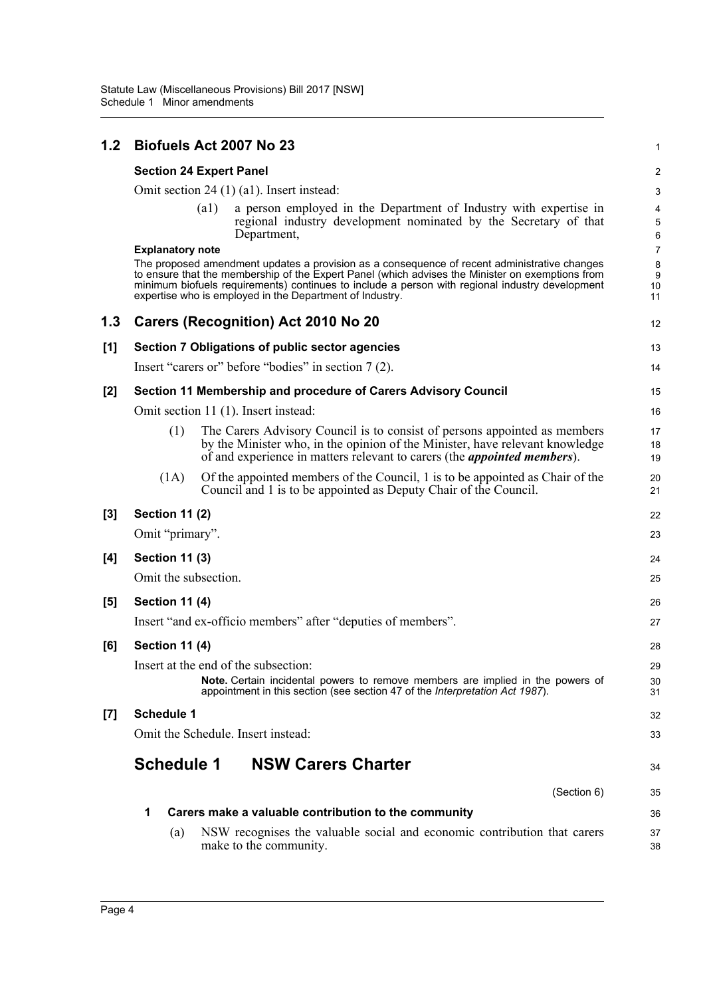| 1.2   | Biofuels Act 2007 No 23                                                                                                                                                                                                                                                                                                                                         | $\mathbf{1}$             |  |  |  |  |  |
|-------|-----------------------------------------------------------------------------------------------------------------------------------------------------------------------------------------------------------------------------------------------------------------------------------------------------------------------------------------------------------------|--------------------------|--|--|--|--|--|
|       | <b>Section 24 Expert Panel</b>                                                                                                                                                                                                                                                                                                                                  | $\overline{c}$           |  |  |  |  |  |
|       | Omit section 24 (1) (a1). Insert instead:                                                                                                                                                                                                                                                                                                                       |                          |  |  |  |  |  |
|       | a person employed in the Department of Industry with expertise in<br>$\left( a1\right)$<br>regional industry development nominated by the Secretary of that<br>Department,                                                                                                                                                                                      | 4<br>5<br>6              |  |  |  |  |  |
|       | <b>Explanatory note</b>                                                                                                                                                                                                                                                                                                                                         | $\overline{7}$           |  |  |  |  |  |
|       | The proposed amendment updates a provision as a consequence of recent administrative changes<br>to ensure that the membership of the Expert Panel (which advises the Minister on exemptions from<br>minimum biofuels requirements) continues to include a person with regional industry development<br>expertise who is employed in the Department of Industry. | $\bf 8$<br>9<br>10<br>11 |  |  |  |  |  |
| 1.3   | <b>Carers (Recognition) Act 2010 No 20</b>                                                                                                                                                                                                                                                                                                                      | 12                       |  |  |  |  |  |
| [1]   | Section 7 Obligations of public sector agencies                                                                                                                                                                                                                                                                                                                 | 13                       |  |  |  |  |  |
|       | Insert "carers or" before "bodies" in section 7 (2).                                                                                                                                                                                                                                                                                                            | 14                       |  |  |  |  |  |
| $[2]$ | Section 11 Membership and procedure of Carers Advisory Council                                                                                                                                                                                                                                                                                                  | 15                       |  |  |  |  |  |
|       | Omit section 11 (1). Insert instead:                                                                                                                                                                                                                                                                                                                            | 16                       |  |  |  |  |  |
|       | The Carers Advisory Council is to consist of persons appointed as members<br>(1)<br>by the Minister who, in the opinion of the Minister, have relevant knowledge<br>of and experience in matters relevant to carers (the <i>appointed members</i> ).                                                                                                            | 17<br>18<br>19           |  |  |  |  |  |
|       | Of the appointed members of the Council, 1 is to be appointed as Chair of the<br>(1A)<br>Council and 1 is to be appointed as Deputy Chair of the Council.                                                                                                                                                                                                       | 20<br>21                 |  |  |  |  |  |
| $[3]$ | <b>Section 11 (2)</b>                                                                                                                                                                                                                                                                                                                                           | 22                       |  |  |  |  |  |
|       | Omit "primary".                                                                                                                                                                                                                                                                                                                                                 | 23                       |  |  |  |  |  |
| [4]   | <b>Section 11 (3)</b>                                                                                                                                                                                                                                                                                                                                           | 24                       |  |  |  |  |  |
|       | Omit the subsection.                                                                                                                                                                                                                                                                                                                                            | 25                       |  |  |  |  |  |
| [5]   | <b>Section 11 (4)</b>                                                                                                                                                                                                                                                                                                                                           | 26                       |  |  |  |  |  |
|       | Insert "and ex-officio members" after "deputies of members".                                                                                                                                                                                                                                                                                                    | 27                       |  |  |  |  |  |
| [6]   | <b>Section 11 (4)</b>                                                                                                                                                                                                                                                                                                                                           | 28                       |  |  |  |  |  |
|       | Insert at the end of the subsection:                                                                                                                                                                                                                                                                                                                            | 29                       |  |  |  |  |  |
|       | <b>Note.</b> Certain incidental powers to remove members are implied in the powers of<br>appointment in this section (see section 47 of the Interpretation Act 1987).                                                                                                                                                                                           | 30<br>31                 |  |  |  |  |  |
| $[7]$ | <b>Schedule 1</b>                                                                                                                                                                                                                                                                                                                                               | 32                       |  |  |  |  |  |
|       | Omit the Schedule. Insert instead:                                                                                                                                                                                                                                                                                                                              | 33                       |  |  |  |  |  |
|       | <b>Schedule 1</b><br><b>NSW Carers Charter</b>                                                                                                                                                                                                                                                                                                                  | 34                       |  |  |  |  |  |
|       | (Section 6)                                                                                                                                                                                                                                                                                                                                                     | 35                       |  |  |  |  |  |
|       | Carers make a valuable contribution to the community<br>1                                                                                                                                                                                                                                                                                                       | 36                       |  |  |  |  |  |
|       | NSW recognises the valuable social and economic contribution that carers<br>(a)<br>make to the community.                                                                                                                                                                                                                                                       | 37<br>38                 |  |  |  |  |  |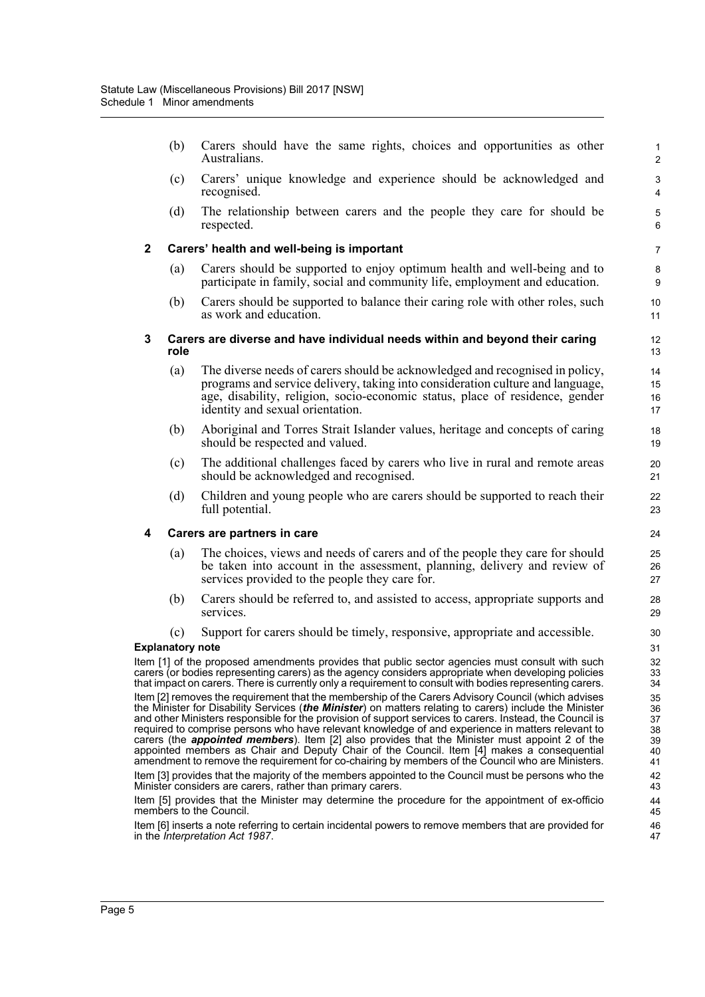(b) Carers should have the same rights, choices and opportunities as other Australians.

- (c) Carers' unique knowledge and experience should be acknowledged and recognised.
- (d) The relationship between carers and the people they care for should be respected.

## **2 Carers' health and well-being is important**

- (a) Carers should be supported to enjoy optimum health and well-being and to participate in family, social and community life, employment and education.
- (b) Carers should be supported to balance their caring role with other roles, such as work and education.

## **3 Carers are diverse and have individual needs within and beyond their caring role**

- (a) The diverse needs of carers should be acknowledged and recognised in policy, programs and service delivery, taking into consideration culture and language, age, disability, religion, socio-economic status, place of residence, gender identity and sexual orientation.
- (b) Aboriginal and Torres Strait Islander values, heritage and concepts of caring should be respected and valued.
- (c) The additional challenges faced by carers who live in rural and remote areas should be acknowledged and recognised.
- (d) Children and young people who are carers should be supported to reach their full potential.

## **4 Carers are partners in care**

- (a) The choices, views and needs of carers and of the people they care for should be taken into account in the assessment, planning, delivery and review of services provided to the people they care for.
- (b) Carers should be referred to, and assisted to access, appropriate supports and services.
- (c) Support for carers should be timely, responsive, appropriate and accessible.

## **Explanatory note**

Item [1] of the proposed amendments provides that public sector agencies must consult with such carers (or bodies representing carers) as the agency considers appropriate when developing policies that impact on carers. There is currently only a requirement to consult with bodies representing carers. Item [2] removes the requirement that the membership of the Carers Advisory Council (which advises the Minister for Disability Services (*the Minister*) on matters relating to carers) include the Minister and other Ministers responsible for the provision of support services to carers. Instead, the Council is required to comprise persons who have relevant knowledge of and experience in matters relevant to carers (the *appointed members*). Item [2] also provides that the Minister must appoint 2 of the appointed members as Chair and Deputy Chair of the Council. Item [4] makes a consequential amendment to remove the requirement for co-chairing by members of the Council who are Ministers. Item [3] provides that the majority of the members appointed to the Council must be persons who the Minister considers are carers, rather than primary carers.

Item [5] provides that the Minister may determine the procedure for the appointment of ex-officio members to the Council.

Item [6] inserts a note referring to certain incidental powers to remove members that are provided for in the *Interpretation Act 1987*.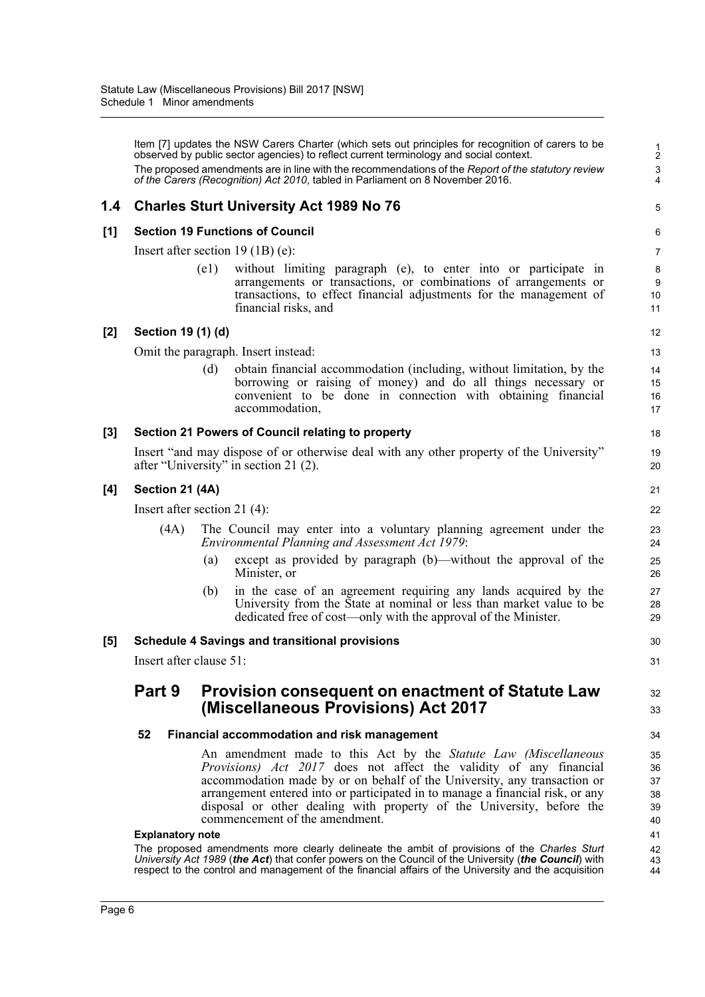Item [7] updates the NSW Carers Charter (which sets out principles for recognition of carers to be observed by public sector agencies) to reflect current terminology and social context. The proposed amendments are in line with the recommendations of the *Report of the statutory review of the Carers (Recognition) Act 2010*, tabled in Parliament on 8 November 2016.

# **1.4 Charles Sturt University Act 1989 No 76**

## **[1] Section 19 Functions of Council**

Insert after section 19 (1B) (e):

(e1) without limiting paragraph (e), to enter into or participate in arrangements or transactions, or combinations of arrangements or transactions, to effect financial adjustments for the management of financial risks, and

32 33

# **[2] Section 19 (1) (d)**

Omit the paragraph. Insert instead:

(d) obtain financial accommodation (including, without limitation, by the borrowing or raising of money) and do all things necessary or convenient to be done in connection with obtaining financial accommodation,

# **[3] Section 21 Powers of Council relating to property**

Insert "and may dispose of or otherwise deal with any other property of the University" after "University" in section 21 (2).

## **[4] Section 21 (4A)**

Insert after section 21 (4):

- (4A) The Council may enter into a voluntary planning agreement under the *Environmental Planning and Assessment Act 1979*:
	- (a) except as provided by paragraph (b)—without the approval of the Minister, or
	- (b) in the case of an agreement requiring any lands acquired by the University from the State at nominal or less than market value to be dedicated free of cost—only with the approval of the Minister.

## **[5] Schedule 4 Savings and transitional provisions**

Insert after clause 51:

# **Part 9 Provision consequent on enactment of Statute Law (Miscellaneous Provisions) Act 2017**

## **52 Financial accommodation and risk management**

An amendment made to this Act by the *Statute Law (Miscellaneous Provisions*) Act 2017 does not affect the validity of any financial accommodation made by or on behalf of the University, any transaction or arrangement entered into or participated in to manage a financial risk, or any disposal or other dealing with property of the University, before the commencement of the amendment.

#### **Explanatory note**

The proposed amendments more clearly delineate the ambit of provisions of the *Charles Sturt University Act 1989* (*the Act*) that confer powers on the Council of the University (*the Council*) with respect to the control and management of the financial affairs of the University and the acquisition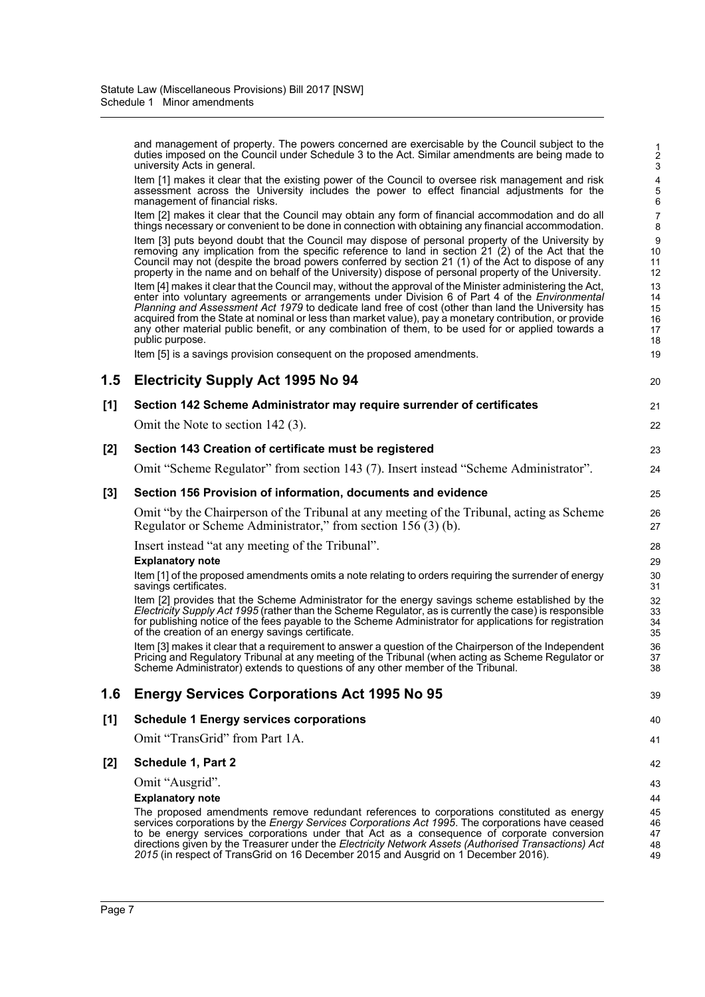and management of property. The powers concerned are exercisable by the Council subject to the duties imposed on the Council under Schedule 3 to the Act. Similar amendments are being made to university Acts in general. Item [1] makes it clear that the existing power of the Council to oversee risk management and risk assessment across the University includes the power to effect financial adjustments for the management of financial risks. Item [2] makes it clear that the Council may obtain any form of financial accommodation and do all things necessary or convenient to be done in connection with obtaining any financial accommodation. Item [3] puts beyond doubt that the Council may dispose of personal property of the University by removing any implication from the specific reference to land in section 21 (2) of the Act that the Council may not (despite the broad powers conferred by section 21 (1) of the Act to dispose of any property in the name and on behalf of the University) dispose of personal property of the University. Item [4] makes it clear that the Council may, without the approval of the Minister administering the Act, enter into voluntary agreements or arrangements under Division 6 of Part 4 of the *Environmental Planning and Assessment Act 1979* to dedicate land free of cost (other than land the University has acquired from the State at nominal or less than market value), pay a monetary contribution, or provide any other material public benefit, or any combination of them, to be used for or applied towards a public purpose. Item [5] is a savings provision consequent on the proposed amendments. **1.5 Electricity Supply Act 1995 No 94 [1] Section 142 Scheme Administrator may require surrender of certificates** Omit the Note to section 142 (3). **[2] Section 143 Creation of certificate must be registered** Omit "Scheme Regulator" from section 143 (7). Insert instead "Scheme Administrator". **[3] Section 156 Provision of information, documents and evidence** Omit "by the Chairperson of the Tribunal at any meeting of the Tribunal, acting as Scheme Regulator or Scheme Administrator," from section 156 (3) (b). Insert instead "at any meeting of the Tribunal". **Explanatory note** Item [1] of the proposed amendments omits a note relating to orders requiring the surrender of energy savings certificates. Item [2] provides that the Scheme Administrator for the energy savings scheme established by the *Electricity Supply Act 1995* (rather than the Scheme Regulator, as is currently the case) is responsible for publishing notice of the fees payable to the Scheme Administrator for applications for registration 1 2 3 4 5 6 7 8 9 10 11 12 13 14 15 16 17 18 19 20 21 22 23 24 25 26 27 28 29 30 31 32 33 34

of the creation of an energy savings certificate. Item [3] makes it clear that a requirement to answer a question of the Chairperson of the Independent Pricing and Regulatory Tribunal at any meeting of the Tribunal (when acting as Scheme Regulator or Scheme Administrator) extends to questions of any other member of the Tribunal.

# **1.6 Energy Services Corporations Act 1995 No 95**

39 40

41

**[1] Schedule 1 Energy services corporations**

Omit "TransGrid" from Part 1A.

# **[2] Schedule 1, Part 2**

Omit "Ausgrid".

## **Explanatory note**

The proposed amendments remove redundant references to corporations constituted as energy services corporations by the *Energy Services Corporations Act 1995*. The corporations have ceased to be energy services corporations under that Act as a consequence of corporate conversion directions given by the Treasurer under the *Electricity Network Assets (Authorised Transactions) Act 2015* (in respect of TransGrid on 16 December 2015 and Ausgrid on 1 December 2016).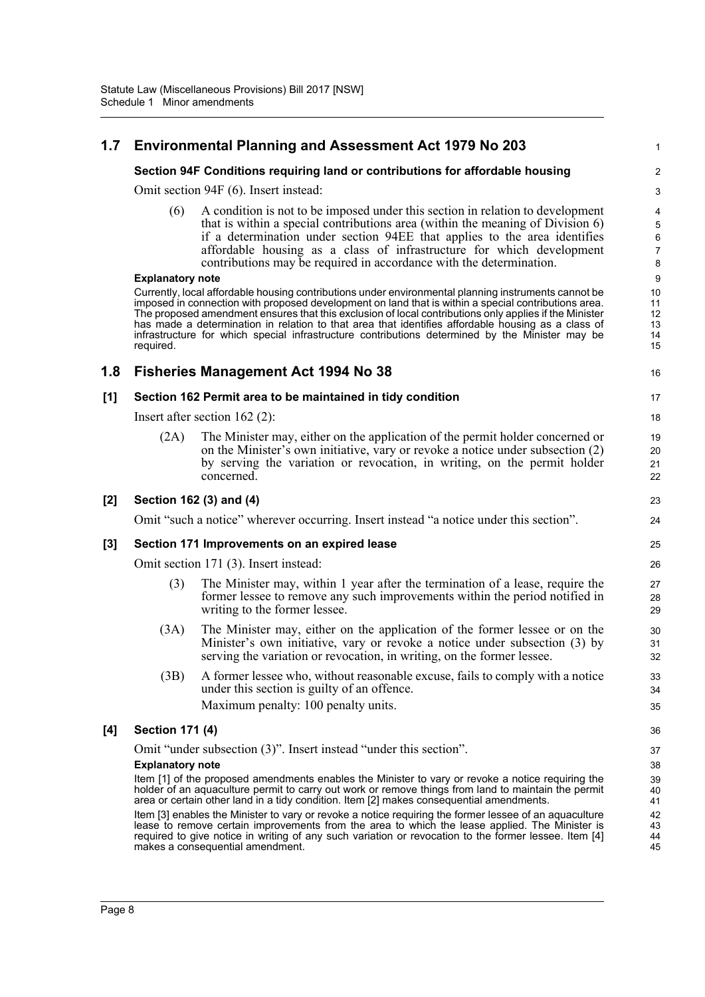# **1.7 Environmental Planning and Assessment Act 1979 No 203**

## **Section 94F Conditions requiring land or contributions for affordable housing**

Omit section 94F (6). Insert instead:

(6) A condition is not to be imposed under this section in relation to development that is within a special contributions area (within the meaning of Division 6) if a determination under section 94EE that applies to the area identifies affordable housing as a class of infrastructure for which development contributions may be required in accordance with the determination.

1

16

23  $24$ 

#### **Explanatory note**

Currently, local affordable housing contributions under environmental planning instruments cannot be imposed in connection with proposed development on land that is within a special contributions area. The proposed amendment ensures that this exclusion of local contributions only applies if the Minister has made a determination in relation to that area that identifies affordable housing as a class of infrastructure for which special infrastructure contributions determined by the Minister may be required.

# **1.8 Fisheries Management Act 1994 No 38**

## **[1] Section 162 Permit area to be maintained in tidy condition**

Insert after section 162 (2):

(2A) The Minister may, either on the application of the permit holder concerned or on the Minister's own initiative, vary or revoke a notice under subsection (2) by serving the variation or revocation, in writing, on the permit holder concerned.

## **[2] Section 162 (3) and (4)**

Omit "such a notice" wherever occurring. Insert instead "a notice under this section".

## **[3] Section 171 Improvements on an expired lease**

Omit section 171 (3). Insert instead:

- (3) The Minister may, within 1 year after the termination of a lease, require the former lessee to remove any such improvements within the period notified in writing to the former lessee.
- (3A) The Minister may, either on the application of the former lessee or on the Minister's own initiative, vary or revoke a notice under subsection (3) by serving the variation or revocation, in writing, on the former lessee.
- (3B) A former lessee who, without reasonable excuse, fails to comply with a notice under this section is guilty of an offence.

Maximum penalty: 100 penalty units.

# **[4] Section 171 (4)**

Omit "under subsection (3)". Insert instead "under this section".

#### **Explanatory note**

Item [1] of the proposed amendments enables the Minister to vary or revoke a notice requiring the holder of an aquaculture permit to carry out work or remove things from land to maintain the permit area or certain other land in a tidy condition. Item [2] makes consequential amendments.

Item [3] enables the Minister to vary or revoke a notice requiring the former lessee of an aquaculture lease to remove certain improvements from the area to which the lease applied. The Minister is required to give notice in writing of any such variation or revocation to the former lessee. Item [4] makes a consequential amendment.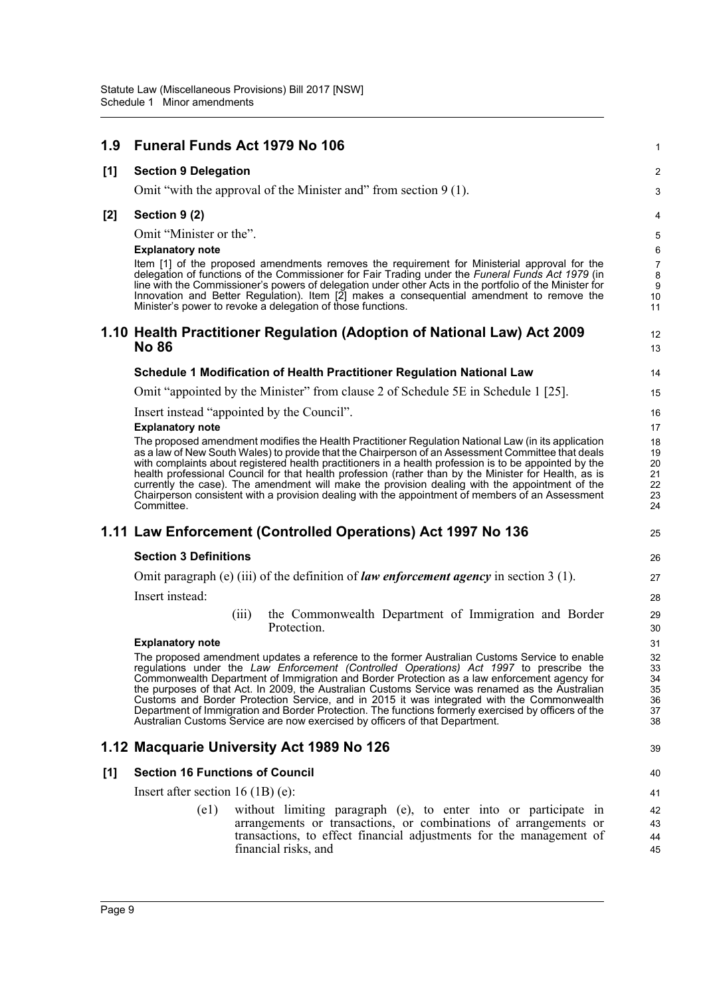#### **1.9 Funeral Funds Act 1979 No 106 [1] Section 9 Delegation** Omit "with the approval of the Minister and" from section 9 (1). **[2] Section 9 (2)** Omit "Minister or the". **Explanatory note** Item [1] of the proposed amendments removes the requirement for Ministerial approval for the delegation of functions of the Commissioner for Fair Trading under the *Funeral Funds Act 1979* (in line with the Commissioner's powers of delegation under other Acts in the portfolio of the Minister for Innovation and Better Regulation). Item [2] makes a consequential amendment to remove the Minister's power to revoke a delegation of those functions. **1.10 Health Practitioner Regulation (Adoption of National Law) Act 2009 No 86 Schedule 1 Modification of Health Practitioner Regulation National Law** Omit "appointed by the Minister" from clause 2 of Schedule 5E in Schedule 1 [25]. Insert instead "appointed by the Council". **Explanatory note** The proposed amendment modifies the Health Practitioner Regulation National Law (in its application as a law of New South Wales) to provide that the Chairperson of an Assessment Committee that deals with complaints about registered health practitioners in a health profession is to be appointed by the health professional Council for that health profession (rather than by the Minister for Health, as is currently the case). The amendment will make the provision dealing with the appointment of the Chairperson consistent with a provision dealing with the appointment of members of an Assessment Committee. **1.11 Law Enforcement (Controlled Operations) Act 1997 No 136 Section 3 Definitions** Omit paragraph (e) (iii) of the definition of *law enforcement agency* in section 3 (1). Insert instead: (iii) the Commonwealth Department of Immigration and Border Protection. **Explanatory note** The proposed amendment updates a reference to the former Australian Customs Service to enable regulations under the *Law Enforcement (Controlled Operations) Act 1997* to prescribe the Commonwealth Department of Immigration and Border Protection as a law enforcement agency for the purposes of that Act. In 2009, the Australian Customs Service was renamed as the Australian Customs and Border Protection Service, and in 2015 it was integrated with the Commonwealth Department of Immigration and Border Protection. The functions formerly exercised by officers of the Australian Customs Service are now exercised by officers of that Department. **1.12 Macquarie University Act 1989 No 126 [1] Section 16 Functions of Council** Insert after section 16 (1B) (e): (e1) without limiting paragraph (e), to enter into or participate in arrangements or transactions, or combinations of arrangements or transactions, to effect financial adjustments for the management of financial risks, and 1  $\mathfrak{p}$ 3 4 5 6 7 8 9 10 11 12 13 14 15 16 17 18 19 20 21 22 23 24 25 26 27 28 29 30 31 32 33 34 35 36 37 38 39 40 41 42 43 44 45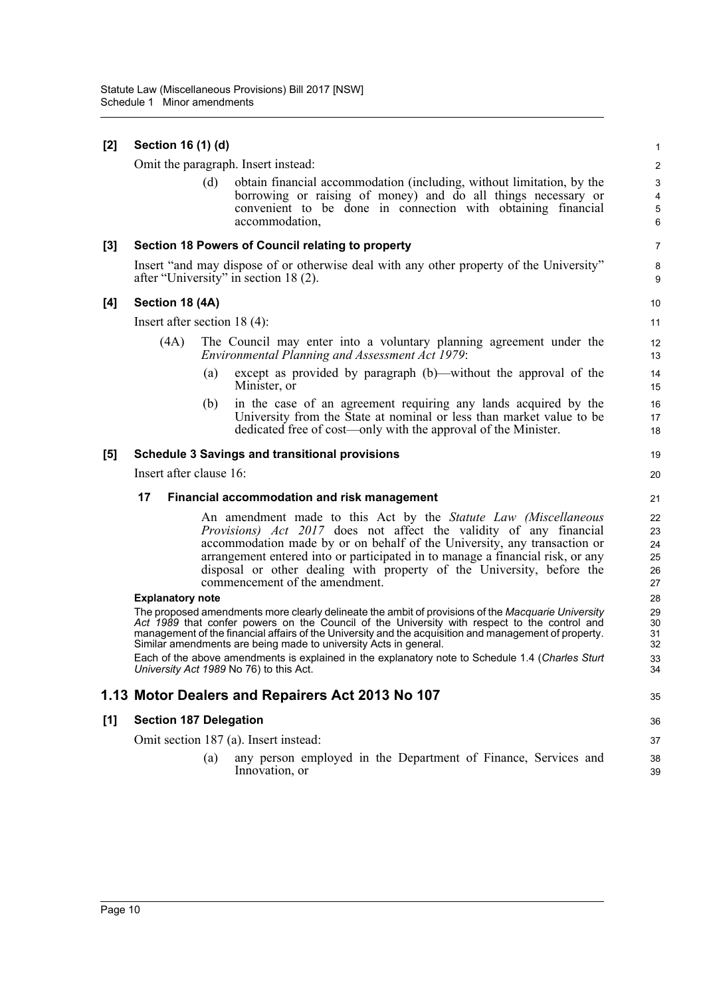| [2] | Section 16 (1) (d)                                |     |                                                                                                                                                                                                                                                                                                                                                                                                                | $\mathbf{1}$                                        |  |  |  |
|-----|---------------------------------------------------|-----|----------------------------------------------------------------------------------------------------------------------------------------------------------------------------------------------------------------------------------------------------------------------------------------------------------------------------------------------------------------------------------------------------------------|-----------------------------------------------------|--|--|--|
|     |                                                   |     | Omit the paragraph. Insert instead:                                                                                                                                                                                                                                                                                                                                                                            | $\overline{2}$                                      |  |  |  |
|     |                                                   | (d) | obtain financial accommodation (including, without limitation, by the<br>borrowing or raising of money) and do all things necessary or<br>convenient to be done in connection with obtaining financial<br>accommodation,                                                                                                                                                                                       | 3<br>$\overline{\mathbf{4}}$<br>$\overline{5}$<br>6 |  |  |  |
| [3] |                                                   |     | Section 18 Powers of Council relating to property                                                                                                                                                                                                                                                                                                                                                              | $\overline{7}$                                      |  |  |  |
|     |                                                   |     | Insert "and may dispose of or otherwise deal with any other property of the University"<br>after "University" in section 18 (2).                                                                                                                                                                                                                                                                               | 8<br>9                                              |  |  |  |
| [4] | Section 18 (4A)                                   |     |                                                                                                                                                                                                                                                                                                                                                                                                                | 10                                                  |  |  |  |
|     | Insert after section $18(4)$ :                    |     |                                                                                                                                                                                                                                                                                                                                                                                                                | 11                                                  |  |  |  |
|     | (4A)                                              |     | The Council may enter into a voluntary planning agreement under the<br><b>Environmental Planning and Assessment Act 1979:</b>                                                                                                                                                                                                                                                                                  | 12<br>13                                            |  |  |  |
|     |                                                   | (a) | except as provided by paragraph (b)—without the approval of the<br>Minister, or                                                                                                                                                                                                                                                                                                                                | 14<br>15                                            |  |  |  |
|     |                                                   | (b) | in the case of an agreement requiring any lands acquired by the<br>University from the State at nominal or less than market value to be<br>dedicated free of cost—only with the approval of the Minister.                                                                                                                                                                                                      | 16<br>17<br>18                                      |  |  |  |
| [5] |                                                   |     | <b>Schedule 3 Savings and transitional provisions</b>                                                                                                                                                                                                                                                                                                                                                          | 19                                                  |  |  |  |
|     | Insert after clause 16:                           |     |                                                                                                                                                                                                                                                                                                                                                                                                                |                                                     |  |  |  |
|     | 17<br>Financial accommodation and risk management |     |                                                                                                                                                                                                                                                                                                                                                                                                                |                                                     |  |  |  |
|     |                                                   |     | An amendment made to this Act by the Statute Law (Miscellaneous<br>Provisions) Act 2017 does not affect the validity of any financial<br>accommodation made by or on behalf of the University, any transaction or<br>arrangement entered into or participated in to manage a financial risk, or any<br>disposal or other dealing with property of the University, before the<br>commencement of the amendment. | 22<br>23<br>24<br>25<br>26<br>27                    |  |  |  |
|     | <b>Explanatory note</b>                           |     |                                                                                                                                                                                                                                                                                                                                                                                                                | 28                                                  |  |  |  |
|     |                                                   |     | The proposed amendments more clearly delineate the ambit of provisions of the Macquarie University<br>Act 1989 that confer powers on the Council of the University with respect to the control and<br>management of the financial affairs of the University and the acquisition and management of property.<br>Similar amendments are being made to university Acts in general.                                | 29<br>30<br>31<br>32                                |  |  |  |
|     |                                                   |     | Each of the above amendments is explained in the explanatory note to Schedule 1.4 (Charles Sturt<br>University Act 1989 No 76) to this Act.                                                                                                                                                                                                                                                                    | 33<br>34                                            |  |  |  |
|     |                                                   |     | 1.13 Motor Dealers and Repairers Act 2013 No 107                                                                                                                                                                                                                                                                                                                                                               | 35                                                  |  |  |  |
| [1] | <b>Section 187 Delegation</b>                     |     |                                                                                                                                                                                                                                                                                                                                                                                                                | 36                                                  |  |  |  |
|     |                                                   |     | Omit section 187 (a). Insert instead:                                                                                                                                                                                                                                                                                                                                                                          | 37                                                  |  |  |  |
|     |                                                   | (a) | any person employed in the Department of Finance, Services and<br>Innovation, or                                                                                                                                                                                                                                                                                                                               | 38<br>39                                            |  |  |  |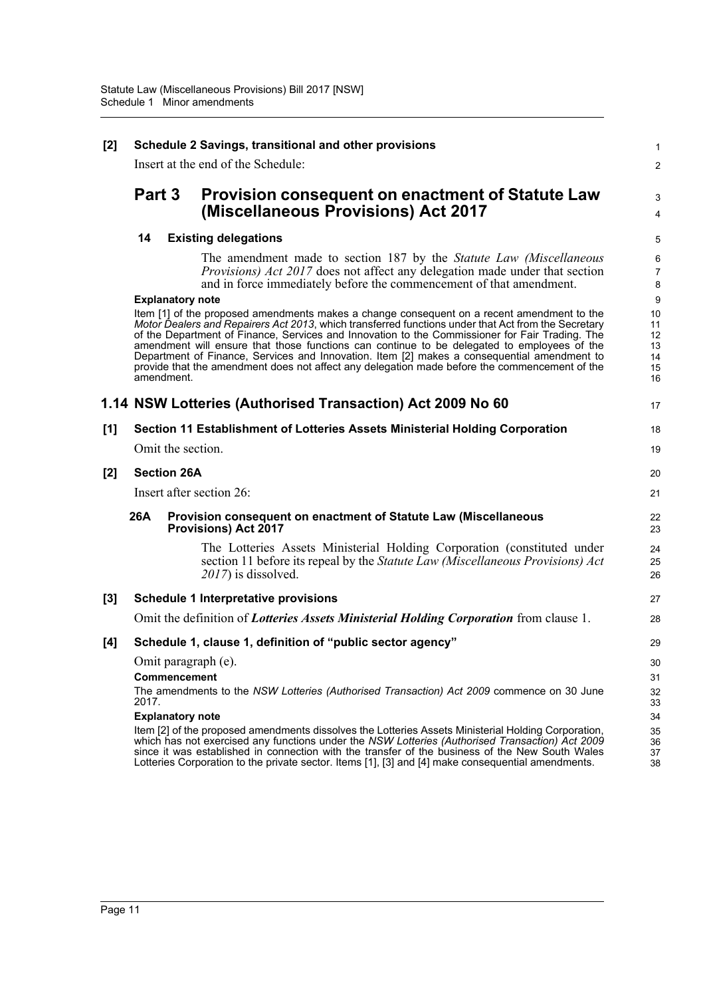| $[2]$ | Schedule 2 Savings, transitional and other provisions |  |                                                                                                                                                                                                                                                                                                                                                                                                                                                                                                                                                                                                     |                                        |  |
|-------|-------------------------------------------------------|--|-----------------------------------------------------------------------------------------------------------------------------------------------------------------------------------------------------------------------------------------------------------------------------------------------------------------------------------------------------------------------------------------------------------------------------------------------------------------------------------------------------------------------------------------------------------------------------------------------------|----------------------------------------|--|
|       |                                                       |  | Insert at the end of the Schedule:                                                                                                                                                                                                                                                                                                                                                                                                                                                                                                                                                                  | $\overline{2}$                         |  |
|       | Part 3                                                |  | <b>Provision consequent on enactment of Statute Law</b><br>(Miscellaneous Provisions) Act 2017                                                                                                                                                                                                                                                                                                                                                                                                                                                                                                      | 3<br>$\overline{4}$                    |  |
|       | 14                                                    |  | <b>Existing delegations</b>                                                                                                                                                                                                                                                                                                                                                                                                                                                                                                                                                                         | 5                                      |  |
|       |                                                       |  | The amendment made to section 187 by the <i>Statute Law (Miscellaneous</i><br><i>Provisions) Act 2017</i> does not affect any delegation made under that section<br>and in force immediately before the commencement of that amendment.                                                                                                                                                                                                                                                                                                                                                             | 6<br>7<br>$\bf 8$                      |  |
|       | <b>Explanatory note</b>                               |  |                                                                                                                                                                                                                                                                                                                                                                                                                                                                                                                                                                                                     | 9                                      |  |
|       | amendment.                                            |  | Item [1] of the proposed amendments makes a change consequent on a recent amendment to the<br>Motor Dealers and Repairers Act 2013, which transferred functions under that Act from the Secretary<br>of the Department of Finance, Services and Innovation to the Commissioner for Fair Trading. The<br>amendment will ensure that those functions can continue to be delegated to employees of the<br>Department of Finance, Services and Innovation. Item [2] makes a consequential amendment to<br>provide that the amendment does not affect any delegation made before the commencement of the | 10<br>11<br>12<br>13<br>14<br>15<br>16 |  |
|       |                                                       |  | 1.14 NSW Lotteries (Authorised Transaction) Act 2009 No 60                                                                                                                                                                                                                                                                                                                                                                                                                                                                                                                                          | 17                                     |  |
| [1]   |                                                       |  | Section 11 Establishment of Lotteries Assets Ministerial Holding Corporation                                                                                                                                                                                                                                                                                                                                                                                                                                                                                                                        | 18                                     |  |
|       | Omit the section.                                     |  |                                                                                                                                                                                                                                                                                                                                                                                                                                                                                                                                                                                                     | 19                                     |  |
| [2]   | <b>Section 26A</b>                                    |  |                                                                                                                                                                                                                                                                                                                                                                                                                                                                                                                                                                                                     | 20                                     |  |
|       |                                                       |  | Insert after section 26:                                                                                                                                                                                                                                                                                                                                                                                                                                                                                                                                                                            | 21                                     |  |
|       | 26A                                                   |  | Provision consequent on enactment of Statute Law (Miscellaneous<br><b>Provisions) Act 2017</b>                                                                                                                                                                                                                                                                                                                                                                                                                                                                                                      | 22<br>23                               |  |
|       |                                                       |  | The Lotteries Assets Ministerial Holding Corporation (constituted under<br>section 11 before its repeal by the <i>Statute Law (Miscellaneous Provisions) Act</i><br>2017) is dissolved.                                                                                                                                                                                                                                                                                                                                                                                                             | 24<br>25<br>26                         |  |
| $[3]$ |                                                       |  | <b>Schedule 1 Interpretative provisions</b>                                                                                                                                                                                                                                                                                                                                                                                                                                                                                                                                                         | 27                                     |  |
|       |                                                       |  | Omit the definition of <i>Lotteries Assets Ministerial Holding Corporation</i> from clause 1.                                                                                                                                                                                                                                                                                                                                                                                                                                                                                                       | 28                                     |  |
| [4]   |                                                       |  | Schedule 1, clause 1, definition of "public sector agency"                                                                                                                                                                                                                                                                                                                                                                                                                                                                                                                                          | 29                                     |  |
|       |                                                       |  | Omit paragraph (e).                                                                                                                                                                                                                                                                                                                                                                                                                                                                                                                                                                                 | 30                                     |  |
|       | <b>Commencement</b>                                   |  |                                                                                                                                                                                                                                                                                                                                                                                                                                                                                                                                                                                                     | 31                                     |  |
|       | 2017.                                                 |  | The amendments to the NSW Lotteries (Authorised Transaction) Act 2009 commence on 30 June                                                                                                                                                                                                                                                                                                                                                                                                                                                                                                           | 32<br>33                               |  |
|       | <b>Explanatory note</b>                               |  |                                                                                                                                                                                                                                                                                                                                                                                                                                                                                                                                                                                                     | 34                                     |  |
|       |                                                       |  | Item [2] of the proposed amendments dissolves the Lotteries Assets Ministerial Holding Corporation,<br>which has not exercised any functions under the NSW Lotteries (Authorised Transaction) Act 2009<br>since it was established in connection with the transfer of the business of the New South Wales<br>Lotteries Corporation to the private sector. Items [1], [3] and [4] make consequential amendments.                                                                                                                                                                                     | 35<br>36<br>37<br>38                   |  |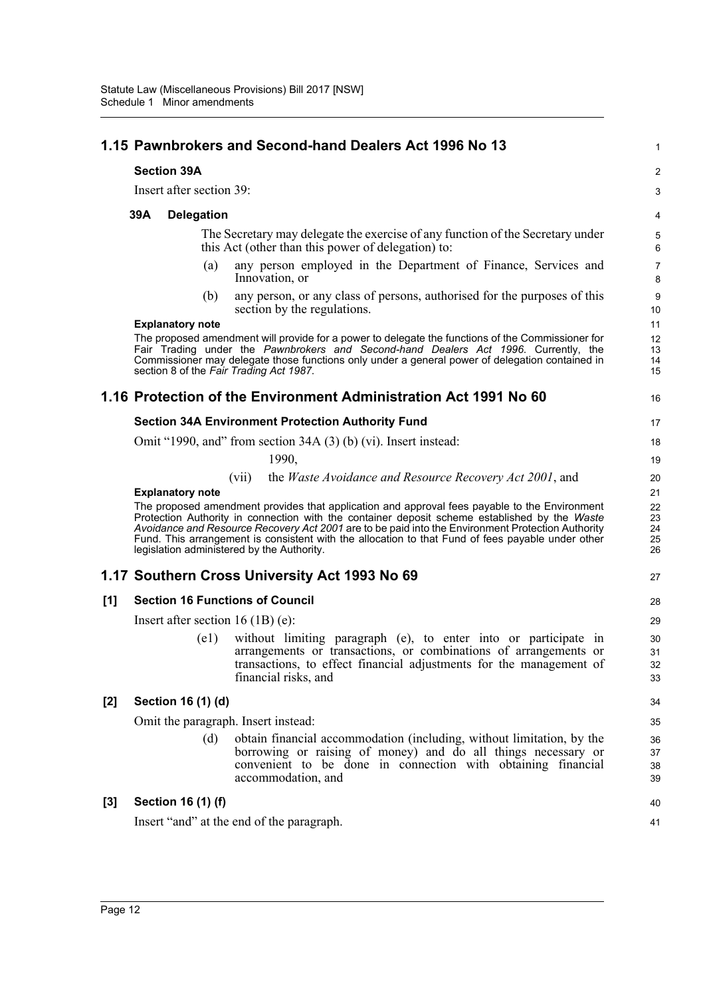|       |     |                          | 1.15 Pawnbrokers and Second-hand Dealers Act 1996 No 13                                                                                                                                                                                                                                                                                                                                                                                                | 1                          |
|-------|-----|--------------------------|--------------------------------------------------------------------------------------------------------------------------------------------------------------------------------------------------------------------------------------------------------------------------------------------------------------------------------------------------------------------------------------------------------------------------------------------------------|----------------------------|
|       |     | <b>Section 39A</b>       |                                                                                                                                                                                                                                                                                                                                                                                                                                                        | $\overline{c}$             |
|       |     | Insert after section 39: |                                                                                                                                                                                                                                                                                                                                                                                                                                                        | 3                          |
|       | 39A | <b>Delegation</b>        |                                                                                                                                                                                                                                                                                                                                                                                                                                                        | 4                          |
|       |     |                          | The Secretary may delegate the exercise of any function of the Secretary under<br>this Act (other than this power of delegation) to:                                                                                                                                                                                                                                                                                                                   | 5<br>6                     |
|       |     | (a)                      | any person employed in the Department of Finance, Services and<br>Innovation, or                                                                                                                                                                                                                                                                                                                                                                       | 7<br>8                     |
|       |     | (b)                      | any person, or any class of persons, authorised for the purposes of this<br>section by the regulations.                                                                                                                                                                                                                                                                                                                                                | 9<br>10                    |
|       |     | <b>Explanatory note</b>  |                                                                                                                                                                                                                                                                                                                                                                                                                                                        | 11                         |
|       |     |                          | The proposed amendment will provide for a power to delegate the functions of the Commissioner for<br>Fair Trading under the Pawnbrokers and Second-hand Dealers Act 1996. Currently, the<br>Commissioner may delegate those functions only under a general power of delegation contained in<br>section 8 of the Fair Trading Act 1987.                                                                                                                 | 12<br>13<br>14<br>15       |
|       |     |                          | 1.16 Protection of the Environment Administration Act 1991 No 60                                                                                                                                                                                                                                                                                                                                                                                       | 16                         |
|       |     |                          | <b>Section 34A Environment Protection Authority Fund</b>                                                                                                                                                                                                                                                                                                                                                                                               | 17                         |
|       |     |                          | Omit "1990, and" from section 34A (3) (b) (vi). Insert instead:                                                                                                                                                                                                                                                                                                                                                                                        | 18                         |
|       |     |                          | 1990,                                                                                                                                                                                                                                                                                                                                                                                                                                                  | 19                         |
|       |     |                          | the <i>Waste Avoidance and Resource Recovery Act 2001</i> , and<br>(vii)                                                                                                                                                                                                                                                                                                                                                                               | 20                         |
|       |     | <b>Explanatory note</b>  |                                                                                                                                                                                                                                                                                                                                                                                                                                                        | 21                         |
|       |     |                          | The proposed amendment provides that application and approval fees payable to the Environment<br>Protection Authority in connection with the container deposit scheme established by the Waste<br>Avoidance and Resource Recovery Act 2001 are to be paid into the Environment Protection Authority<br>Fund. This arrangement is consistent with the allocation to that Fund of fees payable under other<br>legislation administered by the Authority. | 22<br>23<br>24<br>25<br>26 |
|       |     |                          | 1.17 Southern Cross University Act 1993 No 69                                                                                                                                                                                                                                                                                                                                                                                                          | 27                         |
| [1]   |     |                          | <b>Section 16 Functions of Council</b>                                                                                                                                                                                                                                                                                                                                                                                                                 | 28                         |
|       |     |                          | Insert after section $16(1B)(e)$ :                                                                                                                                                                                                                                                                                                                                                                                                                     | 29                         |
|       |     | (e1)                     | without limiting paragraph (e), to enter into or participate in                                                                                                                                                                                                                                                                                                                                                                                        | 30                         |
|       |     |                          | arrangements or transactions, or combinations of arrangements or                                                                                                                                                                                                                                                                                                                                                                                       | 31                         |
|       |     |                          | transactions, to effect financial adjustments for the management of<br>financial risks, and                                                                                                                                                                                                                                                                                                                                                            | 32<br>33                   |
| $[2]$ |     | Section 16 (1) (d)       |                                                                                                                                                                                                                                                                                                                                                                                                                                                        | 34                         |
|       |     |                          | Omit the paragraph. Insert instead:                                                                                                                                                                                                                                                                                                                                                                                                                    | 35                         |
|       |     | (d)                      | obtain financial accommodation (including, without limitation, by the                                                                                                                                                                                                                                                                                                                                                                                  | 36                         |
|       |     |                          | borrowing or raising of money) and do all things necessary or                                                                                                                                                                                                                                                                                                                                                                                          | 37                         |
|       |     |                          | convenient to be done in connection with obtaining financial<br>accommodation, and                                                                                                                                                                                                                                                                                                                                                                     | 38<br>39                   |
| $[3]$ |     | Section 16 (1) (f)       |                                                                                                                                                                                                                                                                                                                                                                                                                                                        | 40                         |
|       |     |                          | Insert "and" at the end of the paragraph.                                                                                                                                                                                                                                                                                                                                                                                                              | 41                         |
|       |     |                          |                                                                                                                                                                                                                                                                                                                                                                                                                                                        |                            |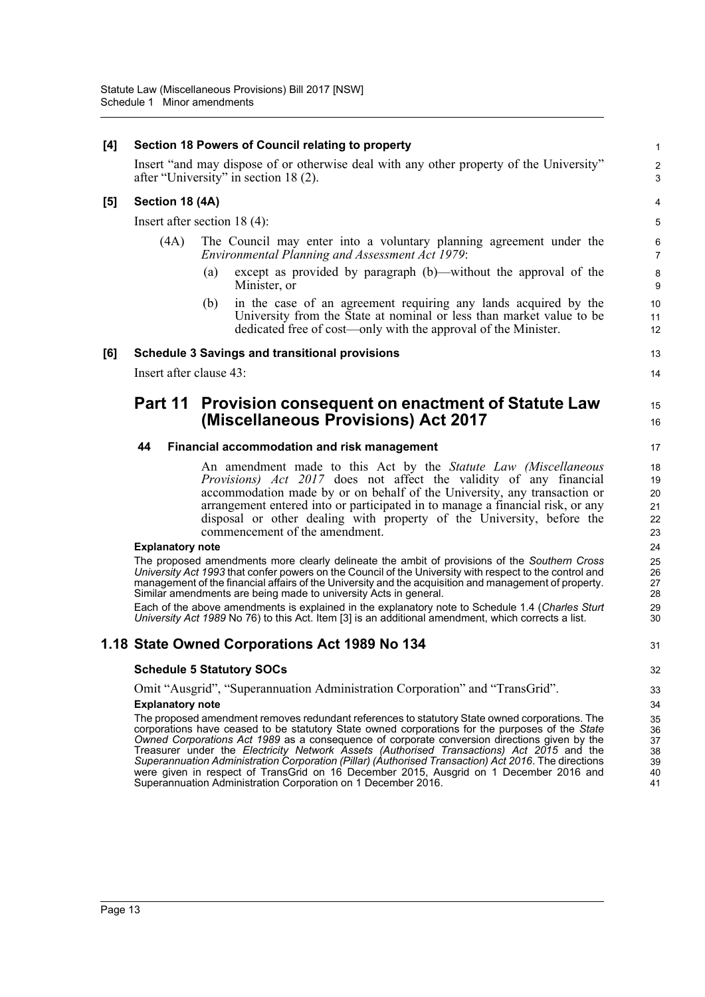# **[4] Section 18 Powers of Council relating to property**

Insert "and may dispose of or otherwise deal with any other property of the University" after "University" in section 18 (2).

### **[5] Section 18 (4A)**

Insert after section 18 (4):

- (4A) The Council may enter into a voluntary planning agreement under the *Environmental Planning and Assessment Act 1979*:
	- (a) except as provided by paragraph (b)—without the approval of the Minister, or
	- (b) in the case of an agreement requiring any lands acquired by the University from the State at nominal or less than market value to be dedicated free of cost—only with the approval of the Minister.

## **[6] Schedule 3 Savings and transitional provisions**

Insert after clause 43:

# **Part 11 Provision consequent on enactment of Statute Law (Miscellaneous Provisions) Act 2017**

#### **44 Financial accommodation and risk management**

An amendment made to this Act by the *Statute Law (Miscellaneous Provisions) Act 2017* does not affect the validity of any financial accommodation made by or on behalf of the University, any transaction or arrangement entered into or participated in to manage a financial risk, or any disposal or other dealing with property of the University, before the commencement of the amendment.

#### **Explanatory note**

The proposed amendments more clearly delineate the ambit of provisions of the *Southern Cross University Act 1993* that confer powers on the Council of the University with respect to the control and management of the financial affairs of the University and the acquisition and management of property. Similar amendments are being made to university Acts in general.

Each of the above amendments is explained in the explanatory note to Schedule 1.4 (*Charles Sturt University Act 1989* No 76) to this Act. Item [3] is an additional amendment, which corrects a list.

# **1.18 State Owned Corporations Act 1989 No 134**

#### **Schedule 5 Statutory SOCs**

Omit "Ausgrid", "Superannuation Administration Corporation" and "TransGrid".

#### **Explanatory note**

The proposed amendment removes redundant references to statutory State owned corporations. The corporations have ceased to be statutory State owned corporations for the purposes of the *State Owned Corporations Act 1989* as a consequence of corporate conversion directions given by the Treasurer under the *Electricity Network Assets (Authorised Transactions) Act 2015* and the *Superannuation Administration Corporation (Pillar) (Authorised Transaction) Act 2016*. The directions were given in respect of TransGrid on 16 December 2015, Ausgrid on 1 December 2016 and Superannuation Administration Corporation on 1 December 2016.

 $14$ 15

16

13

1  $\overline{2}$ 3

22 23 24

31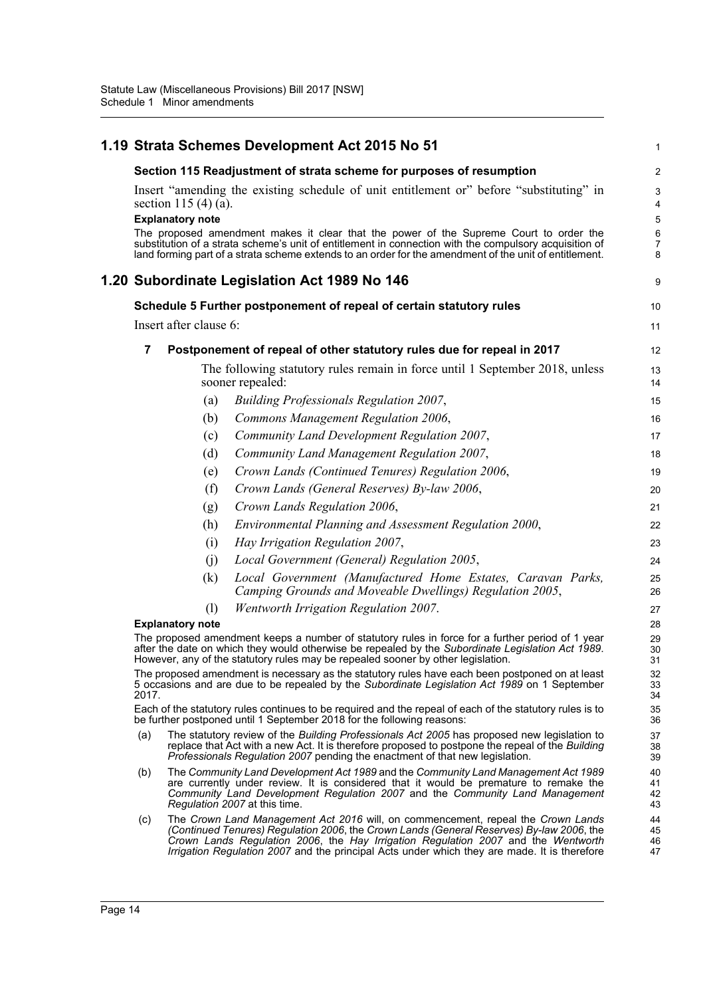|                |                         | 1.19 Strata Schemes Development Act 2015 No 51                                                                                                                                                                                                                                                                                                                    | 1                             |
|----------------|-------------------------|-------------------------------------------------------------------------------------------------------------------------------------------------------------------------------------------------------------------------------------------------------------------------------------------------------------------------------------------------------------------|-------------------------------|
|                |                         | Section 115 Readjustment of strata scheme for purposes of resumption                                                                                                                                                                                                                                                                                              | $\overline{a}$                |
|                | section 115 (4) (a).    | Insert "amending the existing schedule of unit entitlement or" before "substituting" in                                                                                                                                                                                                                                                                           | 3<br>4                        |
|                | <b>Explanatory note</b> | The proposed amendment makes it clear that the power of the Supreme Court to order the<br>substitution of a strata scheme's unit of entitlement in connection with the compulsory acquisition of<br>land forming part of a strata scheme extends to an order for the amendment of the unit of entitlement.                                                        | 5<br>6<br>$\overline{7}$<br>8 |
|                |                         | 1.20 Subordinate Legislation Act 1989 No 146                                                                                                                                                                                                                                                                                                                      | 9                             |
|                |                         | Schedule 5 Further postponement of repeal of certain statutory rules                                                                                                                                                                                                                                                                                              | 10                            |
|                | Insert after clause 6:  |                                                                                                                                                                                                                                                                                                                                                                   | 11                            |
| $\overline{7}$ |                         | Postponement of repeal of other statutory rules due for repeal in 2017                                                                                                                                                                                                                                                                                            | 12                            |
|                |                         | The following statutory rules remain in force until 1 September 2018, unless<br>sooner repealed:                                                                                                                                                                                                                                                                  | 13<br>14                      |
|                | (a)                     | Building Professionals Regulation 2007,                                                                                                                                                                                                                                                                                                                           | 15                            |
|                | (b)                     | Commons Management Regulation 2006,                                                                                                                                                                                                                                                                                                                               | 16                            |
|                | (c)                     | Community Land Development Regulation 2007,                                                                                                                                                                                                                                                                                                                       | 17                            |
|                | (d)                     | Community Land Management Regulation 2007,                                                                                                                                                                                                                                                                                                                        | 18                            |
|                | (e)                     | Crown Lands (Continued Tenures) Regulation 2006,                                                                                                                                                                                                                                                                                                                  | 19                            |
|                | (f)                     | Crown Lands (General Reserves) By-law 2006,                                                                                                                                                                                                                                                                                                                       | 20                            |
|                | (g)                     | Crown Lands Regulation 2006,                                                                                                                                                                                                                                                                                                                                      | 21                            |
|                | (h)                     | Environmental Planning and Assessment Regulation 2000,                                                                                                                                                                                                                                                                                                            | 22                            |
|                | (i)                     | Hay Irrigation Regulation 2007,                                                                                                                                                                                                                                                                                                                                   | 23                            |
|                | (i)                     | Local Government (General) Regulation 2005,                                                                                                                                                                                                                                                                                                                       | 24                            |
|                | (k)                     | Local Government (Manufactured Home Estates, Caravan Parks,<br>Camping Grounds and Moveable Dwellings) Regulation 2005,                                                                                                                                                                                                                                           | 25<br>26                      |
|                | (1)                     | Wentworth Irrigation Regulation 2007.                                                                                                                                                                                                                                                                                                                             | 27                            |
|                | <b>Explanatory note</b> | The proposed amendment keeps a number of statutory rules in force for a further period of 1 year                                                                                                                                                                                                                                                                  | 28<br>29                      |
|                |                         | after the date on which they would otherwise be repealed by the Subordinate Legislation Act 1989.<br>However, any of the statutory rules may be repealed sooner by other legislation.                                                                                                                                                                             | 30<br>31                      |
| 2017.          |                         | The proposed amendment is necessary as the statutory rules have each been postponed on at least<br>5 occasions and are due to be repealed by the Subordinate Legislation Act 1989 on 1 September                                                                                                                                                                  | 32<br>33<br>34                |
|                |                         | Each of the statutory rules continues to be required and the repeal of each of the statutory rules is to<br>be further postponed until 1 September 2018 for the following reasons:                                                                                                                                                                                | 35<br>36                      |
| (a)            |                         | The statutory review of the Building Professionals Act 2005 has proposed new legislation to<br>replace that Act with a new Act. It is therefore proposed to postpone the repeal of the Building<br>Professionals Regulation 2007 pending the enactment of that new legislation.                                                                                   | 37<br>38<br>39                |
| (b)            |                         | The Community Land Development Act 1989 and the Community Land Management Act 1989<br>are currently under review. It is considered that it would be premature to remake the<br>Community Land Development Regulation 2007 and the Community Land Management<br>Regulation 2007 at this time.                                                                      | 40<br>41<br>42<br>43          |
| (c)            |                         | The Crown Land Management Act 2016 will, on commencement, repeal the Crown Lands<br>(Continued Tenures) Regulation 2006, the Crown Lands (General Reserves) By-law 2006, the<br>Crown Lands Regulation 2006, the Hay Irrigation Regulation 2007 and the Wentworth<br>Irrigation Regulation 2007 and the principal Acts under which they are made. It is therefore | 44<br>45<br>46<br>47          |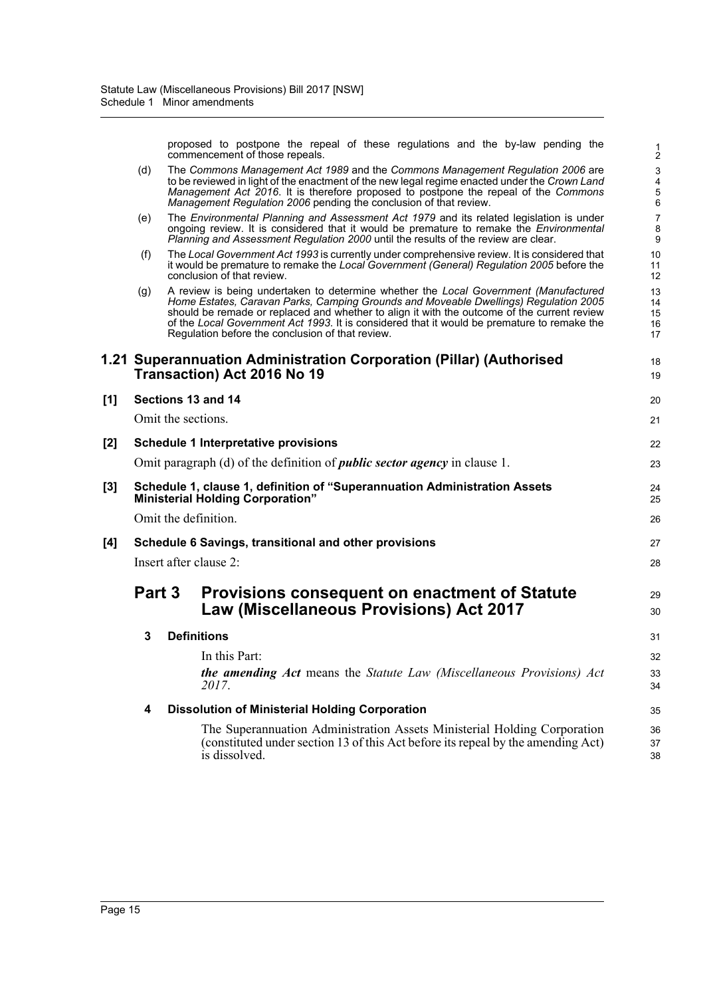proposed to postpone the repeal of these regulations and the by-law pending the commencement of those repeals.

|     |                        |                    | proposed to postpone the repeal of these regulations and the by-law pending the<br>commencement of those repeals.                                                                                                                                                                                                                                                                                                              | 1<br>$\overline{\mathbf{c}}$ |
|-----|------------------------|--------------------|--------------------------------------------------------------------------------------------------------------------------------------------------------------------------------------------------------------------------------------------------------------------------------------------------------------------------------------------------------------------------------------------------------------------------------|------------------------------|
|     | (d)                    |                    | The Commons Management Act 1989 and the Commons Management Regulation 2006 are<br>to be reviewed in light of the enactment of the new legal regime enacted under the Crown Land<br>Management Act 2016. It is therefore proposed to postpone the repeal of the Commons<br>Management Regulation 2006 pending the conclusion of that review.                                                                                    | 3<br>4<br>5<br>6             |
|     | (e)                    |                    | The Environmental Planning and Assessment Act 1979 and its related legislation is under<br>ongoing review. It is considered that it would be premature to remake the <i>Environmental</i><br>Planning and Assessment Regulation 2000 until the results of the review are clear.                                                                                                                                                | $\overline{7}$<br>8<br>9     |
|     | (f)                    |                    | The Local Government Act 1993 is currently under comprehensive review. It is considered that<br>it would be premature to remake the Local Government (General) Regulation 2005 before the<br>conclusion of that review.                                                                                                                                                                                                        | 10<br>11<br>12               |
|     | (g)                    |                    | A review is being undertaken to determine whether the Local Government (Manufactured<br>Home Estates, Caravan Parks, Camping Grounds and Moveable Dwellings) Regulation 2005<br>should be remade or replaced and whether to align it with the outcome of the current review<br>of the Local Government Act 1993. It is considered that it would be premature to remake the<br>Regulation before the conclusion of that review. | 13<br>14<br>15<br>16<br>17   |
|     |                        |                    | 1.21 Superannuation Administration Corporation (Pillar) (Authorised<br><b>Transaction) Act 2016 No 19</b>                                                                                                                                                                                                                                                                                                                      | 18<br>19                     |
| [1] |                        |                    | Sections 13 and 14                                                                                                                                                                                                                                                                                                                                                                                                             | 20                           |
|     |                        | Omit the sections. |                                                                                                                                                                                                                                                                                                                                                                                                                                | 21                           |
| [2] |                        |                    | <b>Schedule 1 Interpretative provisions</b>                                                                                                                                                                                                                                                                                                                                                                                    | 22                           |
|     |                        |                    | Omit paragraph (d) of the definition of <i>public sector agency</i> in clause 1.                                                                                                                                                                                                                                                                                                                                               | 23                           |
| [3] |                        |                    | Schedule 1, clause 1, definition of "Superannuation Administration Assets<br><b>Ministerial Holding Corporation"</b>                                                                                                                                                                                                                                                                                                           | 24<br>25                     |
|     |                        |                    | Omit the definition.                                                                                                                                                                                                                                                                                                                                                                                                           | 26                           |
| [4] |                        |                    | Schedule 6 Savings, transitional and other provisions                                                                                                                                                                                                                                                                                                                                                                          | 27                           |
|     | Insert after clause 2: |                    |                                                                                                                                                                                                                                                                                                                                                                                                                                |                              |
|     | Part 3                 |                    | <b>Provisions consequent on enactment of Statute</b><br><b>Law (Miscellaneous Provisions) Act 2017</b>                                                                                                                                                                                                                                                                                                                         | 29<br>30                     |
|     | 3                      |                    | <b>Definitions</b>                                                                                                                                                                                                                                                                                                                                                                                                             | 31                           |
|     |                        |                    | In this Part:                                                                                                                                                                                                                                                                                                                                                                                                                  | 32                           |
|     |                        |                    | the amending Act means the Statute Law (Miscellaneous Provisions) Act<br>2017.                                                                                                                                                                                                                                                                                                                                                 | 33<br>34                     |
|     | 4                      |                    | <b>Dissolution of Ministerial Holding Corporation</b>                                                                                                                                                                                                                                                                                                                                                                          | 35                           |
|     |                        |                    | The Superannuation Administration Assets Ministerial Holding Corporation<br>(constituted under section 13 of this Act before its repeal by the amending Act)<br>is dissolved.                                                                                                                                                                                                                                                  | 36<br>37<br>38               |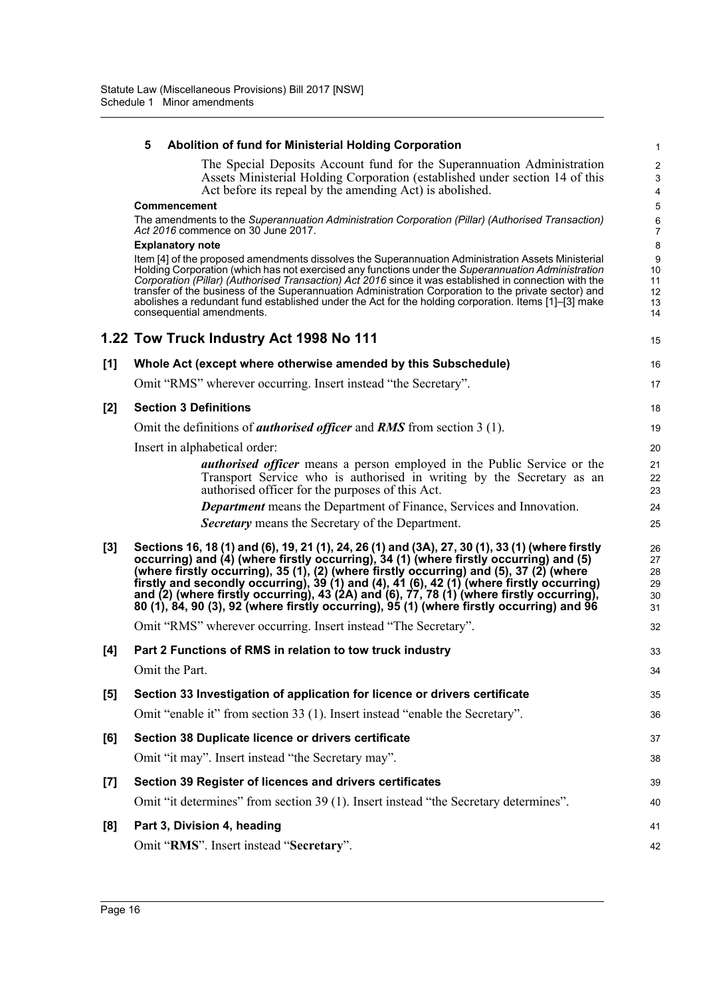# **5 Abolition of fund for Ministerial Holding Corporation**

The Special Deposits Account fund for the Superannuation Administration Assets Ministerial Holding Corporation (established under section 14 of this Act before its repeal by the amending Act) is abolished.

15

#### **Commencement**

The amendments to the *Superannuation Administration Corporation (Pillar) (Authorised Transaction) Act 2016* commence on 30 June 2017.

#### **Explanatory note**

Item [4] of the proposed amendments dissolves the Superannuation Administration Assets Ministerial Holding Corporation (which has not exercised any functions under the *Superannuation Administration Corporation (Pillar) (Authorised Transaction) Act 2016* since it was established in connection with the transfer of the business of the Superannuation Administration Corporation to the private sector) and abolishes a redundant fund established under the Act for the holding corporation. Items [1]–[3] make consequential amendments.

# **1.22 Tow Truck Industry Act 1998 No 111**

| [1] | Whole Act (except where otherwise amended by this Subschedule)                                                                                                                                              | 16             |  |
|-----|-------------------------------------------------------------------------------------------------------------------------------------------------------------------------------------------------------------|----------------|--|
|     | Omit "RMS" wherever occurring. Insert instead "the Secretary".                                                                                                                                              | 17             |  |
| [2] | <b>Section 3 Definitions</b>                                                                                                                                                                                | 18             |  |
|     | Omit the definitions of <i>authorised officer</i> and <i>RMS</i> from section 3 (1).                                                                                                                        |                |  |
|     | Insert in alphabetical order:                                                                                                                                                                               |                |  |
|     | <i>authorised officer</i> means a person employed in the Public Service or the<br>Transport Service who is authorised in writing by the Secretary as an<br>authorised officer for the purposes of this Act. | 21<br>22<br>23 |  |
|     | <b>Department</b> means the Department of Finance, Services and Innovation.                                                                                                                                 | 24             |  |
|     | <b>Secretary</b> means the Secretary of the Department.                                                                                                                                                     | 25             |  |

**[3] Sections 16, 18 (1) and (6), 19, 21 (1), 24, 26 (1) and (3A), 27, 30 (1), 33 (1) (where firstly occurring) and (4) (where firstly occurring), 34 (1) (where firstly occurring) and (5) (where firstly occurring), 35 (1), (2) (where firstly occurring) and (5), 37 (2) (where firstly and secondly occurring), 39 (1) and (4), 41 (6), 42 (1) (where firstly occurring) and (2) (where firstly occurring), 43 (2A) and (6), 77, 78 (1) (where firstly occurring), 80 (1), 84, 90 (3), 92 (where firstly occurring), 95 (1) (where firstly occurring) and 96**

Omit "RMS" wherever occurring. Insert instead "The Secretary".

| [4]   | Part 2 Functions of RMS in relation to tow truck industry<br>Omit the Part.                                                                                | 33<br>34 |
|-------|------------------------------------------------------------------------------------------------------------------------------------------------------------|----------|
| [5]   | Section 33 Investigation of application for licence or drivers certificate<br>Omit "enable it" from section 33 (1). Insert instead "enable the Secretary". | 35<br>36 |
| [6]   | Section 38 Duplicate licence or drivers certificate<br>Omit "it may". Insert instead "the Secretary may".                                                  | 37<br>38 |
| $[7]$ | Section 39 Register of licences and drivers certificates<br>Omit "it determines" from section 39 (1). Insert instead "the Secretary determines".           | 39<br>40 |
| [8]   | Part 3, Division 4, heading<br>Omit "RMS". Insert instead "Secretary".                                                                                     | 41<br>42 |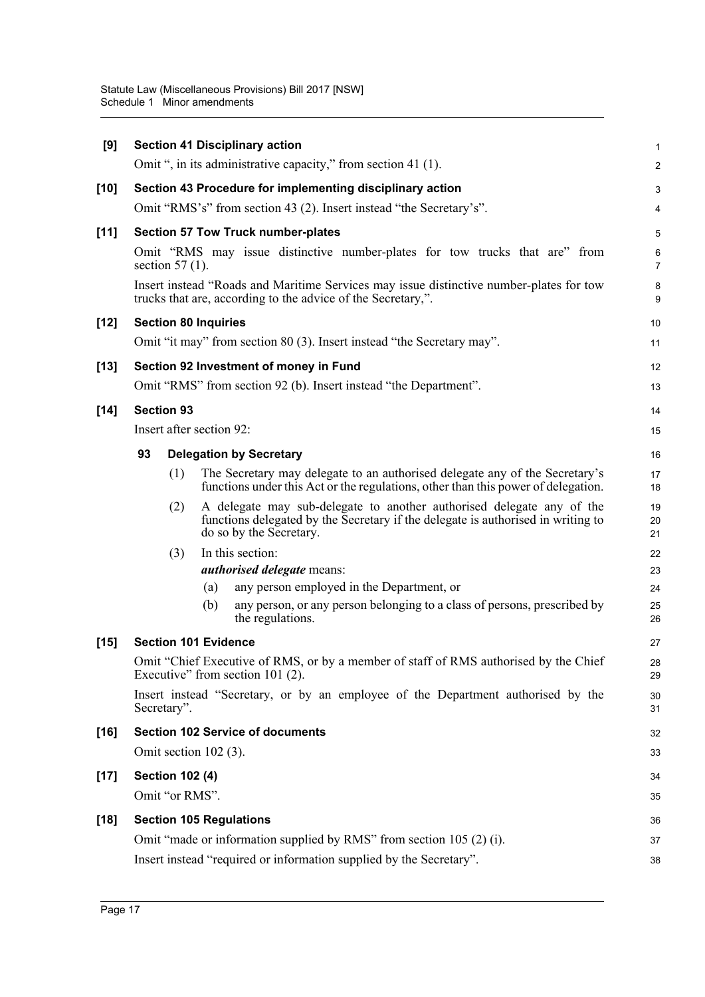| [9]    |    |                             |     | <b>Section 41 Disciplinary action</b>                                                                                                                                                | 1                   |
|--------|----|-----------------------------|-----|--------------------------------------------------------------------------------------------------------------------------------------------------------------------------------------|---------------------|
|        |    |                             |     | Omit ", in its administrative capacity," from section 41 (1).                                                                                                                        | $\overline{2}$      |
| $[10]$ |    |                             |     | Section 43 Procedure for implementing disciplinary action                                                                                                                            | 3                   |
|        |    |                             |     | Omit "RMS's" from section 43 (2). Insert instead "the Secretary's".                                                                                                                  | 4                   |
| $[11]$ |    |                             |     | <b>Section 57 Tow Truck number-plates</b>                                                                                                                                            | 5                   |
|        |    | section $57(1)$ .           |     | Omit "RMS may issue distinctive number-plates for tow trucks that are" from                                                                                                          | 6<br>$\overline{7}$ |
|        |    |                             |     | Insert instead "Roads and Maritime Services may issue distinctive number-plates for tow<br>trucks that are, according to the advice of the Secretary,".                              | 8<br>9              |
| $[12]$ |    | <b>Section 80 Inquiries</b> |     |                                                                                                                                                                                      | 10                  |
|        |    |                             |     | Omit "it may" from section 80 (3). Insert instead "the Secretary may".                                                                                                               | 11                  |
| $[13]$ |    |                             |     | Section 92 Investment of money in Fund                                                                                                                                               | 12                  |
|        |    |                             |     | Omit "RMS" from section 92 (b). Insert instead "the Department".                                                                                                                     | 13                  |
| $[14]$ |    | <b>Section 93</b>           |     |                                                                                                                                                                                      | 14                  |
|        |    | Insert after section 92:    |     |                                                                                                                                                                                      | 15                  |
|        | 93 |                             |     | <b>Delegation by Secretary</b>                                                                                                                                                       | 16                  |
|        |    | (1)                         |     | The Secretary may delegate to an authorised delegate any of the Secretary's<br>functions under this Act or the regulations, other than this power of delegation.                     | 17<br>18            |
|        |    | (2)                         |     | A delegate may sub-delegate to another authorised delegate any of the<br>functions delegated by the Secretary if the delegate is authorised in writing to<br>do so by the Secretary. | 19<br>20<br>21      |
|        |    | (3)                         |     | In this section:                                                                                                                                                                     | 22                  |
|        |    |                             |     | authorised delegate means:                                                                                                                                                           | 23                  |
|        |    |                             | (a) | any person employed in the Department, or                                                                                                                                            | 24                  |
|        |    |                             | (b) | any person, or any person belonging to a class of persons, prescribed by<br>the regulations.                                                                                         | 25<br>26            |
| $[15]$ |    | <b>Section 101 Evidence</b> |     |                                                                                                                                                                                      | 27                  |
|        |    |                             |     | Omit "Chief Executive of RMS, or by a member of staff of RMS authorised by the Chief<br>Executive" from section 101 (2).                                                             | 28<br>29            |
|        |    | Secretary".                 |     | Insert instead "Secretary, or by an employee of the Department authorised by the                                                                                                     | 30<br>31            |
| $[16]$ |    |                             |     | <b>Section 102 Service of documents</b>                                                                                                                                              | 32                  |
|        |    | Omit section $102$ (3).     |     |                                                                                                                                                                                      | 33                  |
| $[17]$ |    | <b>Section 102 (4)</b>      |     |                                                                                                                                                                                      | 34                  |
|        |    | Omit "or RMS".              |     |                                                                                                                                                                                      | 35                  |
| $[18]$ |    |                             |     | <b>Section 105 Regulations</b>                                                                                                                                                       | 36                  |
|        |    |                             |     | Omit "made or information supplied by RMS" from section 105 (2) (i).                                                                                                                 | 37                  |
|        |    |                             |     | Insert instead "required or information supplied by the Secretary".                                                                                                                  | 38                  |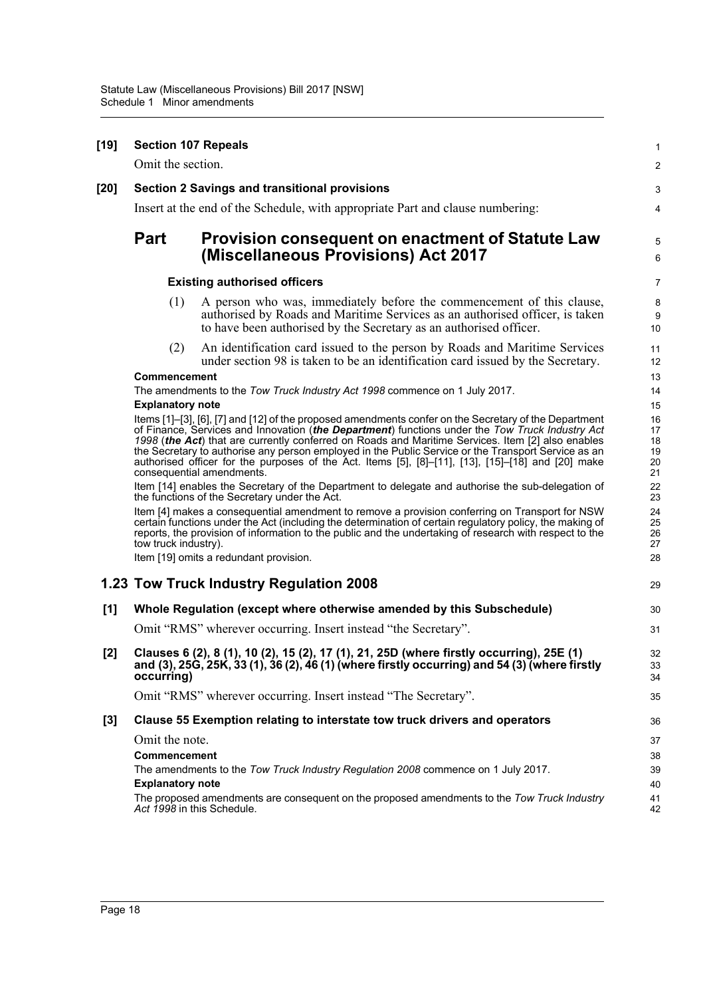| $[19]$ | <b>Section 107 Repeals</b><br>Omit the section.                                                                                                    |                                                                                                                                                                                                                                                                                                                                                                                                                                                                                                                                                                                                                                       | 1<br>$\overline{2}$                                |  |  |  |
|--------|----------------------------------------------------------------------------------------------------------------------------------------------------|---------------------------------------------------------------------------------------------------------------------------------------------------------------------------------------------------------------------------------------------------------------------------------------------------------------------------------------------------------------------------------------------------------------------------------------------------------------------------------------------------------------------------------------------------------------------------------------------------------------------------------------|----------------------------------------------------|--|--|--|
| $[20]$ |                                                                                                                                                    | <b>Section 2 Savings and transitional provisions</b>                                                                                                                                                                                                                                                                                                                                                                                                                                                                                                                                                                                  | 3                                                  |  |  |  |
|        |                                                                                                                                                    | Insert at the end of the Schedule, with appropriate Part and clause numbering:                                                                                                                                                                                                                                                                                                                                                                                                                                                                                                                                                        | 4                                                  |  |  |  |
|        | <b>Part</b>                                                                                                                                        | <b>Provision consequent on enactment of Statute Law</b><br>(Miscellaneous Provisions) Act 2017                                                                                                                                                                                                                                                                                                                                                                                                                                                                                                                                        | 5<br>6                                             |  |  |  |
|        |                                                                                                                                                    | <b>Existing authorised officers</b>                                                                                                                                                                                                                                                                                                                                                                                                                                                                                                                                                                                                   | $\overline{7}$                                     |  |  |  |
|        | (1)                                                                                                                                                | A person who was, immediately before the commencement of this clause,<br>authorised by Roads and Maritime Services as an authorised officer, is taken<br>to have been authorised by the Secretary as an authorised officer.                                                                                                                                                                                                                                                                                                                                                                                                           | 8<br>9<br>10                                       |  |  |  |
|        | (2)                                                                                                                                                | An identification card issued to the person by Roads and Maritime Services<br>under section 98 is taken to be an identification card issued by the Secretary.                                                                                                                                                                                                                                                                                                                                                                                                                                                                         | 11<br>12                                           |  |  |  |
|        | Commencement<br><b>Explanatory note</b>                                                                                                            | The amendments to the Tow Truck Industry Act 1998 commence on 1 July 2017.<br>Items [1]–[3], [6], [7] and [12] of the proposed amendments confer on the Secretary of the Department<br>of Finance, Services and Innovation (the Department) functions under the Tow Truck Industry Act<br>1998 (the Act) that are currently conferred on Roads and Maritime Services. Item [2] also enables<br>the Secretary to authorise any person employed in the Public Service or the Transport Service as an<br>authorised officer for the purposes of the Act. Items [5], [8]-[11], [13], [15]-[18] and [20] make<br>consequential amendments. | 13<br>14<br>15<br>16<br>17<br>18<br>19<br>20<br>21 |  |  |  |
|        | Item [14] enables the Secretary of the Department to delegate and authorise the sub-delegation of<br>the functions of the Secretary under the Act. |                                                                                                                                                                                                                                                                                                                                                                                                                                                                                                                                                                                                                                       |                                                    |  |  |  |
|        | tow truck industry).                                                                                                                               | Item [4] makes a consequential amendment to remove a provision conferring on Transport for NSW<br>certain functions under the Act (including the determination of certain regulatory policy, the making of<br>reports, the provision of information to the public and the undertaking of research with respect to the                                                                                                                                                                                                                                                                                                                 | 23<br>24<br>25<br>26<br>27                         |  |  |  |
|        |                                                                                                                                                    | Item [19] omits a redundant provision.                                                                                                                                                                                                                                                                                                                                                                                                                                                                                                                                                                                                | 28                                                 |  |  |  |
|        |                                                                                                                                                    | 1.23 Tow Truck Industry Regulation 2008                                                                                                                                                                                                                                                                                                                                                                                                                                                                                                                                                                                               | 29                                                 |  |  |  |
| [1]    |                                                                                                                                                    | Whole Regulation (except where otherwise amended by this Subschedule)                                                                                                                                                                                                                                                                                                                                                                                                                                                                                                                                                                 | 30                                                 |  |  |  |
|        |                                                                                                                                                    | Omit "RMS" wherever occurring. Insert instead "the Secretary".                                                                                                                                                                                                                                                                                                                                                                                                                                                                                                                                                                        | 31                                                 |  |  |  |
| [2]    | occurring)                                                                                                                                         | Clauses 6 (2), 8 (1), 10 (2), 15 (2), 17 (1), 21, 25D (where firstly occurring), 25E (1)<br>and (3), 25G, 25K, 33 (1), 36 (2), 46 (1) (where firstly occurring) and 54 (3) (where firstly                                                                                                                                                                                                                                                                                                                                                                                                                                             | 32<br>33<br>34                                     |  |  |  |
|        |                                                                                                                                                    | Omit "RMS" wherever occurring. Insert instead "The Secretary".                                                                                                                                                                                                                                                                                                                                                                                                                                                                                                                                                                        | 35                                                 |  |  |  |
| $[3]$  |                                                                                                                                                    | Clause 55 Exemption relating to interstate tow truck drivers and operators                                                                                                                                                                                                                                                                                                                                                                                                                                                                                                                                                            | 36                                                 |  |  |  |
|        | Omit the note.<br><b>Commencement</b><br><b>Explanatory note</b>                                                                                   | The amendments to the Tow Truck Industry Regulation 2008 commence on 1 July 2017.                                                                                                                                                                                                                                                                                                                                                                                                                                                                                                                                                     | 37<br>38<br>39<br>40                               |  |  |  |
|        |                                                                                                                                                    | The proposed amendments are consequent on the proposed amendments to the Tow Truck Industry<br>Act 1998 in this Schedule.                                                                                                                                                                                                                                                                                                                                                                                                                                                                                                             | 41<br>42                                           |  |  |  |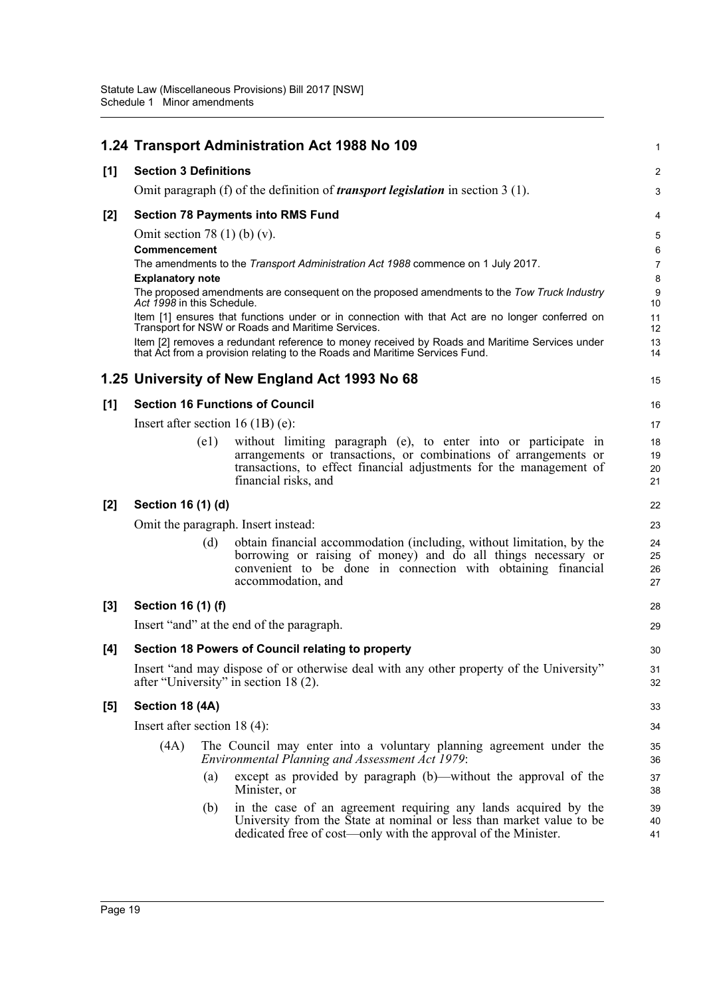|       |                                     |      | 1.24 Transport Administration Act 1988 No 109                                                                                                                                                                                | $\mathbf{1}$         |
|-------|-------------------------------------|------|------------------------------------------------------------------------------------------------------------------------------------------------------------------------------------------------------------------------------|----------------------|
| [1]   | <b>Section 3 Definitions</b>        |      |                                                                                                                                                                                                                              | 2                    |
|       |                                     |      | Omit paragraph (f) of the definition of <i>transport legislation</i> in section $3(1)$ .                                                                                                                                     | 3                    |
| [2]   |                                     |      | <b>Section 78 Payments into RMS Fund</b>                                                                                                                                                                                     | 4                    |
|       | Omit section 78 $(1)$ $(b)$ $(v)$ . |      |                                                                                                                                                                                                                              | 5                    |
|       | Commencement                        |      |                                                                                                                                                                                                                              | 6                    |
|       | <b>Explanatory note</b>             |      | The amendments to the Transport Administration Act 1988 commence on 1 July 2017.                                                                                                                                             | $\overline{7}$<br>8  |
|       | Act 1998 in this Schedule.          |      | The proposed amendments are consequent on the proposed amendments to the Tow Truck Industry                                                                                                                                  | 9<br>10              |
|       |                                     |      | Item [1] ensures that functions under or in connection with that Act are no longer conferred on<br>Transport for NSW or Roads and Maritime Services.                                                                         | 11<br>12             |
|       |                                     |      | Item [2] removes a redundant reference to money received by Roads and Maritime Services under<br>that Act from a provision relating to the Roads and Maritime Services Fund.                                                 | 13<br>14             |
|       |                                     |      | 1.25 University of New England Act 1993 No 68                                                                                                                                                                                | 15                   |
| [1]   |                                     |      | <b>Section 16 Functions of Council</b>                                                                                                                                                                                       | 16                   |
|       |                                     |      | Insert after section $16(1B)(e)$ :                                                                                                                                                                                           | 17                   |
|       |                                     | (e1) | without limiting paragraph (e), to enter into or participate in                                                                                                                                                              | 18                   |
|       |                                     |      | arrangements or transactions, or combinations of arrangements or<br>transactions, to effect financial adjustments for the management of                                                                                      | 19<br>20             |
|       |                                     |      | financial risks, and                                                                                                                                                                                                         | 21                   |
| [2]   | Section 16 (1) (d)                  |      |                                                                                                                                                                                                                              | 22                   |
|       |                                     |      | Omit the paragraph. Insert instead:                                                                                                                                                                                          | 23                   |
|       |                                     | (d)  | obtain financial accommodation (including, without limitation, by the<br>borrowing or raising of money) and do all things necessary or<br>convenient to be done in connection with obtaining financial<br>accommodation, and | 24<br>25<br>26<br>27 |
| $[3]$ | Section 16 (1) (f)                  |      |                                                                                                                                                                                                                              | 28                   |
|       |                                     |      | Insert "and" at the end of the paragraph.                                                                                                                                                                                    | 29                   |
| [4]   |                                     |      | Section 18 Powers of Council relating to property                                                                                                                                                                            | 30                   |
|       |                                     |      | Insert "and may dispose of or otherwise deal with any other property of the University"<br>after "University" in section 18 (2).                                                                                             | 31<br>32             |
| [5]   | Section 18 (4A)                     |      |                                                                                                                                                                                                                              | 33                   |
|       | Insert after section $18(4)$ :      |      |                                                                                                                                                                                                                              | 34                   |
|       | (4A)                                |      | The Council may enter into a voluntary planning agreement under the<br><b>Environmental Planning and Assessment Act 1979:</b>                                                                                                | 35<br>36             |
|       |                                     | (a)  | except as provided by paragraph (b)—without the approval of the<br>Minister, or                                                                                                                                              | 37<br>38             |
|       |                                     | (b)  | in the case of an agreement requiring any lands acquired by the<br>University from the State at nominal or less than market value to be<br>dedicated free of cost—only with the approval of the Minister.                    | 39<br>40<br>41       |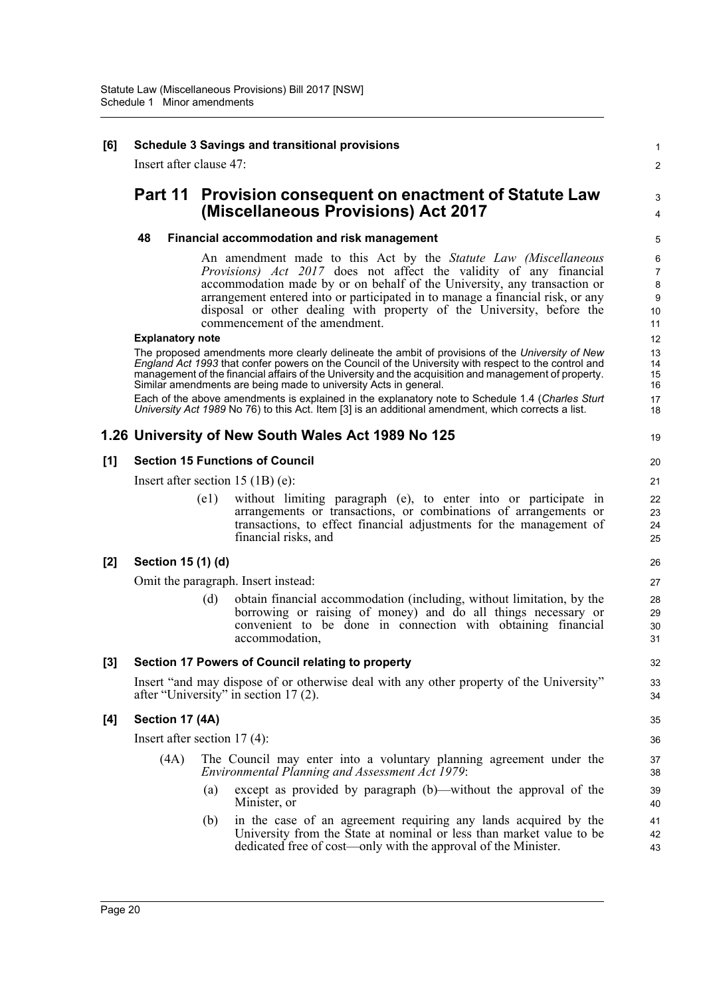# **[6] Schedule 3 Savings and transitional provisions**

Insert after clause 47:

# **Part 11 Provision consequent on enactment of Statute Law (Miscellaneous Provisions) Act 2017**

## **48 Financial accommodation and risk management**

An amendment made to this Act by the *Statute Law (Miscellaneous Provisions) Act 2017* does not affect the validity of any financial accommodation made by or on behalf of the University, any transaction or arrangement entered into or participated in to manage a financial risk, or any disposal or other dealing with property of the University, before the commencement of the amendment.

#### **Explanatory note**

The proposed amendments more clearly delineate the ambit of provisions of the *University of New England Act 1993* that confer powers on the Council of the University with respect to the control and management of the financial affairs of the University and the acquisition and management of property. Similar amendments are being made to university Acts in general.

Each of the above amendments is explained in the explanatory note to Schedule 1.4 (*Charles Sturt University Act 1989* No 76) to this Act. Item [3] is an additional amendment, which corrects a list.

# **1.26 University of New South Wales Act 1989 No 125**

## **[1] Section 15 Functions of Council**

Insert after section 15 (1B) (e):

(e1) without limiting paragraph (e), to enter into or participate in arrangements or transactions, or combinations of arrangements or transactions, to effect financial adjustments for the management of financial risks, and

# **[2] Section 15 (1) (d)**

Omit the paragraph. Insert instead:

(d) obtain financial accommodation (including, without limitation, by the borrowing or raising of money) and do all things necessary or convenient to be done in connection with obtaining financial accommodation,

# **[3] Section 17 Powers of Council relating to property**

Insert "and may dispose of or otherwise deal with any other property of the University" after "University" in section 17 (2).

# **[4] Section 17 (4A)**

Insert after section 17 (4):

- (4A) The Council may enter into a voluntary planning agreement under the *Environmental Planning and Assessment Act 1979*:
	- (a) except as provided by paragraph (b)—without the approval of the Minister, or
	- (b) in the case of an agreement requiring any lands acquired by the University from the State at nominal or less than market value to be dedicated free of cost—only with the approval of the Minister.

19 20 21

1  $\mathfrak{p}$ 

3 4

26 27

32 33 34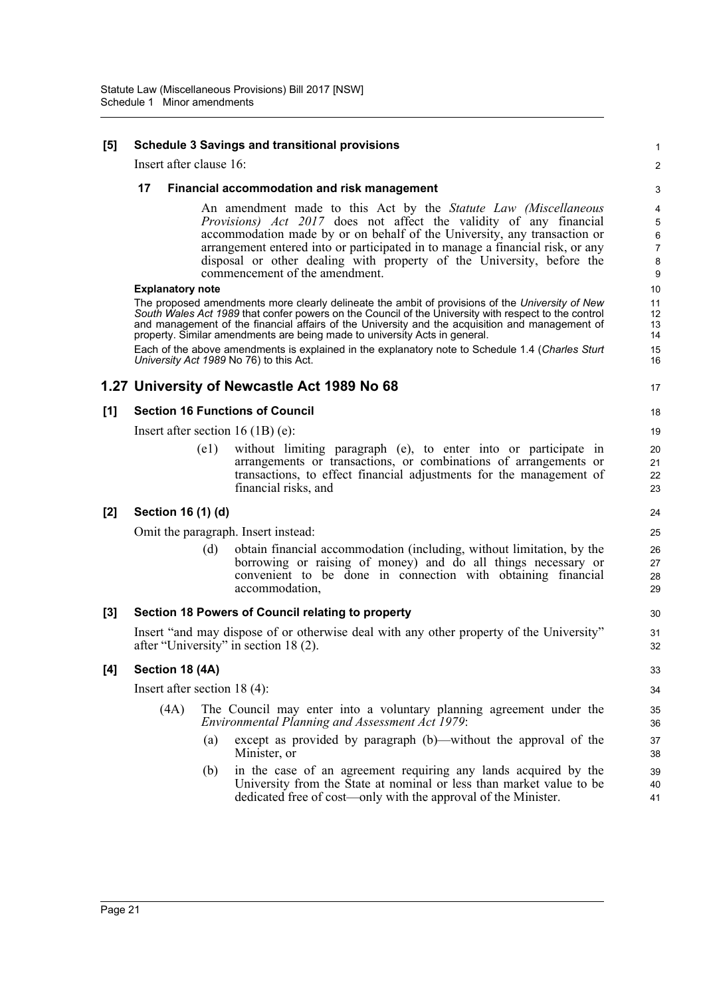| [5]   |                                                                                                                                                                                                                                                                                                                                                                                          |                         |      | <b>Schedule 3 Savings and transitional provisions</b>                                                                                                                                                                                                                                                                                                                                                                         | $\mathbf{1}$                            |
|-------|------------------------------------------------------------------------------------------------------------------------------------------------------------------------------------------------------------------------------------------------------------------------------------------------------------------------------------------------------------------------------------------|-------------------------|------|-------------------------------------------------------------------------------------------------------------------------------------------------------------------------------------------------------------------------------------------------------------------------------------------------------------------------------------------------------------------------------------------------------------------------------|-----------------------------------------|
|       |                                                                                                                                                                                                                                                                                                                                                                                          | Insert after clause 16: |      |                                                                                                                                                                                                                                                                                                                                                                                                                               | 2                                       |
|       | 17                                                                                                                                                                                                                                                                                                                                                                                       |                         |      | <b>Financial accommodation and risk management</b>                                                                                                                                                                                                                                                                                                                                                                            | 3                                       |
|       |                                                                                                                                                                                                                                                                                                                                                                                          |                         |      | An amendment made to this Act by the Statute Law (Miscellaneous<br><i>Provisions</i> ) <i>Act</i> 2017 does not affect the validity of any financial<br>accommodation made by or on behalf of the University, any transaction or<br>arrangement entered into or participated in to manage a financial risk, or any<br>disposal or other dealing with property of the University, before the<br>commencement of the amendment. | 4<br>5<br>6<br>$\overline{7}$<br>8<br>9 |
|       |                                                                                                                                                                                                                                                                                                                                                                                          | <b>Explanatory note</b> |      |                                                                                                                                                                                                                                                                                                                                                                                                                               | 10                                      |
|       | The proposed amendments more clearly delineate the ambit of provisions of the University of New<br>South Wales Act 1989 that confer powers on the Council of the University with respect to the control<br>and management of the financial affairs of the University and the acquisition and management of<br>property. Similar amendments are being made to university Acts in general. |                         |      |                                                                                                                                                                                                                                                                                                                                                                                                                               |                                         |
|       |                                                                                                                                                                                                                                                                                                                                                                                          |                         |      | Each of the above amendments is explained in the explanatory note to Schedule 1.4 (Charles Sturt<br>University Act 1989 No 76) to this Act.                                                                                                                                                                                                                                                                                   | 15<br>16                                |
|       |                                                                                                                                                                                                                                                                                                                                                                                          |                         |      | 1.27 University of Newcastle Act 1989 No 68                                                                                                                                                                                                                                                                                                                                                                                   | 17                                      |
| [1]   |                                                                                                                                                                                                                                                                                                                                                                                          |                         |      | <b>Section 16 Functions of Council</b>                                                                                                                                                                                                                                                                                                                                                                                        | 18                                      |
|       | Insert after section $16(1B)(e)$ :                                                                                                                                                                                                                                                                                                                                                       |                         |      |                                                                                                                                                                                                                                                                                                                                                                                                                               |                                         |
|       |                                                                                                                                                                                                                                                                                                                                                                                          |                         | (e1) | without limiting paragraph (e), to enter into or participate in<br>arrangements or transactions, or combinations of arrangements or<br>transactions, to effect financial adjustments for the management of<br>financial risks, and                                                                                                                                                                                            | 20<br>21<br>22<br>23                    |
| $[2]$ |                                                                                                                                                                                                                                                                                                                                                                                          | Section 16 (1) (d)      |      |                                                                                                                                                                                                                                                                                                                                                                                                                               | 24                                      |
|       | Omit the paragraph. Insert instead:                                                                                                                                                                                                                                                                                                                                                      |                         |      |                                                                                                                                                                                                                                                                                                                                                                                                                               |                                         |
|       |                                                                                                                                                                                                                                                                                                                                                                                          |                         | (d)  | obtain financial accommodation (including, without limitation, by the<br>borrowing or raising of money) and do all things necessary or<br>convenient to be done in connection with obtaining financial<br>accommodation,                                                                                                                                                                                                      | 26<br>27<br>28<br>29                    |
| [3]   |                                                                                                                                                                                                                                                                                                                                                                                          |                         |      | Section 18 Powers of Council relating to property                                                                                                                                                                                                                                                                                                                                                                             | 30                                      |
|       |                                                                                                                                                                                                                                                                                                                                                                                          |                         |      | Insert "and may dispose of or otherwise deal with any other property of the University"<br>after "University" in section 18 (2).                                                                                                                                                                                                                                                                                              | 31<br>32                                |
| [4]   |                                                                                                                                                                                                                                                                                                                                                                                          | Section 18 (4A)         |      |                                                                                                                                                                                                                                                                                                                                                                                                                               | 33                                      |
|       | Insert after section $18(4)$ :                                                                                                                                                                                                                                                                                                                                                           |                         |      |                                                                                                                                                                                                                                                                                                                                                                                                                               | 34                                      |
|       |                                                                                                                                                                                                                                                                                                                                                                                          | (4A)                    |      | The Council may enter into a voluntary planning agreement under the<br>Environmental Planning and Assessment Act 1979:                                                                                                                                                                                                                                                                                                        | 35<br>36                                |
|       |                                                                                                                                                                                                                                                                                                                                                                                          |                         | (a)  | except as provided by paragraph (b)—without the approval of the<br>Minister, or                                                                                                                                                                                                                                                                                                                                               | 37<br>38                                |
|       |                                                                                                                                                                                                                                                                                                                                                                                          |                         | (b)  | in the case of an agreement requiring any lands acquired by the<br>University from the State at nominal or less than market value to be<br>dedicated free of cost-only with the approval of the Minister.                                                                                                                                                                                                                     | 39<br>40<br>41                          |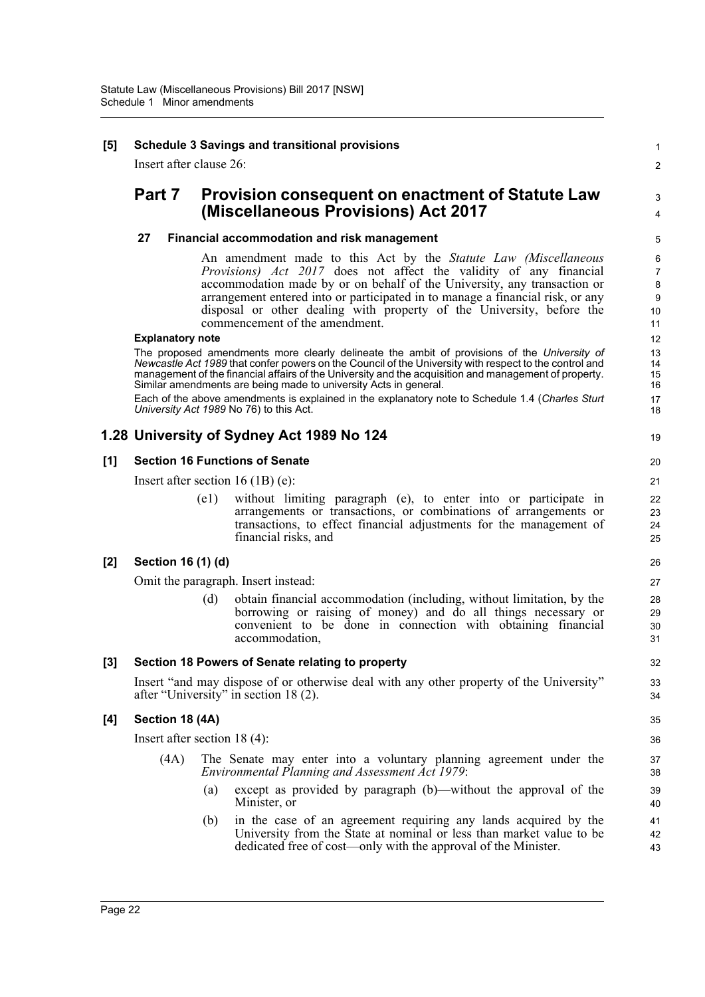# **[5] Schedule 3 Savings and transitional provisions**

Insert after clause 26:

# **Part 7 Provision consequent on enactment of Statute Law (Miscellaneous Provisions) Act 2017**

## **27 Financial accommodation and risk management**

An amendment made to this Act by the *Statute Law (Miscellaneous Provisions) Act 2017* does not affect the validity of any financial accommodation made by or on behalf of the University, any transaction or arrangement entered into or participated in to manage a financial risk, or any disposal or other dealing with property of the University, before the commencement of the amendment.

#### **Explanatory note**

The proposed amendments more clearly delineate the ambit of provisions of the *University of Newcastle Act 1989* that confer powers on the Council of the University with respect to the control and management of the financial affairs of the University and the acquisition and management of property. Similar amendments are being made to university Acts in general.

Each of the above amendments is explained in the explanatory note to Schedule 1.4 (*Charles Sturt University Act 1989* No 76) to this Act.

# **1.28 University of Sydney Act 1989 No 124**

# **[1] Section 16 Functions of Senate**

Insert after section 16 (1B) (e):

(e1) without limiting paragraph (e), to enter into or participate in arrangements or transactions, or combinations of arrangements or transactions, to effect financial adjustments for the management of financial risks, and

# **[2] Section 16 (1) (d)**

Omit the paragraph. Insert instead:

(d) obtain financial accommodation (including, without limitation, by the borrowing or raising of money) and do all things necessary or convenient to be done in connection with obtaining financial accommodation,

# **[3] Section 18 Powers of Senate relating to property**

Insert "and may dispose of or otherwise deal with any other property of the University" after "University" in section 18 (2).

# **[4] Section 18 (4A)**

Insert after section 18 (4):

- (4A) The Senate may enter into a voluntary planning agreement under the *Environmental Planning and Assessment Act 1979*:
	- (a) except as provided by paragraph (b)—without the approval of the Minister, or
	- (b) in the case of an agreement requiring any lands acquired by the University from the State at nominal or less than market value to be dedicated free of cost—only with the approval of the Minister.

19 20

1  $\mathfrak{p}$ 

3 4

26 27

> 32 33 34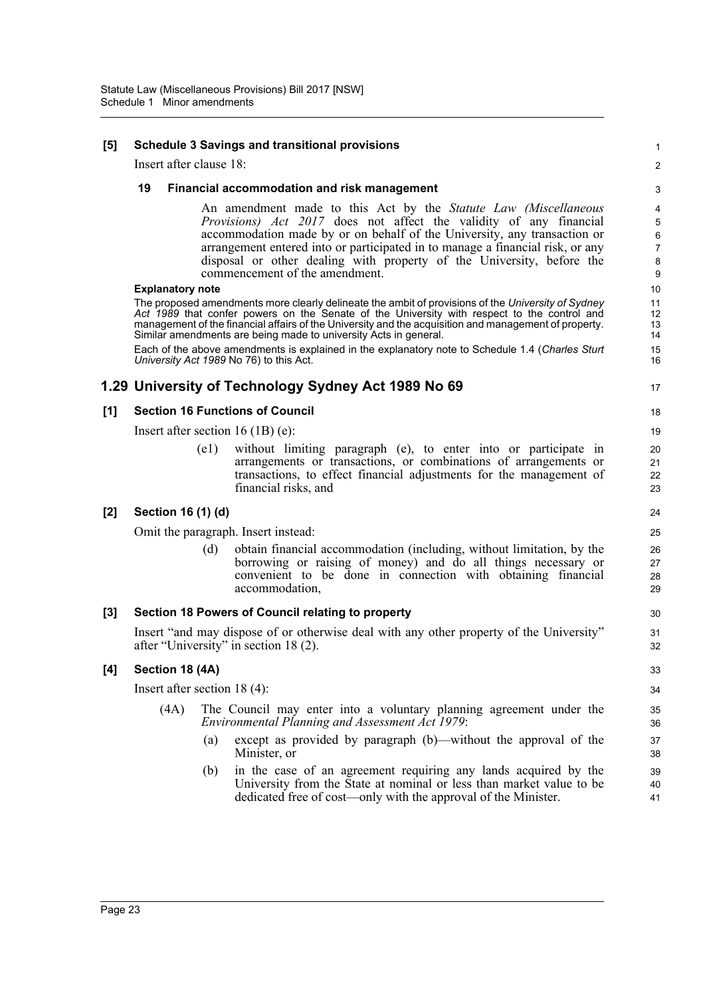| [5] |                                                                                                                                                                                                                                                                                                                                                                                |                         |      | <b>Schedule 3 Savings and transitional provisions</b>                                                                                                                                                                                                                                                                                                                                                          | $\mathbf{1}$                                  |
|-----|--------------------------------------------------------------------------------------------------------------------------------------------------------------------------------------------------------------------------------------------------------------------------------------------------------------------------------------------------------------------------------|-------------------------|------|----------------------------------------------------------------------------------------------------------------------------------------------------------------------------------------------------------------------------------------------------------------------------------------------------------------------------------------------------------------------------------------------------------------|-----------------------------------------------|
|     |                                                                                                                                                                                                                                                                                                                                                                                | Insert after clause 18: |      |                                                                                                                                                                                                                                                                                                                                                                                                                | 2                                             |
|     | 19                                                                                                                                                                                                                                                                                                                                                                             |                         |      | Financial accommodation and risk management                                                                                                                                                                                                                                                                                                                                                                    | 3                                             |
|     |                                                                                                                                                                                                                                                                                                                                                                                |                         |      | An amendment made to this Act by the Statute Law (Miscellaneous<br>Provisions) Act 2017 does not affect the validity of any financial<br>accommodation made by or on behalf of the University, any transaction or<br>arrangement entered into or participated in to manage a financial risk, or any<br>disposal or other dealing with property of the University, before the<br>commencement of the amendment. | 4<br>5<br>$\,6\,$<br>$\overline{7}$<br>8<br>9 |
|     |                                                                                                                                                                                                                                                                                                                                                                                | <b>Explanatory note</b> |      |                                                                                                                                                                                                                                                                                                                                                                                                                | 10                                            |
|     | The proposed amendments more clearly delineate the ambit of provisions of the University of Sydney<br>Act 1989 that confer powers on the Senate of the University with respect to the control and<br>management of the financial affairs of the University and the acquisition and management of property.<br>Similar amendments are being made to university Acts in general. |                         |      |                                                                                                                                                                                                                                                                                                                                                                                                                |                                               |
|     |                                                                                                                                                                                                                                                                                                                                                                                |                         |      | Each of the above amendments is explained in the explanatory note to Schedule 1.4 (Charles Sturt<br>University Act 1989 No 76) to this Act.                                                                                                                                                                                                                                                                    | 15<br>16                                      |
|     |                                                                                                                                                                                                                                                                                                                                                                                |                         |      | 1.29 University of Technology Sydney Act 1989 No 69                                                                                                                                                                                                                                                                                                                                                            | 17                                            |
| [1] |                                                                                                                                                                                                                                                                                                                                                                                |                         |      | <b>Section 16 Functions of Council</b>                                                                                                                                                                                                                                                                                                                                                                         | 18                                            |
|     | Insert after section $16(1B)(e)$ :                                                                                                                                                                                                                                                                                                                                             |                         |      |                                                                                                                                                                                                                                                                                                                                                                                                                |                                               |
|     |                                                                                                                                                                                                                                                                                                                                                                                |                         | (e1) | without limiting paragraph (e), to enter into or participate in<br>arrangements or transactions, or combinations of arrangements or<br>transactions, to effect financial adjustments for the management of<br>financial risks, and                                                                                                                                                                             | 20<br>21<br>22<br>23                          |
| [2] |                                                                                                                                                                                                                                                                                                                                                                                | Section 16 (1) (d)      |      |                                                                                                                                                                                                                                                                                                                                                                                                                | 24                                            |
|     | Omit the paragraph. Insert instead:                                                                                                                                                                                                                                                                                                                                            |                         |      |                                                                                                                                                                                                                                                                                                                                                                                                                |                                               |
|     |                                                                                                                                                                                                                                                                                                                                                                                |                         | (d)  | obtain financial accommodation (including, without limitation, by the<br>borrowing or raising of money) and do all things necessary or<br>convenient to be done in connection with obtaining financial<br>accommodation,                                                                                                                                                                                       | 26<br>27<br>28<br>29                          |
| [3] |                                                                                                                                                                                                                                                                                                                                                                                |                         |      | Section 18 Powers of Council relating to property                                                                                                                                                                                                                                                                                                                                                              | 30                                            |
|     |                                                                                                                                                                                                                                                                                                                                                                                |                         |      | Insert "and may dispose of or otherwise deal with any other property of the University"<br>after "University" in section 18 (2).                                                                                                                                                                                                                                                                               | 31<br>32                                      |
| [4] |                                                                                                                                                                                                                                                                                                                                                                                | Section 18 (4A)         |      |                                                                                                                                                                                                                                                                                                                                                                                                                | 33                                            |
|     | Insert after section $18(4)$ :                                                                                                                                                                                                                                                                                                                                                 |                         |      |                                                                                                                                                                                                                                                                                                                                                                                                                | 34                                            |
|     |                                                                                                                                                                                                                                                                                                                                                                                | (4A)                    |      | The Council may enter into a voluntary planning agreement under the<br><b>Environmental Planning and Assessment Act 1979:</b>                                                                                                                                                                                                                                                                                  | 35<br>36                                      |
|     |                                                                                                                                                                                                                                                                                                                                                                                |                         | (a)  | except as provided by paragraph (b)—without the approval of the<br>Minister, or                                                                                                                                                                                                                                                                                                                                | 37<br>38                                      |
|     |                                                                                                                                                                                                                                                                                                                                                                                |                         | (b)  | in the case of an agreement requiring any lands acquired by the<br>University from the State at nominal or less than market value to be<br>dedicated free of cost—only with the approval of the Minister.                                                                                                                                                                                                      | 39<br>40<br>41                                |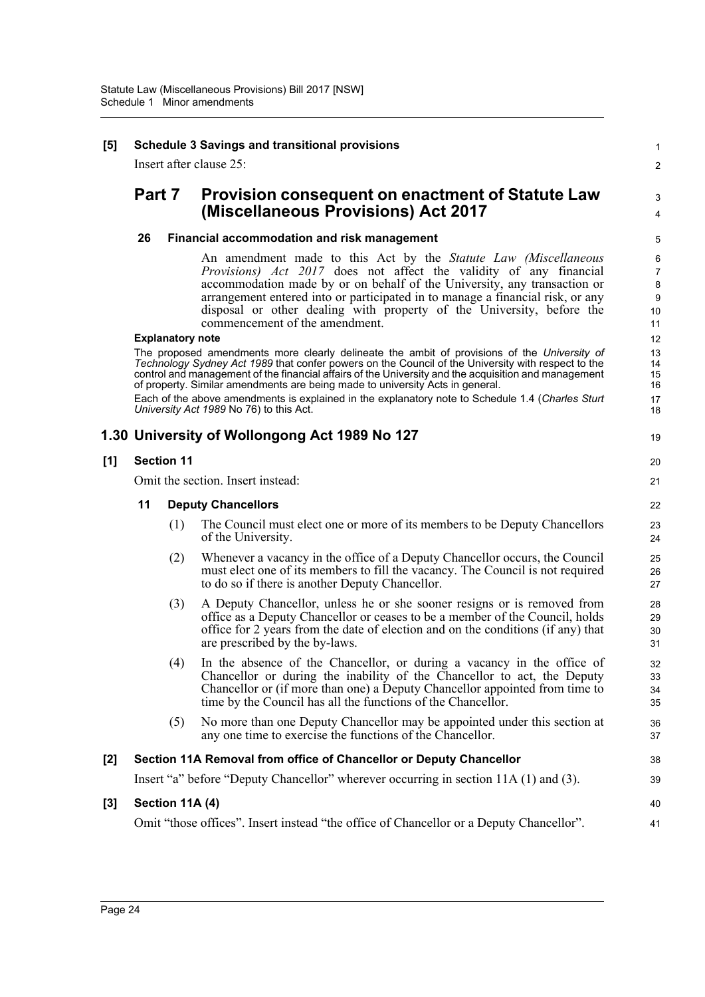| [5]   |                                   |                         | <b>Schedule 3 Savings and transitional provisions</b>                                                                                                                                                                                                                                                                                                                                                                                                                                          | 1                                         |  |  |
|-------|-----------------------------------|-------------------------|------------------------------------------------------------------------------------------------------------------------------------------------------------------------------------------------------------------------------------------------------------------------------------------------------------------------------------------------------------------------------------------------------------------------------------------------------------------------------------------------|-------------------------------------------|--|--|
|       |                                   |                         | Insert after clause 25:                                                                                                                                                                                                                                                                                                                                                                                                                                                                        | $\overline{2}$                            |  |  |
|       | Part 7                            |                         | <b>Provision consequent on enactment of Statute Law</b><br>(Miscellaneous Provisions) Act 2017                                                                                                                                                                                                                                                                                                                                                                                                 | 3<br>4                                    |  |  |
|       | 26                                |                         | <b>Financial accommodation and risk management</b>                                                                                                                                                                                                                                                                                                                                                                                                                                             | 5                                         |  |  |
|       |                                   |                         | An amendment made to this Act by the Statute Law (Miscellaneous<br>Provisions) Act 2017 does not affect the validity of any financial<br>accommodation made by or on behalf of the University, any transaction or<br>arrangement entered into or participated in to manage a financial risk, or any<br>disposal or other dealing with property of the University, before the<br>commencement of the amendment.                                                                                 | 6<br>$\overline{7}$<br>8<br>9<br>10<br>11 |  |  |
|       |                                   | <b>Explanatory note</b> |                                                                                                                                                                                                                                                                                                                                                                                                                                                                                                | 12                                        |  |  |
|       |                                   |                         | The proposed amendments more clearly delineate the ambit of provisions of the University of<br>Technology Sydney Act 1989 that confer powers on the Council of the University with respect to the<br>control and management of the financial affairs of the University and the acquisition and management<br>of property. Similar amendments are being made to university Acts in general.<br>Each of the above amendments is explained in the explanatory note to Schedule 1.4 (Charles Sturt | 13<br>14<br>15<br>16<br>17                |  |  |
|       |                                   |                         | University Act 1989 No 76) to this Act.                                                                                                                                                                                                                                                                                                                                                                                                                                                        | 18                                        |  |  |
|       |                                   |                         | 1.30 University of Wollongong Act 1989 No 127                                                                                                                                                                                                                                                                                                                                                                                                                                                  | 19                                        |  |  |
| [1]   | <b>Section 11</b>                 |                         |                                                                                                                                                                                                                                                                                                                                                                                                                                                                                                |                                           |  |  |
|       | Omit the section. Insert instead: |                         |                                                                                                                                                                                                                                                                                                                                                                                                                                                                                                |                                           |  |  |
|       | 11                                |                         | <b>Deputy Chancellors</b>                                                                                                                                                                                                                                                                                                                                                                                                                                                                      | 22                                        |  |  |
|       |                                   | (1)                     | The Council must elect one or more of its members to be Deputy Chancellors<br>of the University.                                                                                                                                                                                                                                                                                                                                                                                               | 23<br>24                                  |  |  |
|       |                                   | (2)                     | Whenever a vacancy in the office of a Deputy Chancellor occurs, the Council<br>must elect one of its members to fill the vacancy. The Council is not required<br>to do so if there is another Deputy Chancellor.                                                                                                                                                                                                                                                                               | 25<br>26<br>27                            |  |  |
|       |                                   | (3)                     | A Deputy Chancellor, unless he or she sooner resigns or is removed from<br>office as a Deputy Chancellor or ceases to be a member of the Council, holds<br>office for 2 years from the date of election and on the conditions (if any) that<br>are prescribed by the by-laws.                                                                                                                                                                                                                  | 28<br>29<br>30<br>31                      |  |  |
|       |                                   | (4)                     | In the absence of the Chancellor, or during a vacancy in the office of<br>Chancellor or during the inability of the Chancellor to act, the Deputy<br>Chancellor or (if more than one) a Deputy Chancellor appointed from time to<br>time by the Council has all the functions of the Chancellor.                                                                                                                                                                                               | 32<br>33<br>34<br>35                      |  |  |
|       |                                   | (5)                     | No more than one Deputy Chancellor may be appointed under this section at<br>any one time to exercise the functions of the Chancellor.                                                                                                                                                                                                                                                                                                                                                         | 36<br>37                                  |  |  |
| $[2]$ |                                   |                         | Section 11A Removal from office of Chancellor or Deputy Chancellor                                                                                                                                                                                                                                                                                                                                                                                                                             | 38                                        |  |  |
|       |                                   |                         | Insert "a" before "Deputy Chancellor" wherever occurring in section 11A (1) and (3).                                                                                                                                                                                                                                                                                                                                                                                                           | 39                                        |  |  |
| $[3]$ |                                   | Section 11A (4)         |                                                                                                                                                                                                                                                                                                                                                                                                                                                                                                | 40                                        |  |  |
|       |                                   |                         | Omit "those offices". Insert instead "the office of Chancellor or a Deputy Chancellor".                                                                                                                                                                                                                                                                                                                                                                                                        | 41                                        |  |  |
|       |                                   |                         |                                                                                                                                                                                                                                                                                                                                                                                                                                                                                                |                                           |  |  |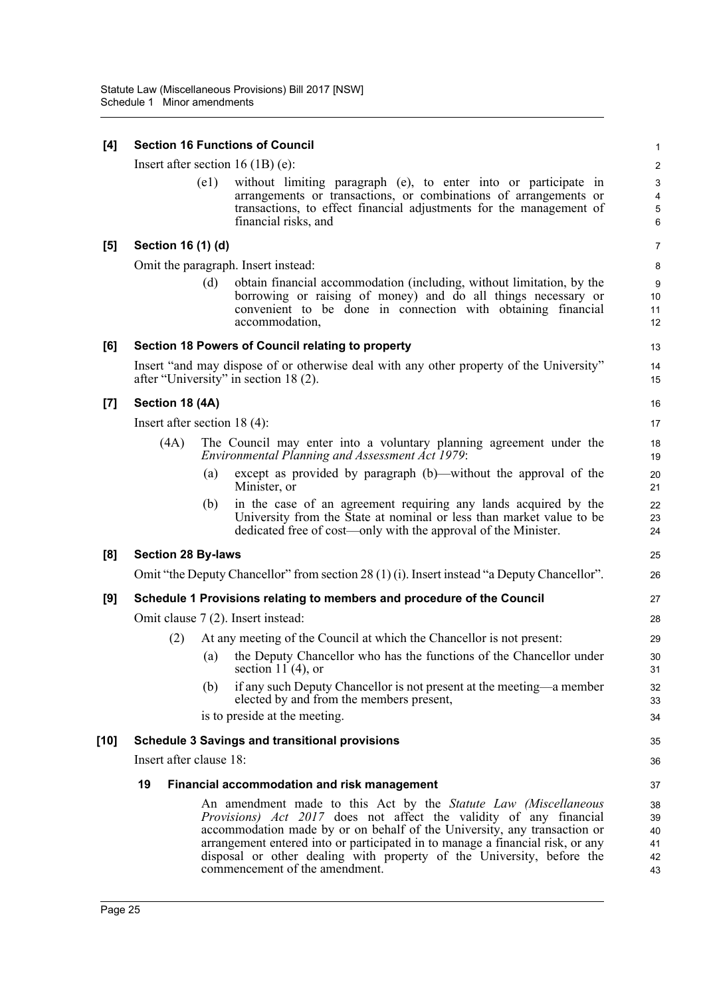| [4]                |                                |      | <b>Section 16 Functions of Council</b>                                                                                                                                                                                                                                                                                                                                                                         | $\mathbf{1}$                                 |  |
|--------------------|--------------------------------|------|----------------------------------------------------------------------------------------------------------------------------------------------------------------------------------------------------------------------------------------------------------------------------------------------------------------------------------------------------------------------------------------------------------------|----------------------------------------------|--|
|                    |                                |      | Insert after section $16(1B)(e)$ :                                                                                                                                                                                                                                                                                                                                                                             | $\overline{c}$                               |  |
|                    |                                | (e1) | without limiting paragraph (e), to enter into or participate in<br>arrangements or transactions, or combinations of arrangements or<br>transactions, to effect financial adjustments for the management of<br>financial risks, and                                                                                                                                                                             | 3<br>4<br>$\overline{\mathbf{5}}$<br>$\,6\,$ |  |
| [5]                | Section 16 (1) (d)             |      |                                                                                                                                                                                                                                                                                                                                                                                                                | 7                                            |  |
|                    |                                |      | Omit the paragraph. Insert instead:                                                                                                                                                                                                                                                                                                                                                                            | 8                                            |  |
|                    |                                | (d)  | obtain financial accommodation (including, without limitation, by the<br>borrowing or raising of money) and do all things necessary or<br>convenient to be done in connection with obtaining financial<br>accommodation,                                                                                                                                                                                       | 9<br>10<br>11<br>12                          |  |
| [6]                |                                |      | Section 18 Powers of Council relating to property                                                                                                                                                                                                                                                                                                                                                              | 13                                           |  |
|                    |                                |      | Insert "and may dispose of or otherwise deal with any other property of the University"<br>after "University" in section 18 (2).                                                                                                                                                                                                                                                                               | 14<br>15                                     |  |
| $\left[ 7 \right]$ | Section 18 (4A)                |      |                                                                                                                                                                                                                                                                                                                                                                                                                | 16                                           |  |
|                    | Insert after section $18(4)$ : |      |                                                                                                                                                                                                                                                                                                                                                                                                                |                                              |  |
|                    | (4A)                           |      | The Council may enter into a voluntary planning agreement under the<br>Environmental Planning and Assessment Act 1979:                                                                                                                                                                                                                                                                                         | 18<br>19                                     |  |
|                    |                                | (a)  | except as provided by paragraph (b)—without the approval of the<br>Minister, or                                                                                                                                                                                                                                                                                                                                | 20<br>21                                     |  |
|                    |                                | (b)  | in the case of an agreement requiring any lands acquired by the<br>University from the State at nominal or less than market value to be<br>dedicated free of cost—only with the approval of the Minister.                                                                                                                                                                                                      | 22<br>23<br>24                               |  |
| [8]                | <b>Section 28 By-laws</b>      |      |                                                                                                                                                                                                                                                                                                                                                                                                                | 25                                           |  |
|                    |                                |      | Omit "the Deputy Chancellor" from section 28 (1) (i). Insert instead "a Deputy Chancellor".                                                                                                                                                                                                                                                                                                                    | 26                                           |  |
| [9]                |                                |      | Schedule 1 Provisions relating to members and procedure of the Council                                                                                                                                                                                                                                                                                                                                         | 27                                           |  |
|                    |                                |      | Omit clause 7 (2). Insert instead:                                                                                                                                                                                                                                                                                                                                                                             | 28                                           |  |
|                    | (2)                            |      | At any meeting of the Council at which the Chancellor is not present:                                                                                                                                                                                                                                                                                                                                          | 29                                           |  |
|                    |                                | (a)  | the Deputy Chancellor who has the functions of the Chancellor under<br>section 11 $(4)$ , or                                                                                                                                                                                                                                                                                                                   | 30<br>31                                     |  |
|                    |                                | (b)  | if any such Deputy Chancellor is not present at the meeting—a member<br>elected by and from the members present,                                                                                                                                                                                                                                                                                               | 32<br>33                                     |  |
|                    |                                |      | is to preside at the meeting.                                                                                                                                                                                                                                                                                                                                                                                  | 34                                           |  |
| [10]               |                                |      | <b>Schedule 3 Savings and transitional provisions</b>                                                                                                                                                                                                                                                                                                                                                          | 35                                           |  |
|                    | Insert after clause 18:        |      |                                                                                                                                                                                                                                                                                                                                                                                                                |                                              |  |
|                    | 19                             |      | Financial accommodation and risk management                                                                                                                                                                                                                                                                                                                                                                    | 37                                           |  |
|                    |                                |      | An amendment made to this Act by the Statute Law (Miscellaneous<br>Provisions) Act 2017 does not affect the validity of any financial<br>accommodation made by or on behalf of the University, any transaction or<br>arrangement entered into or participated in to manage a financial risk, or any<br>disposal or other dealing with property of the University, before the<br>commencement of the amendment. | 38<br>39<br>40<br>41<br>42<br>43             |  |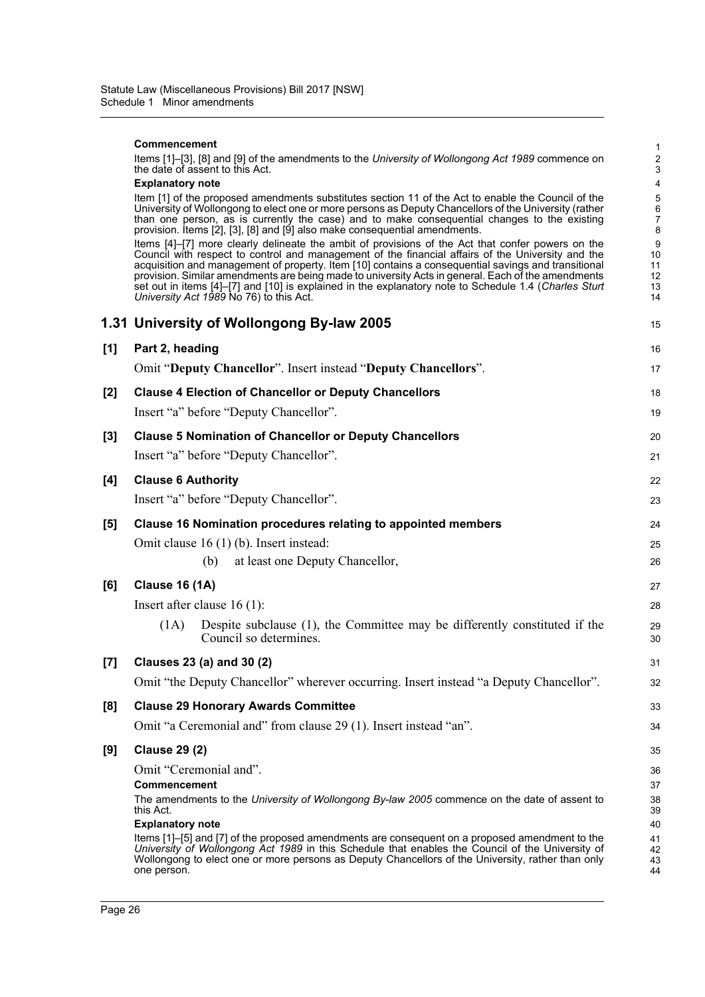Items [1]–[3], [8] and [9] of the amendments to the *University of Wollongong Act 1989* commence on the date of assent to this Act.

#### **Explanatory note**

Item [1] of the proposed amendments substitutes section 11 of the Act to enable the Council of the University of Wollongong to elect one or more persons as Deputy Chancellors of the University (rather than one person, as is currently the case) and to make consequential changes to the existing provision. Items [2], [3], [8] and [9] also make consequential amendments.

Items [4]–[7] more clearly delineate the ambit of provisions of the Act that confer powers on the Council with respect to control and management of the financial affairs of the University and the acquisition and management of property. Item [10] contains a consequential savings and transitional provision. Similar amendments are being made to university Acts in general. Each of the amendments set out in items [4]–[7] and [10] is explained in the explanatory note to Schedule 1.4 (*Charles Sturt University Act 1989* No 76) to this Act.

|       | 1.31 University of Wollongong By-law 2005                                                                                                                                                                                                                                                                              | 15                   |
|-------|------------------------------------------------------------------------------------------------------------------------------------------------------------------------------------------------------------------------------------------------------------------------------------------------------------------------|----------------------|
| [1]   | Part 2, heading                                                                                                                                                                                                                                                                                                        | 16                   |
|       | Omit "Deputy Chancellor". Insert instead "Deputy Chancellors".                                                                                                                                                                                                                                                         | 17                   |
| $[2]$ | <b>Clause 4 Election of Chancellor or Deputy Chancellors</b>                                                                                                                                                                                                                                                           | 18                   |
|       | Insert "a" before "Deputy Chancellor".                                                                                                                                                                                                                                                                                 | 19                   |
| $[3]$ | <b>Clause 5 Nomination of Chancellor or Deputy Chancellors</b>                                                                                                                                                                                                                                                         | 20                   |
|       | Insert "a" before "Deputy Chancellor".                                                                                                                                                                                                                                                                                 | 21                   |
| [4]   | <b>Clause 6 Authority</b>                                                                                                                                                                                                                                                                                              | 22                   |
|       | Insert "a" before "Deputy Chancellor".                                                                                                                                                                                                                                                                                 | 23                   |
| [5]   | Clause 16 Nomination procedures relating to appointed members                                                                                                                                                                                                                                                          | 24                   |
|       | Omit clause 16 (1) (b). Insert instead:                                                                                                                                                                                                                                                                                | 25                   |
|       | at least one Deputy Chancellor,<br>(b)                                                                                                                                                                                                                                                                                 | 26                   |
| [6]   | <b>Clause 16 (1A)</b>                                                                                                                                                                                                                                                                                                  | 27                   |
|       | Insert after clause $16(1)$ :                                                                                                                                                                                                                                                                                          | 28                   |
|       | Despite subclause (1), the Committee may be differently constituted if the<br>(1A)<br>Council so determines.                                                                                                                                                                                                           | 29<br>30             |
| [7]   | Clauses 23 (a) and 30 (2)                                                                                                                                                                                                                                                                                              | 31                   |
|       | Omit "the Deputy Chancellor" wherever occurring. Insert instead "a Deputy Chancellor".                                                                                                                                                                                                                                 | 32                   |
| [8]   | <b>Clause 29 Honorary Awards Committee</b>                                                                                                                                                                                                                                                                             | 33                   |
|       | Omit "a Ceremonial and" from clause 29 (1). Insert instead "an".                                                                                                                                                                                                                                                       | 34                   |
| [9]   | <b>Clause 29 (2)</b>                                                                                                                                                                                                                                                                                                   | 35                   |
|       | Omit "Ceremonial and".                                                                                                                                                                                                                                                                                                 | 36                   |
|       | Commencement                                                                                                                                                                                                                                                                                                           | 37                   |
|       | The amendments to the University of Wollongong By-law 2005 commence on the date of assent to<br>this Act.                                                                                                                                                                                                              | 38<br>39             |
|       | <b>Explanatory note</b>                                                                                                                                                                                                                                                                                                | 40                   |
|       | Items [1]-[5] and [7] of the proposed amendments are consequent on a proposed amendment to the<br>University of Wollongong Act 1989 in this Schedule that enables the Council of the University of<br>Wollongong to elect one or more persons as Deputy Chancellors of the University, rather than only<br>one person. | 41<br>42<br>43<br>44 |
|       |                                                                                                                                                                                                                                                                                                                        |                      |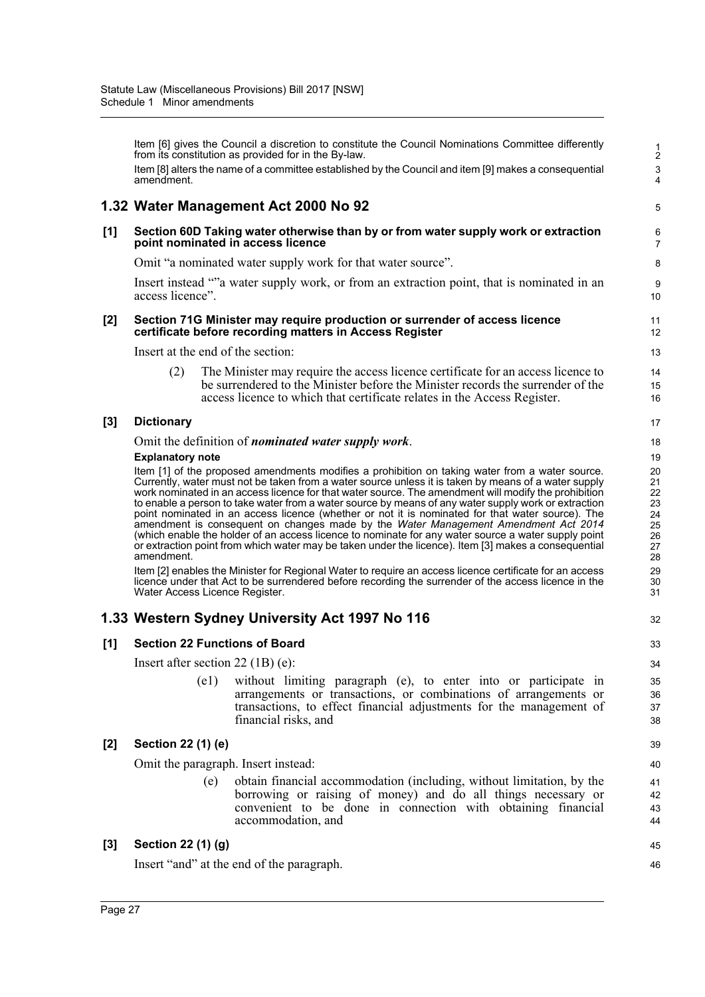Item [6] gives the Council a discretion to constitute the Council Nominations Committee differently from its constitution as provided for in the By-law. Item [8] alters the name of a committee established by the Council and item [9] makes a consequential amendment.

# **1.32 Water Management Act 2000 No 92**

## **[1] Section 60D Taking water otherwise than by or from water supply work or extraction point nominated in access licence**

Omit "a nominated water supply work for that water source".

Insert instead ""a water supply work, or from an extraction point, that is nominated in an access licence".

#### **[2] Section 71G Minister may require production or surrender of access licence certificate before recording matters in Access Register**

Insert at the end of the section:

(2) The Minister may require the access licence certificate for an access licence to be surrendered to the Minister before the Minister records the surrender of the access licence to which that certificate relates in the Access Register.

# **[3] Dictionary**

Omit the definition of *nominated water supply work*.

## **Explanatory note**

Item [1] of the proposed amendments modifies a prohibition on taking water from a water source. Currently, water must not be taken from a water source unless it is taken by means of a water supply work nominated in an access licence for that water source. The amendment will modify the prohibition to enable a person to take water from a water source by means of any water supply work or extraction point nominated in an access licence (whether or not it is nominated for that water source). The amendment is consequent on changes made by the *Water Management Amendment Act 2014* (which enable the holder of an access licence to nominate for any water source a water supply point or extraction point from which water may be taken under the licence). Item [3] makes a consequential amendment.

Item [2] enables the Minister for Regional Water to require an access licence certificate for an access licence under that Act to be surrendered before recording the surrender of the access licence in the Water Access Licence Register.

# **1.33 Western Sydney University Act 1997 No 116**

# **[1] Section 22 Functions of Board**

Insert after section 22 (1B) (e):

(e1) without limiting paragraph (e), to enter into or participate in arrangements or transactions, or combinations of arrangements or transactions, to effect financial adjustments for the management of financial risks, and

# **[2] Section 22 (1) (e)**

Omit the paragraph. Insert instead:

(e) obtain financial accommodation (including, without limitation, by the borrowing or raising of money) and do all things necessary or convenient to be done in connection with obtaining financial accommodation, and

# **[3] Section 22 (1) (g)**

Insert "and" at the end of the paragraph.

5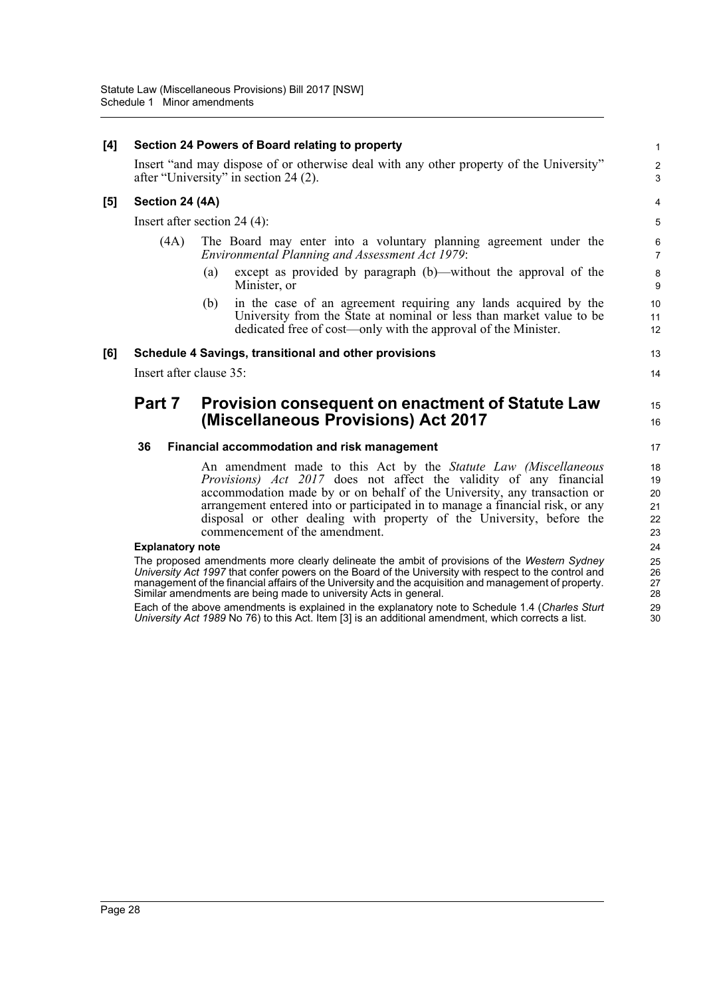## **[4] Section 24 Powers of Board relating to property**

Insert "and may dispose of or otherwise deal with any other property of the University" after "University" in section 24 (2).

## **[5] Section 24 (4A)**

Insert after section 24 (4):

- (4A) The Board may enter into a voluntary planning agreement under the *Environmental Planning and Assessment Act 1979*:
	- (a) except as provided by paragraph (b)—without the approval of the Minister, or

1 2 3

13  $14$ 

15 16

(b) in the case of an agreement requiring any lands acquired by the University from the State at nominal or less than market value to be dedicated free of cost—only with the approval of the Minister.

## **[6] Schedule 4 Savings, transitional and other provisions**

Insert after clause 35:

# **Part 7 Provision consequent on enactment of Statute Law (Miscellaneous Provisions) Act 2017**

## **36 Financial accommodation and risk management**

An amendment made to this Act by the *Statute Law (Miscellaneous Provisions) Act 2017* does not affect the validity of any financial accommodation made by or on behalf of the University, any transaction or arrangement entered into or participated in to manage a financial risk, or any disposal or other dealing with property of the University, before the commencement of the amendment.

## **Explanatory note**

The proposed amendments more clearly delineate the ambit of provisions of the *Western Sydney University Act 1997* that confer powers on the Board of the University with respect to the control and management of the financial affairs of the University and the acquisition and management of property. Similar amendments are being made to university Acts in general.

Each of the above amendments is explained in the explanatory note to Schedule 1.4 (*Charles Sturt University Act 1989* No 76) to this Act. Item [3] is an additional amendment, which corrects a list.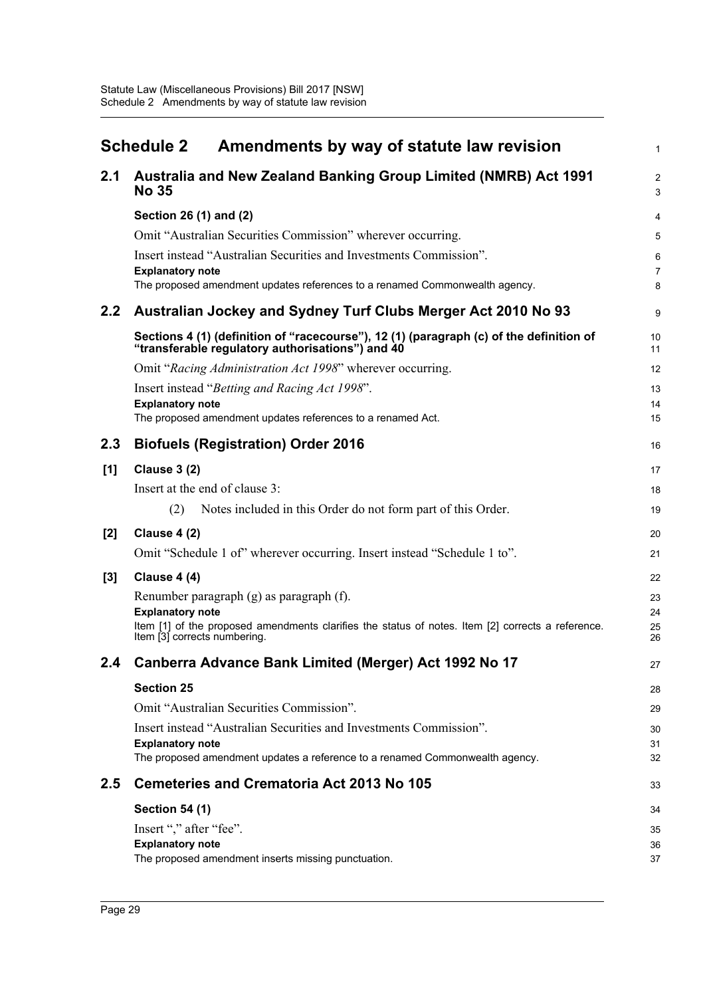<span id="page-32-0"></span>

|       | <b>Schedule 2</b><br>Amendments by way of statute law revision                                                                              | $\mathbf{1}$        |  |  |  |
|-------|---------------------------------------------------------------------------------------------------------------------------------------------|---------------------|--|--|--|
| 2.1   | Australia and New Zealand Banking Group Limited (NMRB) Act 1991<br><b>No 35</b>                                                             | $\overline{2}$<br>3 |  |  |  |
|       | Section 26 (1) and (2)                                                                                                                      |                     |  |  |  |
|       | Omit "Australian Securities Commission" wherever occurring.                                                                                 | 5                   |  |  |  |
|       | Insert instead "Australian Securities and Investments Commission".                                                                          | 6                   |  |  |  |
|       | <b>Explanatory note</b><br>The proposed amendment updates references to a renamed Commonwealth agency.                                      | $\overline{7}$<br>8 |  |  |  |
| 2.2   | Australian Jockey and Sydney Turf Clubs Merger Act 2010 No 93                                                                               | 9                   |  |  |  |
|       | Sections 4 (1) (definition of "racecourse"), 12 (1) (paragraph (c) of the definition of<br>"transferable regulatory authorisations") and 40 | 10<br>11            |  |  |  |
|       | Omit "Racing Administration Act 1998" wherever occurring.                                                                                   | 12                  |  |  |  |
|       | Insert instead "Betting and Racing Act 1998".                                                                                               | 13                  |  |  |  |
|       | <b>Explanatory note</b>                                                                                                                     | 14                  |  |  |  |
|       | The proposed amendment updates references to a renamed Act.                                                                                 | 15                  |  |  |  |
| 2.3   | <b>Biofuels (Registration) Order 2016</b>                                                                                                   | 16                  |  |  |  |
| [1]   | <b>Clause 3 (2)</b>                                                                                                                         | 17                  |  |  |  |
|       | Insert at the end of clause 3:                                                                                                              | 18                  |  |  |  |
|       | Notes included in this Order do not form part of this Order.<br>(2)                                                                         | 19                  |  |  |  |
| $[2]$ | <b>Clause 4 (2)</b>                                                                                                                         | 20                  |  |  |  |
|       | Omit "Schedule 1 of" wherever occurring. Insert instead "Schedule 1 to".                                                                    | 21                  |  |  |  |
| $[3]$ | Clause 4 (4)                                                                                                                                | 22                  |  |  |  |
|       | Renumber paragraph (g) as paragraph (f).                                                                                                    | 23                  |  |  |  |
|       | <b>Explanatory note</b>                                                                                                                     | 24                  |  |  |  |
|       | Item [1] of the proposed amendments clarifies the status of notes. Item [2] corrects a reference.<br>Item [3] corrects numbering.           | 25<br>26            |  |  |  |
| 2.4   | Canberra Advance Bank Limited (Merger) Act 1992 No 17                                                                                       | 27                  |  |  |  |
|       | <b>Section 25</b>                                                                                                                           | 28                  |  |  |  |
|       | Omit "Australian Securities Commission".                                                                                                    | 29                  |  |  |  |
|       | Insert instead "Australian Securities and Investments Commission".                                                                          | 30                  |  |  |  |
|       | <b>Explanatory note</b>                                                                                                                     | 31                  |  |  |  |
|       | The proposed amendment updates a reference to a renamed Commonwealth agency.                                                                | 32                  |  |  |  |
| 2.5   | <b>Cemeteries and Crematoria Act 2013 No 105</b>                                                                                            | 33                  |  |  |  |
|       | <b>Section 54 (1)</b>                                                                                                                       | 34                  |  |  |  |
|       | Insert "," after "fee".                                                                                                                     | 35                  |  |  |  |
|       | <b>Explanatory note</b>                                                                                                                     | 36                  |  |  |  |
|       | The proposed amendment inserts missing punctuation.                                                                                         | 37                  |  |  |  |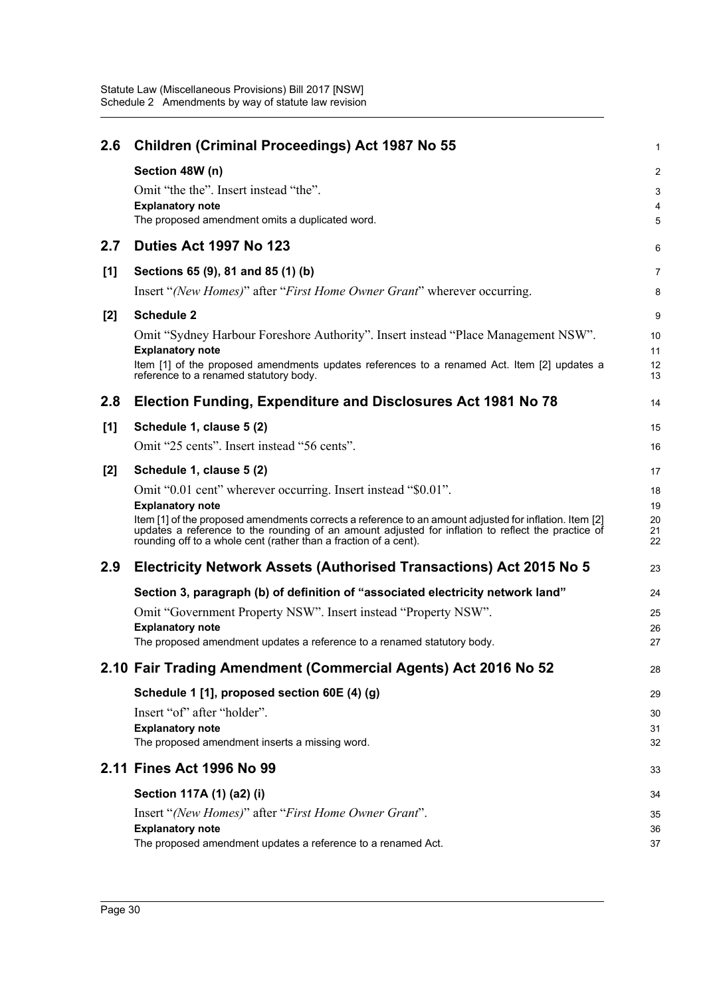| 2.6   | Children (Criminal Proceedings) Act 1987 No 55                                                                                                                                                               | $\mathbf{1}$   |
|-------|--------------------------------------------------------------------------------------------------------------------------------------------------------------------------------------------------------------|----------------|
|       | Section 48W (n)                                                                                                                                                                                              | $\overline{2}$ |
|       | Omit "the the". Insert instead "the".                                                                                                                                                                        | 3              |
|       | <b>Explanatory note</b>                                                                                                                                                                                      | 4              |
|       | The proposed amendment omits a duplicated word.                                                                                                                                                              | 5              |
| 2.7   | <b>Duties Act 1997 No 123</b>                                                                                                                                                                                | 6              |
| [1]   | Sections 65 (9), 81 and 85 (1) (b)                                                                                                                                                                           | $\overline{7}$ |
|       | Insert "(New Homes)" after "First Home Owner Grant" wherever occurring.                                                                                                                                      | 8              |
| $[2]$ | <b>Schedule 2</b>                                                                                                                                                                                            | 9              |
|       | Omit "Sydney Harbour Foreshore Authority". Insert instead "Place Management NSW".                                                                                                                            | 10             |
|       | <b>Explanatory note</b>                                                                                                                                                                                      | 11             |
|       | Item [1] of the proposed amendments updates references to a renamed Act. Item [2] updates a<br>reference to a renamed statutory body.                                                                        | 12<br>13       |
| 2.8   | Election Funding, Expenditure and Disclosures Act 1981 No 78                                                                                                                                                 | 14             |
| [1]   | Schedule 1, clause 5 (2)                                                                                                                                                                                     | 15             |
|       | Omit "25 cents". Insert instead "56 cents".                                                                                                                                                                  | 16             |
| [2]   | Schedule 1, clause 5 (2)                                                                                                                                                                                     | 17             |
|       | Omit "0.01 cent" wherever occurring. Insert instead "\$0.01".                                                                                                                                                | 18             |
|       | <b>Explanatory note</b>                                                                                                                                                                                      | 19             |
|       | Item [1] of the proposed amendments corrects a reference to an amount adjusted for inflation. Item [2]<br>updates a reference to the rounding of an amount adjusted for inflation to reflect the practice of | 20<br>21       |
|       | rounding off to a whole cent (rather than a fraction of a cent).                                                                                                                                             | 22             |
| 2.9   | <b>Electricity Network Assets (Authorised Transactions) Act 2015 No 5</b>                                                                                                                                    | 23             |
|       | Section 3, paragraph (b) of definition of "associated electricity network land"                                                                                                                              | 24             |
|       | Omit "Government Property NSW". Insert instead "Property NSW".                                                                                                                                               | 25             |
|       | <b>Explanatory note</b>                                                                                                                                                                                      | 26             |
|       | The proposed amendment updates a reference to a renamed statutory body.                                                                                                                                      | 27             |
|       | 2.10 Fair Trading Amendment (Commercial Agents) Act 2016 No 52                                                                                                                                               | 28             |
|       | Schedule 1 [1], proposed section 60E (4) (g)                                                                                                                                                                 | 29             |
|       | Insert "of" after "holder".                                                                                                                                                                                  | 30             |
|       | <b>Explanatory note</b>                                                                                                                                                                                      | 31             |
|       | The proposed amendment inserts a missing word.                                                                                                                                                               | 32             |
|       | 2.11 Fines Act 1996 No 99                                                                                                                                                                                    | 33             |
|       | Section 117A (1) (a2) (i)                                                                                                                                                                                    | 34             |
|       | Insert "(New Homes)" after "First Home Owner Grant".                                                                                                                                                         | 35             |
|       | <b>Explanatory note</b>                                                                                                                                                                                      | 36             |
|       | The proposed amendment updates a reference to a renamed Act.                                                                                                                                                 | 37             |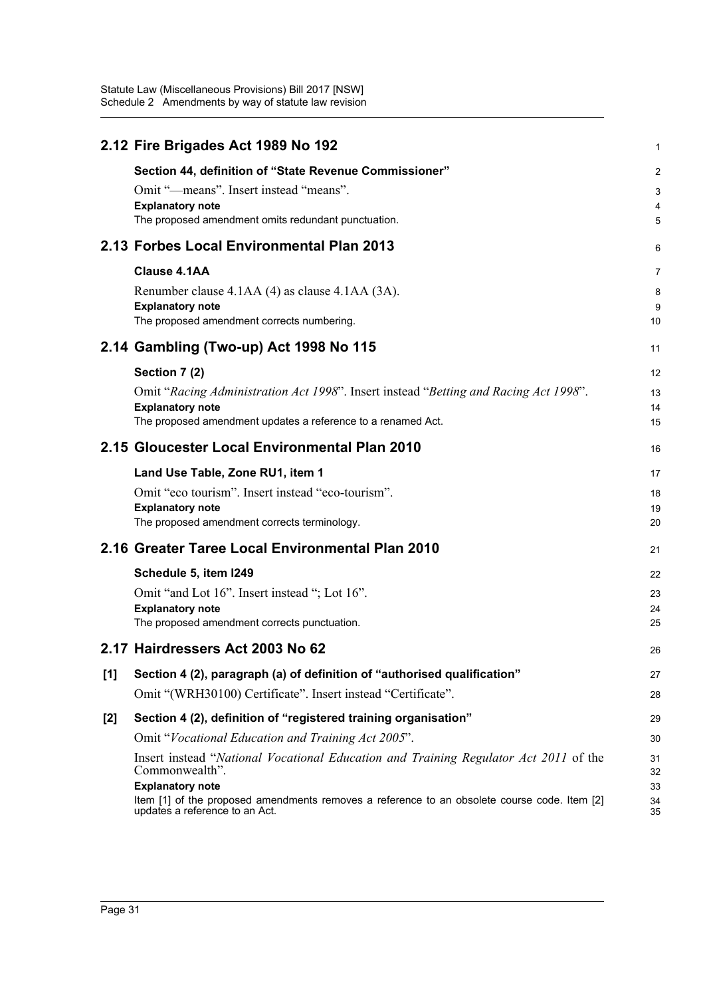|     | 2.12 Fire Brigades Act 1989 No 192                                                                                      | 1                   |
|-----|-------------------------------------------------------------------------------------------------------------------------|---------------------|
|     | Section 44, definition of "State Revenue Commissioner"                                                                  | $\overline{2}$      |
|     | Omit "-means". Insert instead "means".                                                                                  | 3                   |
|     | <b>Explanatory note</b><br>The proposed amendment omits redundant punctuation.                                          | $\overline{4}$<br>5 |
|     |                                                                                                                         |                     |
|     | 2.13 Forbes Local Environmental Plan 2013                                                                               | 6                   |
|     | <b>Clause 4.1AA</b>                                                                                                     | $\overline{7}$      |
|     | Renumber clause 4.1AA (4) as clause 4.1AA (3A).<br><b>Explanatory note</b>                                              | 8                   |
|     | The proposed amendment corrects numbering.                                                                              | 9<br>10             |
|     | 2.14 Gambling (Two-up) Act 1998 No 115                                                                                  | 11                  |
|     | Section 7 (2)                                                                                                           | 12                  |
|     | Omit "Racing Administration Act 1998". Insert instead "Betting and Racing Act 1998".                                    | 13                  |
|     | <b>Explanatory note</b>                                                                                                 | 14                  |
|     | The proposed amendment updates a reference to a renamed Act.                                                            | 15                  |
|     | 2.15 Gloucester Local Environmental Plan 2010                                                                           | 16                  |
|     | Land Use Table, Zone RU1, item 1                                                                                        | 17                  |
|     | Omit "eco tourism". Insert instead "eco-tourism".                                                                       | 18                  |
|     | <b>Explanatory note</b><br>The proposed amendment corrects terminology.                                                 | 19<br>20            |
|     | 2.16 Greater Taree Local Environmental Plan 2010                                                                        | 21                  |
|     | Schedule 5, item I249                                                                                                   | 22                  |
|     | Omit "and Lot 16". Insert instead "; Lot 16".                                                                           | 23                  |
|     | <b>Explanatory note</b>                                                                                                 | 24                  |
|     | The proposed amendment corrects punctuation.                                                                            | 25                  |
|     | 2.17 Hairdressers Act 2003 No 62                                                                                        | 26                  |
| [1] | Section 4 (2), paragraph (a) of definition of "authorised qualification"                                                | 27                  |
|     | Omit "(WRH30100) Certificate". Insert instead "Certificate".                                                            | 28                  |
| [2] | Section 4 (2), definition of "registered training organisation"                                                         | 29                  |
|     | Omit "Vocational Education and Training Act 2005".                                                                      | 30                  |
|     | Insert instead "National Vocational Education and Training Regulator Act 2011 of the<br>Commonwealth".                  | 31<br>32            |
|     | <b>Explanatory note</b><br>Item [1] of the proposed amendments removes a reference to an obsolete course code. Item [2] | 33<br>34            |
|     | updates a reference to an Act.                                                                                          | 35                  |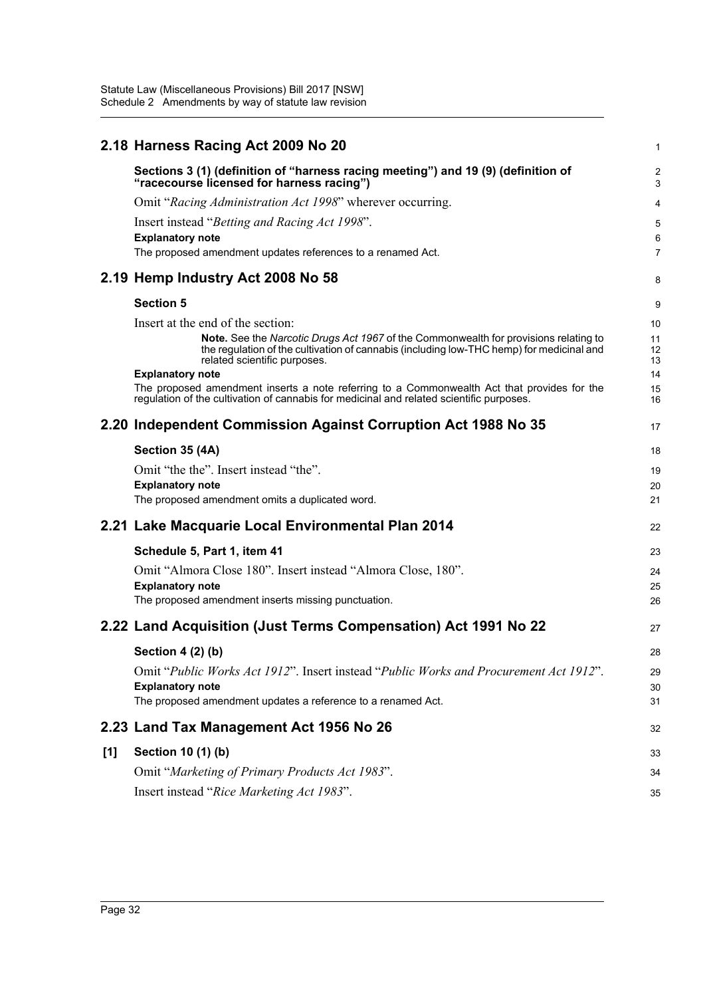|     | 2.18 Harness Racing Act 2009 No 20                                                                                                                                                                                             | 1                   |
|-----|--------------------------------------------------------------------------------------------------------------------------------------------------------------------------------------------------------------------------------|---------------------|
|     | Sections 3 (1) (definition of "harness racing meeting") and 19 (9) (definition of<br>"racecourse licensed for harness racing")                                                                                                 | $\overline{c}$<br>3 |
|     | Omit "Racing Administration Act 1998" wherever occurring.                                                                                                                                                                      | 4                   |
|     | Insert instead "Betting and Racing Act 1998".<br><b>Explanatory note</b><br>The proposed amendment updates references to a renamed Act.                                                                                        | 5<br>6<br>7         |
|     | 2.19 Hemp Industry Act 2008 No 58                                                                                                                                                                                              | 8                   |
|     | <b>Section 5</b>                                                                                                                                                                                                               | 9                   |
|     | Insert at the end of the section:                                                                                                                                                                                              | 10                  |
|     | <b>Note.</b> See the <i>Narcotic Drugs Act 1967</i> of the Commonwealth for provisions relating to<br>the regulation of the cultivation of cannabis (including low-THC hemp) for medicinal and<br>related scientific purposes. | 11<br>12<br>13      |
|     | <b>Explanatory note</b><br>The proposed amendment inserts a note referring to a Commonwealth Act that provides for the<br>regulation of the cultivation of cannabis for medicinal and related scientific purposes.             | 14<br>15<br>16      |
|     | 2.20 Independent Commission Against Corruption Act 1988 No 35                                                                                                                                                                  | 17                  |
|     | Section 35 (4A)                                                                                                                                                                                                                | 18                  |
|     | Omit "the the". Insert instead "the".<br><b>Explanatory note</b>                                                                                                                                                               | 19<br>20            |
|     | The proposed amendment omits a duplicated word.                                                                                                                                                                                | 21                  |
|     | 2.21 Lake Macquarie Local Environmental Plan 2014                                                                                                                                                                              | 22                  |
|     | Schedule 5, Part 1, item 41                                                                                                                                                                                                    | 23                  |
|     | Omit "Almora Close 180". Insert instead "Almora Close, 180".                                                                                                                                                                   | 24                  |
|     | <b>Explanatory note</b><br>The proposed amendment inserts missing punctuation.                                                                                                                                                 | 25<br>26            |
|     |                                                                                                                                                                                                                                |                     |
|     | 2.22 Land Acquisition (Just Terms Compensation) Act 1991 No 22                                                                                                                                                                 | 27                  |
|     | Section 4 (2) (b)                                                                                                                                                                                                              | 28                  |
|     | Omit "Public Works Act 1912". Insert instead "Public Works and Procurement Act 1912".<br><b>Explanatory note</b>                                                                                                               | 29<br>30            |
|     | The proposed amendment updates a reference to a renamed Act.                                                                                                                                                                   | 31                  |
|     | 2.23 Land Tax Management Act 1956 No 26                                                                                                                                                                                        | 32                  |
| [1] | Section 10 (1) (b)                                                                                                                                                                                                             | 33                  |
|     | Omit "Marketing of Primary Products Act 1983".                                                                                                                                                                                 | 34                  |
|     | Insert instead "Rice Marketing Act 1983".                                                                                                                                                                                      | 35                  |
|     |                                                                                                                                                                                                                                |                     |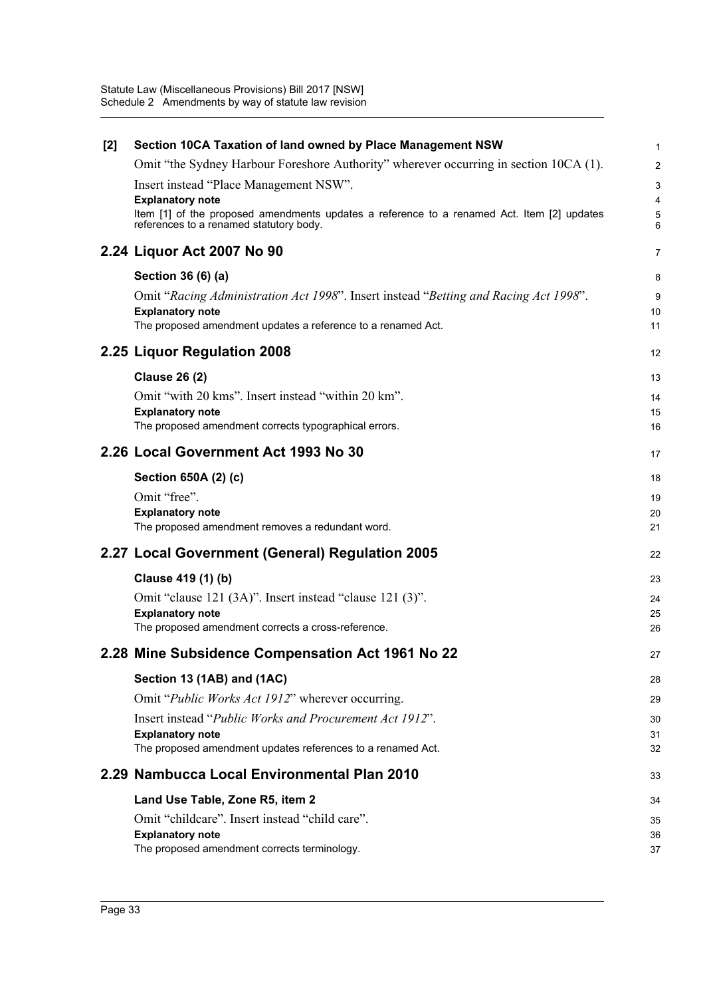| [2] | Section 10CA Taxation of land owned by Place Management NSW                                                                           | $\mathbf{1}$ |
|-----|---------------------------------------------------------------------------------------------------------------------------------------|--------------|
|     | Omit "the Sydney Harbour Foreshore Authority" wherever occurring in section 10CA (1).                                                 | 2            |
|     | Insert instead "Place Management NSW".                                                                                                | 3            |
|     | <b>Explanatory note</b>                                                                                                               | 4            |
|     | Item [1] of the proposed amendments updates a reference to a renamed Act. Item [2] updates<br>references to a renamed statutory body. | 5<br>6       |
|     | 2.24 Liquor Act 2007 No 90                                                                                                            | 7            |
|     | Section 36 (6) (a)                                                                                                                    | 8            |
|     | Omit "Racing Administration Act 1998". Insert instead "Betting and Racing Act 1998".                                                  | 9            |
|     | <b>Explanatory note</b>                                                                                                               | 10           |
|     | The proposed amendment updates a reference to a renamed Act.                                                                          | 11           |
|     | 2.25 Liquor Regulation 2008                                                                                                           | 12           |
|     | <b>Clause 26 (2)</b>                                                                                                                  | 13           |
|     | Omit "with 20 kms". Insert instead "within 20 km".                                                                                    | 14           |
|     | <b>Explanatory note</b>                                                                                                               | 15           |
|     | The proposed amendment corrects typographical errors.                                                                                 | 16           |
|     | 2.26 Local Government Act 1993 No 30                                                                                                  | 17           |
|     | Section 650A (2) (c)                                                                                                                  | 18           |
|     | Omit "free".                                                                                                                          | 19           |
|     | <b>Explanatory note</b>                                                                                                               | 20           |
|     | The proposed amendment removes a redundant word.                                                                                      | 21           |
|     | 2.27 Local Government (General) Regulation 2005                                                                                       | 22           |
|     | Clause 419 (1) (b)                                                                                                                    | 23           |
|     | Omit "clause 121 (3A)". Insert instead "clause 121 (3)".                                                                              | 24           |
|     | <b>Explanatory note</b>                                                                                                               | 25           |
|     | The proposed amendment corrects a cross-reference.                                                                                    | 26           |
|     | 2.28 Mine Subsidence Compensation Act 1961 No 22                                                                                      | 27           |
|     | Section 13 (1AB) and (1AC)                                                                                                            | 28           |
|     | Omit "Public Works Act 1912" wherever occurring.                                                                                      | 29           |
|     | Insert instead "Public Works and Procurement Act 1912".                                                                               | 30           |
|     | <b>Explanatory note</b>                                                                                                               | 31           |
|     | The proposed amendment updates references to a renamed Act.                                                                           | 32           |
|     | 2.29 Nambucca Local Environmental Plan 2010                                                                                           | 33           |
|     | Land Use Table, Zone R5, item 2                                                                                                       | 34           |
|     | Omit "childcare". Insert instead "child care".                                                                                        | 35           |
|     | <b>Explanatory note</b>                                                                                                               | 36           |
|     | The proposed amendment corrects terminology.                                                                                          | 37           |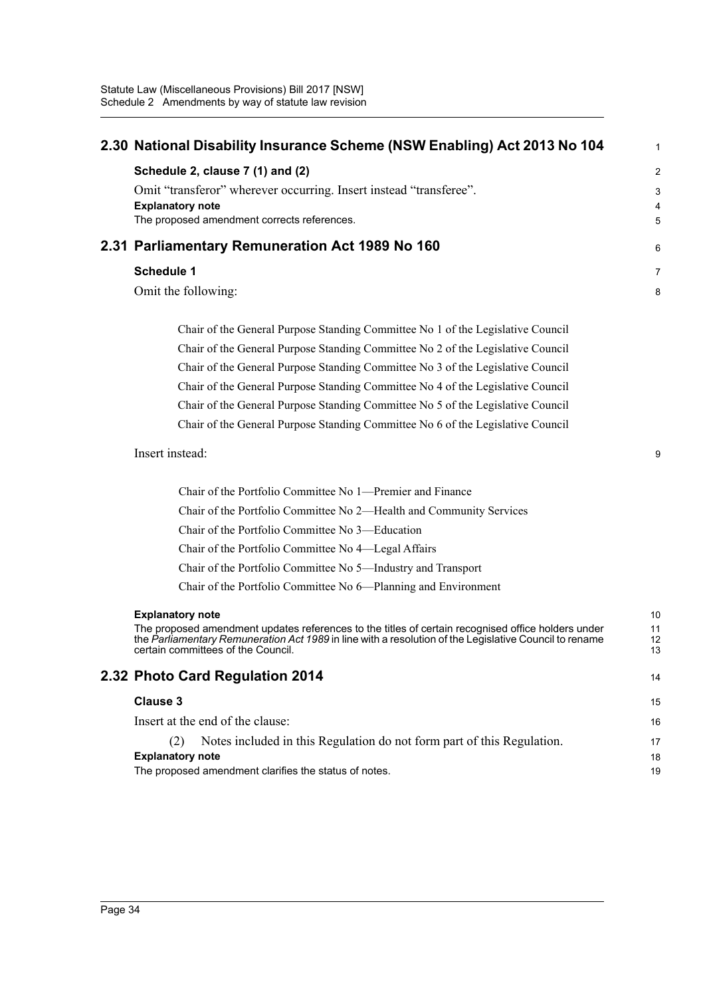| 2.30 National Disability Insurance Scheme (NSW Enabling) Act 2013 No 104                                                                                                                                                                           | 1              |
|----------------------------------------------------------------------------------------------------------------------------------------------------------------------------------------------------------------------------------------------------|----------------|
| Schedule 2, clause 7 (1) and (2)                                                                                                                                                                                                                   | 2              |
| Omit "transferor" wherever occurring. Insert instead "transferee".                                                                                                                                                                                 | 3              |
| <b>Explanatory note</b>                                                                                                                                                                                                                            | 4              |
| The proposed amendment corrects references.                                                                                                                                                                                                        | 5              |
| 2.31 Parliamentary Remuneration Act 1989 No 160                                                                                                                                                                                                    | 6              |
| <b>Schedule 1</b>                                                                                                                                                                                                                                  | 7              |
| Omit the following:                                                                                                                                                                                                                                | 8              |
| Chair of the General Purpose Standing Committee No 1 of the Legislative Council                                                                                                                                                                    |                |
| Chair of the General Purpose Standing Committee No 2 of the Legislative Council                                                                                                                                                                    |                |
| Chair of the General Purpose Standing Committee No 3 of the Legislative Council                                                                                                                                                                    |                |
| Chair of the General Purpose Standing Committee No 4 of the Legislative Council                                                                                                                                                                    |                |
| Chair of the General Purpose Standing Committee No 5 of the Legislative Council                                                                                                                                                                    |                |
| Chair of the General Purpose Standing Committee No 6 of the Legislative Council                                                                                                                                                                    |                |
| Insert instead:                                                                                                                                                                                                                                    | 9              |
| Chair of the Portfolio Committee No 1—Premier and Finance                                                                                                                                                                                          |                |
| Chair of the Portfolio Committee No 2—Health and Community Services                                                                                                                                                                                |                |
| Chair of the Portfolio Committee No 3-Education                                                                                                                                                                                                    |                |
| Chair of the Portfolio Committee No 4-Legal Affairs                                                                                                                                                                                                |                |
| Chair of the Portfolio Committee No 5-Industry and Transport                                                                                                                                                                                       |                |
| Chair of the Portfolio Committee No 6-Planning and Environment                                                                                                                                                                                     |                |
| <b>Explanatory note</b>                                                                                                                                                                                                                            | 10             |
| The proposed amendment updates references to the titles of certain recognised office holders under<br>the Parliamentary Remuneration Act 1989 in line with a resolution of the Legislative Council to rename<br>certain committees of the Council. | 11<br>12<br>13 |
| 2.32 Photo Card Regulation 2014                                                                                                                                                                                                                    | 14             |
| <b>Clause 3</b>                                                                                                                                                                                                                                    | 15             |
| Insert at the end of the clause:                                                                                                                                                                                                                   | 16             |
| Notes included in this Regulation do not form part of this Regulation.<br>(2)                                                                                                                                                                      | 17             |
| <b>Explanatory note</b><br>The proposed amendment clarifies the status of notes.                                                                                                                                                                   | 18<br>19       |
|                                                                                                                                                                                                                                                    |                |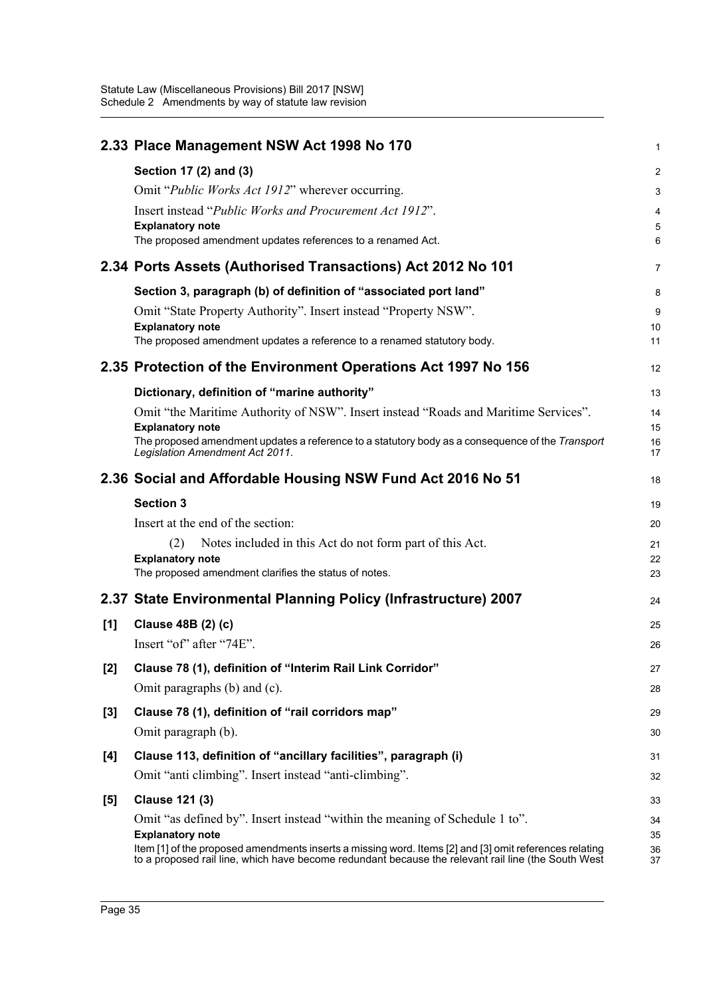|       | 2.33 Place Management NSW Act 1998 No 170                                                                                                                                                                     | $\mathbf{1}$ |
|-------|---------------------------------------------------------------------------------------------------------------------------------------------------------------------------------------------------------------|--------------|
|       | Section 17 (2) and (3)                                                                                                                                                                                        | 2            |
|       | Omit "Public Works Act 1912" wherever occurring.                                                                                                                                                              | 3            |
|       | Insert instead "Public Works and Procurement Act 1912".                                                                                                                                                       | 4            |
|       | <b>Explanatory note</b>                                                                                                                                                                                       | 5            |
|       | The proposed amendment updates references to a renamed Act.                                                                                                                                                   | 6            |
|       | 2.34 Ports Assets (Authorised Transactions) Act 2012 No 101                                                                                                                                                   | 7            |
|       | Section 3, paragraph (b) of definition of "associated port land"                                                                                                                                              | 8            |
|       | Omit "State Property Authority". Insert instead "Property NSW".                                                                                                                                               | 9            |
|       | <b>Explanatory note</b><br>The proposed amendment updates a reference to a renamed statutory body.                                                                                                            | 10<br>11     |
|       |                                                                                                                                                                                                               |              |
|       | 2.35 Protection of the Environment Operations Act 1997 No 156                                                                                                                                                 | 12           |
|       | Dictionary, definition of "marine authority"                                                                                                                                                                  | 13           |
|       | Omit "the Maritime Authority of NSW". Insert instead "Roads and Maritime Services".                                                                                                                           | 14           |
|       | <b>Explanatory note</b>                                                                                                                                                                                       | 15           |
|       | The proposed amendment updates a reference to a statutory body as a consequence of the Transport<br>Legislation Amendment Act 2011.                                                                           | 16<br>17     |
|       | 2.36 Social and Affordable Housing NSW Fund Act 2016 No 51                                                                                                                                                    | 18           |
|       | <b>Section 3</b>                                                                                                                                                                                              | 19           |
|       | Insert at the end of the section:                                                                                                                                                                             | 20           |
|       | Notes included in this Act do not form part of this Act.<br>(2)                                                                                                                                               | 21           |
|       | <b>Explanatory note</b><br>The proposed amendment clarifies the status of notes.                                                                                                                              | 22<br>23     |
|       |                                                                                                                                                                                                               |              |
|       | 2.37 State Environmental Planning Policy (Infrastructure) 2007                                                                                                                                                | 24           |
| [1]   | Clause 48B (2) (c)                                                                                                                                                                                            | 25           |
|       | Insert "of" after "74E".                                                                                                                                                                                      | 26           |
| $[2]$ | Clause 78 (1), definition of "Interim Rail Link Corridor"                                                                                                                                                     | 27           |
|       | Omit paragraphs (b) and (c).                                                                                                                                                                                  | 28           |
| $[3]$ | Clause 78 (1), definition of "rail corridors map"                                                                                                                                                             | 29           |
|       | Omit paragraph (b).                                                                                                                                                                                           | 30           |
| [4]   | Clause 113, definition of "ancillary facilities", paragraph (i)                                                                                                                                               | 31           |
|       | Omit "anti climbing". Insert instead "anti-climbing".                                                                                                                                                         | 32           |
| [5]   | <b>Clause 121 (3)</b>                                                                                                                                                                                         | 33           |
|       | Omit "as defined by". Insert instead "within the meaning of Schedule 1 to".                                                                                                                                   | 34           |
|       | <b>Explanatory note</b>                                                                                                                                                                                       | 35           |
|       | Item [1] of the proposed amendments inserts a missing word. Items [2] and [3] omit references relating<br>to a proposed rail line, which have become redundant because the relevant rail line (the South West | 36<br>37     |
|       |                                                                                                                                                                                                               |              |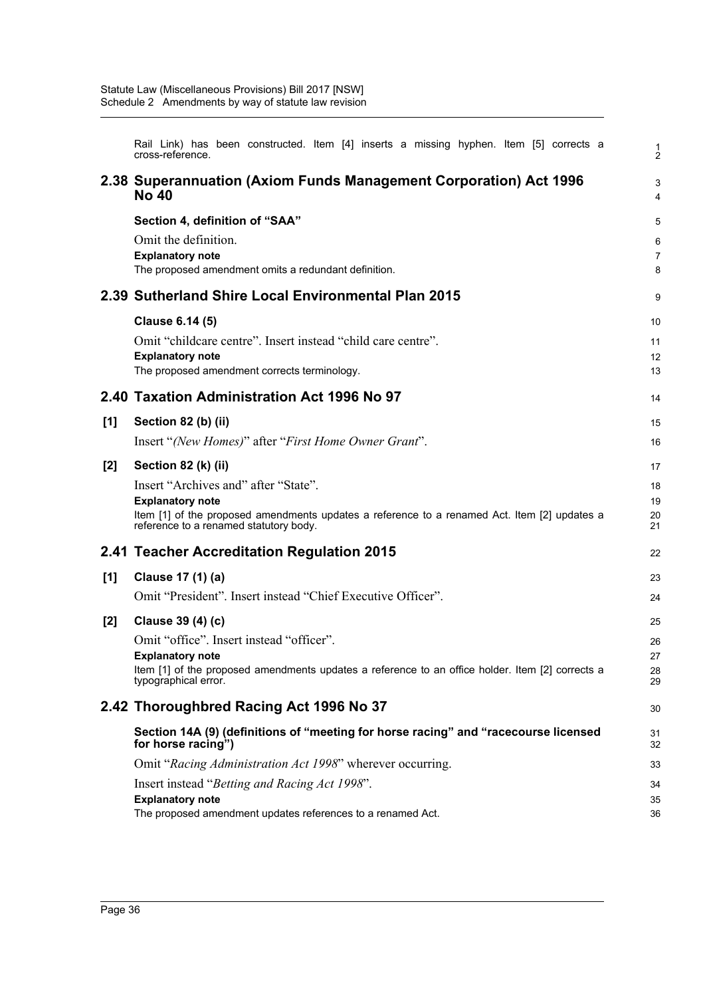|       | Rail Link) has been constructed. Item [4] inserts a missing hyphen. Item [5] corrects a<br>cross-reference.                                                                                               | $\frac{1}{2}$        |
|-------|-----------------------------------------------------------------------------------------------------------------------------------------------------------------------------------------------------------|----------------------|
|       | 2.38 Superannuation (Axiom Funds Management Corporation) Act 1996<br><b>No 40</b>                                                                                                                         | 3<br>4               |
|       | Section 4, definition of "SAA"<br>Omit the definition.<br><b>Explanatory note</b><br>The proposed amendment omits a redundant definition.                                                                 | 5<br>6<br>7<br>8     |
|       | 2.39 Sutherland Shire Local Environmental Plan 2015                                                                                                                                                       | 9                    |
|       | Clause 6.14 (5)<br>Omit "childcare centre". Insert instead "child care centre".<br><b>Explanatory note</b><br>The proposed amendment corrects terminology.                                                | 10<br>11<br>12<br>13 |
|       | 2.40 Taxation Administration Act 1996 No 97                                                                                                                                                               | 14                   |
| [1]   | Section 82 (b) (ii)                                                                                                                                                                                       | 15                   |
|       | Insert "(New Homes)" after "First Home Owner Grant".                                                                                                                                                      | 16                   |
| $[2]$ | Section 82 (k) (ii)                                                                                                                                                                                       | 17                   |
|       | Insert "Archives and" after "State".<br><b>Explanatory note</b><br>Item [1] of the proposed amendments updates a reference to a renamed Act. Item [2] updates a<br>reference to a renamed statutory body. | 18<br>19<br>20<br>21 |
|       | 2.41 Teacher Accreditation Regulation 2015                                                                                                                                                                | 22                   |
| [1]   | Clause 17 (1) (a)                                                                                                                                                                                         | 23                   |
|       | Omit "President". Insert instead "Chief Executive Officer".                                                                                                                                               | 24                   |
| $[2]$ | Clause 39 (4) (c)                                                                                                                                                                                         | 25                   |
|       | Omit "office". Insert instead "officer".                                                                                                                                                                  | 26                   |
|       | <b>Explanatory note</b><br>Item [1] of the proposed amendments updates a reference to an office holder. Item [2] corrects a<br>typographical error.                                                       | 27<br>28<br>29       |
|       | 2.42 Thoroughbred Racing Act 1996 No 37                                                                                                                                                                   | 30                   |
|       | Section 14A (9) (definitions of "meeting for horse racing" and "racecourse licensed<br>for horse racing")                                                                                                 | 31<br>32             |
|       | Omit "Racing Administration Act 1998" wherever occurring.                                                                                                                                                 | 33                   |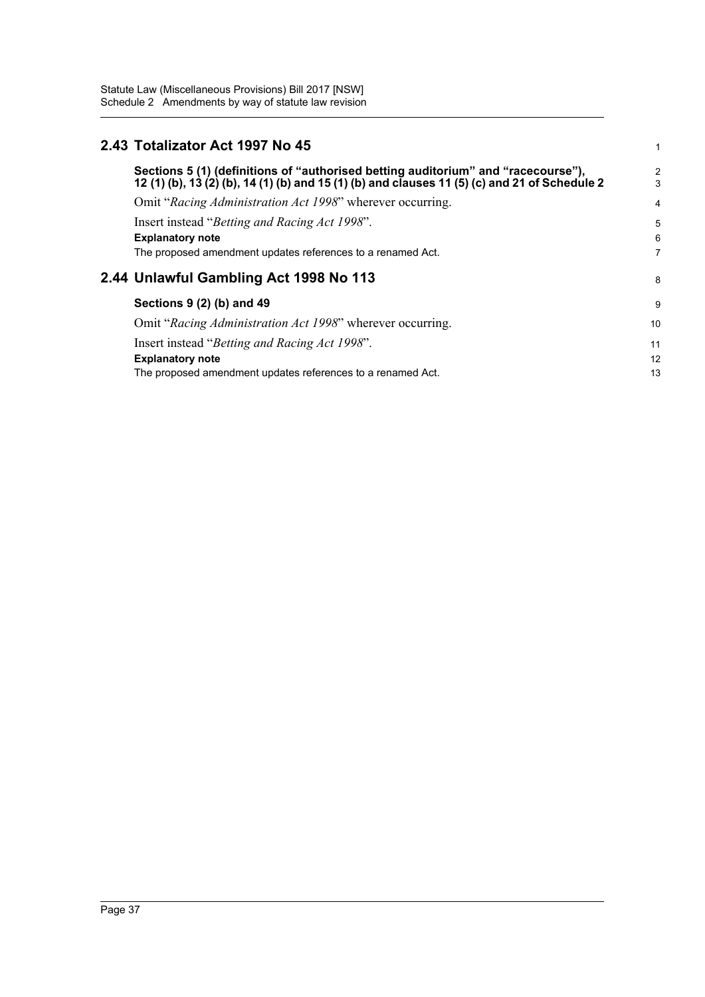| 2.43 Totalizator Act 1997 No 45                                                                                                                                                    | 1                   |
|------------------------------------------------------------------------------------------------------------------------------------------------------------------------------------|---------------------|
| Sections 5 (1) (definitions of "authorised betting auditorium" and "racecourse"),<br>12 (1) (b), 13 (2) (b), 14 (1) (b) and 15 (1) (b) and clauses 11 (5) (c) and 21 of Schedule 2 | $\overline{2}$<br>3 |
| Omit "Racing Administration Act 1998" wherever occurring.                                                                                                                          | 4                   |
| Insert instead "Betting and Racing Act 1998".<br><b>Explanatory note</b><br>The proposed amendment updates references to a renamed Act.                                            | 5<br>6<br>7         |
| 2.44 Unlawful Gambling Act 1998 No 113                                                                                                                                             | 8                   |
| Sections 9 (2) (b) and 49                                                                                                                                                          | 9                   |
| Omit "Racing Administration Act 1998" wherever occurring.                                                                                                                          | 10                  |
| Insert instead "Betting and Racing Act 1998".<br><b>Explanatory note</b><br>The proposed amendment updates references to a renamed Act.                                            | 11<br>12<br>13      |
|                                                                                                                                                                                    |                     |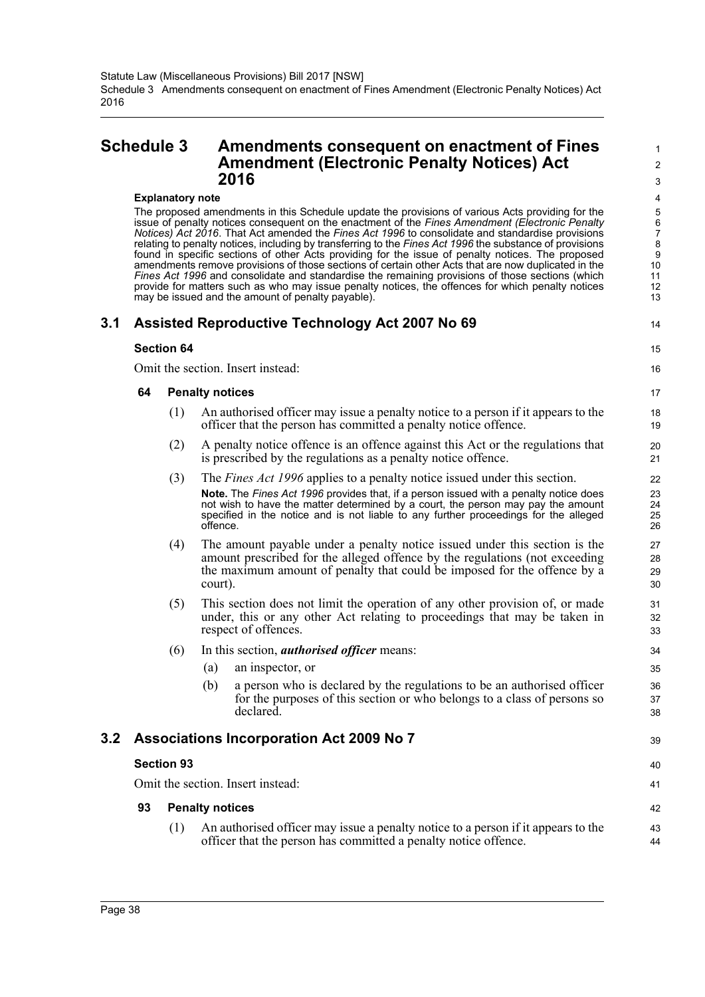# **Schedule 3 Amendments consequent on enactment of Fines Amendment (Electronic Penalty Notices) Act 2016**

#### **Explanatory note**

The proposed amendments in this Schedule update the provisions of various Acts providing for the issue of penalty notices consequent on the enactment of the *Fines Amendment (Electronic Penalty Notices) Act 2016*. That Act amended the *Fines Act 1996* to consolidate and standardise provisions relating to penalty notices, including by transferring to the *Fines Act 1996* the substance of provisions found in specific sections of other Acts providing for the issue of penalty notices. The proposed amendments remove provisions of those sections of certain other Acts that are now duplicated in the *Fines Act 1996* and consolidate and standardise the remaining provisions of those sections (which provide for matters such as who may issue penalty notices, the offences for which penalty notices may be issued and the amount of penalty payable).

14 15 16

39

40 41

42 43 44

# **3.1 Assisted Reproductive Technology Act 2007 No 69**

#### **Section 64**

Omit the section. Insert instead:

#### **64 Penalty notices**

- (1) An authorised officer may issue a penalty notice to a person if it appears to the officer that the person has committed a penalty notice offence.
- (2) A penalty notice offence is an offence against this Act or the regulations that is prescribed by the regulations as a penalty notice offence.
- (3) The *Fines Act 1996* applies to a penalty notice issued under this section. **Note.** The *Fines Act 1996* provides that, if a person issued with a penalty notice does not wish to have the matter determined by a court, the person may pay the amount specified in the notice and is not liable to any further proceedings for the alleged offence.
- (4) The amount payable under a penalty notice issued under this section is the amount prescribed for the alleged offence by the regulations (not exceeding the maximum amount of penalty that could be imposed for the offence by a court).
- (5) This section does not limit the operation of any other provision of, or made under, this or any other Act relating to proceedings that may be taken in respect of offences.
- (6) In this section, *authorised officer* means:
	- (a) an inspector, or
	- (b) a person who is declared by the regulations to be an authorised officer for the purposes of this section or who belongs to a class of persons so declared.

## **3.2 Associations Incorporation Act 2009 No 7**

## **Section 93**

Omit the section. Insert instead:

## **93 Penalty notices**

(1) An authorised officer may issue a penalty notice to a person if it appears to the officer that the person has committed a penalty notice offence.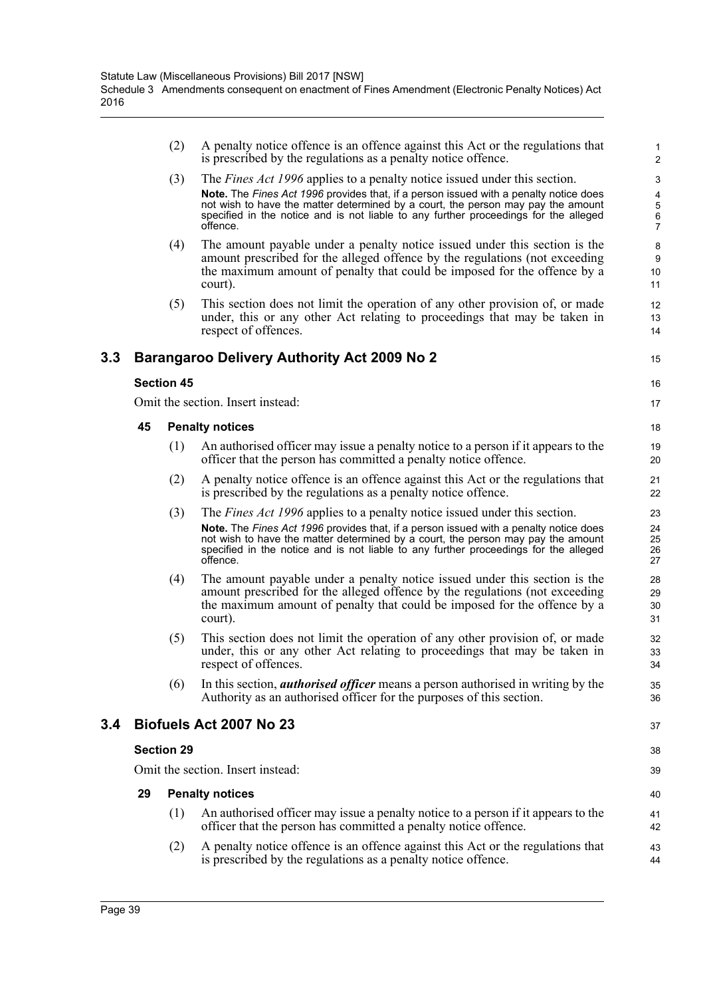(2) A penalty notice offence is an offence against this Act or the regulations that is prescribed by the regulations as a penalty notice offence.

15

16 17

37

- (3) The *Fines Act 1996* applies to a penalty notice issued under this section. **Note.** The *Fines Act 1996* provides that, if a person issued with a penalty notice does not wish to have the matter determined by a court, the person may pay the amount specified in the notice and is not liable to any further proceedings for the alleged offence.
- (4) The amount payable under a penalty notice issued under this section is the amount prescribed for the alleged offence by the regulations (not exceeding the maximum amount of penalty that could be imposed for the offence by a court).
- (5) This section does not limit the operation of any other provision of, or made under, this or any other Act relating to proceedings that may be taken in respect of offences.

## **3.3 Barangaroo Delivery Authority Act 2009 No 2**

## **Section 45**

Omit the section. Insert instead:

## **45 Penalty notices**

- (1) An authorised officer may issue a penalty notice to a person if it appears to the officer that the person has committed a penalty notice offence.
- (2) A penalty notice offence is an offence against this Act or the regulations that is prescribed by the regulations as a penalty notice offence.
- (3) The *Fines Act 1996* applies to a penalty notice issued under this section. **Note.** The *Fines Act 1996* provides that, if a person issued with a penalty notice does not wish to have the matter determined by a court, the person may pay the amount specified in the notice and is not liable to any further proceedings for the alleged offence.
- (4) The amount payable under a penalty notice issued under this section is the amount prescribed for the alleged offence by the regulations (not exceeding the maximum amount of penalty that could be imposed for the offence by a court).
- (5) This section does not limit the operation of any other provision of, or made under, this or any other Act relating to proceedings that may be taken in respect of offences.
- (6) In this section, *authorised officer* means a person authorised in writing by the Authority as an authorised officer for the purposes of this section.

# **3.4 Biofuels Act 2007 No 23**

## **Section 29**

Omit the section. Insert instead:

## **29 Penalty notices**

- (1) An authorised officer may issue a penalty notice to a person if it appears to the officer that the person has committed a penalty notice offence.
- (2) A penalty notice offence is an offence against this Act or the regulations that is prescribed by the regulations as a penalty notice offence.

Page 39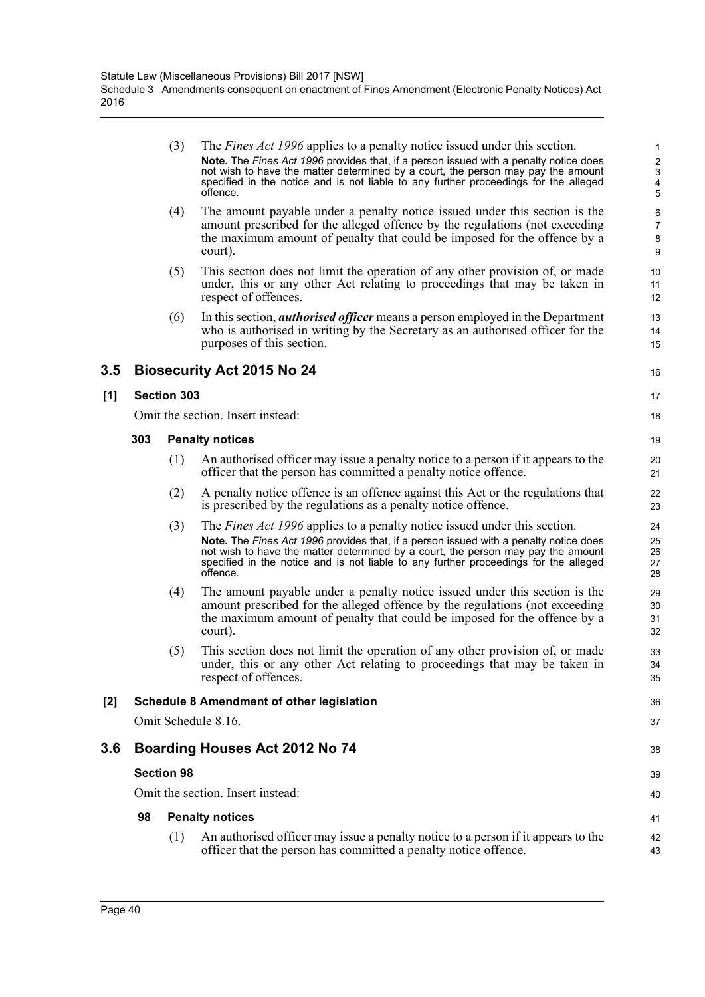|     |                                   | (3)                               | The <i>Fines Act 1996</i> applies to a penalty notice issued under this section.<br>Note. The Fines Act 1996 provides that, if a person issued with a penalty notice does<br>not wish to have the matter determined by a court, the person may pay the amount                 | 1<br>$\overline{2}$<br>3      |  |  |  |
|-----|-----------------------------------|-----------------------------------|-------------------------------------------------------------------------------------------------------------------------------------------------------------------------------------------------------------------------------------------------------------------------------|-------------------------------|--|--|--|
|     |                                   |                                   | specified in the notice and is not liable to any further proceedings for the alleged<br>offence.                                                                                                                                                                              | $\overline{\mathbf{4}}$<br>5  |  |  |  |
|     |                                   | (4)                               | The amount payable under a penalty notice issued under this section is the<br>amount prescribed for the alleged offence by the regulations (not exceeding<br>the maximum amount of penalty that could be imposed for the offence by a<br>court).                              | 6<br>$\overline{7}$<br>8<br>9 |  |  |  |
|     |                                   | (5)                               | This section does not limit the operation of any other provision of, or made<br>under, this or any other Act relating to proceedings that may be taken in<br>respect of offences.                                                                                             | 10<br>11<br>12                |  |  |  |
|     |                                   | (6)                               | In this section, <i>authorised officer</i> means a person employed in the Department<br>who is authorised in writing by the Secretary as an authorised officer for the<br>purposes of this section.                                                                           | 13<br>14<br>15                |  |  |  |
| 3.5 |                                   |                                   | <b>Biosecurity Act 2015 No 24</b>                                                                                                                                                                                                                                             | 16                            |  |  |  |
| [1] |                                   | <b>Section 303</b>                |                                                                                                                                                                                                                                                                               | 17                            |  |  |  |
|     |                                   | Omit the section. Insert instead: |                                                                                                                                                                                                                                                                               |                               |  |  |  |
|     | 303                               |                                   | <b>Penalty notices</b>                                                                                                                                                                                                                                                        | 19                            |  |  |  |
|     |                                   | (1)                               | An authorised officer may issue a penalty notice to a person if it appears to the<br>officer that the person has committed a penalty notice offence.                                                                                                                          | 20<br>21                      |  |  |  |
|     |                                   | (2)                               | A penalty notice offence is an offence against this Act or the regulations that<br>is prescribed by the regulations as a penalty notice offence.                                                                                                                              | 22<br>23                      |  |  |  |
|     |                                   | (3)                               | The <i>Fines Act 1996</i> applies to a penalty notice issued under this section.                                                                                                                                                                                              | 24                            |  |  |  |
|     |                                   |                                   | Note. The Fines Act 1996 provides that, if a person issued with a penalty notice does<br>not wish to have the matter determined by a court, the person may pay the amount<br>specified in the notice and is not liable to any further proceedings for the alleged<br>offence. | 25<br>26<br>27<br>28          |  |  |  |
|     |                                   | (4)                               | The amount payable under a penalty notice issued under this section is the<br>amount prescribed for the alleged offence by the regulations (not exceeding<br>the maximum amount of penalty that could be imposed for the offence by a<br>court).                              | 29<br>30<br>31<br>32          |  |  |  |
|     |                                   | (5)                               | This section does not limit the operation of any other provision of, or made<br>under, this or any other Act relating to proceedings that may be taken in<br>respect of offences.                                                                                             | 33<br>34<br>35                |  |  |  |
| [2] |                                   |                                   | <b>Schedule 8 Amendment of other legislation</b>                                                                                                                                                                                                                              | 36                            |  |  |  |
|     |                                   |                                   | Omit Schedule 8.16.                                                                                                                                                                                                                                                           | 37                            |  |  |  |
| 3.6 |                                   |                                   | Boarding Houses Act 2012 No 74                                                                                                                                                                                                                                                | 38                            |  |  |  |
|     |                                   | <b>Section 98</b>                 |                                                                                                                                                                                                                                                                               | 39                            |  |  |  |
|     | Omit the section. Insert instead: |                                   |                                                                                                                                                                                                                                                                               |                               |  |  |  |
|     | 98                                |                                   | <b>Penalty notices</b>                                                                                                                                                                                                                                                        | 41                            |  |  |  |
|     |                                   | (1)                               | An authorised officer may issue a penalty notice to a person if it appears to the<br>officer that the person has committed a penalty notice offence.                                                                                                                          | 42<br>43                      |  |  |  |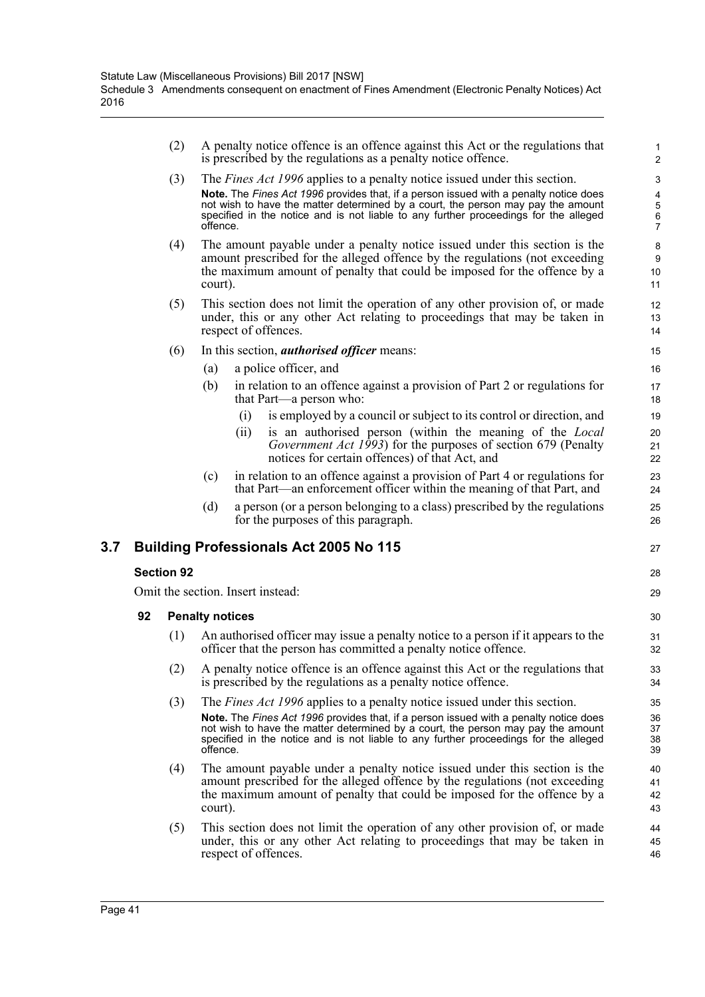(2) A penalty notice offence is an offence against this Act or the regulations that is prescribed by the regulations as a penalty notice offence.

27

28 29

- (3) The *Fines Act 1996* applies to a penalty notice issued under this section. **Note.** The *Fines Act 1996* provides that, if a person issued with a penalty notice does not wish to have the matter determined by a court, the person may pay the amount specified in the notice and is not liable to any further proceedings for the alleged offence.
- (4) The amount payable under a penalty notice issued under this section is the amount prescribed for the alleged offence by the regulations (not exceeding the maximum amount of penalty that could be imposed for the offence by a court).
- (5) This section does not limit the operation of any other provision of, or made under, this or any other Act relating to proceedings that may be taken in respect of offences.

## (6) In this section, *authorised officer* means:

- (a) a police officer, and
- (b) in relation to an offence against a provision of Part 2 or regulations for that Part—a person who:
	- (i) is employed by a council or subject to its control or direction, and
	- (ii) is an authorised person (within the meaning of the *Local Government Act 1993*) for the purposes of section 679 (Penalty notices for certain offences) of that Act, and
- (c) in relation to an offence against a provision of Part 4 or regulations for that Part—an enforcement officer within the meaning of that Part, and
- (d) a person (or a person belonging to a class) prescribed by the regulations for the purposes of this paragraph.

# **3.7 Building Professionals Act 2005 No 115**

## **Section 92**

Omit the section. Insert instead:

- (1) An authorised officer may issue a penalty notice to a person if it appears to the officer that the person has committed a penalty notice offence.
- (2) A penalty notice offence is an offence against this Act or the regulations that is prescribed by the regulations as a penalty notice offence.
- (3) The *Fines Act 1996* applies to a penalty notice issued under this section. **Note.** The *Fines Act 1996* provides that, if a person issued with a penalty notice does not wish to have the matter determined by a court, the person may pay the amount specified in the notice and is not liable to any further proceedings for the alleged offence.
- (4) The amount payable under a penalty notice issued under this section is the amount prescribed for the alleged offence by the regulations (not exceeding the maximum amount of penalty that could be imposed for the offence by a court).
- (5) This section does not limit the operation of any other provision of, or made under, this or any other Act relating to proceedings that may be taken in respect of offences.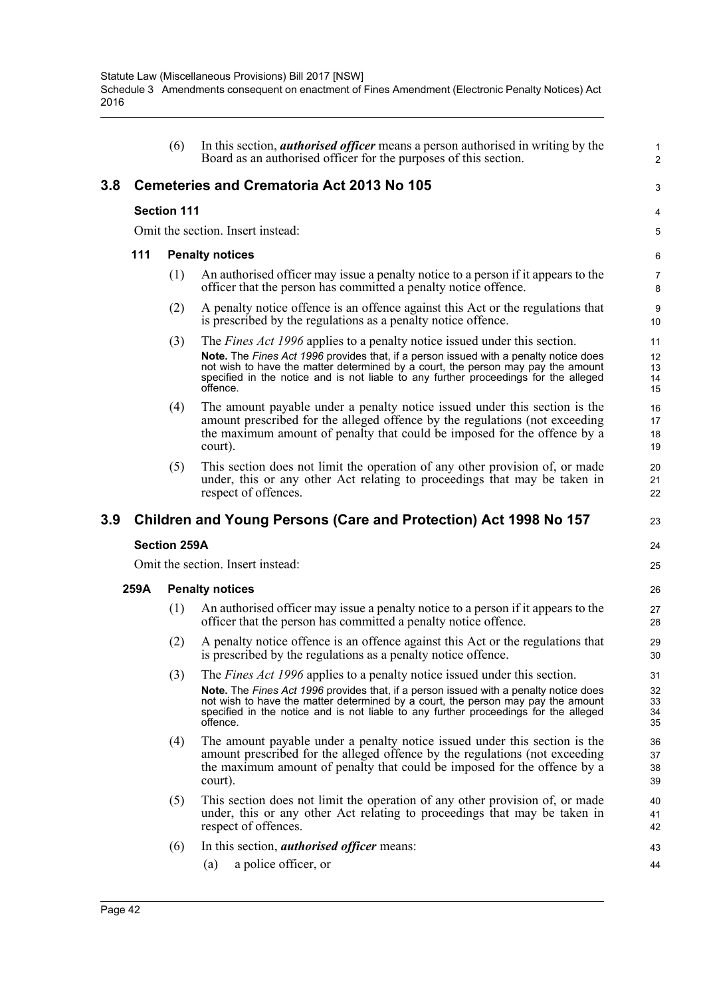|     |                                                  | (6)                 | In this section, <i>authorised officer</i> means a person authorised in writing by the<br>Board as an authorised officer for the purposes of this section.                                                                                                                                                                                                        | $\mathbf{1}$<br>$\overline{2}$ |  |
|-----|--------------------------------------------------|---------------------|-------------------------------------------------------------------------------------------------------------------------------------------------------------------------------------------------------------------------------------------------------------------------------------------------------------------------------------------------------------------|--------------------------------|--|
| 3.8 | <b>Cemeteries and Crematoria Act 2013 No 105</b> |                     |                                                                                                                                                                                                                                                                                                                                                                   |                                |  |
|     |                                                  | <b>Section 111</b>  |                                                                                                                                                                                                                                                                                                                                                                   | 4                              |  |
|     |                                                  |                     | Omit the section. Insert instead:                                                                                                                                                                                                                                                                                                                                 | 5                              |  |
|     | 111                                              |                     | <b>Penalty notices</b>                                                                                                                                                                                                                                                                                                                                            | 6                              |  |
|     |                                                  | (1)                 | An authorised officer may issue a penalty notice to a person if it appears to the<br>officer that the person has committed a penalty notice offence.                                                                                                                                                                                                              | 7<br>8                         |  |
|     |                                                  | (2)                 | A penalty notice offence is an offence against this Act or the regulations that<br>is prescribed by the regulations as a penalty notice offence.                                                                                                                                                                                                                  | 9<br>10                        |  |
|     |                                                  | (3)                 | The <i>Fines Act 1996</i> applies to a penalty notice issued under this section.<br>Note. The Fines Act 1996 provides that, if a person issued with a penalty notice does<br>not wish to have the matter determined by a court, the person may pay the amount<br>specified in the notice and is not liable to any further proceedings for the alleged<br>offence. | 11<br>12<br>13<br>14<br>15     |  |
|     |                                                  | (4)                 | The amount payable under a penalty notice issued under this section is the<br>amount prescribed for the alleged offence by the regulations (not exceeding<br>the maximum amount of penalty that could be imposed for the offence by a<br>court).                                                                                                                  | 16<br>17<br>18<br>19           |  |
|     |                                                  | (5)                 | This section does not limit the operation of any other provision of, or made<br>under, this or any other Act relating to proceedings that may be taken in<br>respect of offences.                                                                                                                                                                                 | 20<br>21<br>22                 |  |
| 3.9 |                                                  |                     | Children and Young Persons (Care and Protection) Act 1998 No 157                                                                                                                                                                                                                                                                                                  | 23                             |  |
|     |                                                  | <b>Section 259A</b> |                                                                                                                                                                                                                                                                                                                                                                   | 24                             |  |
|     |                                                  |                     | Omit the section. Insert instead:                                                                                                                                                                                                                                                                                                                                 | 25                             |  |
|     | 259A                                             |                     | <b>Penalty notices</b>                                                                                                                                                                                                                                                                                                                                            | 26                             |  |
|     |                                                  | (1)                 | An authorised officer may issue a penalty notice to a person if it appears to the<br>officer that the person has committed a penalty notice offence.                                                                                                                                                                                                              | 27<br>28                       |  |
|     |                                                  | (2)                 | A penalty notice offence is an offence against this Act or the regulations that<br>is prescribed by the regulations as a penalty notice offence.                                                                                                                                                                                                                  | 29<br>30                       |  |
|     |                                                  | (3)                 | The Fines Act 1996 applies to a penalty notice issued under this section.<br>Note. The Fines Act 1996 provides that, if a person issued with a penalty notice does<br>not wish to have the matter determined by a court, the person may pay the amount<br>specified in the notice and is not liable to any further proceedings for the alleged<br>offence.        | 31<br>32<br>33<br>34<br>35     |  |
|     |                                                  | (4)                 | The amount payable under a penalty notice issued under this section is the<br>amount prescribed for the alleged offence by the regulations (not exceeding<br>the maximum amount of penalty that could be imposed for the offence by a<br>court).                                                                                                                  | 36<br>37<br>38<br>39           |  |
|     |                                                  | (5)                 | This section does not limit the operation of any other provision of, or made<br>under, this or any other Act relating to proceedings that may be taken in<br>respect of offences.                                                                                                                                                                                 | 40<br>41<br>42                 |  |
|     |                                                  | (6)                 | In this section, <i>authorised officer</i> means:<br>a police officer, or<br>(a)                                                                                                                                                                                                                                                                                  | 43<br>44                       |  |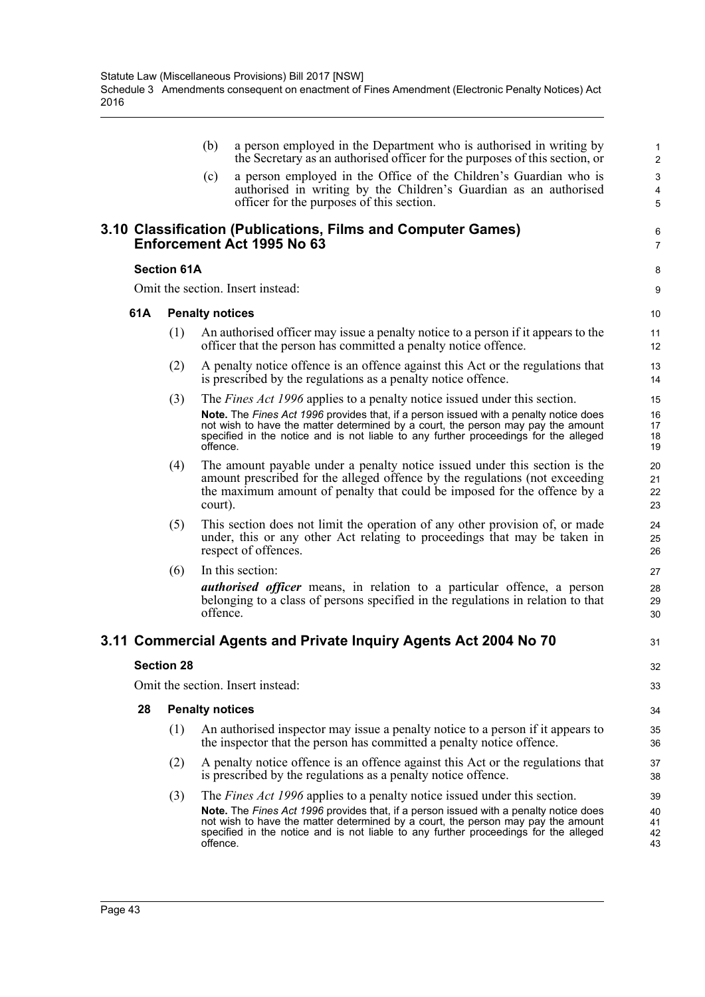|     |                    | (b)                    | a person employed in the Department who is authorised in writing by<br>the Secretary as an authorised officer for the purposes of this section, or                                                                                                                | $\mathbf{1}$<br>$\overline{2}$ |
|-----|--------------------|------------------------|-------------------------------------------------------------------------------------------------------------------------------------------------------------------------------------------------------------------------------------------------------------------|--------------------------------|
|     |                    | (c)                    | a person employed in the Office of the Children's Guardian who is<br>authorised in writing by the Children's Guardian as an authorised<br>officer for the purposes of this section.                                                                               | 3<br>$\overline{4}$<br>5       |
|     |                    |                        | 3.10 Classification (Publications, Films and Computer Games)<br>Enforcement Act 1995 No 63                                                                                                                                                                        | 6<br>7                         |
|     | <b>Section 61A</b> |                        |                                                                                                                                                                                                                                                                   | 8                              |
|     |                    |                        | Omit the section. Insert instead:                                                                                                                                                                                                                                 | 9                              |
| 61A |                    | <b>Penalty notices</b> |                                                                                                                                                                                                                                                                   | 10                             |
|     | (1)                |                        | An authorised officer may issue a penalty notice to a person if it appears to the<br>officer that the person has committed a penalty notice offence.                                                                                                              | 11<br>12                       |
|     | (2)                |                        | A penalty notice offence is an offence against this Act or the regulations that<br>is prescribed by the regulations as a penalty notice offence.                                                                                                                  | 13<br>14                       |
|     | (3)                |                        | The <i>Fines Act 1996</i> applies to a penalty notice issued under this section.                                                                                                                                                                                  | 15                             |
|     |                    | offence.               | Note. The Fines Act 1996 provides that, if a person issued with a penalty notice does<br>not wish to have the matter determined by a court, the person may pay the amount<br>specified in the notice and is not liable to any further proceedings for the alleged | 16<br>17<br>18<br>19           |
|     | (4)                | court).                | The amount payable under a penalty notice issued under this section is the<br>amount prescribed for the alleged offence by the regulations (not exceeding<br>the maximum amount of penalty that could be imposed for the offence by a                             | 20<br>21<br>22<br>23           |
|     | (5)                |                        | This section does not limit the operation of any other provision of, or made<br>under, this or any other Act relating to proceedings that may be taken in<br>respect of offences.                                                                                 | 24<br>25<br>26                 |
|     | (6)                | In this section:       |                                                                                                                                                                                                                                                                   | 27                             |
|     |                    | offence.               | <i>authorised officer</i> means, in relation to a particular offence, a person<br>belonging to a class of persons specified in the regulations in relation to that                                                                                                | 28<br>29<br>30                 |
|     |                    |                        | 3.11 Commercial Agents and Private Inquiry Agents Act 2004 No 70                                                                                                                                                                                                  | 31                             |
|     | <b>Section 28</b>  |                        |                                                                                                                                                                                                                                                                   | 32                             |
|     |                    |                        | Omit the section. Insert instead:                                                                                                                                                                                                                                 | 33                             |
| 28  |                    | <b>Penalty notices</b> |                                                                                                                                                                                                                                                                   | 34                             |
|     | (1)                |                        | An authorised inspector may issue a penalty notice to a person if it appears to<br>the inspector that the person has committed a penalty notice offence.                                                                                                          | 35<br>36                       |
|     | (2)                |                        | A penalty notice offence is an offence against this Act or the regulations that<br>is prescribed by the regulations as a penalty notice offence.                                                                                                                  | 37<br>38                       |
|     | (3)                |                        | The <i>Fines Act 1996</i> applies to a penalty notice issued under this section.                                                                                                                                                                                  | 39                             |
|     |                    | offence.               | Note. The Fines Act 1996 provides that, if a person issued with a penalty notice does<br>not wish to have the matter determined by a court, the person may pay the amount<br>specified in the notice and is not liable to any further proceedings for the alleged | 40<br>41<br>42<br>43           |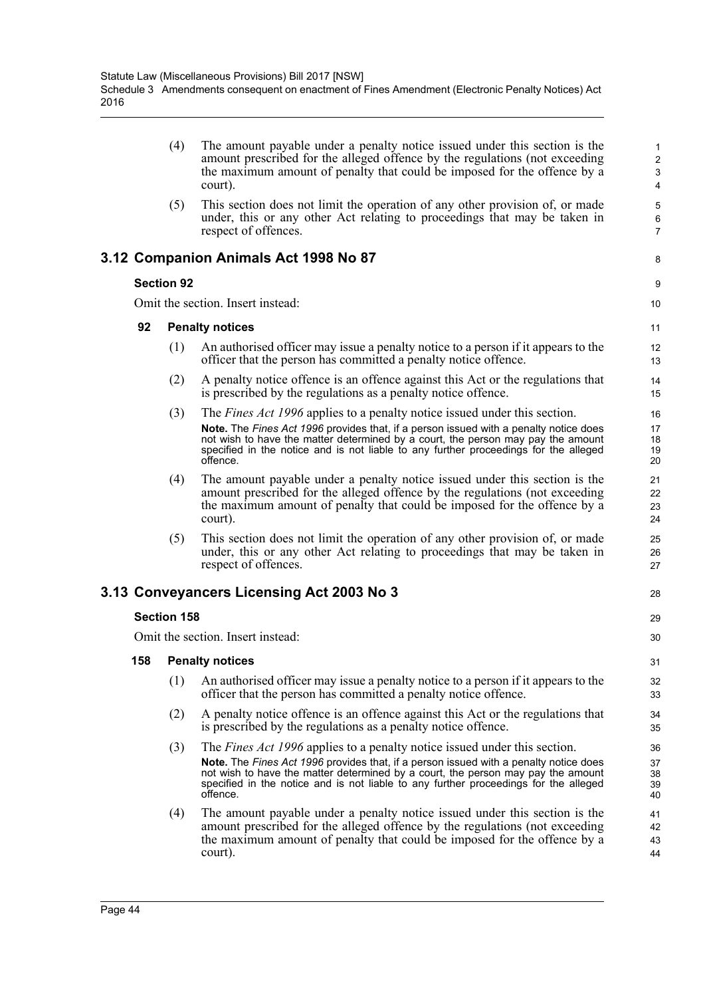(4) The amount payable under a penalty notice issued under this section is the amount prescribed for the alleged offence by the regulations (not exceeding the maximum amount of penalty that could be imposed for the offence by a court).

8

 $\alpha$ 10

28 29 30

(5) This section does not limit the operation of any other provision of, or made under, this or any other Act relating to proceedings that may be taken in respect of offences.

# **3.12 Companion Animals Act 1998 No 87**

## **Section 92**

Omit the section. Insert instead:

## **92 Penalty notices**

- (1) An authorised officer may issue a penalty notice to a person if it appears to the officer that the person has committed a penalty notice offence.
- (2) A penalty notice offence is an offence against this Act or the regulations that is prescribed by the regulations as a penalty notice offence.
- (3) The *Fines Act 1996* applies to a penalty notice issued under this section. **Note.** The *Fines Act 1996* provides that, if a person issued with a penalty notice does not wish to have the matter determined by a court, the person may pay the amount specified in the notice and is not liable to any further proceedings for the alleged offence.
- (4) The amount payable under a penalty notice issued under this section is the amount prescribed for the alleged offence by the regulations (not exceeding the maximum amount of penalty that could be imposed for the offence by a court).
- (5) This section does not limit the operation of any other provision of, or made under, this or any other Act relating to proceedings that may be taken in respect of offences.

# **3.13 Conveyancers Licensing Act 2003 No 3**

## **Section 158**

Omit the section. Insert instead:

- (1) An authorised officer may issue a penalty notice to a person if it appears to the officer that the person has committed a penalty notice offence.
- (2) A penalty notice offence is an offence against this Act or the regulations that is prescribed by the regulations as a penalty notice offence.
- (3) The *Fines Act 1996* applies to a penalty notice issued under this section. **Note.** The *Fines Act 1996* provides that, if a person issued with a penalty notice does not wish to have the matter determined by a court, the person may pay the amount specified in the notice and is not liable to any further proceedings for the alleged offence.
- (4) The amount payable under a penalty notice issued under this section is the amount prescribed for the alleged offence by the regulations (not exceeding the maximum amount of penalty that could be imposed for the offence by a court).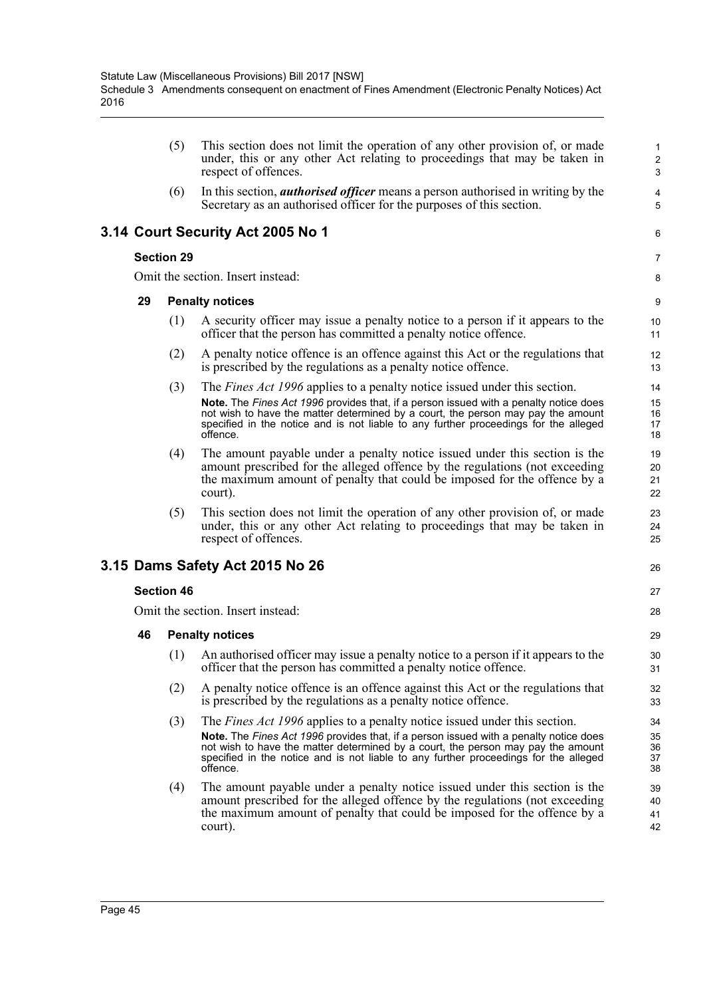|    | (5)               | This section does not limit the operation of any other provision of, or made<br>under, this or any other Act relating to proceedings that may be taken in<br>respect of offences.                                                                                                                                                                                 | $\mathbf{1}$<br>$\overline{2}$<br>3 |
|----|-------------------|-------------------------------------------------------------------------------------------------------------------------------------------------------------------------------------------------------------------------------------------------------------------------------------------------------------------------------------------------------------------|-------------------------------------|
|    | (6)               | In this section, <i>authorised officer</i> means a person authorised in writing by the<br>Secretary as an authorised officer for the purposes of this section.                                                                                                                                                                                                    | 4<br>5                              |
|    |                   | <b>Court Security Act 2005 No 1</b>                                                                                                                                                                                                                                                                                                                               | 6                                   |
|    | <b>Section 29</b> |                                                                                                                                                                                                                                                                                                                                                                   | 7                                   |
|    |                   | Omit the section. Insert instead:                                                                                                                                                                                                                                                                                                                                 | 8                                   |
| 29 |                   | <b>Penalty notices</b>                                                                                                                                                                                                                                                                                                                                            | 9                                   |
|    | (1)               | A security officer may issue a penalty notice to a person if it appears to the<br>officer that the person has committed a penalty notice offence.                                                                                                                                                                                                                 | 10<br>11                            |
|    | (2)               | A penalty notice offence is an offence against this Act or the regulations that<br>is prescribed by the regulations as a penalty notice offence.                                                                                                                                                                                                                  | 12<br>13                            |
|    | (3)               | The <i>Fines Act 1996</i> applies to a penalty notice issued under this section.<br>Note. The Fines Act 1996 provides that, if a person issued with a penalty notice does<br>not wish to have the matter determined by a court, the person may pay the amount<br>specified in the notice and is not liable to any further proceedings for the alleged<br>offence. | 14<br>15<br>16<br>17<br>18          |
|    | (4)               | The amount payable under a penalty notice issued under this section is the<br>amount prescribed for the alleged offence by the regulations (not exceeding<br>the maximum amount of penalty that could be imposed for the offence by a<br>court).                                                                                                                  | 19<br>20<br>21<br>22                |
|    | (5)               | This section does not limit the operation of any other provision of, or made<br>under, this or any other Act relating to proceedings that may be taken in<br>respect of offences.                                                                                                                                                                                 | 23<br>24<br>25                      |
|    |                   | Dams Safety Act 2015 No 26                                                                                                                                                                                                                                                                                                                                        | 26                                  |
|    | <b>Section 46</b> |                                                                                                                                                                                                                                                                                                                                                                   | 27                                  |
|    |                   | Omit the section. Insert instead:                                                                                                                                                                                                                                                                                                                                 | 28                                  |
| 46 |                   | <b>Penalty notices</b>                                                                                                                                                                                                                                                                                                                                            | 29                                  |
|    | (1)               | An authorised officer may issue a penalty notice to a person if it appears to the<br>officer that the person has committed a penalty notice offence.                                                                                                                                                                                                              | 30<br>31                            |
|    | (2)               | A penalty notice offence is an offence against this Act or the regulations that<br>is prescribed by the regulations as a penalty notice offence.                                                                                                                                                                                                                  | 32<br>33                            |
|    | (3)               | The Fines Act 1996 applies to a penalty notice issued under this section.<br>Note. The Fines Act 1996 provides that, if a person issued with a penalty notice does<br>not wish to have the matter determined by a court, the person may pay the amount<br>specified in the notice and is not liable to any further proceedings for the alleged<br>offence.        | 34<br>35<br>36<br>37<br>38          |
|    | (4)               | The amount payable under a penalty notice issued under this section is the<br>amount prescribed for the alleged offence by the regulations (not exceeding<br>the maximum amount of penalty that could be imposed for the offence by a<br>court).                                                                                                                  | 39<br>40<br>41<br>42                |

**3.14** 

**3.15**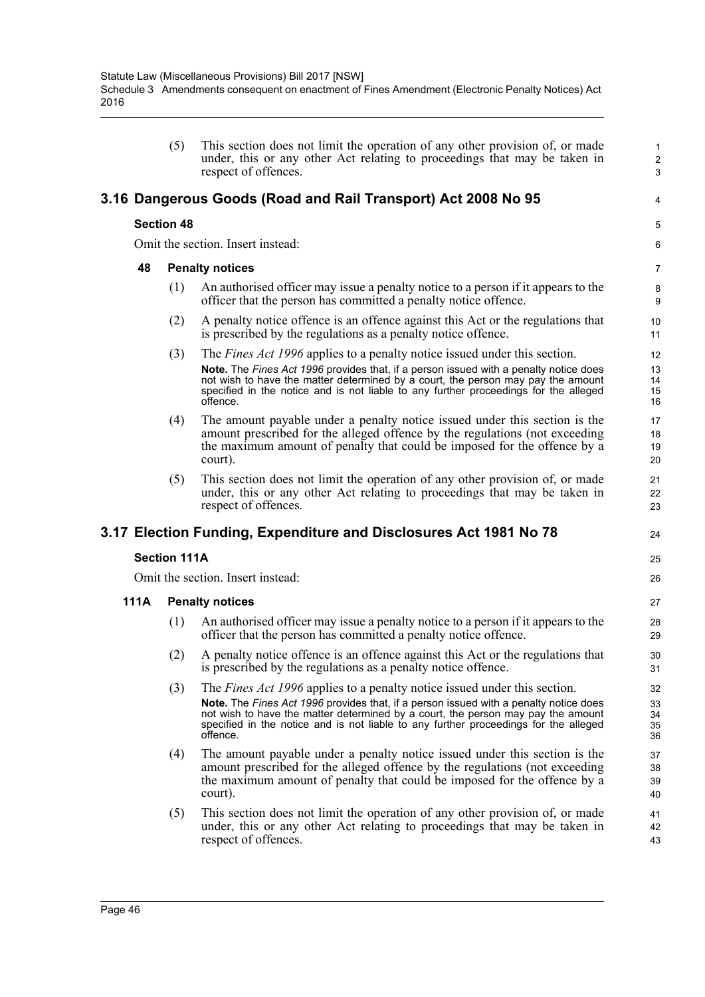(5) This section does not limit the operation of any other provision of, or made under, this or any other Act relating to proceedings that may be taken in respect of offences.

1 2 3

4

5 6

24 25 26

# **3.16 Dangerous Goods (Road and Rail Transport) Act 2008 No 95**

## **Section 48**

Omit the section. Insert instead:

#### **48 Penalty notices**

- (1) An authorised officer may issue a penalty notice to a person if it appears to the officer that the person has committed a penalty notice offence.
- (2) A penalty notice offence is an offence against this Act or the regulations that is prescribed by the regulations as a penalty notice offence.
- (3) The *Fines Act 1996* applies to a penalty notice issued under this section. **Note.** The *Fines Act 1996* provides that, if a person issued with a penalty notice does not wish to have the matter determined by a court, the person may pay the amount specified in the notice and is not liable to any further proceedings for the alleged offence.
- (4) The amount payable under a penalty notice issued under this section is the amount prescribed for the alleged offence by the regulations (not exceeding the maximum amount of penalty that could be imposed for the offence by a court).
- (5) This section does not limit the operation of any other provision of, or made under, this or any other Act relating to proceedings that may be taken in respect of offences.

# **3.17 Election Funding, Expenditure and Disclosures Act 1981 No 78**

## **Section 111A**

Omit the section. Insert instead:

- (1) An authorised officer may issue a penalty notice to a person if it appears to the officer that the person has committed a penalty notice offence.
- (2) A penalty notice offence is an offence against this Act or the regulations that is prescribed by the regulations as a penalty notice offence.
- (3) The *Fines Act 1996* applies to a penalty notice issued under this section. **Note.** The *Fines Act 1996* provides that, if a person issued with a penalty notice does not wish to have the matter determined by a court, the person may pay the amount specified in the notice and is not liable to any further proceedings for the alleged offence.
- (4) The amount payable under a penalty notice issued under this section is the amount prescribed for the alleged offence by the regulations (not exceeding the maximum amount of penalty that could be imposed for the offence by a court).
- (5) This section does not limit the operation of any other provision of, or made under, this or any other Act relating to proceedings that may be taken in respect of offences.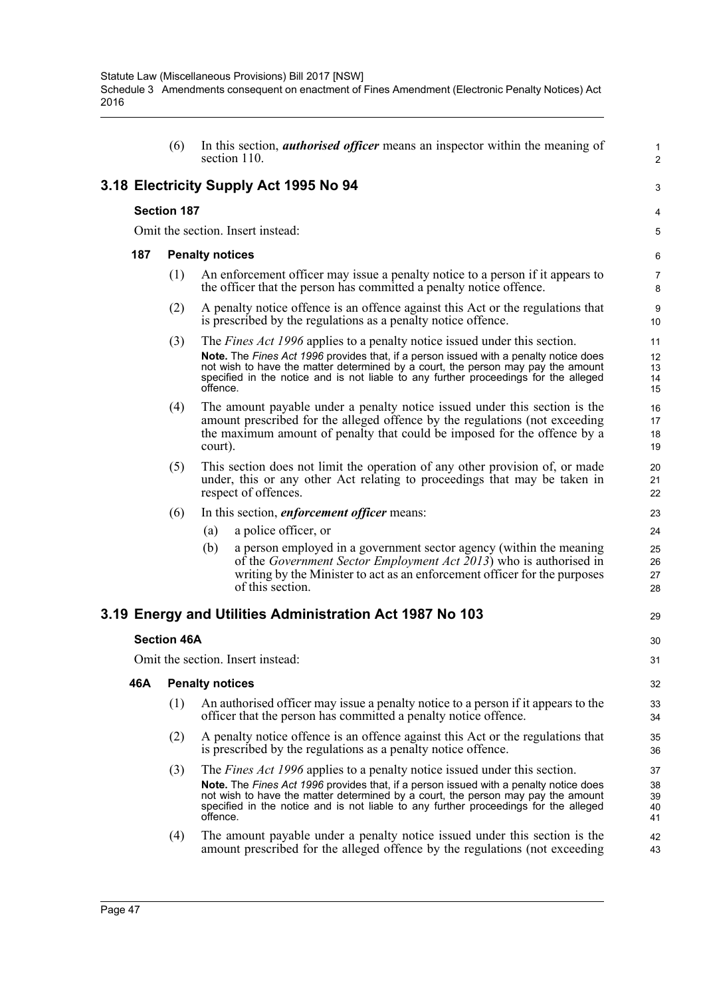(6) In this section, *authorised officer* means an inspector within the meaning of

1 2

42 43

|     |                    | section 110.                                                                                                                                                                                                                                                                                                                                                      | $\overline{\mathbf{c}}$    |
|-----|--------------------|-------------------------------------------------------------------------------------------------------------------------------------------------------------------------------------------------------------------------------------------------------------------------------------------------------------------------------------------------------------------|----------------------------|
|     |                    | 3.18 Electricity Supply Act 1995 No 94                                                                                                                                                                                                                                                                                                                            | 3                          |
|     | <b>Section 187</b> |                                                                                                                                                                                                                                                                                                                                                                   | 4                          |
|     |                    | Omit the section. Insert instead:                                                                                                                                                                                                                                                                                                                                 | 5                          |
| 187 |                    | <b>Penalty notices</b>                                                                                                                                                                                                                                                                                                                                            | 6                          |
|     | (1)                | An enforcement officer may issue a penalty notice to a person if it appears to<br>the officer that the person has committed a penalty notice offence.                                                                                                                                                                                                             | 7<br>8                     |
|     | (2)                | A penalty notice offence is an offence against this Act or the regulations that<br>is prescribed by the regulations as a penalty notice offence.                                                                                                                                                                                                                  | 9<br>10                    |
|     | (3)                | The <i>Fines Act 1996</i> applies to a penalty notice issued under this section.<br>Note. The Fines Act 1996 provides that, if a person issued with a penalty notice does<br>not wish to have the matter determined by a court, the person may pay the amount<br>specified in the notice and is not liable to any further proceedings for the alleged<br>offence. | 11<br>12<br>13<br>14<br>15 |
|     | (4)                | The amount payable under a penalty notice issued under this section is the<br>amount prescribed for the alleged offence by the regulations (not exceeding<br>the maximum amount of penalty that could be imposed for the offence by a<br>court).                                                                                                                  | 16<br>17<br>18<br>19       |
|     | (5)                | This section does not limit the operation of any other provision of, or made<br>under, this or any other Act relating to proceedings that may be taken in<br>respect of offences.                                                                                                                                                                                 | 20<br>21<br>22             |
|     | (6)                | In this section, <i>enforcement officer</i> means:                                                                                                                                                                                                                                                                                                                | 23                         |
|     |                    | a police officer, or<br>(a)                                                                                                                                                                                                                                                                                                                                       | 24                         |
|     |                    | a person employed in a government sector agency (within the meaning<br>(b)<br>of the <i>Government Sector Employment Act 2013</i> ) who is authorised in<br>writing by the Minister to act as an enforcement officer for the purposes<br>of this section.                                                                                                         | 25<br>26<br>27<br>28       |
|     |                    | 3.19 Energy and Utilities Administration Act 1987 No 103                                                                                                                                                                                                                                                                                                          | 29                         |
|     | <b>Section 46A</b> |                                                                                                                                                                                                                                                                                                                                                                   | 30                         |
|     |                    | Omit the section. Insert instead:                                                                                                                                                                                                                                                                                                                                 | 31                         |
| 46A |                    | <b>Penalty notices</b>                                                                                                                                                                                                                                                                                                                                            | 32                         |
|     | (1)                | An authorised officer may issue a penalty notice to a person if it appears to the<br>officer that the person has committed a penalty notice offence.                                                                                                                                                                                                              | 33<br>34                   |
|     | (2)                | A penalty notice offence is an offence against this Act or the regulations that<br>is prescribed by the regulations as a penalty notice offence.                                                                                                                                                                                                                  | 35<br>36                   |
|     | (3)                | The Fines Act 1996 applies to a penalty notice issued under this section.                                                                                                                                                                                                                                                                                         | 37                         |
|     |                    | Note. The Fines Act 1996 provides that, if a person issued with a penalty notice does<br>not wish to have the matter determined by a court, the person may pay the amount<br>specified in the notice and is not liable to any further proceedings for the alleged<br>offence.                                                                                     | 38<br>39<br>40<br>41       |

(4) The amount payable under a penalty notice issued under this section is the amount prescribed for the alleged offence by the regulations (not exceeding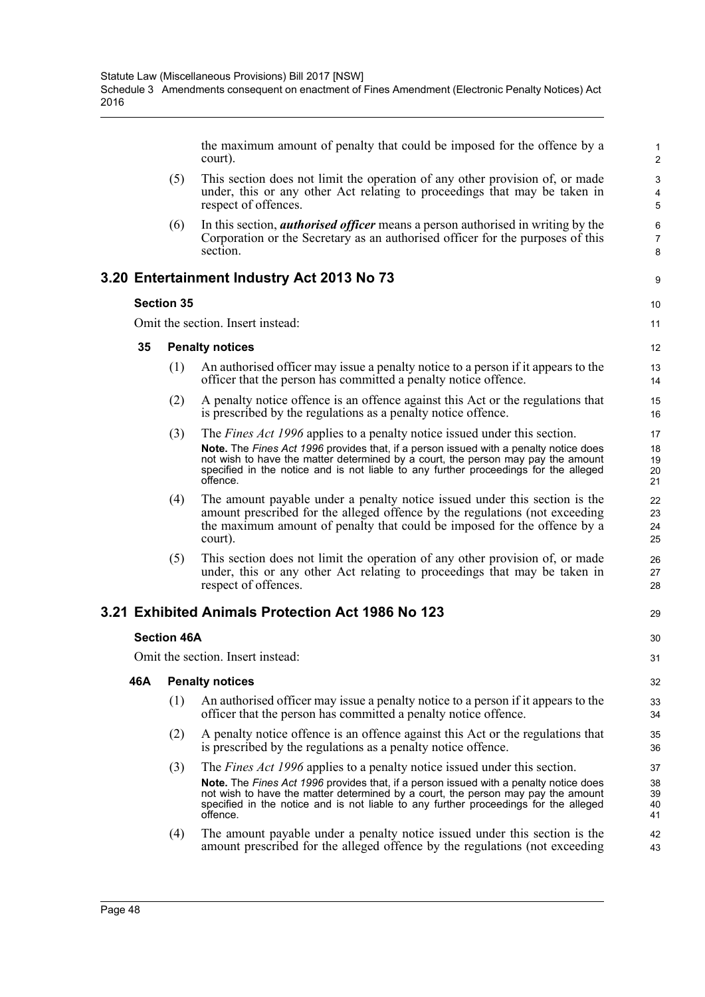the maximum amount of penalty that could be imposed for the offence by a court).

9

29

- (5) This section does not limit the operation of any other provision of, or made under, this or any other Act relating to proceedings that may be taken in respect of offences.
- (6) In this section, *authorised officer* means a person authorised in writing by the Corporation or the Secretary as an authorised officer for the purposes of this section.

# **3.20 Entertainment Industry Act 2013 No 73**

## **Section 35**

Omit the section. Insert instead:

## **35 Penalty notices**

- (1) An authorised officer may issue a penalty notice to a person if it appears to the officer that the person has committed a penalty notice offence.
- (2) A penalty notice offence is an offence against this Act or the regulations that is prescribed by the regulations as a penalty notice offence.
- (3) The *Fines Act 1996* applies to a penalty notice issued under this section. **Note.** The *Fines Act 1996* provides that, if a person issued with a penalty notice does not wish to have the matter determined by a court, the person may pay the amount specified in the notice and is not liable to any further proceedings for the alleged offence.
- (4) The amount payable under a penalty notice issued under this section is the amount prescribed for the alleged offence by the regulations (not exceeding the maximum amount of penalty that could be imposed for the offence by a court).
- (5) This section does not limit the operation of any other provision of, or made under, this or any other Act relating to proceedings that may be taken in respect of offences.

# **3.21 Exhibited Animals Protection Act 1986 No 123**

## **Section 46A**

Omit the section. Insert instead:

- (1) An authorised officer may issue a penalty notice to a person if it appears to the officer that the person has committed a penalty notice offence.
- (2) A penalty notice offence is an offence against this Act or the regulations that is prescribed by the regulations as a penalty notice offence.
- (3) The *Fines Act 1996* applies to a penalty notice issued under this section. **Note.** The *Fines Act 1996* provides that, if a person issued with a penalty notice does not wish to have the matter determined by a court, the person may pay the amount specified in the notice and is not liable to any further proceedings for the alleged offence.
- (4) The amount payable under a penalty notice issued under this section is the amount prescribed for the alleged offence by the regulations (not exceeding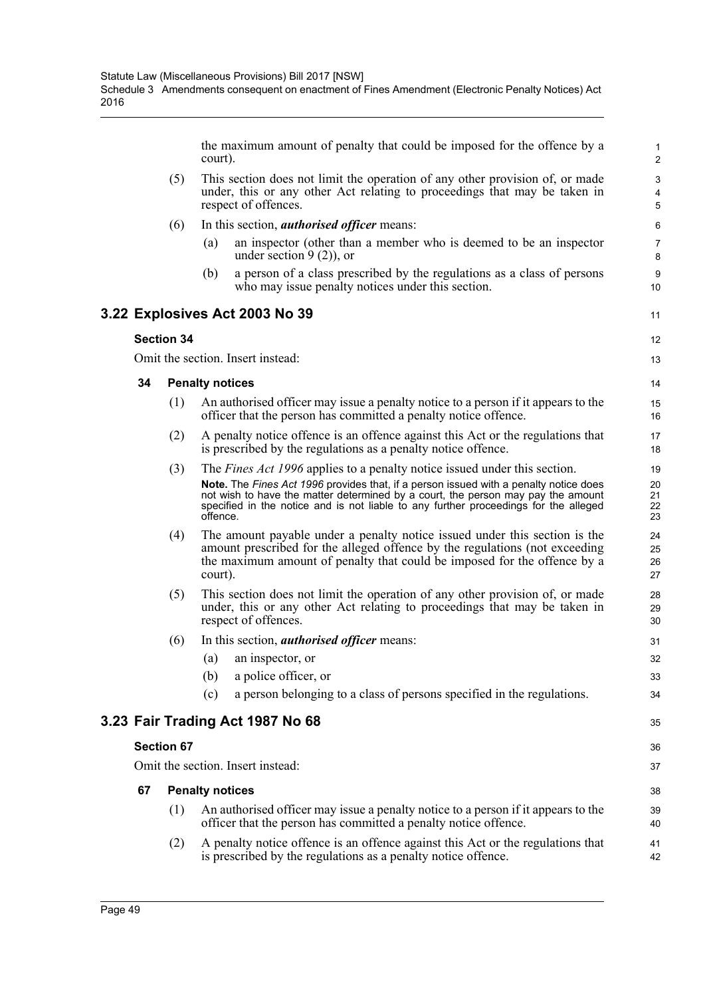the maximum amount of penalty that could be imposed for the offence by a court).

11

12 13

35

- (5) This section does not limit the operation of any other provision of, or made under, this or any other Act relating to proceedings that may be taken in respect of offences.
- (6) In this section, *authorised officer* means:
	- (a) an inspector (other than a member who is deemed to be an inspector under section  $9(2)$ , or
	- (b) a person of a class prescribed by the regulations as a class of persons who may issue penalty notices under this section.

## **3.22 Explosives Act 2003 No 39**

## **Section 34**

Omit the section. Insert instead:

#### **34 Penalty notices**

- (1) An authorised officer may issue a penalty notice to a person if it appears to the officer that the person has committed a penalty notice offence.
- (2) A penalty notice offence is an offence against this Act or the regulations that is prescribed by the regulations as a penalty notice offence.
- (3) The *Fines Act 1996* applies to a penalty notice issued under this section. **Note.** The *Fines Act 1996* provides that, if a person issued with a penalty notice does not wish to have the matter determined by a court, the person may pay the amount specified in the notice and is not liable to any further proceedings for the alleged offence.
- (4) The amount payable under a penalty notice issued under this section is the amount prescribed for the alleged offence by the regulations (not exceeding the maximum amount of penalty that could be imposed for the offence by a court).
- (5) This section does not limit the operation of any other provision of, or made under, this or any other Act relating to proceedings that may be taken in respect of offences.
- (6) In this section, *authorised officer* means:
	- (a) an inspector, or
	- (b) a police officer, or
	- (c) a person belonging to a class of persons specified in the regulations.

## **3.23 Fair Trading Act 1987 No 68**

## **Section 67**

Omit the section. Insert instead:

- **67 Penalty notices**
	- (1) An authorised officer may issue a penalty notice to a person if it appears to the officer that the person has committed a penalty notice offence.
	- (2) A penalty notice offence is an offence against this Act or the regulations that is prescribed by the regulations as a penalty notice offence.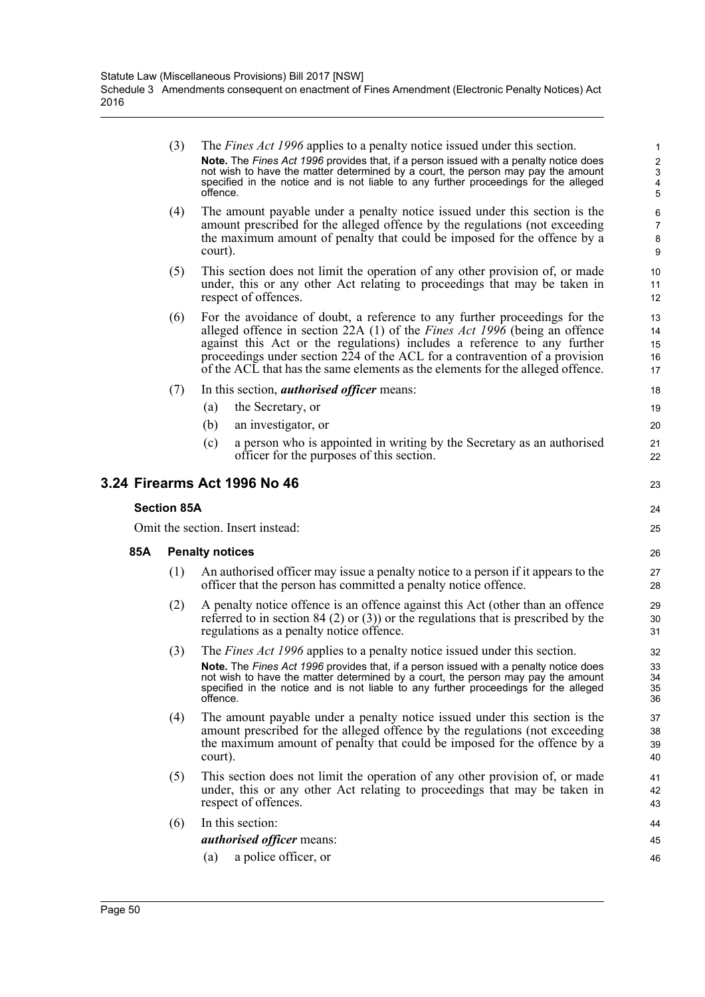|     | (3)                               | The <i>Fines Act 1996</i> applies to a penalty notice issued under this section.<br>Note. The Fines Act 1996 provides that, if a person issued with a penalty notice does<br>not wish to have the matter determined by a court, the person may pay the amount<br>specified in the notice and is not liable to any further proceedings for the alleged<br>offence.                                              | $\mathbf{1}$<br>$\overline{2}$<br>$\sqrt{3}$<br>$\overline{\mathbf{4}}$<br>5 |  |  |  |  |
|-----|-----------------------------------|----------------------------------------------------------------------------------------------------------------------------------------------------------------------------------------------------------------------------------------------------------------------------------------------------------------------------------------------------------------------------------------------------------------|------------------------------------------------------------------------------|--|--|--|--|
|     | (4)                               | The amount payable under a penalty notice issued under this section is the<br>amount prescribed for the alleged offence by the regulations (not exceeding<br>the maximum amount of penalty that could be imposed for the offence by a<br>court).                                                                                                                                                               | $\,6\,$<br>$\overline{7}$<br>8<br>9                                          |  |  |  |  |
|     | (5)                               | This section does not limit the operation of any other provision of, or made<br>under, this or any other Act relating to proceedings that may be taken in<br>respect of offences.                                                                                                                                                                                                                              | 10<br>11<br>12                                                               |  |  |  |  |
|     | (6)                               | For the avoidance of doubt, a reference to any further proceedings for the<br>alleged offence in section 22A $(1)$ of the <i>Fines Act 1996</i> (being an offence<br>against this Act or the regulations) includes a reference to any further<br>proceedings under section 224 of the ACL for a contravention of a provision<br>of the ACL that has the same elements as the elements for the alleged offence. | 13<br>14<br>15<br>16<br>17                                                   |  |  |  |  |
|     | (7)                               | In this section, <i>authorised officer</i> means:                                                                                                                                                                                                                                                                                                                                                              | 18                                                                           |  |  |  |  |
|     |                                   | the Secretary, or<br>(a)                                                                                                                                                                                                                                                                                                                                                                                       | 19                                                                           |  |  |  |  |
|     |                                   | an investigator, or<br>(b)                                                                                                                                                                                                                                                                                                                                                                                     | 20                                                                           |  |  |  |  |
|     |                                   | (c)<br>a person who is appointed in writing by the Secretary as an authorised<br>officer for the purposes of this section.                                                                                                                                                                                                                                                                                     | 21<br>22                                                                     |  |  |  |  |
|     |                                   | 3.24 Firearms Act 1996 No 46                                                                                                                                                                                                                                                                                                                                                                                   | 23                                                                           |  |  |  |  |
|     | <b>Section 85A</b>                |                                                                                                                                                                                                                                                                                                                                                                                                                | 24                                                                           |  |  |  |  |
|     | Omit the section. Insert instead: |                                                                                                                                                                                                                                                                                                                                                                                                                |                                                                              |  |  |  |  |
| 85A | <b>Penalty notices</b>            |                                                                                                                                                                                                                                                                                                                                                                                                                |                                                                              |  |  |  |  |
|     | (1)                               | An authorised officer may issue a penalty notice to a person if it appears to the<br>officer that the person has committed a penalty notice offence.                                                                                                                                                                                                                                                           | 27<br>28                                                                     |  |  |  |  |
|     | (2)                               | A penalty notice offence is an offence against this Act (other than an offence<br>referred to in section 84 (2) or (3)) or the regulations that is prescribed by the<br>regulations as a penalty notice offence.                                                                                                                                                                                               | 29<br>30<br>31                                                               |  |  |  |  |
|     | (3)                               | The <i>Fines Act 1996</i> applies to a penalty notice issued under this section.                                                                                                                                                                                                                                                                                                                               | 32                                                                           |  |  |  |  |
|     |                                   | Note. The Fines Act 1996 provides that, if a person issued with a penalty notice does<br>not wish to have the matter determined by a court, the person may pay the amount<br>specified in the notice and is not liable to any further proceedings for the alleged<br>offence.                                                                                                                                  | 33<br>34<br>35<br>36                                                         |  |  |  |  |
|     | (4)                               | The amount payable under a penalty notice issued under this section is the<br>amount prescribed for the alleged offence by the regulations (not exceeding<br>the maximum amount of penalty that could be imposed for the offence by a<br>court).                                                                                                                                                               | 37<br>38<br>39<br>40                                                         |  |  |  |  |
|     | (5)                               | This section does not limit the operation of any other provision of, or made<br>under, this or any other Act relating to proceedings that may be taken in<br>respect of offences.                                                                                                                                                                                                                              | 41<br>42<br>43                                                               |  |  |  |  |
|     | (6)                               | In this section:                                                                                                                                                                                                                                                                                                                                                                                               | 44                                                                           |  |  |  |  |
|     |                                   | <i>authorised officer means:</i>                                                                                                                                                                                                                                                                                                                                                                               | 45                                                                           |  |  |  |  |
|     |                                   | a police officer, or<br>(a)                                                                                                                                                                                                                                                                                                                                                                                    | 46                                                                           |  |  |  |  |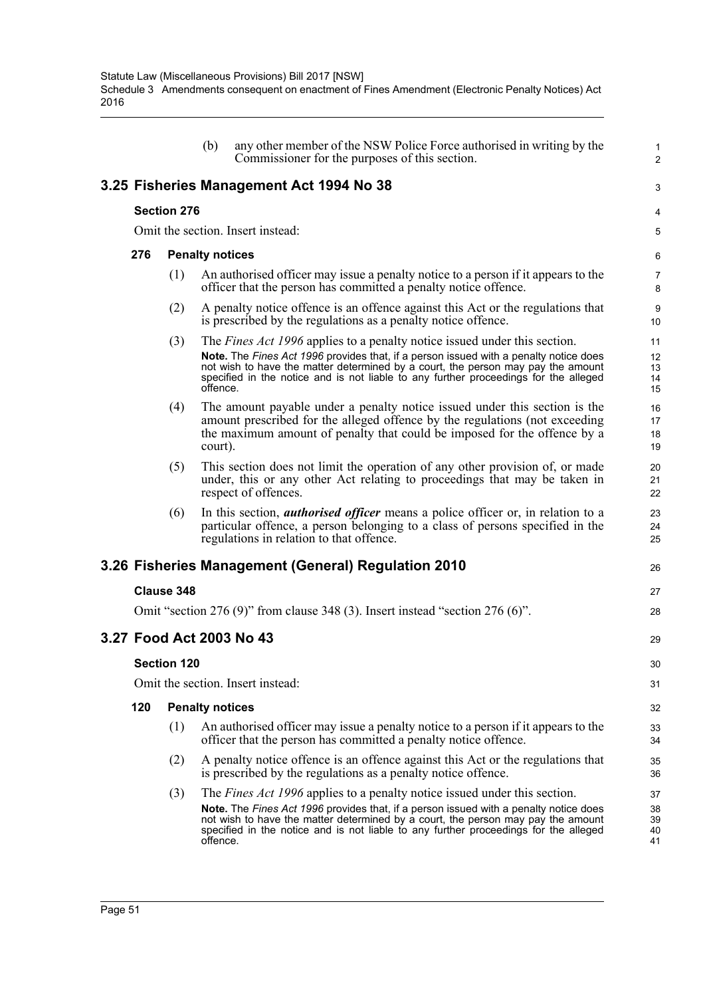|     |                                   | (b)                    | any other member of the NSW Police Force authorised in writing by the<br>Commissioner for the purposes of this section.                                                                                                                                           | 1<br>$\overline{2}$  |  |  |  |
|-----|-----------------------------------|------------------------|-------------------------------------------------------------------------------------------------------------------------------------------------------------------------------------------------------------------------------------------------------------------|----------------------|--|--|--|
|     |                                   |                        | 3.25 Fisheries Management Act 1994 No 38                                                                                                                                                                                                                          | 3                    |  |  |  |
|     | <b>Section 276</b>                |                        |                                                                                                                                                                                                                                                                   |                      |  |  |  |
|     | Omit the section. Insert instead: |                        |                                                                                                                                                                                                                                                                   |                      |  |  |  |
| 276 | <b>Penalty notices</b>            |                        |                                                                                                                                                                                                                                                                   |                      |  |  |  |
|     | (1)                               |                        | An authorised officer may issue a penalty notice to a person if it appears to the<br>officer that the person has committed a penalty notice offence.                                                                                                              | 7<br>8               |  |  |  |
|     | (2)                               |                        | A penalty notice offence is an offence against this Act or the regulations that<br>is prescribed by the regulations as a penalty notice offence.                                                                                                                  | 9<br>10              |  |  |  |
|     | (3)                               |                        | The <i>Fines Act 1996</i> applies to a penalty notice issued under this section.                                                                                                                                                                                  | 11                   |  |  |  |
|     |                                   | offence.               | Note. The Fines Act 1996 provides that, if a person issued with a penalty notice does<br>not wish to have the matter determined by a court, the person may pay the amount<br>specified in the notice and is not liable to any further proceedings for the alleged | 12<br>13<br>14<br>15 |  |  |  |
|     | (4)                               | court).                | The amount payable under a penalty notice issued under this section is the<br>amount prescribed for the alleged offence by the regulations (not exceeding<br>the maximum amount of penalty that could be imposed for the offence by a                             | 16<br>17<br>18<br>19 |  |  |  |
|     | (5)                               |                        | This section does not limit the operation of any other provision of, or made<br>under, this or any other Act relating to proceedings that may be taken in<br>respect of offences.                                                                                 | 20<br>21<br>22       |  |  |  |
|     | (6)                               |                        | In this section, <i>authorised officer</i> means a police officer or, in relation to a<br>particular offence, a person belonging to a class of persons specified in the<br>regulations in relation to that offence.                                               | 23<br>24<br>25       |  |  |  |
|     |                                   |                        | 3.26 Fisheries Management (General) Regulation 2010                                                                                                                                                                                                               | 26                   |  |  |  |
|     | Clause 348                        |                        |                                                                                                                                                                                                                                                                   | 27                   |  |  |  |
|     |                                   |                        | Omit "section 276 (9)" from clause 348 (3). Insert instead "section 276 (6)".                                                                                                                                                                                     | 28                   |  |  |  |
|     |                                   |                        | 3.27 Food Act 2003 No 43                                                                                                                                                                                                                                          | 29                   |  |  |  |
|     | <b>Section 120</b>                |                        |                                                                                                                                                                                                                                                                   | 30                   |  |  |  |
|     |                                   |                        | Omit the section. Insert instead:                                                                                                                                                                                                                                 | 31                   |  |  |  |
| 120 |                                   | <b>Penalty notices</b> |                                                                                                                                                                                                                                                                   | 32                   |  |  |  |
|     | (1)                               |                        | An authorised officer may issue a penalty notice to a person if it appears to the<br>officer that the person has committed a penalty notice offence.                                                                                                              | 33<br>34             |  |  |  |
|     | (2)                               |                        | A penalty notice offence is an offence against this Act or the regulations that<br>is prescribed by the regulations as a penalty notice offence.                                                                                                                  | 35<br>36             |  |  |  |
|     | (3)                               |                        | The <i>Fines Act 1996</i> applies to a penalty notice issued under this section.                                                                                                                                                                                  | 37                   |  |  |  |
|     |                                   | offence.               | Note. The Fines Act 1996 provides that, if a person issued with a penalty notice does<br>not wish to have the matter determined by a court, the person may pay the amount<br>specified in the notice and is not liable to any further proceedings for the alleged | 38<br>39<br>40<br>41 |  |  |  |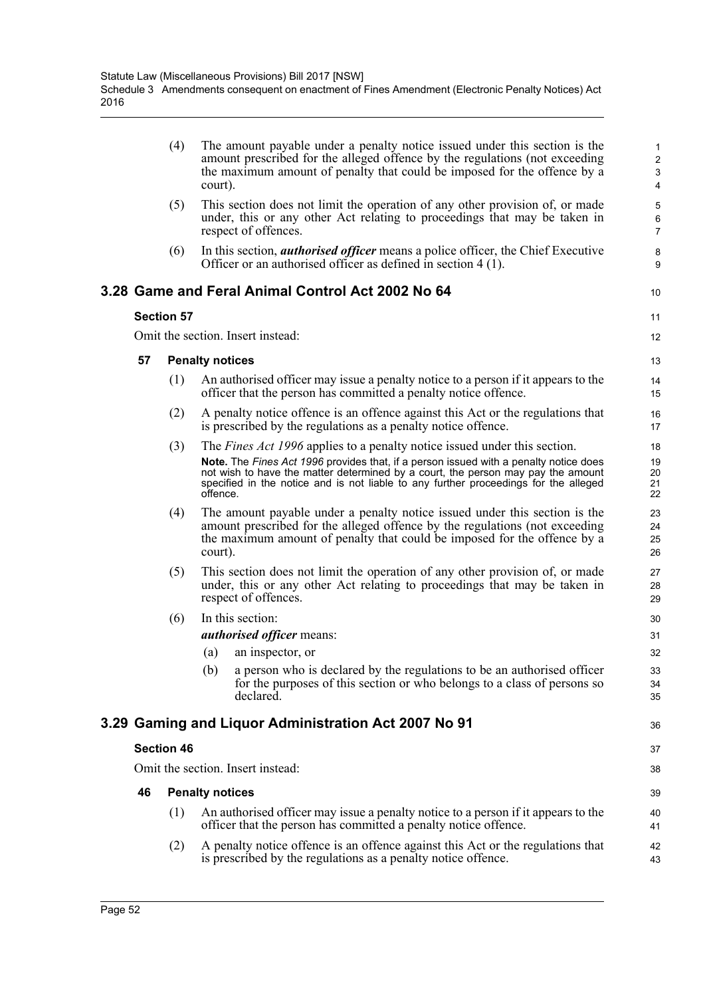|    | (4)               | The amount payable under a penalty notice issued under this section is the<br>amount prescribed for the alleged offence by the regulations (not exceeding<br>the maximum amount of penalty that could be imposed for the offence by a<br>court).                                                                                                                  | $\mathbf{1}$<br>$\overline{2}$<br>3<br>4 |
|----|-------------------|-------------------------------------------------------------------------------------------------------------------------------------------------------------------------------------------------------------------------------------------------------------------------------------------------------------------------------------------------------------------|------------------------------------------|
|    | (5)               | This section does not limit the operation of any other provision of, or made<br>under, this or any other Act relating to proceedings that may be taken in<br>respect of offences.                                                                                                                                                                                 | 5<br>$\,6\,$<br>$\overline{7}$           |
|    | (6)               | In this section, <i>authorised officer</i> means a police officer, the Chief Executive<br>Officer or an authorised officer as defined in section 4 (1).                                                                                                                                                                                                           | 8<br>9                                   |
|    |                   | 3.28 Game and Feral Animal Control Act 2002 No 64                                                                                                                                                                                                                                                                                                                 | 10                                       |
|    | <b>Section 57</b> |                                                                                                                                                                                                                                                                                                                                                                   | 11                                       |
|    |                   | Omit the section. Insert instead:                                                                                                                                                                                                                                                                                                                                 | 12                                       |
| 57 |                   | <b>Penalty notices</b>                                                                                                                                                                                                                                                                                                                                            | 13                                       |
|    | (1)               | An authorised officer may issue a penalty notice to a person if it appears to the<br>officer that the person has committed a penalty notice offence.                                                                                                                                                                                                              | 14<br>15                                 |
|    | (2)               | A penalty notice offence is an offence against this Act or the regulations that<br>is prescribed by the regulations as a penalty notice offence.                                                                                                                                                                                                                  | 16<br>17                                 |
|    | (3)               | The <i>Fines Act 1996</i> applies to a penalty notice issued under this section.<br>Note. The Fines Act 1996 provides that, if a person issued with a penalty notice does<br>not wish to have the matter determined by a court, the person may pay the amount<br>specified in the notice and is not liable to any further proceedings for the alleged<br>offence. | 18<br>19<br>20<br>21<br>22               |
|    | (4)               | The amount payable under a penalty notice issued under this section is the<br>amount prescribed for the alleged offence by the regulations (not exceeding<br>the maximum amount of penalty that could be imposed for the offence by a<br>court).                                                                                                                  | 23<br>24<br>25<br>26                     |
|    | (5)               | This section does not limit the operation of any other provision of, or made<br>under, this or any other Act relating to proceedings that may be taken in<br>respect of offences.                                                                                                                                                                                 | 27<br>28<br>29                           |
|    | (6)               | In this section:<br><i>authorised officer means:</i>                                                                                                                                                                                                                                                                                                              | 30<br>31                                 |
|    |                   | an inspector, or<br>(a)                                                                                                                                                                                                                                                                                                                                           | 32                                       |
|    |                   | a person who is declared by the regulations to be an authorised officer<br>(b)<br>for the purposes of this section or who belongs to a class of persons so<br>declared.                                                                                                                                                                                           | 33<br>34<br>35                           |
|    |                   | 3.29 Gaming and Liquor Administration Act 2007 No 91                                                                                                                                                                                                                                                                                                              | 36                                       |
|    | <b>Section 46</b> |                                                                                                                                                                                                                                                                                                                                                                   | 37                                       |
|    |                   | Omit the section. Insert instead:                                                                                                                                                                                                                                                                                                                                 | 38                                       |
| 46 |                   | <b>Penalty notices</b>                                                                                                                                                                                                                                                                                                                                            | 39                                       |
|    | (1)               | An authorised officer may issue a penalty notice to a person if it appears to the<br>officer that the person has committed a penalty notice offence.                                                                                                                                                                                                              | 40<br>41                                 |
|    | (2)               | A penalty notice offence is an offence against this Act or the regulations that<br>is prescribed by the regulations as a penalty notice offence.                                                                                                                                                                                                                  | 42<br>43                                 |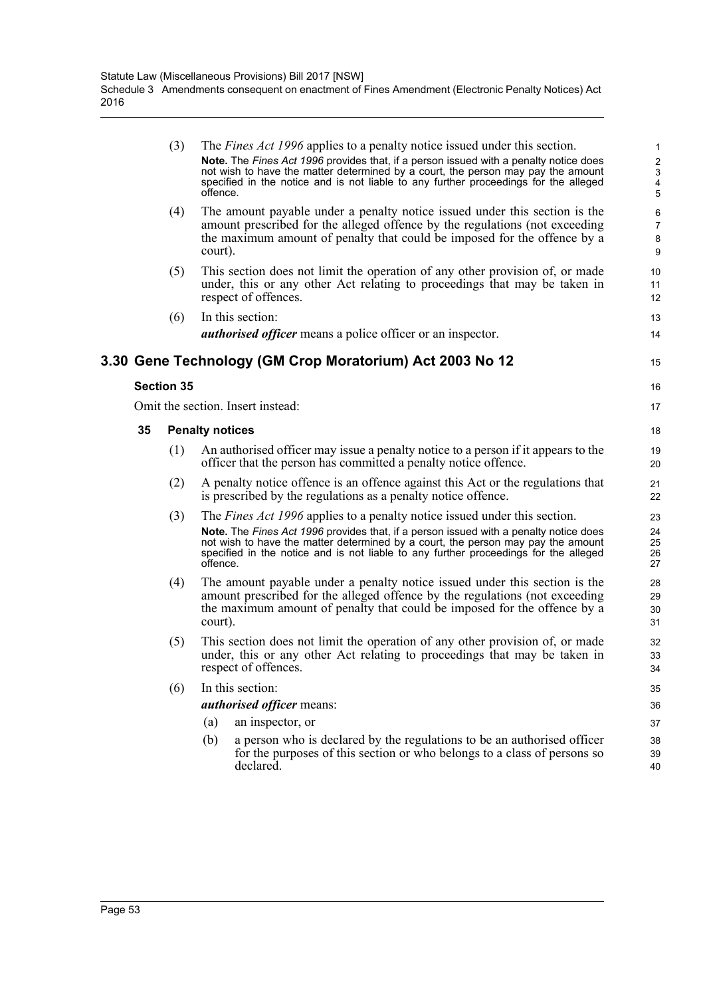|    | (3)               | The <i>Fines Act 1996</i> applies to a penalty notice issued under this section.<br>Note. The Fines Act 1996 provides that, if a person issued with a penalty notice does                                                                                                     | 1<br>$\overline{\mathbf{c}}$                       |
|----|-------------------|-------------------------------------------------------------------------------------------------------------------------------------------------------------------------------------------------------------------------------------------------------------------------------|----------------------------------------------------|
|    |                   | not wish to have the matter determined by a court, the person may pay the amount<br>specified in the notice and is not liable to any further proceedings for the alleged<br>offence.                                                                                          | $\ensuremath{\mathsf{3}}$<br>4<br>$\overline{5}$   |
|    | (4)               | The amount payable under a penalty notice issued under this section is the<br>amount prescribed for the alleged offence by the regulations (not exceeding<br>the maximum amount of penalty that could be imposed for the offence by a<br>court).                              | $\,6\,$<br>$\overline{7}$<br>8<br>$\boldsymbol{9}$ |
|    | (5)               | This section does not limit the operation of any other provision of, or made<br>under, this or any other Act relating to proceedings that may be taken in<br>respect of offences.                                                                                             | 10<br>11<br>12                                     |
|    | (6)               | In this section:                                                                                                                                                                                                                                                              | 13                                                 |
|    |                   | <i>authorised officer</i> means a police officer or an inspector.                                                                                                                                                                                                             | 14                                                 |
|    |                   | 3.30 Gene Technology (GM Crop Moratorium) Act 2003 No 12                                                                                                                                                                                                                      | 15                                                 |
|    | <b>Section 35</b> |                                                                                                                                                                                                                                                                               | 16                                                 |
|    |                   | Omit the section. Insert instead:                                                                                                                                                                                                                                             | 17                                                 |
| 35 |                   | <b>Penalty notices</b>                                                                                                                                                                                                                                                        | 18                                                 |
|    | (1)               | An authorised officer may issue a penalty notice to a person if it appears to the<br>officer that the person has committed a penalty notice offence.                                                                                                                          | 19<br>20                                           |
|    | (2)               | A penalty notice offence is an offence against this Act or the regulations that<br>is prescribed by the regulations as a penalty notice offence.                                                                                                                              | 21<br>22                                           |
|    | (3)               | The <i>Fines Act 1996</i> applies to a penalty notice issued under this section.                                                                                                                                                                                              | 23                                                 |
|    |                   | Note. The Fines Act 1996 provides that, if a person issued with a penalty notice does<br>not wish to have the matter determined by a court, the person may pay the amount<br>specified in the notice and is not liable to any further proceedings for the alleged<br>offence. | 24<br>25<br>26<br>27                               |
|    | (4)               | The amount payable under a penalty notice issued under this section is the<br>amount prescribed for the alleged offence by the regulations (not exceeding<br>the maximum amount of penalty that could be imposed for the offence by a<br>court).                              | 28<br>29<br>30<br>31                               |
|    | (5)               | This section does not limit the operation of any other provision of, or made<br>under, this or any other Act relating to proceedings that may be taken in<br>respect of offences.                                                                                             | 32<br>33<br>34                                     |
|    | (6)               | In this section:                                                                                                                                                                                                                                                              | 35                                                 |
|    |                   | authorised officer means:                                                                                                                                                                                                                                                     | 36                                                 |
|    |                   | an inspector, or<br>(a)                                                                                                                                                                                                                                                       | 37                                                 |
|    |                   | (b)<br>a person who is declared by the regulations to be an authorised officer<br>for the purposes of this section or who belongs to a class of persons so<br>declared.                                                                                                       | 38<br>39<br>40                                     |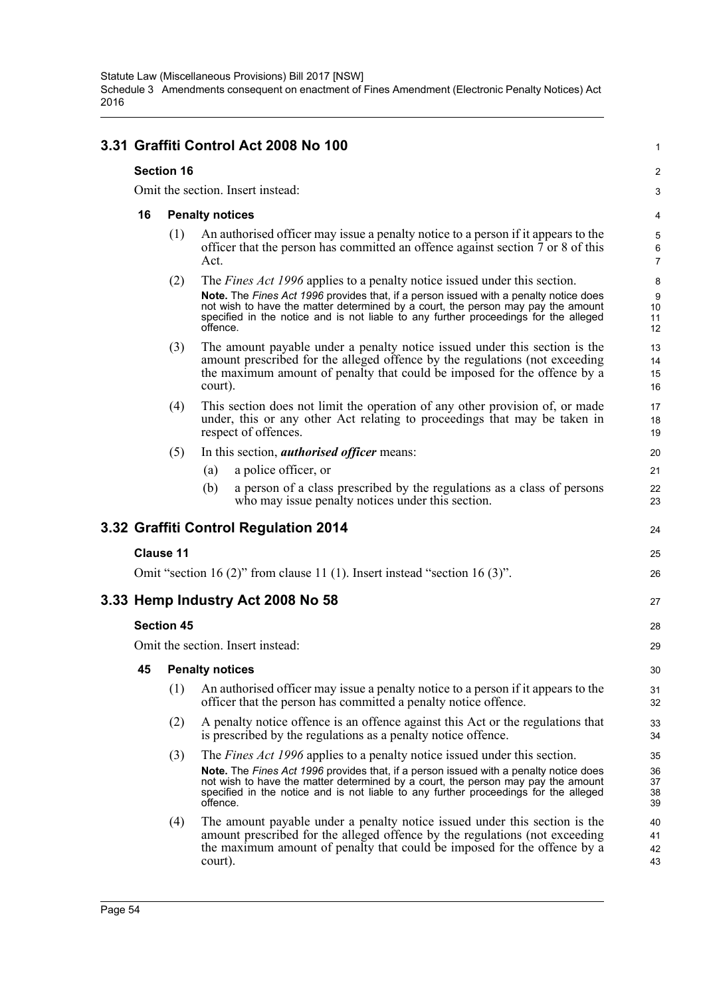Statute Law (Miscellaneous Provisions) Bill 2017 [NSW] Schedule 3 Amendments consequent on enactment of Fines Amendment (Electronic Penalty Notices) Act 2016

# **3.31 Graffiti Control Act 2008 No 100**

### **Section 16**

Omit the section. Insert instead:

#### **16 Penalty notices**

(1) An authorised officer may issue a penalty notice to a person if it appears to the officer that the person has committed an offence against section 7 or 8 of this Act.

1

 $\mathfrak{p}$ 3

24

25 26

27

28 29

- (2) The *Fines Act 1996* applies to a penalty notice issued under this section. **Note.** The *Fines Act 1996* provides that, if a person issued with a penalty notice does not wish to have the matter determined by a court, the person may pay the amount specified in the notice and is not liable to any further proceedings for the alleged offence.
- (3) The amount payable under a penalty notice issued under this section is the amount prescribed for the alleged offence by the regulations (not exceeding the maximum amount of penalty that could be imposed for the offence by a court).
- (4) This section does not limit the operation of any other provision of, or made under, this or any other Act relating to proceedings that may be taken in respect of offences.
- (5) In this section, *authorised officer* means:
	- (a) a police officer, or
	- (b) a person of a class prescribed by the regulations as a class of persons who may issue penalty notices under this section.

# **3.32 Graffiti Control Regulation 2014**

#### **Clause 11**

Omit "section 16 (2)" from clause 11 (1). Insert instead "section 16 (3)".

## **3.33 Hemp Industry Act 2008 No 58**

#### **Section 45**

Omit the section. Insert instead:

- (1) An authorised officer may issue a penalty notice to a person if it appears to the officer that the person has committed a penalty notice offence.
- (2) A penalty notice offence is an offence against this Act or the regulations that is prescribed by the regulations as a penalty notice offence.
- (3) The *Fines Act 1996* applies to a penalty notice issued under this section. **Note.** The *Fines Act 1996* provides that, if a person issued with a penalty notice does not wish to have the matter determined by a court, the person may pay the amount specified in the notice and is not liable to any further proceedings for the alleged offence.
- (4) The amount payable under a penalty notice issued under this section is the amount prescribed for the alleged offence by the regulations (not exceeding the maximum amount of penalty that could be imposed for the offence by a court).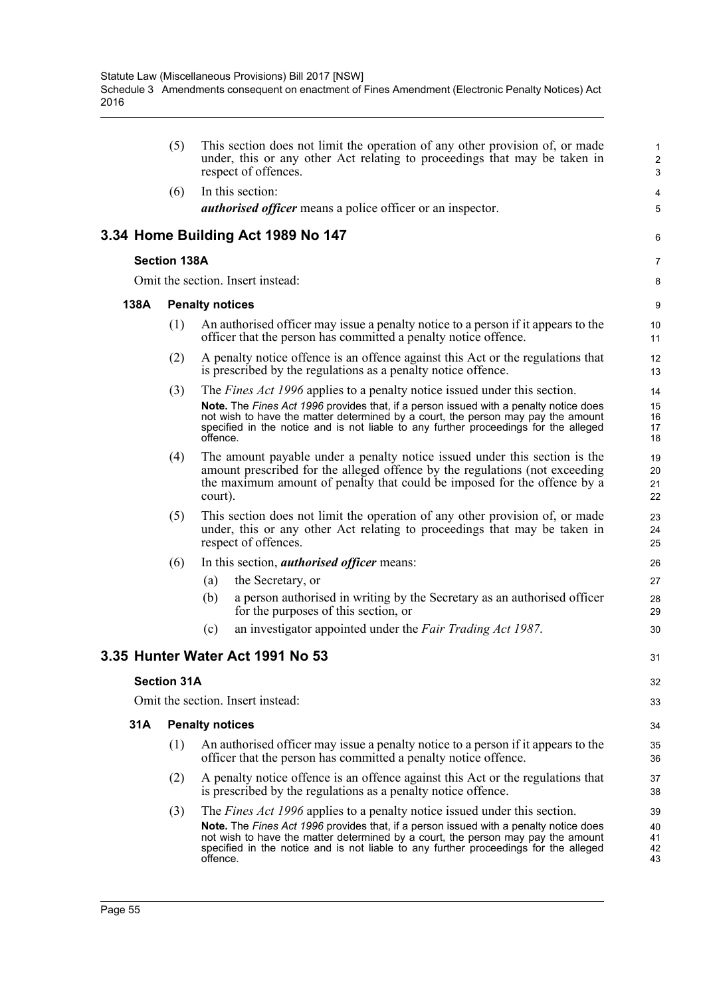|      | (5)                 | This section does not limit the operation of any other provision of, or made<br>under, this or any other Act relating to proceedings that may be taken in<br>respect of offences.                                                                                                                                                                                 | $\mathbf{1}$<br>2<br>3     |
|------|---------------------|-------------------------------------------------------------------------------------------------------------------------------------------------------------------------------------------------------------------------------------------------------------------------------------------------------------------------------------------------------------------|----------------------------|
|      | (6)                 | In this section:                                                                                                                                                                                                                                                                                                                                                  | 4                          |
|      |                     | <i>authorised officer</i> means a police officer or an inspector.                                                                                                                                                                                                                                                                                                 | 5                          |
|      |                     | 3.34 Home Building Act 1989 No 147                                                                                                                                                                                                                                                                                                                                | 6                          |
|      | <b>Section 138A</b> |                                                                                                                                                                                                                                                                                                                                                                   | 7                          |
|      |                     | Omit the section. Insert instead:                                                                                                                                                                                                                                                                                                                                 | 8                          |
| 138A |                     | <b>Penalty notices</b>                                                                                                                                                                                                                                                                                                                                            | 9                          |
|      | (1)                 | An authorised officer may issue a penalty notice to a person if it appears to the<br>officer that the person has committed a penalty notice offence.                                                                                                                                                                                                              | 10<br>11                   |
|      | (2)                 | A penalty notice offence is an offence against this Act or the regulations that<br>is prescribed by the regulations as a penalty notice offence.                                                                                                                                                                                                                  | 12<br>13                   |
|      | (3)                 | The <i>Fines Act 1996</i> applies to a penalty notice issued under this section.<br>Note. The Fines Act 1996 provides that, if a person issued with a penalty notice does<br>not wish to have the matter determined by a court, the person may pay the amount<br>specified in the notice and is not liable to any further proceedings for the alleged<br>offence. | 14<br>15<br>16<br>17<br>18 |
|      | (4)                 | The amount payable under a penalty notice issued under this section is the<br>amount prescribed for the alleged offence by the regulations (not exceeding<br>the maximum amount of penalty that could be imposed for the offence by a<br>court).                                                                                                                  | 19<br>20<br>21<br>22       |
|      | (5)                 | This section does not limit the operation of any other provision of, or made<br>under, this or any other Act relating to proceedings that may be taken in<br>respect of offences.                                                                                                                                                                                 | 23<br>24<br>25             |
|      | (6)                 | In this section, <i>authorised officer</i> means:                                                                                                                                                                                                                                                                                                                 | 26                         |
|      |                     | the Secretary, or<br>(a)                                                                                                                                                                                                                                                                                                                                          | 27                         |
|      |                     | a person authorised in writing by the Secretary as an authorised officer<br>(b)<br>for the purposes of this section, or                                                                                                                                                                                                                                           | 28<br>29                   |
|      |                     | an investigator appointed under the Fair Trading Act 1987.<br>(c)                                                                                                                                                                                                                                                                                                 | 30                         |
|      |                     | 3.35 Hunter Water Act 1991 No 53                                                                                                                                                                                                                                                                                                                                  | 31                         |
|      | <b>Section 31A</b>  |                                                                                                                                                                                                                                                                                                                                                                   | 32                         |
|      |                     | Omit the section. Insert instead:                                                                                                                                                                                                                                                                                                                                 | 33                         |
| 31A  |                     | <b>Penalty notices</b>                                                                                                                                                                                                                                                                                                                                            | 34                         |
|      | (1)                 | An authorised officer may issue a penalty notice to a person if it appears to the<br>officer that the person has committed a penalty notice offence.                                                                                                                                                                                                              | 35<br>36                   |
|      | (2)                 | A penalty notice offence is an offence against this Act or the regulations that<br>is prescribed by the regulations as a penalty notice offence.                                                                                                                                                                                                                  | 37<br>38                   |
|      | (3)                 | The <i>Fines Act 1996</i> applies to a penalty notice issued under this section.<br>Note. The Fines Act 1996 provides that, if a person issued with a penalty notice does<br>not wish to have the matter determined by a court, the person may pay the amount<br>specified in the notice and is not liable to any further proceedings for the alleged<br>offence. | 39<br>40<br>41<br>42<br>43 |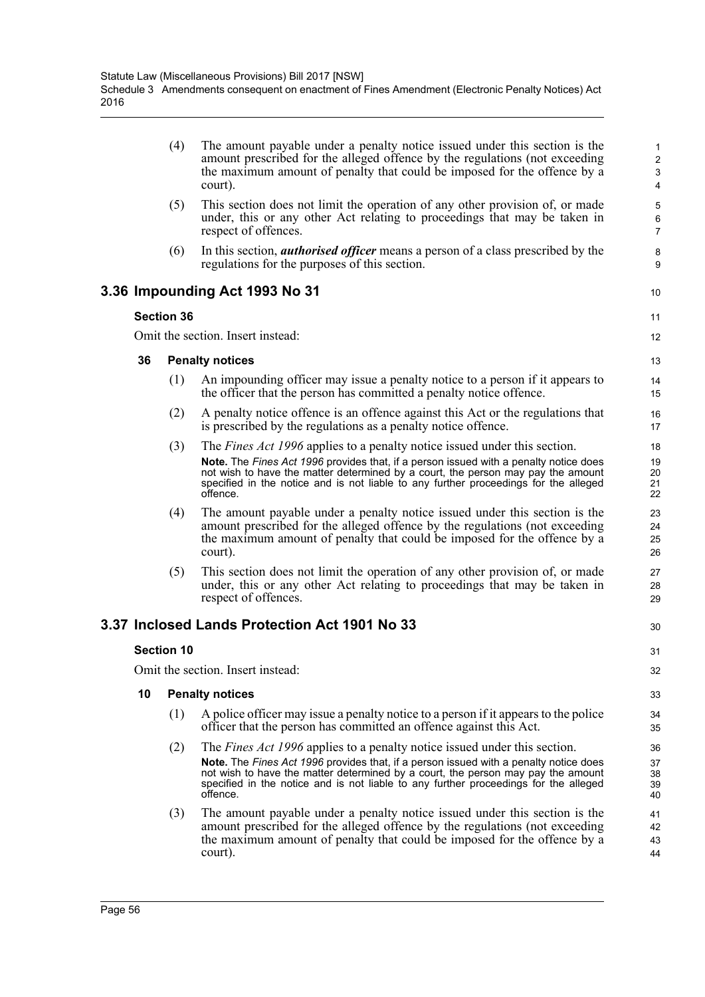|    | (4)               | The amount payable under a penalty notice issued under this section is the<br>amount prescribed for the alleged offence by the regulations (not exceeding<br>the maximum amount of penalty that could be imposed for the offence by a<br>court).                                                                                                                  | $\mathbf{1}$<br>$\overline{c}$<br>$\ensuremath{\mathsf{3}}$<br>$\overline{4}$ |
|----|-------------------|-------------------------------------------------------------------------------------------------------------------------------------------------------------------------------------------------------------------------------------------------------------------------------------------------------------------------------------------------------------------|-------------------------------------------------------------------------------|
|    | (5)               | This section does not limit the operation of any other provision of, or made<br>under, this or any other Act relating to proceedings that may be taken in<br>respect of offences.                                                                                                                                                                                 | 5<br>$\,6\,$<br>$\overline{7}$                                                |
|    | (6)               | In this section, <i>authorised officer</i> means a person of a class prescribed by the<br>regulations for the purposes of this section.                                                                                                                                                                                                                           | 8<br>9                                                                        |
|    |                   | 3.36 Impounding Act 1993 No 31                                                                                                                                                                                                                                                                                                                                    | 10                                                                            |
|    | <b>Section 36</b> |                                                                                                                                                                                                                                                                                                                                                                   | 11                                                                            |
|    |                   | Omit the section. Insert instead:                                                                                                                                                                                                                                                                                                                                 | 12                                                                            |
| 36 |                   | <b>Penalty notices</b>                                                                                                                                                                                                                                                                                                                                            | 13                                                                            |
|    | (1)               | An impounding officer may issue a penalty notice to a person if it appears to<br>the officer that the person has committed a penalty notice offence.                                                                                                                                                                                                              | 14<br>15                                                                      |
|    | (2)               | A penalty notice offence is an offence against this Act or the regulations that<br>is prescribed by the regulations as a penalty notice offence.                                                                                                                                                                                                                  | 16<br>17                                                                      |
|    | (3)               | The <i>Fines Act 1996</i> applies to a penalty notice issued under this section.<br>Note. The Fines Act 1996 provides that, if a person issued with a penalty notice does<br>not wish to have the matter determined by a court, the person may pay the amount<br>specified in the notice and is not liable to any further proceedings for the alleged<br>offence. | 18<br>19<br>20<br>21<br>22                                                    |
|    | (4)               | The amount payable under a penalty notice issued under this section is the<br>amount prescribed for the alleged offence by the regulations (not exceeding<br>the maximum amount of penalty that could be imposed for the offence by a<br>court).                                                                                                                  | 23<br>24<br>25<br>26                                                          |
|    | (5)               | This section does not limit the operation of any other provision of, or made<br>under, this or any other Act relating to proceedings that may be taken in<br>respect of offences.                                                                                                                                                                                 | 27<br>28<br>29                                                                |
|    |                   | 3.37 Inclosed Lands Protection Act 1901 No 33                                                                                                                                                                                                                                                                                                                     | 30                                                                            |
|    | <b>Section 10</b> |                                                                                                                                                                                                                                                                                                                                                                   | 31                                                                            |
|    |                   | Omit the section. Insert instead:                                                                                                                                                                                                                                                                                                                                 | 32                                                                            |
| 10 |                   | <b>Penalty notices</b>                                                                                                                                                                                                                                                                                                                                            | 33                                                                            |
|    | (1)               | A police officer may issue a penalty notice to a person if it appears to the police<br>officer that the person has committed an offence against this Act.                                                                                                                                                                                                         | 34<br>35                                                                      |
|    | (2)               | The <i>Fines Act 1996</i> applies to a penalty notice issued under this section.<br>Note. The Fines Act 1996 provides that, if a person issued with a penalty notice does<br>not wish to have the matter determined by a court, the person may pay the amount<br>specified in the notice and is not liable to any further proceedings for the alleged<br>offence. | 36<br>37<br>38<br>39<br>40                                                    |
|    | (3)               | The amount payable under a penalty notice issued under this section is the<br>amount prescribed for the alleged offence by the regulations (not exceeding<br>the maximum amount of penalty that could be imposed for the offence by a                                                                                                                             | 41<br>42<br>43                                                                |

court).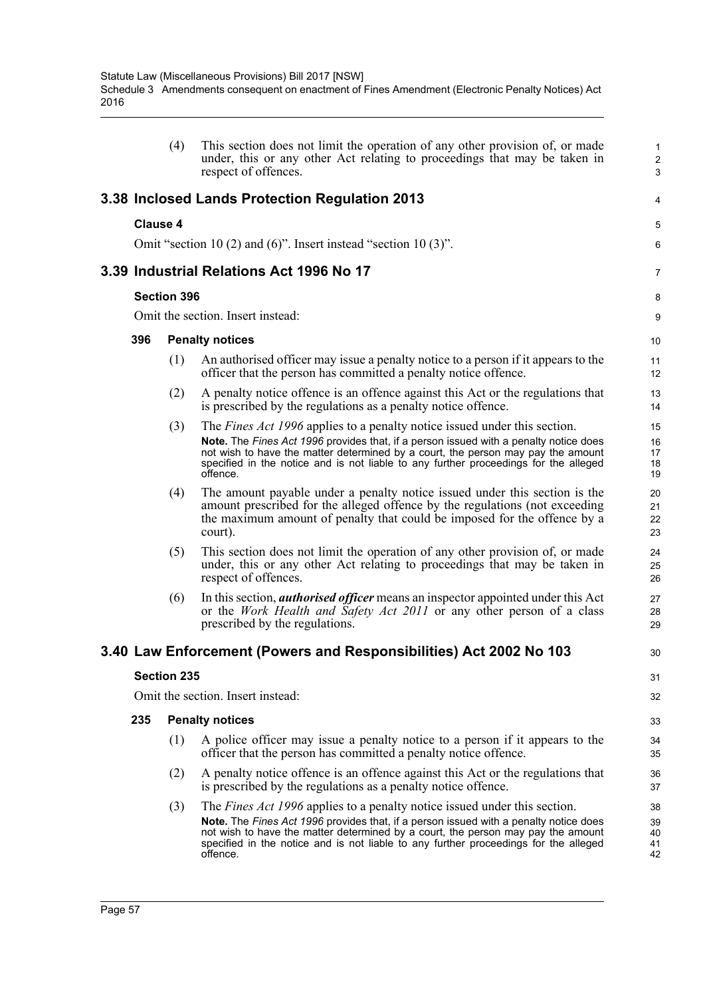|                 | (4)                | This section does not limit the operation of any other provision of, or made<br>under, this or any other Act relating to proceedings that may be taken in<br>respect of offences.                                                                                                                                                                                 | $\mathbf{1}$<br>$\overline{c}$<br>3 |
|-----------------|--------------------|-------------------------------------------------------------------------------------------------------------------------------------------------------------------------------------------------------------------------------------------------------------------------------------------------------------------------------------------------------------------|-------------------------------------|
|                 |                    | 3.38 Inclosed Lands Protection Regulation 2013                                                                                                                                                                                                                                                                                                                    | 4                                   |
| <b>Clause 4</b> |                    |                                                                                                                                                                                                                                                                                                                                                                   | $\overline{5}$                      |
|                 |                    | Omit "section 10 (2) and (6)". Insert instead "section 10 (3)".                                                                                                                                                                                                                                                                                                   | 6                                   |
|                 |                    | 3.39 Industrial Relations Act 1996 No 17                                                                                                                                                                                                                                                                                                                          | $\overline{7}$                      |
|                 | <b>Section 396</b> |                                                                                                                                                                                                                                                                                                                                                                   | 8                                   |
|                 |                    | Omit the section. Insert instead:                                                                                                                                                                                                                                                                                                                                 | 9                                   |
| 396             |                    | <b>Penalty notices</b>                                                                                                                                                                                                                                                                                                                                            | 10                                  |
|                 | (1)                | An authorised officer may issue a penalty notice to a person if it appears to the<br>officer that the person has committed a penalty notice offence.                                                                                                                                                                                                              | 11<br>12                            |
|                 | (2)                | A penalty notice offence is an offence against this Act or the regulations that<br>is prescribed by the regulations as a penalty notice offence.                                                                                                                                                                                                                  | 13<br>14                            |
|                 | (3)                | The <i>Fines Act 1996</i> applies to a penalty notice issued under this section.<br>Note. The Fines Act 1996 provides that, if a person issued with a penalty notice does<br>not wish to have the matter determined by a court, the person may pay the amount<br>specified in the notice and is not liable to any further proceedings for the alleged<br>offence. | 15<br>16<br>17<br>18<br>19          |
|                 | (4)                | The amount payable under a penalty notice issued under this section is the<br>amount prescribed for the alleged offence by the regulations (not exceeding<br>the maximum amount of penalty that could be imposed for the offence by a<br>court).                                                                                                                  | 20<br>21<br>22<br>23                |
|                 | (5)                | This section does not limit the operation of any other provision of, or made<br>under, this or any other Act relating to proceedings that may be taken in<br>respect of offences.                                                                                                                                                                                 | 24<br>25<br>26                      |
|                 | (6)                | In this section, <i>authorised officer</i> means an inspector appointed under this Act<br>or the <i>Work Health and Safety Act 2011</i> or any other person of a class<br>prescribed by the regulations.                                                                                                                                                          | 27<br>28<br>29                      |
|                 |                    | 3.40 Law Enforcement (Powers and Responsibilities) Act 2002 No 103                                                                                                                                                                                                                                                                                                | 30                                  |
|                 | <b>Section 235</b> |                                                                                                                                                                                                                                                                                                                                                                   | 31                                  |
|                 |                    | Omit the section. Insert instead:                                                                                                                                                                                                                                                                                                                                 | 32                                  |
| 235             |                    | <b>Penalty notices</b>                                                                                                                                                                                                                                                                                                                                            | 33                                  |
|                 | (1)                | A police officer may issue a penalty notice to a person if it appears to the<br>officer that the person has committed a penalty notice offence.                                                                                                                                                                                                                   | 34<br>35                            |
|                 | (2)                | A penalty notice offence is an offence against this Act or the regulations that<br>is prescribed by the regulations as a penalty notice offence.                                                                                                                                                                                                                  | 36<br>37                            |
|                 | (3)                | The <i>Fines Act 1996</i> applies to a penalty notice issued under this section.                                                                                                                                                                                                                                                                                  | 38                                  |
|                 |                    | Note. The Fines Act 1996 provides that, if a person issued with a penalty notice does<br>not wish to have the matter determined by a court, the person may pay the amount<br>specified in the notice and is not liable to any further proceedings for the alleged<br>offence.                                                                                     | 39<br>40<br>41<br>42                |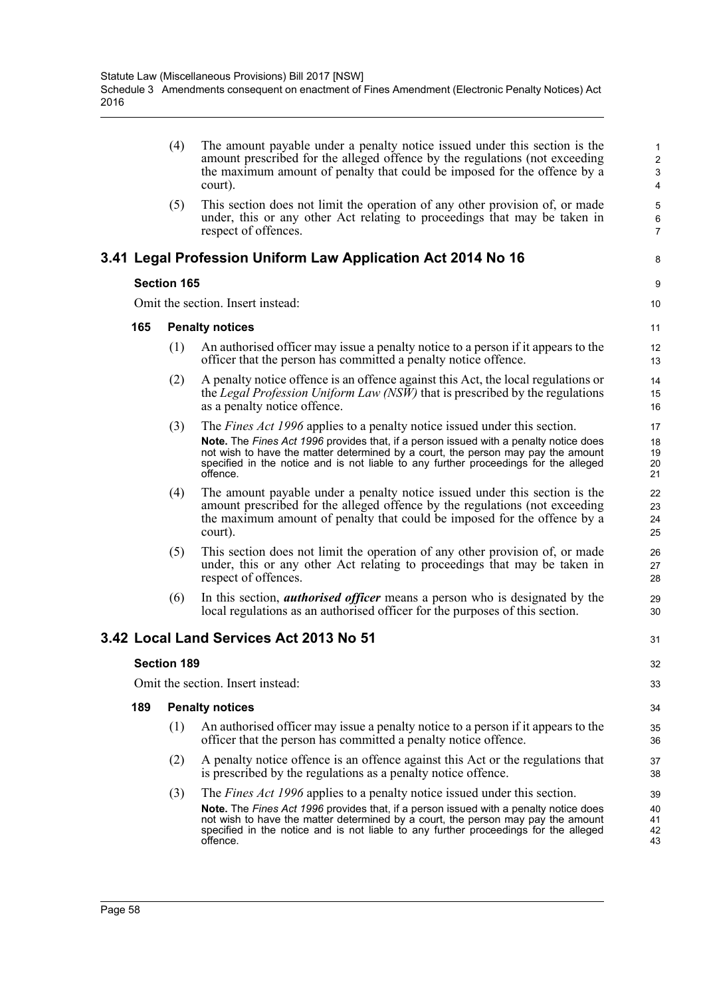- (4) The amount payable under a penalty notice issued under this section is the amount prescribed for the alleged offence by the regulations (not exceeding the maximum amount of penalty that could be imposed for the offence by a court).
- (5) This section does not limit the operation of any other provision of, or made under, this or any other Act relating to proceedings that may be taken in respect of offences.

# **3.41 Legal Profession Uniform Law Application Act 2014 No 16**

## **Section 165**

Omit the section. Insert instead:

## **165 Penalty notices**

- (1) An authorised officer may issue a penalty notice to a person if it appears to the officer that the person has committed a penalty notice offence.
- (2) A penalty notice offence is an offence against this Act, the local regulations or the *Legal Profession Uniform Law (NSW)* that is prescribed by the regulations as a penalty notice offence.
- (3) The *Fines Act 1996* applies to a penalty notice issued under this section. **Note.** The *Fines Act 1996* provides that, if a person issued with a penalty notice does not wish to have the matter determined by a court, the person may pay the amount specified in the notice and is not liable to any further proceedings for the alleged offence.
- (4) The amount payable under a penalty notice issued under this section is the amount prescribed for the alleged offence by the regulations (not exceeding the maximum amount of penalty that could be imposed for the offence by a court).
- (5) This section does not limit the operation of any other provision of, or made under, this or any other Act relating to proceedings that may be taken in respect of offences.
- (6) In this section, *authorised officer* means a person who is designated by the local regulations as an authorised officer for the purposes of this section.

# **3.42 Local Land Services Act 2013 No 51**

## **Section 189**

Omit the section. Insert instead:

## **189 Penalty notices**

- (1) An authorised officer may issue a penalty notice to a person if it appears to the officer that the person has committed a penalty notice offence.
- (2) A penalty notice offence is an offence against this Act or the regulations that is prescribed by the regulations as a penalty notice offence.
- (3) The *Fines Act 1996* applies to a penalty notice issued under this section. **Note.** The *Fines Act 1996* provides that, if a person issued with a penalty notice does not wish to have the matter determined by a court, the person may pay the amount specified in the notice and is not liable to any further proceedings for the alleged offence.

 $\alpha$ 10

31

32 33

8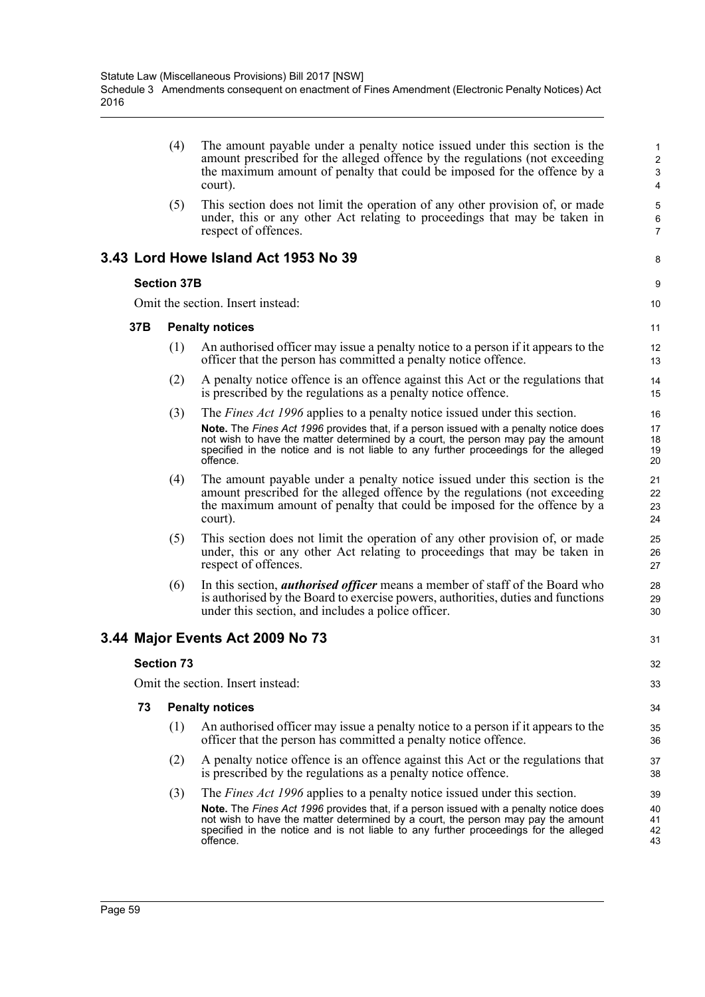| (4) | The amount payable under a penalty notice issued under this section is the          |
|-----|-------------------------------------------------------------------------------------|
|     | amount prescribed for the alleged offence by the regulations (not exceeding         |
|     | the maximum amount of penalty that could be imposed for the offence by a<br>court). |

8

 $\alpha$ 10

31

32 33

(5) This section does not limit the operation of any other provision of, or made under, this or any other Act relating to proceedings that may be taken in respect of offences.

# **3.43 Lord Howe Island Act 1953 No 39**

## **Section 37B**

Omit the section. Insert instead:

## **37B Penalty notices**

- (1) An authorised officer may issue a penalty notice to a person if it appears to the officer that the person has committed a penalty notice offence.
- (2) A penalty notice offence is an offence against this Act or the regulations that is prescribed by the regulations as a penalty notice offence.
- (3) The *Fines Act 1996* applies to a penalty notice issued under this section. **Note.** The *Fines Act 1996* provides that, if a person issued with a penalty notice does not wish to have the matter determined by a court, the person may pay the amount specified in the notice and is not liable to any further proceedings for the alleged offence.
- (4) The amount payable under a penalty notice issued under this section is the amount prescribed for the alleged offence by the regulations (not exceeding the maximum amount of penalty that could be imposed for the offence by a court).
- (5) This section does not limit the operation of any other provision of, or made under, this or any other Act relating to proceedings that may be taken in respect of offences.
- (6) In this section, *authorised officer* means a member of staff of the Board who is authorised by the Board to exercise powers, authorities, duties and functions under this section, and includes a police officer.

# **3.44 Major Events Act 2009 No 73**

## **Section 73**

Omit the section. Insert instead:

- (1) An authorised officer may issue a penalty notice to a person if it appears to the officer that the person has committed a penalty notice offence.
- (2) A penalty notice offence is an offence against this Act or the regulations that is prescribed by the regulations as a penalty notice offence.
- (3) The *Fines Act 1996* applies to a penalty notice issued under this section. **Note.** The *Fines Act 1996* provides that, if a person issued with a penalty notice does not wish to have the matter determined by a court, the person may pay the amount specified in the notice and is not liable to any further proceedings for the alleged offence.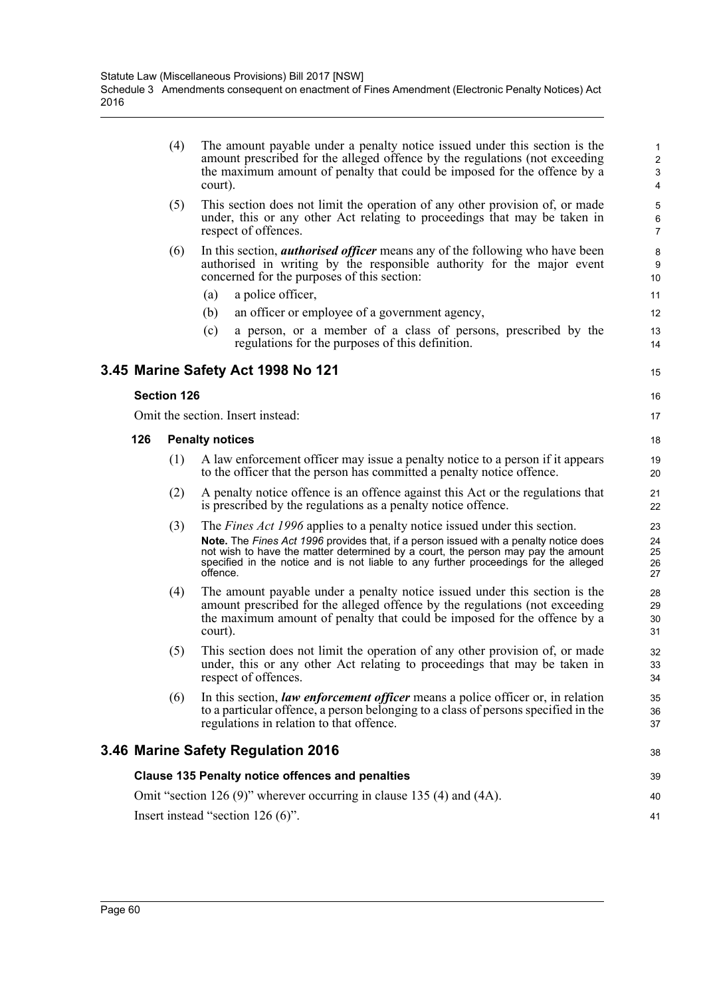|     | (4)                | The amount payable under a penalty notice issued under this section is the<br>amount prescribed for the alleged offence by the regulations (not exceeding<br>the maximum amount of penalty that could be imposed for the offence by a<br>court).                              | $\mathbf{1}$<br>$\overline{c}$<br>$\ensuremath{\mathsf{3}}$<br>$\overline{4}$ |  |
|-----|--------------------|-------------------------------------------------------------------------------------------------------------------------------------------------------------------------------------------------------------------------------------------------------------------------------|-------------------------------------------------------------------------------|--|
|     | (5)                | This section does not limit the operation of any other provision of, or made<br>under, this or any other Act relating to proceedings that may be taken in<br>respect of offences.                                                                                             | $\mathbf 5$<br>$\,6\,$<br>$\overline{7}$                                      |  |
|     | (6)                | In this section, <i>authorised officer</i> means any of the following who have been<br>authorised in writing by the responsible authority for the major event<br>concerned for the purposes of this section:                                                                  | 8<br>9<br>10                                                                  |  |
|     |                    | a police officer,<br>(a)                                                                                                                                                                                                                                                      | 11                                                                            |  |
|     |                    | an officer or employee of a government agency,<br>(b)                                                                                                                                                                                                                         | 12                                                                            |  |
|     |                    | a person, or a member of a class of persons, prescribed by the<br>(c)<br>regulations for the purposes of this definition.                                                                                                                                                     | 13<br>14                                                                      |  |
|     |                    | 3.45 Marine Safety Act 1998 No 121                                                                                                                                                                                                                                            | 15                                                                            |  |
|     | <b>Section 126</b> |                                                                                                                                                                                                                                                                               | 16                                                                            |  |
|     |                    | Omit the section. Insert instead:                                                                                                                                                                                                                                             | 17                                                                            |  |
| 126 |                    | <b>Penalty notices</b>                                                                                                                                                                                                                                                        | 18                                                                            |  |
|     | (1)                | A law enforcement officer may issue a penalty notice to a person if it appears<br>to the officer that the person has committed a penalty notice offence.                                                                                                                      | 19<br>20                                                                      |  |
|     | (2)                | A penalty notice offence is an offence against this Act or the regulations that<br>is prescribed by the regulations as a penalty notice offence.                                                                                                                              | 21<br>22                                                                      |  |
|     | (3)                | The <i>Fines Act 1996</i> applies to a penalty notice issued under this section.                                                                                                                                                                                              | 23                                                                            |  |
|     |                    | Note. The Fines Act 1996 provides that, if a person issued with a penalty notice does<br>not wish to have the matter determined by a court, the person may pay the amount<br>specified in the notice and is not liable to any further proceedings for the alleged<br>offence. | 24<br>25<br>26<br>27                                                          |  |
|     | (4)                | The amount payable under a penalty notice issued under this section is the<br>amount prescribed for the alleged offence by the regulations (not exceeding<br>the maximum amount of penalty that could be imposed for the offence by a<br>court).                              | 28<br>29<br>30<br>31                                                          |  |
|     | (5)                | This section does not limit the operation of any other provision of, or made<br>under, this or any other Act relating to proceedings that may be taken in<br>respect of offences.                                                                                             | 32<br>33<br>34                                                                |  |
|     | (6)                | In this section, law enforcement officer means a police officer or, in relation<br>to a particular offence, a person belonging to a class of persons specified in the<br>regulations in relation to that offence.                                                             | 35<br>36<br>37                                                                |  |
|     |                    | 3.46 Marine Safety Regulation 2016                                                                                                                                                                                                                                            | 38                                                                            |  |
|     |                    | <b>Clause 135 Penalty notice offences and penalties</b>                                                                                                                                                                                                                       | 39                                                                            |  |
|     |                    | Omit "section 126 (9)" wherever occurring in clause 135 (4) and (4A).                                                                                                                                                                                                         | 40                                                                            |  |
|     |                    | Insert instead "section 126 (6)".                                                                                                                                                                                                                                             | 41                                                                            |  |
|     |                    |                                                                                                                                                                                                                                                                               |                                                                               |  |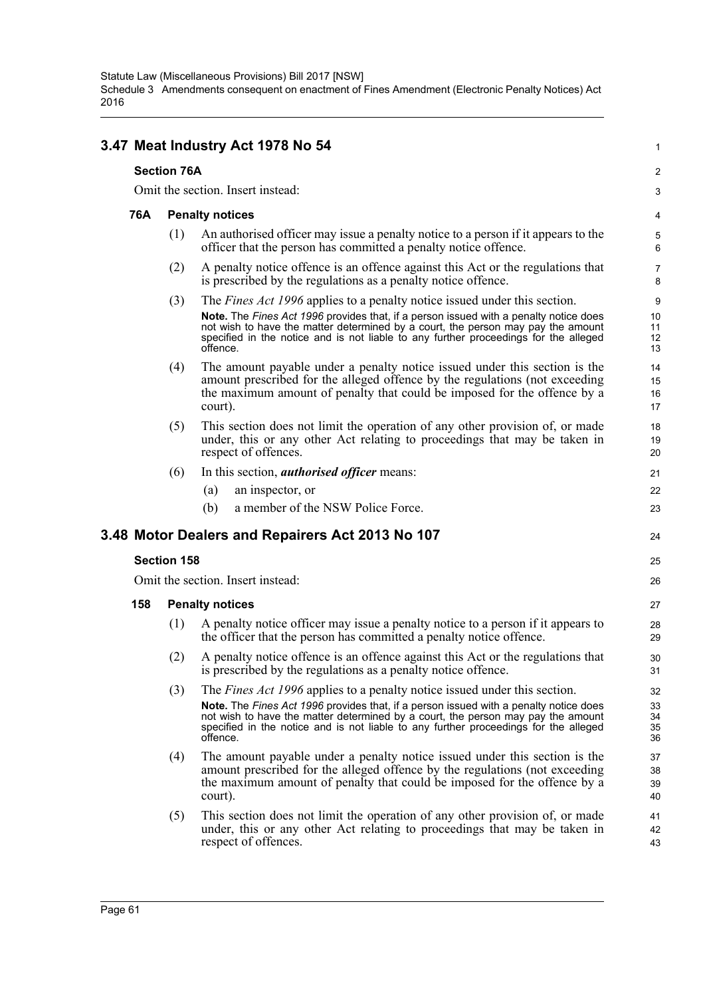# **3.47 Meat Industry Act 1978 No 54**

#### **Section 76A**

Omit the section. Insert instead:

#### **76A Penalty notices**

(1) An authorised officer may issue a penalty notice to a person if it appears to the officer that the person has committed a penalty notice offence.

1

 $\mathfrak{p}$ 3

24

25 26

- (2) A penalty notice offence is an offence against this Act or the regulations that is prescribed by the regulations as a penalty notice offence.
- (3) The *Fines Act 1996* applies to a penalty notice issued under this section. **Note.** The *Fines Act 1996* provides that, if a person issued with a penalty notice does not wish to have the matter determined by a court, the person may pay the amount specified in the notice and is not liable to any further proceedings for the alleged offence.
- (4) The amount payable under a penalty notice issued under this section is the amount prescribed for the alleged offence by the regulations (not exceeding the maximum amount of penalty that could be imposed for the offence by a court).
- (5) This section does not limit the operation of any other provision of, or made under, this or any other Act relating to proceedings that may be taken in respect of offences.
- (6) In this section, *authorised officer* means:
	- (a) an inspector, or
	- (b) a member of the NSW Police Force.

## **3.48 Motor Dealers and Repairers Act 2013 No 107**

#### **Section 158**

Omit the section. Insert instead:

- **158 Penalty notices**
	- (1) A penalty notice officer may issue a penalty notice to a person if it appears to the officer that the person has committed a penalty notice offence.
	- (2) A penalty notice offence is an offence against this Act or the regulations that is prescribed by the regulations as a penalty notice offence.
	- (3) The *Fines Act 1996* applies to a penalty notice issued under this section. **Note.** The *Fines Act 1996* provides that, if a person issued with a penalty notice does not wish to have the matter determined by a court, the person may pay the amount specified in the notice and is not liable to any further proceedings for the alleged offence.
	- (4) The amount payable under a penalty notice issued under this section is the amount prescribed for the alleged offence by the regulations (not exceeding the maximum amount of penalty that could be imposed for the offence by a court).
	- (5) This section does not limit the operation of any other provision of, or made under, this or any other Act relating to proceedings that may be taken in respect of offences.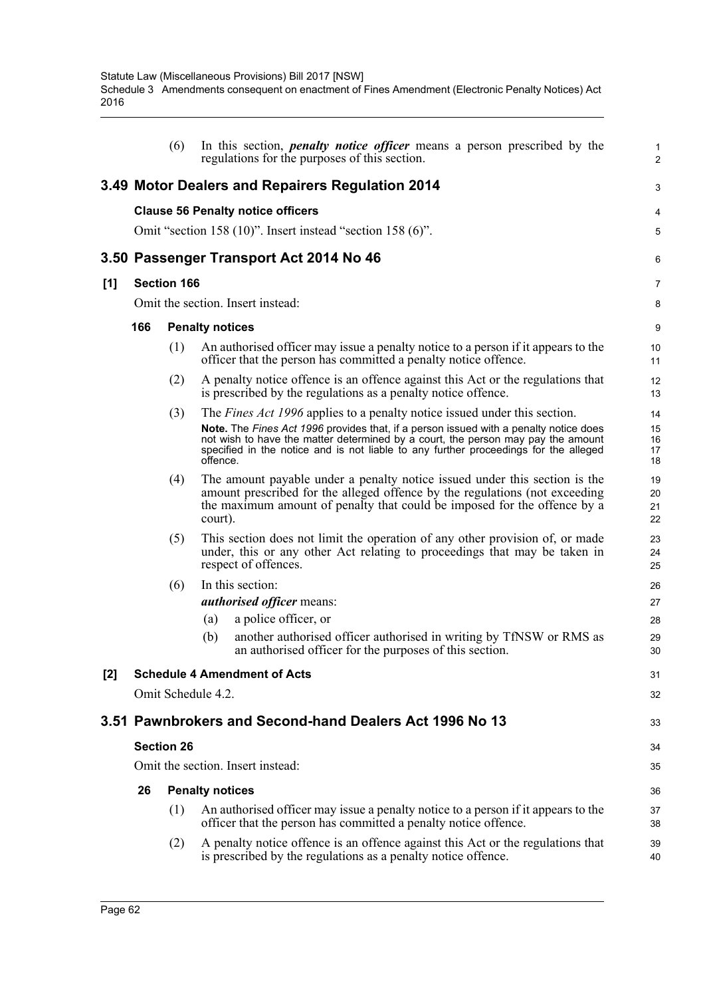|     |     | (6)                | In this section, <i>penalty notice officer</i> means a person prescribed by the<br>regulations for the purposes of this section.                                                                                                                                                                                                                                  | 1<br>$\overline{2}$        |
|-----|-----|--------------------|-------------------------------------------------------------------------------------------------------------------------------------------------------------------------------------------------------------------------------------------------------------------------------------------------------------------------------------------------------------------|----------------------------|
|     |     |                    | 3.49 Motor Dealers and Repairers Regulation 2014                                                                                                                                                                                                                                                                                                                  | 3                          |
|     |     |                    | <b>Clause 56 Penalty notice officers</b>                                                                                                                                                                                                                                                                                                                          | 4                          |
|     |     |                    | Omit "section 158 $(10)$ ". Insert instead "section 158 $(6)$ ".                                                                                                                                                                                                                                                                                                  | 5                          |
|     |     |                    | 3.50 Passenger Transport Act 2014 No 46                                                                                                                                                                                                                                                                                                                           | 6                          |
| [1] |     | <b>Section 166</b> |                                                                                                                                                                                                                                                                                                                                                                   | 7                          |
|     |     |                    | Omit the section. Insert instead:                                                                                                                                                                                                                                                                                                                                 | 8                          |
|     | 166 |                    | <b>Penalty notices</b>                                                                                                                                                                                                                                                                                                                                            | 9                          |
|     |     | (1)                | An authorised officer may issue a penalty notice to a person if it appears to the<br>officer that the person has committed a penalty notice offence.                                                                                                                                                                                                              | 10<br>11                   |
|     |     | (2)                | A penalty notice offence is an offence against this Act or the regulations that<br>is prescribed by the regulations as a penalty notice offence.                                                                                                                                                                                                                  | 12<br>13                   |
|     |     | (3)                | The <i>Fines Act 1996</i> applies to a penalty notice issued under this section.<br>Note. The Fines Act 1996 provides that, if a person issued with a penalty notice does<br>not wish to have the matter determined by a court, the person may pay the amount<br>specified in the notice and is not liable to any further proceedings for the alleged<br>offence. | 14<br>15<br>16<br>17<br>18 |
|     |     | (4)                | The amount payable under a penalty notice issued under this section is the<br>amount prescribed for the alleged offence by the regulations (not exceeding<br>the maximum amount of penalty that could be imposed for the offence by a<br>court).                                                                                                                  | 19<br>20<br>21<br>22       |
|     |     | (5)                | This section does not limit the operation of any other provision of, or made<br>under, this or any other Act relating to proceedings that may be taken in<br>respect of offences.                                                                                                                                                                                 | 23<br>24<br>25             |
|     |     | (6)                | In this section:                                                                                                                                                                                                                                                                                                                                                  | 26                         |
|     |     |                    | <i>authorised officer means:</i>                                                                                                                                                                                                                                                                                                                                  | 27                         |
|     |     |                    | a police officer, or<br>(a)                                                                                                                                                                                                                                                                                                                                       | 28                         |
|     |     |                    | another authorised officer authorised in writing by TfNSW or RMS as<br>(b)<br>an authorised officer for the purposes of this section.                                                                                                                                                                                                                             | 29<br>30                   |
| [2] |     |                    | <b>Schedule 4 Amendment of Acts</b>                                                                                                                                                                                                                                                                                                                               | 31                         |
|     |     |                    | Omit Schedule 4.2.                                                                                                                                                                                                                                                                                                                                                | 32                         |
|     |     |                    | 3.51 Pawnbrokers and Second-hand Dealers Act 1996 No 13                                                                                                                                                                                                                                                                                                           | 33                         |
|     |     | <b>Section 26</b>  |                                                                                                                                                                                                                                                                                                                                                                   | 34                         |
|     |     |                    | Omit the section. Insert instead:                                                                                                                                                                                                                                                                                                                                 | 35                         |
|     | 26  |                    | <b>Penalty notices</b>                                                                                                                                                                                                                                                                                                                                            | 36                         |
|     |     | (1)                | An authorised officer may issue a penalty notice to a person if it appears to the<br>officer that the person has committed a penalty notice offence.                                                                                                                                                                                                              | 37<br>38                   |
|     |     | (2)                | A penalty notice offence is an offence against this Act or the regulations that<br>is prescribed by the regulations as a penalty notice offence.                                                                                                                                                                                                                  | 39<br>40                   |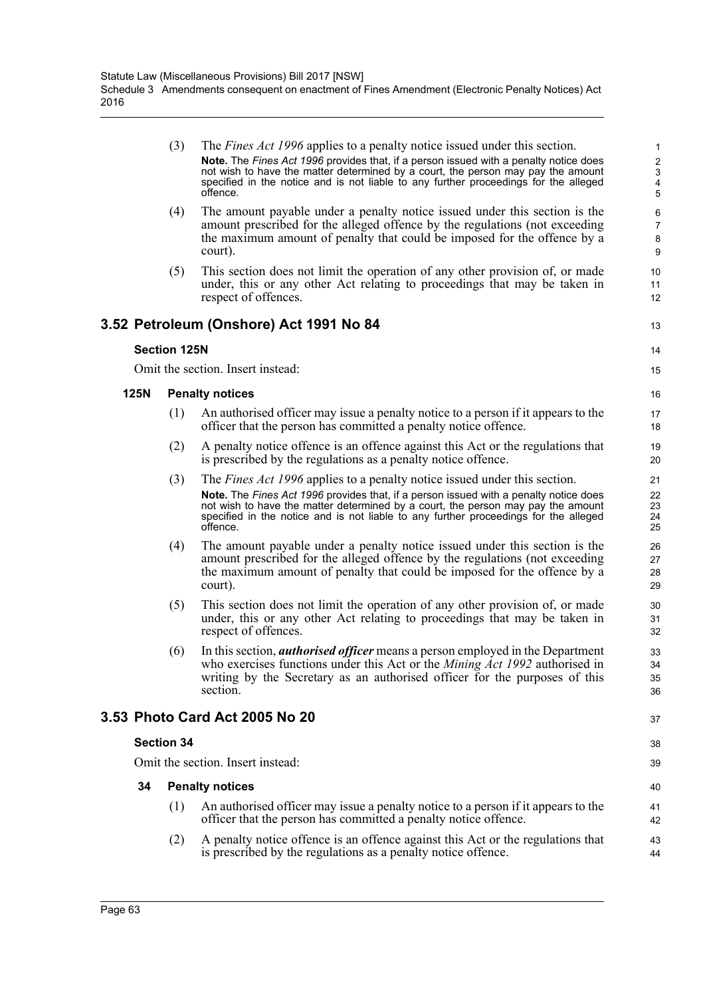(3) The *Fines Act 1996* applies to a penalty notice issued under this section. **Note.** The *Fines Act 1996* provides that, if a person issued with a penalty notice does not wish to have the matter determined by a court, the person may pay the amount specified in the notice and is not liable to any further proceedings for the alleged offence.

13

14 15

37

- (4) The amount payable under a penalty notice issued under this section is the amount prescribed for the alleged offence by the regulations (not exceeding the maximum amount of penalty that could be imposed for the offence by a court).
- (5) This section does not limit the operation of any other provision of, or made under, this or any other Act relating to proceedings that may be taken in respect of offences.

# **3.52 Petroleum (Onshore) Act 1991 No 84**

## **Section 125N**

Omit the section. Insert instead:

## **125N Penalty notices**

- (1) An authorised officer may issue a penalty notice to a person if it appears to the officer that the person has committed a penalty notice offence.
- (2) A penalty notice offence is an offence against this Act or the regulations that is prescribed by the regulations as a penalty notice offence.
- (3) The *Fines Act 1996* applies to a penalty notice issued under this section. **Note.** The *Fines Act 1996* provides that, if a person issued with a penalty notice does not wish to have the matter determined by a court, the person may pay the amount specified in the notice and is not liable to any further proceedings for the alleged offence.
- (4) The amount payable under a penalty notice issued under this section is the amount prescribed for the alleged offence by the regulations (not exceeding the maximum amount of penalty that could be imposed for the offence by a court).
- (5) This section does not limit the operation of any other provision of, or made under, this or any other Act relating to proceedings that may be taken in respect of offences.
- (6) In this section, *authorised officer* means a person employed in the Department who exercises functions under this Act or the *Mining Act 1992* authorised in writing by the Secretary as an authorised officer for the purposes of this section.

# **3.53 Photo Card Act 2005 No 20**

## **Section 34**

Omit the section. Insert instead:

## **34 Penalty notices**

- (1) An authorised officer may issue a penalty notice to a person if it appears to the officer that the person has committed a penalty notice offence.
- (2) A penalty notice offence is an offence against this Act or the regulations that is prescribed by the regulations as a penalty notice offence.

Page 63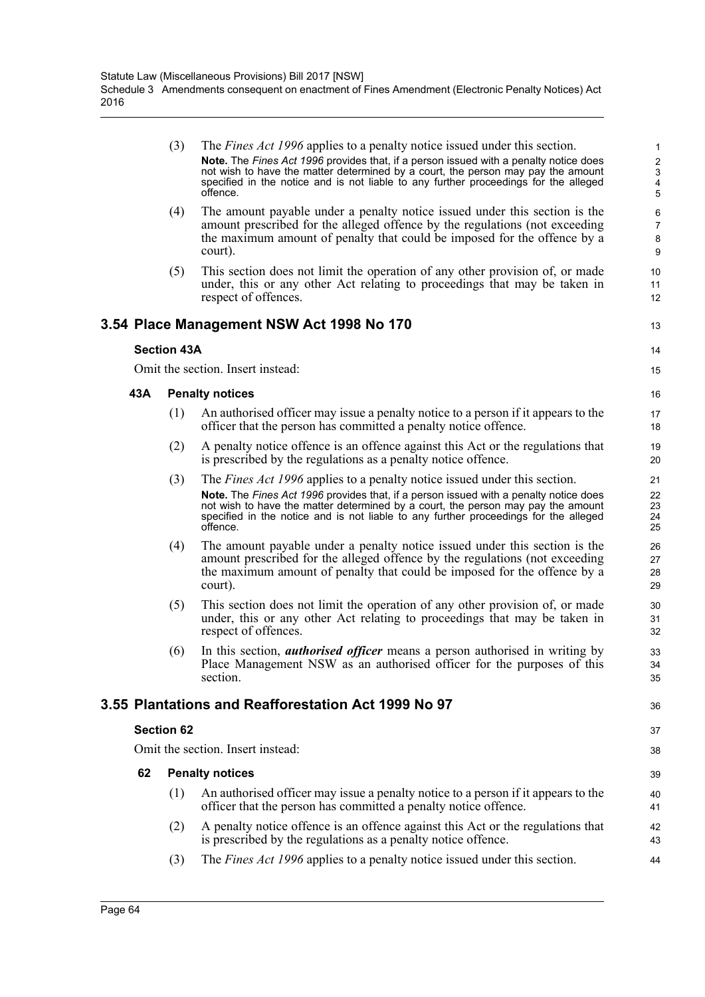(3) The *Fines Act 1996* applies to a penalty notice issued under this section. **Note.** The *Fines Act 1996* provides that, if a person issued with a penalty notice does not wish to have the matter determined by a court, the person may pay the amount specified in the notice and is not liable to any further proceedings for the alleged offence.

13

14 15

36

- (4) The amount payable under a penalty notice issued under this section is the amount prescribed for the alleged offence by the regulations (not exceeding the maximum amount of penalty that could be imposed for the offence by a court).
- (5) This section does not limit the operation of any other provision of, or made under, this or any other Act relating to proceedings that may be taken in respect of offences.

## **3.54 Place Management NSW Act 1998 No 170**

## **Section 43A**

Omit the section. Insert instead:

#### **43A Penalty notices**

- (1) An authorised officer may issue a penalty notice to a person if it appears to the officer that the person has committed a penalty notice offence.
- (2) A penalty notice offence is an offence against this Act or the regulations that is prescribed by the regulations as a penalty notice offence.
- (3) The *Fines Act 1996* applies to a penalty notice issued under this section. **Note.** The *Fines Act 1996* provides that, if a person issued with a penalty notice does not wish to have the matter determined by a court, the person may pay the amount specified in the notice and is not liable to any further proceedings for the alleged offence.
- (4) The amount payable under a penalty notice issued under this section is the amount prescribed for the alleged offence by the regulations (not exceeding the maximum amount of penalty that could be imposed for the offence by a court).
- (5) This section does not limit the operation of any other provision of, or made under, this or any other Act relating to proceedings that may be taken in respect of offences.
- (6) In this section, *authorised officer* means a person authorised in writing by Place Management NSW as an authorised officer for the purposes of this section.

## **3.55 Plantations and Reafforestation Act 1999 No 97**

## **Section 62**

Omit the section. Insert instead:

- (1) An authorised officer may issue a penalty notice to a person if it appears to the officer that the person has committed a penalty notice offence.
- (2) A penalty notice offence is an offence against this Act or the regulations that is prescribed by the regulations as a penalty notice offence.
- (3) The *Fines Act 1996* applies to a penalty notice issued under this section.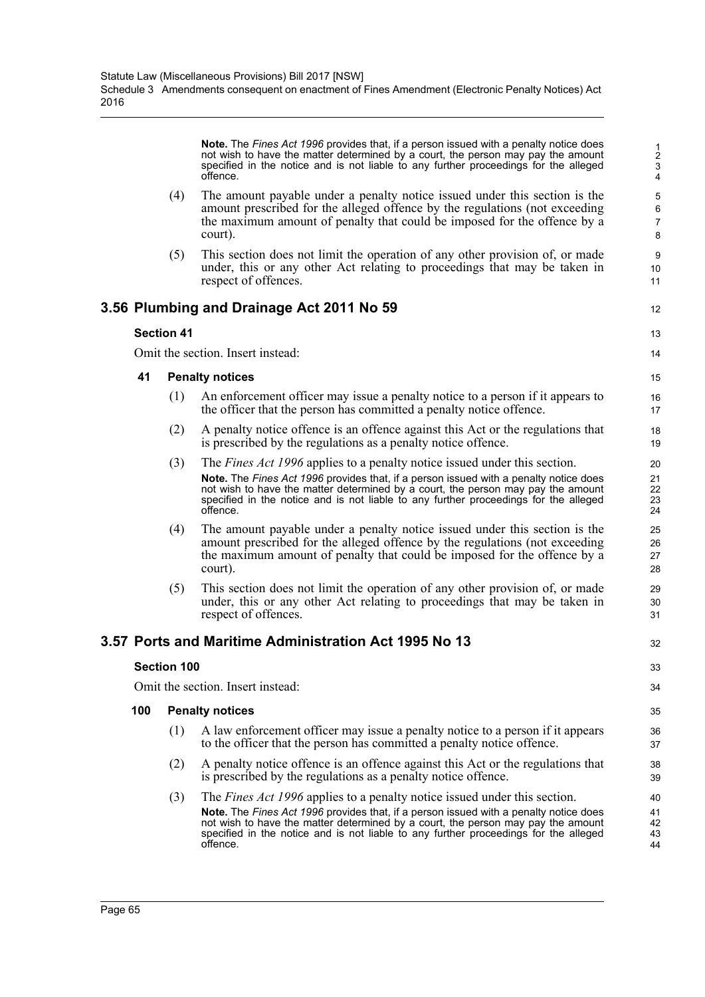**Note.** The *Fines Act 1996* provides that, if a person issued with a penalty notice does not wish to have the matter determined by a court, the person may pay the amount specified in the notice and is not liable to any further proceedings for the alleged offence.

- (4) The amount payable under a penalty notice issued under this section is the amount prescribed for the alleged offence by the regulations (not exceeding the maximum amount of penalty that could be imposed for the offence by a court).
- (5) This section does not limit the operation of any other provision of, or made under, this or any other Act relating to proceedings that may be taken in respect of offences.

# **3.56 Plumbing and Drainage Act 2011 No 59**

## **Section 41**

Omit the section. Insert instead:

## **41 Penalty notices**

- (1) An enforcement officer may issue a penalty notice to a person if it appears to the officer that the person has committed a penalty notice offence.
- (2) A penalty notice offence is an offence against this Act or the regulations that is prescribed by the regulations as a penalty notice offence.
- (3) The *Fines Act 1996* applies to a penalty notice issued under this section. **Note.** The *Fines Act 1996* provides that, if a person issued with a penalty notice does not wish to have the matter determined by a court, the person may pay the amount specified in the notice and is not liable to any further proceedings for the alleged offence.
- (4) The amount payable under a penalty notice issued under this section is the amount prescribed for the alleged offence by the regulations (not exceeding the maximum amount of penalty that could be imposed for the offence by a court).
- (5) This section does not limit the operation of any other provision of, or made under, this or any other Act relating to proceedings that may be taken in respect of offences.

# **3.57 Ports and Maritime Administration Act 1995 No 13**

## **Section 100**

Omit the section. Insert instead:

## **100 Penalty notices**

- (1) A law enforcement officer may issue a penalty notice to a person if it appears to the officer that the person has committed a penalty notice offence.
- (2) A penalty notice offence is an offence against this Act or the regulations that is prescribed by the regulations as a penalty notice offence.
- (3) The *Fines Act 1996* applies to a penalty notice issued under this section. **Note.** The *Fines Act 1996* provides that, if a person issued with a penalty notice does not wish to have the matter determined by a court, the person may pay the amount specified in the notice and is not liable to any further proceedings for the alleged offence.

12 13

14 15 16

32

33 34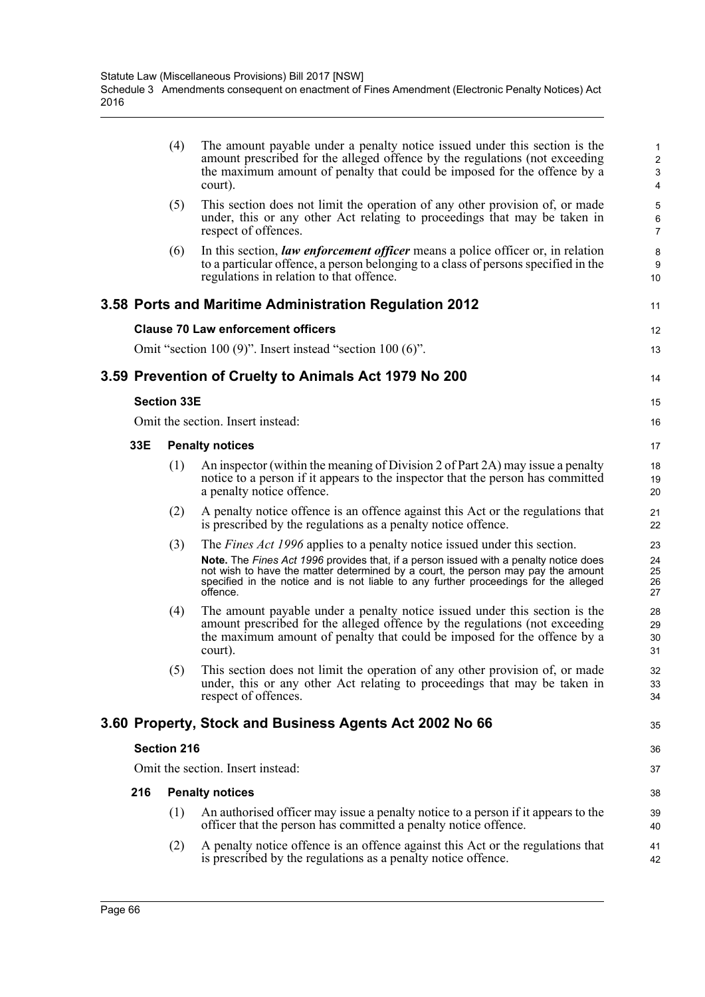|     | (4)                | The amount payable under a penalty notice issued under this section is the<br>amount prescribed for the alleged offence by the regulations (not exceeding<br>the maximum amount of penalty that could be imposed for the offence by a<br>court).                              | $\mathbf{1}$<br>$\overline{c}$<br>3<br>4 |
|-----|--------------------|-------------------------------------------------------------------------------------------------------------------------------------------------------------------------------------------------------------------------------------------------------------------------------|------------------------------------------|
|     | (5)                | This section does not limit the operation of any other provision of, or made<br>under, this or any other Act relating to proceedings that may be taken in<br>respect of offences.                                                                                             | 5<br>6<br>$\overline{7}$                 |
|     | (6)                | In this section, law enforcement officer means a police officer or, in relation<br>to a particular offence, a person belonging to a class of persons specified in the<br>regulations in relation to that offence.                                                             | 8<br>9<br>10                             |
|     |                    | 3.58 Ports and Maritime Administration Regulation 2012                                                                                                                                                                                                                        | 11                                       |
|     |                    | <b>Clause 70 Law enforcement officers</b>                                                                                                                                                                                                                                     | 12                                       |
|     |                    | Omit "section 100 $(9)$ ". Insert instead "section 100 $(6)$ ".                                                                                                                                                                                                               | 13                                       |
|     |                    | 3.59 Prevention of Cruelty to Animals Act 1979 No 200                                                                                                                                                                                                                         | 14                                       |
|     | <b>Section 33E</b> |                                                                                                                                                                                                                                                                               | 15                                       |
|     |                    | Omit the section. Insert instead:                                                                                                                                                                                                                                             | 16                                       |
| 33E |                    | <b>Penalty notices</b>                                                                                                                                                                                                                                                        | 17                                       |
|     | (1)                | An inspector (within the meaning of Division 2 of Part 2A) may issue a penalty<br>notice to a person if it appears to the inspector that the person has committed<br>a penalty notice offence.                                                                                | 18<br>19<br>20                           |
|     | (2)                | A penalty notice offence is an offence against this Act or the regulations that<br>is prescribed by the regulations as a penalty notice offence.                                                                                                                              | 21<br>22                                 |
|     | (3)                | The <i>Fines Act 1996</i> applies to a penalty notice issued under this section.                                                                                                                                                                                              | 23                                       |
|     |                    | Note. The Fines Act 1996 provides that, if a person issued with a penalty notice does<br>not wish to have the matter determined by a court, the person may pay the amount<br>specified in the notice and is not liable to any further proceedings for the alleged<br>offence. | 24<br>25<br>26<br>27                     |
|     | (4)                | The amount payable under a penalty notice issued under this section is the<br>amount prescribed for the alleged offence by the regulations (not exceeding<br>the maximum amount of penalty that could be imposed for the offence by a<br>court).                              | 28<br>29<br>30<br>31                     |
|     | (5)                | This section does not limit the operation of any other provision of, or made<br>under, this or any other Act relating to proceedings that may be taken in<br>respect of offences.                                                                                             | 32<br>33<br>34                           |
|     |                    | 3.60 Property, Stock and Business Agents Act 2002 No 66                                                                                                                                                                                                                       | 35                                       |
|     | <b>Section 216</b> |                                                                                                                                                                                                                                                                               | 36                                       |
|     |                    | Omit the section. Insert instead:                                                                                                                                                                                                                                             | 37                                       |
| 216 |                    | <b>Penalty notices</b>                                                                                                                                                                                                                                                        | 38                                       |
|     | (1)                | An authorised officer may issue a penalty notice to a person if it appears to the<br>officer that the person has committed a penalty notice offence.                                                                                                                          | 39<br>40                                 |
|     | (2)                | A penalty notice offence is an offence against this Act or the regulations that<br>is prescribed by the regulations as a penalty notice offence.                                                                                                                              | 41<br>42                                 |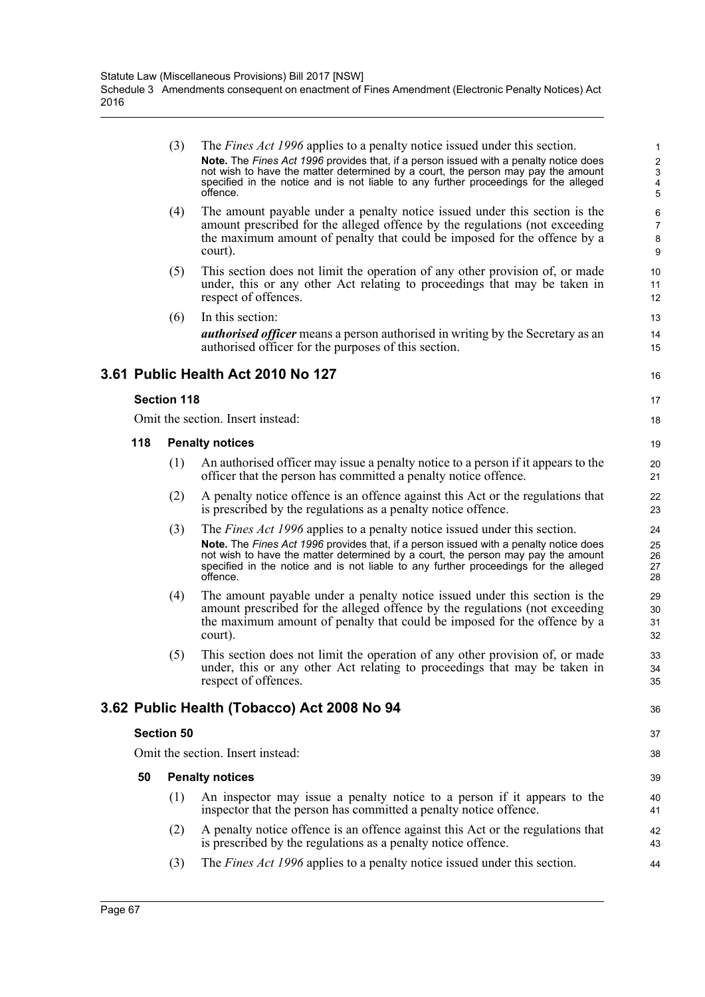|     | (3)                | The <i>Fines Act 1996</i> applies to a penalty notice issued under this section.<br>Note. The Fines Act 1996 provides that, if a person issued with a penalty notice does<br>not wish to have the matter determined by a court, the person may pay the amount<br>specified in the notice and is not liable to any further proceedings for the alleged<br>offence. | 1<br>$\boldsymbol{2}$<br>$\ensuremath{\mathsf{3}}$<br>$\overline{\mathbf{4}}$<br>$\overline{5}$ |
|-----|--------------------|-------------------------------------------------------------------------------------------------------------------------------------------------------------------------------------------------------------------------------------------------------------------------------------------------------------------------------------------------------------------|-------------------------------------------------------------------------------------------------|
|     | (4)                | The amount payable under a penalty notice issued under this section is the<br>amount prescribed for the alleged offence by the regulations (not exceeding<br>the maximum amount of penalty that could be imposed for the offence by a<br>court).                                                                                                                  | $\,6\,$<br>$\overline{7}$<br>8<br>$\boldsymbol{9}$                                              |
|     | (5)                | This section does not limit the operation of any other provision of, or made<br>under, this or any other Act relating to proceedings that may be taken in<br>respect of offences.                                                                                                                                                                                 | 10<br>11<br>12                                                                                  |
|     | (6)                | In this section:                                                                                                                                                                                                                                                                                                                                                  | 13                                                                                              |
|     |                    | <i>authorised officer</i> means a person authorised in writing by the Secretary as an<br>authorised officer for the purposes of this section.                                                                                                                                                                                                                     | 14<br>15                                                                                        |
|     |                    | 3.61 Public Health Act 2010 No 127                                                                                                                                                                                                                                                                                                                                | 16                                                                                              |
|     | <b>Section 118</b> |                                                                                                                                                                                                                                                                                                                                                                   | 17                                                                                              |
|     |                    | Omit the section. Insert instead:                                                                                                                                                                                                                                                                                                                                 | 18                                                                                              |
| 118 |                    | <b>Penalty notices</b>                                                                                                                                                                                                                                                                                                                                            | 19                                                                                              |
|     | (1)                | An authorised officer may issue a penalty notice to a person if it appears to the<br>officer that the person has committed a penalty notice offence.                                                                                                                                                                                                              | 20<br>21                                                                                        |
|     | (2)                | A penalty notice offence is an offence against this Act or the regulations that<br>is prescribed by the regulations as a penalty notice offence.                                                                                                                                                                                                                  | 22<br>23                                                                                        |
|     | (3)                | The <i>Fines Act 1996</i> applies to a penalty notice issued under this section.<br>Note. The Fines Act 1996 provides that, if a person issued with a penalty notice does<br>not wish to have the matter determined by a court, the person may pay the amount<br>specified in the notice and is not liable to any further proceedings for the alleged<br>offence. | 24<br>25<br>26<br>27<br>28                                                                      |
|     | (4)                | The amount payable under a penalty notice issued under this section is the<br>amount prescribed for the alleged offence by the regulations (not exceeding<br>the maximum amount of penalty that could be imposed for the offence by a<br>court).                                                                                                                  | 29<br>30<br>31<br>32                                                                            |
|     | (5)                | This section does not limit the operation of any other provision of, or made<br>under, this or any other Act relating to proceedings that may be taken in<br>respect of offences.                                                                                                                                                                                 | 33<br>34<br>35                                                                                  |
|     |                    | 3.62 Public Health (Tobacco) Act 2008 No 94                                                                                                                                                                                                                                                                                                                       | 36                                                                                              |
|     | <b>Section 50</b>  |                                                                                                                                                                                                                                                                                                                                                                   | 37                                                                                              |
|     |                    | Omit the section. Insert instead:                                                                                                                                                                                                                                                                                                                                 | 38                                                                                              |
| 50  |                    | <b>Penalty notices</b>                                                                                                                                                                                                                                                                                                                                            | 39                                                                                              |
|     | (1)                | An inspector may issue a penalty notice to a person if it appears to the<br>inspector that the person has committed a penalty notice offence.                                                                                                                                                                                                                     | 40<br>41                                                                                        |
|     | (2)                | A penalty notice offence is an offence against this Act or the regulations that<br>is prescribed by the regulations as a penalty notice offence.                                                                                                                                                                                                                  | 42<br>43                                                                                        |
|     | (3)                | The <i>Fines Act 1996</i> applies to a penalty notice issued under this section.                                                                                                                                                                                                                                                                                  | 44                                                                                              |
|     |                    |                                                                                                                                                                                                                                                                                                                                                                   |                                                                                                 |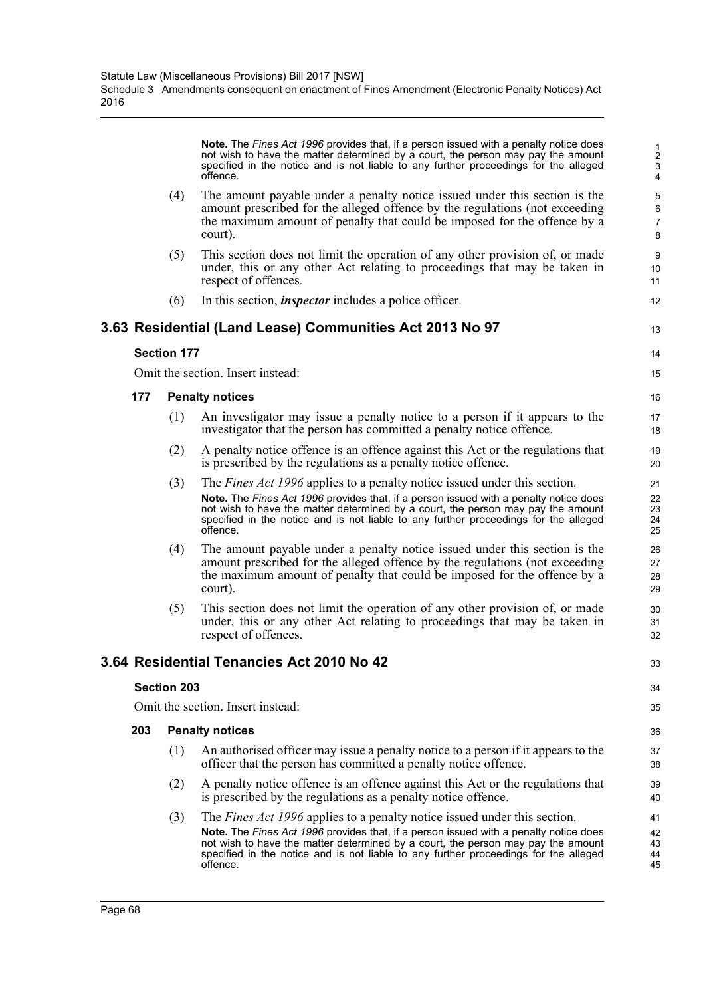|     |                    | <b>Note.</b> The Fines Act 1996 provides that, if a person issued with a penalty notice does<br>not wish to have the matter determined by a court, the person may pay the amount<br>specified in the notice and is not liable to any further proceedings for the alleged<br>offence.                                                                              | $\frac{1}{2}$<br>$\mathfrak{S}$<br>$\overline{4}$ |
|-----|--------------------|-------------------------------------------------------------------------------------------------------------------------------------------------------------------------------------------------------------------------------------------------------------------------------------------------------------------------------------------------------------------|---------------------------------------------------|
|     | (4)                | The amount payable under a penalty notice issued under this section is the<br>amount prescribed for the alleged offence by the regulations (not exceeding<br>the maximum amount of penalty that could be imposed for the offence by a<br>court).                                                                                                                  | 5<br>$\,6\,$<br>$\overline{7}$<br>8               |
|     | (5)                | This section does not limit the operation of any other provision of, or made<br>under, this or any other Act relating to proceedings that may be taken in<br>respect of offences.                                                                                                                                                                                 | 9<br>10<br>11                                     |
|     | (6)                | In this section, <i>inspector</i> includes a police officer.                                                                                                                                                                                                                                                                                                      | 12                                                |
|     |                    | 3.63 Residential (Land Lease) Communities Act 2013 No 97                                                                                                                                                                                                                                                                                                          | 13                                                |
|     | <b>Section 177</b> |                                                                                                                                                                                                                                                                                                                                                                   | 14                                                |
|     |                    | Omit the section. Insert instead:                                                                                                                                                                                                                                                                                                                                 | 15                                                |
| 177 |                    | <b>Penalty notices</b>                                                                                                                                                                                                                                                                                                                                            | 16                                                |
|     | (1)                | An investigator may issue a penalty notice to a person if it appears to the<br>investigator that the person has committed a penalty notice offence.                                                                                                                                                                                                               | 17<br>18                                          |
|     | (2)                | A penalty notice offence is an offence against this Act or the regulations that<br>is prescribed by the regulations as a penalty notice offence.                                                                                                                                                                                                                  | 19<br>20                                          |
|     | (3)                | The <i>Fines Act 1996</i> applies to a penalty notice issued under this section.<br>Note. The Fines Act 1996 provides that, if a person issued with a penalty notice does<br>not wish to have the matter determined by a court, the person may pay the amount<br>specified in the notice and is not liable to any further proceedings for the alleged<br>offence. | 21<br>22<br>23<br>24<br>25                        |
|     | (4)                | The amount payable under a penalty notice issued under this section is the<br>amount prescribed for the alleged offence by the regulations (not exceeding<br>the maximum amount of penalty that could be imposed for the offence by a<br>court).                                                                                                                  | 26<br>27<br>28<br>29                              |
|     | (5)                | This section does not limit the operation of any other provision of, or made<br>under, this or any other Act relating to proceedings that may be taken in<br>respect of offences.                                                                                                                                                                                 | 30<br>31<br>32                                    |
|     |                    | 3.64 Residential Tenancies Act 2010 No 42                                                                                                                                                                                                                                                                                                                         | 33                                                |
|     | <b>Section 203</b> |                                                                                                                                                                                                                                                                                                                                                                   | 34                                                |
|     |                    | Omit the section. Insert instead:                                                                                                                                                                                                                                                                                                                                 | 35                                                |
| 203 |                    | <b>Penalty notices</b>                                                                                                                                                                                                                                                                                                                                            | 36                                                |
|     | (1)                | An authorised officer may issue a penalty notice to a person if it appears to the<br>officer that the person has committed a penalty notice offence.                                                                                                                                                                                                              | 37<br>38                                          |
|     | (2)                | A penalty notice offence is an offence against this Act or the regulations that<br>is prescribed by the regulations as a penalty notice offence.                                                                                                                                                                                                                  | 39<br>40                                          |
|     | (3)                | The <i>Fines Act 1996</i> applies to a penalty notice issued under this section.                                                                                                                                                                                                                                                                                  | 41                                                |
|     |                    | Note. The Fines Act 1996 provides that, if a person issued with a penalty notice does<br>not wish to have the matter determined by a court, the person may pay the amount                                                                                                                                                                                         | 42<br>43                                          |

specified in the notice and is not liable to any further proceedings for the alleged

44 45

offence.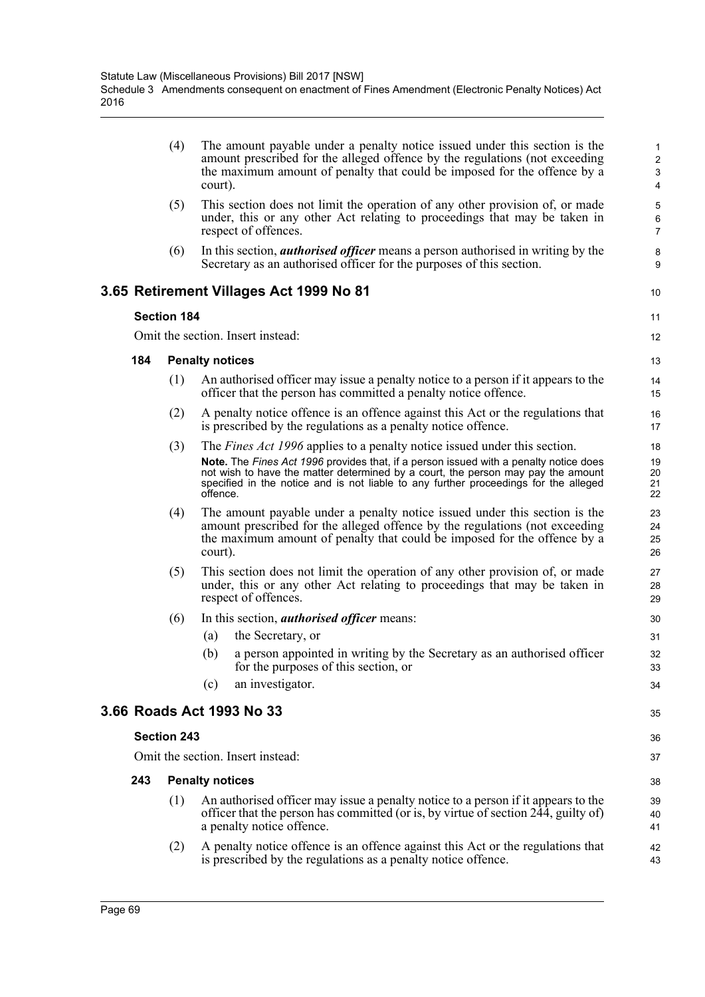|     | (4)                | The amount payable under a penalty notice issued under this section is the<br>amount prescribed for the alleged offence by the regulations (not exceeding<br>the maximum amount of penalty that could be imposed for the offence by a<br>court).                                                                                                                  | $\mathbf{1}$<br>$\overline{2}$<br>3<br>$\overline{4}$ |
|-----|--------------------|-------------------------------------------------------------------------------------------------------------------------------------------------------------------------------------------------------------------------------------------------------------------------------------------------------------------------------------------------------------------|-------------------------------------------------------|
|     | (5)                | This section does not limit the operation of any other provision of, or made<br>under, this or any other Act relating to proceedings that may be taken in<br>respect of offences.                                                                                                                                                                                 | $\mathbf 5$<br>6<br>$\overline{7}$                    |
|     | (6)                | In this section, <i>authorised officer</i> means a person authorised in writing by the<br>Secretary as an authorised officer for the purposes of this section.                                                                                                                                                                                                    | 8<br>9                                                |
|     |                    | <b>Retirement Villages Act 1999 No 81</b>                                                                                                                                                                                                                                                                                                                         | 10                                                    |
|     | <b>Section 184</b> |                                                                                                                                                                                                                                                                                                                                                                   | 11                                                    |
|     |                    | Omit the section. Insert instead:                                                                                                                                                                                                                                                                                                                                 | 12                                                    |
| 184 |                    | <b>Penalty notices</b>                                                                                                                                                                                                                                                                                                                                            | 13                                                    |
|     | (1)                | An authorised officer may issue a penalty notice to a person if it appears to the<br>officer that the person has committed a penalty notice offence.                                                                                                                                                                                                              | 14<br>15                                              |
|     | (2)                | A penalty notice offence is an offence against this Act or the regulations that<br>is prescribed by the regulations as a penalty notice offence.                                                                                                                                                                                                                  | 16<br>17                                              |
|     | (3)                | The <i>Fines Act 1996</i> applies to a penalty notice issued under this section.<br>Note. The Fines Act 1996 provides that, if a person issued with a penalty notice does<br>not wish to have the matter determined by a court, the person may pay the amount<br>specified in the notice and is not liable to any further proceedings for the alleged<br>offence. | 18<br>19<br>20<br>21<br>22                            |
|     | (4)                | The amount payable under a penalty notice issued under this section is the<br>amount prescribed for the alleged offence by the regulations (not exceeding<br>the maximum amount of penalty that could be imposed for the offence by a<br>court).                                                                                                                  | 23<br>24<br>25<br>26                                  |
|     | (5)                | This section does not limit the operation of any other provision of, or made<br>under, this or any other Act relating to proceedings that may be taken in<br>respect of offences.                                                                                                                                                                                 | 27<br>28<br>29                                        |
|     | (6)                | In this section, <i>authorised officer</i> means:                                                                                                                                                                                                                                                                                                                 | 30                                                    |
|     |                    | the Secretary, or<br>(a)                                                                                                                                                                                                                                                                                                                                          | 31                                                    |
|     |                    | a person appointed in writing by the Secretary as an authorised officer<br>(b)<br>for the purposes of this section, or                                                                                                                                                                                                                                            | 32<br>33                                              |
|     |                    | (c)<br>an investigator.                                                                                                                                                                                                                                                                                                                                           | 34                                                    |
|     |                    | <b>Roads Act 1993 No 33</b>                                                                                                                                                                                                                                                                                                                                       | 35                                                    |
|     | <b>Section 243</b> |                                                                                                                                                                                                                                                                                                                                                                   | 36                                                    |
|     |                    | Omit the section. Insert instead:                                                                                                                                                                                                                                                                                                                                 | 37                                                    |
| 243 |                    | <b>Penalty notices</b>                                                                                                                                                                                                                                                                                                                                            | 38                                                    |
|     | (1)                | An authorised officer may issue a penalty notice to a person if it appears to the<br>officer that the person has committed (or is, by virtue of section 244, guilty of)<br>a penalty notice offence.                                                                                                                                                              | 39<br>40<br>41                                        |
|     | (2)                | A penalty notice offence is an offence against this Act or the regulations that<br>is prescribed by the regulations as a penalty notice offence.                                                                                                                                                                                                                  | 42<br>43                                              |

**3.66** 

**3.65 Retirement Villages Act 1999 No 81**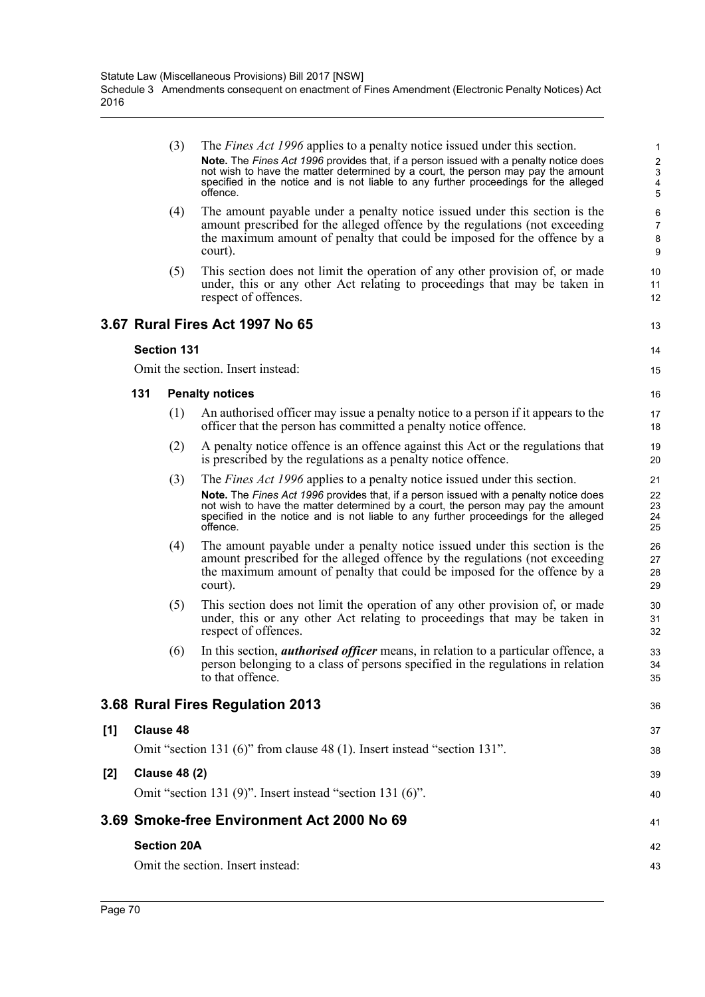(3) The *Fines Act 1996* applies to a penalty notice issued under this section. **Note.** The *Fines Act 1996* provides that, if a person issued with a penalty notice does not wish to have the matter determined by a court, the person may pay the amount specified in the notice and is not liable to any further proceedings for the alleged offence.

13

14 15

36

- (4) The amount payable under a penalty notice issued under this section is the amount prescribed for the alleged offence by the regulations (not exceeding the maximum amount of penalty that could be imposed for the offence by a court).
- (5) This section does not limit the operation of any other provision of, or made under, this or any other Act relating to proceedings that may be taken in respect of offences.

# **3.67 Rural Fires Act 1997 No 65**

## **Section 131**

Omit the section. Insert instead:

## **131 Penalty notices**

- (1) An authorised officer may issue a penalty notice to a person if it appears to the officer that the person has committed a penalty notice offence.
- (2) A penalty notice offence is an offence against this Act or the regulations that is prescribed by the regulations as a penalty notice offence.
- (3) The *Fines Act 1996* applies to a penalty notice issued under this section. **Note.** The *Fines Act 1996* provides that, if a person issued with a penalty notice does not wish to have the matter determined by a court, the person may pay the amount specified in the notice and is not liable to any further proceedings for the alleged offence.
- (4) The amount payable under a penalty notice issued under this section is the amount prescribed for the alleged offence by the regulations (not exceeding the maximum amount of penalty that could be imposed for the offence by a court).
- (5) This section does not limit the operation of any other provision of, or made under, this or any other Act relating to proceedings that may be taken in respect of offences.
- (6) In this section, *authorised officer* means, in relation to a particular offence, a person belonging to a class of persons specified in the regulations in relation to that offence.

## **3.68 Rural Fires Regulation 2013**

| [1]   | Clause 48                                                                | 37 |
|-------|--------------------------------------------------------------------------|----|
|       | Omit "section 131 (6)" from clause 48 (1). Insert instead "section 131". | 38 |
| $[2]$ | <b>Clause 48 (2)</b>                                                     | 39 |
|       | Omit "section 131 $(9)$ ". Insert instead "section 131 $(6)$ ".          | 40 |
|       | 3.69 Smoke-free Environment Act 2000 No 69                               | 41 |
|       | <b>Section 20A</b>                                                       | 42 |
|       | Omit the section. Insert instead:                                        | 43 |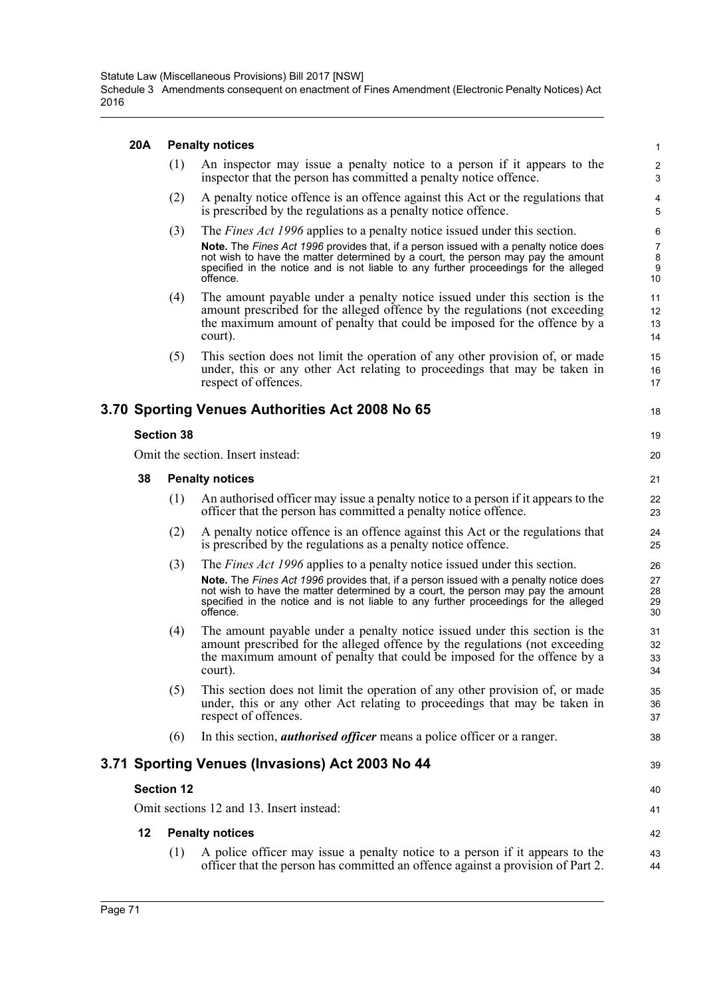### **20A Penalty notices**

(1) An inspector may issue a penalty notice to a person if it appears to the inspector that the person has committed a penalty notice offence.

18

19 20

39

40 41

42 43 44

- (2) A penalty notice offence is an offence against this Act or the regulations that is prescribed by the regulations as a penalty notice offence.
- (3) The *Fines Act 1996* applies to a penalty notice issued under this section. **Note.** The *Fines Act 1996* provides that, if a person issued with a penalty notice does not wish to have the matter determined by a court, the person may pay the amount specified in the notice and is not liable to any further proceedings for the alleged offence.
- (4) The amount payable under a penalty notice issued under this section is the amount prescribed for the alleged offence by the regulations (not exceeding the maximum amount of penalty that could be imposed for the offence by a court).
- (5) This section does not limit the operation of any other provision of, or made under, this or any other Act relating to proceedings that may be taken in respect of offences.

## **3.70 Sporting Venues Authorities Act 2008 No 65**

## **Section 38**

Omit the section. Insert instead:

### **38 Penalty notices**

- (1) An authorised officer may issue a penalty notice to a person if it appears to the officer that the person has committed a penalty notice offence.
- (2) A penalty notice offence is an offence against this Act or the regulations that is prescribed by the regulations as a penalty notice offence.
- (3) The *Fines Act 1996* applies to a penalty notice issued under this section. **Note.** The *Fines Act 1996* provides that, if a person issued with a penalty notice does not wish to have the matter determined by a court, the person may pay the amount specified in the notice and is not liable to any further proceedings for the alleged offence.
- (4) The amount payable under a penalty notice issued under this section is the amount prescribed for the alleged offence by the regulations (not exceeding the maximum amount of penalty that could be imposed for the offence by a court).
- (5) This section does not limit the operation of any other provision of, or made under, this or any other Act relating to proceedings that may be taken in respect of offences.
- (6) In this section, *authorised officer* means a police officer or a ranger.

# **3.71 Sporting Venues (Invasions) Act 2003 No 44**

## **Section 12**

Omit sections 12 and 13. Insert instead:

## **12 Penalty notices**

(1) A police officer may issue a penalty notice to a person if it appears to the officer that the person has committed an offence against a provision of Part 2.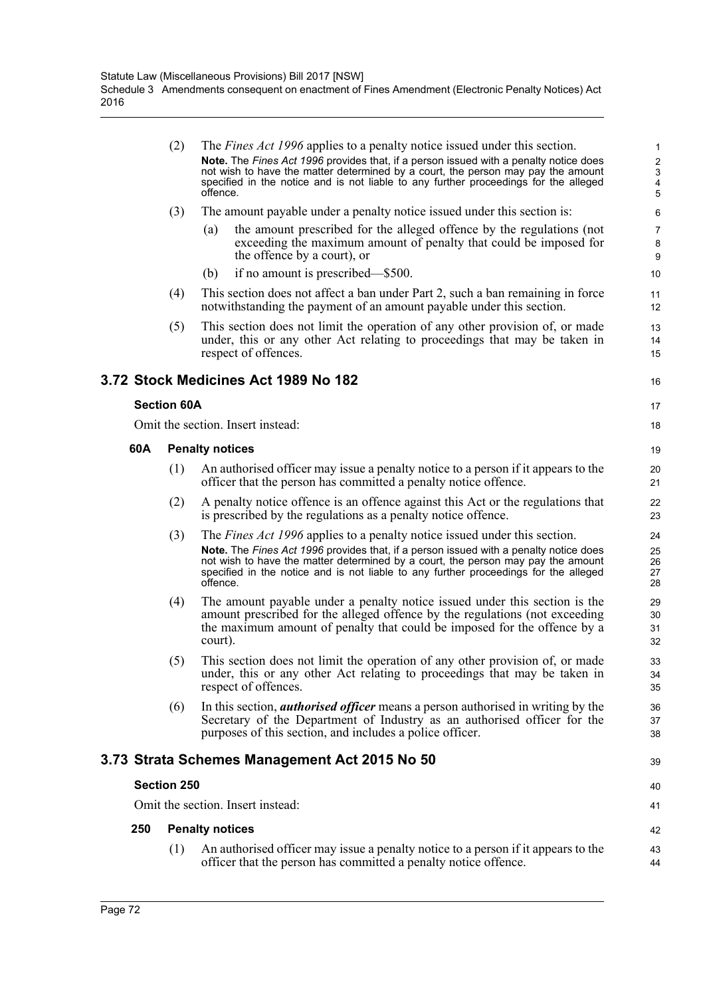|     | (2)                | The <i>Fines Act 1996</i> applies to a penalty notice issued under this section.<br>Note. The Fines Act 1996 provides that, if a person issued with a penalty notice does<br>not wish to have the matter determined by a court, the person may pay the amount<br>specified in the notice and is not liable to any further proceedings for the alleged<br>offence. | $\mathbf{1}$<br>$\overline{\mathbf{c}}$<br>$\mathsf 3$<br>$\overline{\mathbf{4}}$<br>5 |
|-----|--------------------|-------------------------------------------------------------------------------------------------------------------------------------------------------------------------------------------------------------------------------------------------------------------------------------------------------------------------------------------------------------------|----------------------------------------------------------------------------------------|
|     | (3)                | The amount payable under a penalty notice issued under this section is:                                                                                                                                                                                                                                                                                           | 6                                                                                      |
|     |                    | the amount prescribed for the alleged offence by the regulations (not<br>(a)<br>exceeding the maximum amount of penalty that could be imposed for<br>the offence by a court), or                                                                                                                                                                                  | 7<br>8<br>9                                                                            |
|     |                    | if no amount is prescribed—\$500.<br>(b)                                                                                                                                                                                                                                                                                                                          | 10                                                                                     |
|     | (4)                | This section does not affect a ban under Part 2, such a ban remaining in force<br>notwithstanding the payment of an amount payable under this section.                                                                                                                                                                                                            | 11<br>12                                                                               |
|     | (5)                | This section does not limit the operation of any other provision of, or made<br>under, this or any other Act relating to proceedings that may be taken in<br>respect of offences.                                                                                                                                                                                 | 13<br>14<br>15                                                                         |
|     |                    | 3.72 Stock Medicines Act 1989 No 182                                                                                                                                                                                                                                                                                                                              | 16                                                                                     |
|     | <b>Section 60A</b> |                                                                                                                                                                                                                                                                                                                                                                   | 17                                                                                     |
|     |                    | Omit the section. Insert instead:                                                                                                                                                                                                                                                                                                                                 | 18                                                                                     |
| 60A |                    | <b>Penalty notices</b>                                                                                                                                                                                                                                                                                                                                            | 19                                                                                     |
|     | (1)                | An authorised officer may issue a penalty notice to a person if it appears to the<br>officer that the person has committed a penalty notice offence.                                                                                                                                                                                                              | 20<br>21                                                                               |
|     | (2)                | A penalty notice offence is an offence against this Act or the regulations that<br>is prescribed by the regulations as a penalty notice offence.                                                                                                                                                                                                                  | 22<br>23                                                                               |
|     | (3)                | The <i>Fines Act 1996</i> applies to a penalty notice issued under this section.                                                                                                                                                                                                                                                                                  | 24                                                                                     |
|     |                    | Note. The Fines Act 1996 provides that, if a person issued with a penalty notice does<br>not wish to have the matter determined by a court, the person may pay the amount<br>specified in the notice and is not liable to any further proceedings for the alleged<br>offence.                                                                                     | 25<br>26<br>27<br>28                                                                   |
|     | (4)                | The amount payable under a penalty notice issued under this section is the<br>amount prescribed for the alleged offence by the regulations (not exceeding<br>the maximum amount of penalty that could be imposed for the offence by a<br>court).                                                                                                                  | 29<br>30<br>31<br>32                                                                   |
|     | (5)                | This section does not limit the operation of any other provision of, or made<br>under, this or any other Act relating to proceedings that may be taken in<br>respect of offences.                                                                                                                                                                                 | 33<br>34<br>35                                                                         |
|     | (6)                | In this section, <i>authorised officer</i> means a person authorised in writing by the<br>Secretary of the Department of Industry as an authorised officer for the<br>purposes of this section, and includes a police officer.                                                                                                                                    | 36<br>37<br>38                                                                         |
|     |                    | 3.73 Strata Schemes Management Act 2015 No 50                                                                                                                                                                                                                                                                                                                     | 39                                                                                     |
|     | <b>Section 250</b> |                                                                                                                                                                                                                                                                                                                                                                   | 40                                                                                     |
|     |                    | Omit the section. Insert instead:                                                                                                                                                                                                                                                                                                                                 | 41                                                                                     |
| 250 |                    | <b>Penalty notices</b>                                                                                                                                                                                                                                                                                                                                            | 42                                                                                     |
|     | (1)                | An authorised officer may issue a penalty notice to a person if it appears to the<br>officer that the person has committed a penalty notice offence.                                                                                                                                                                                                              | 43<br>44                                                                               |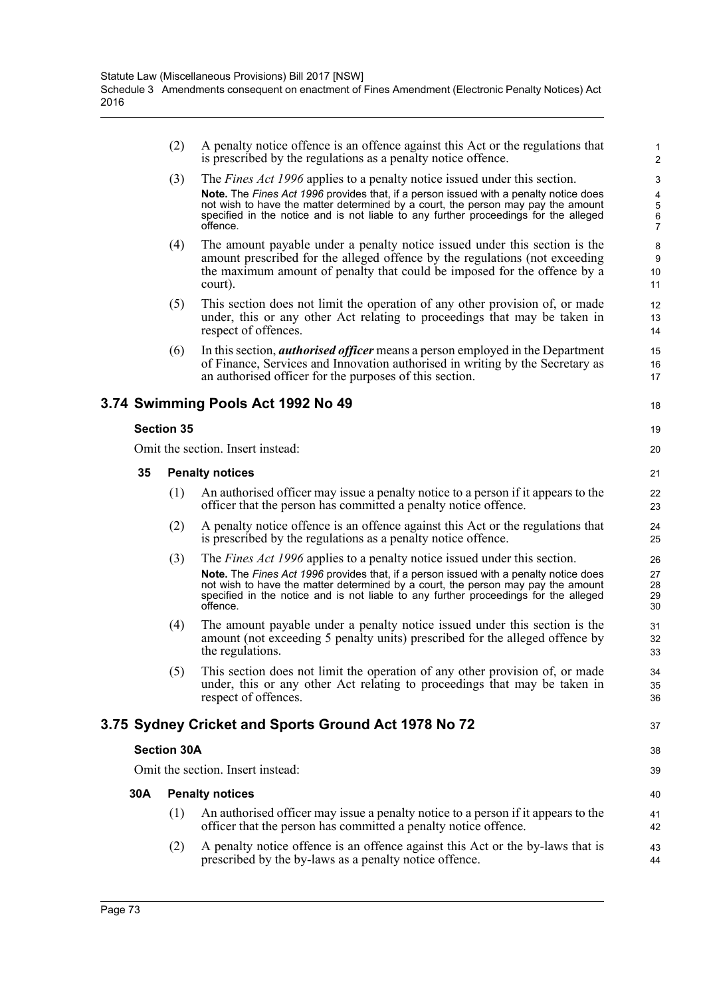(2) A penalty notice offence is an offence against this Act or the regulations that is prescribed by the regulations as a penalty notice offence.

18

19 20

37

- (3) The *Fines Act 1996* applies to a penalty notice issued under this section. **Note.** The *Fines Act 1996* provides that, if a person issued with a penalty notice does not wish to have the matter determined by a court, the person may pay the amount specified in the notice and is not liable to any further proceedings for the alleged offence.
- (4) The amount payable under a penalty notice issued under this section is the amount prescribed for the alleged offence by the regulations (not exceeding the maximum amount of penalty that could be imposed for the offence by a court).
- (5) This section does not limit the operation of any other provision of, or made under, this or any other Act relating to proceedings that may be taken in respect of offences.
- (6) In this section, *authorised officer* means a person employed in the Department of Finance, Services and Innovation authorised in writing by the Secretary as an authorised officer for the purposes of this section.

# **3.74 Swimming Pools Act 1992 No 49**

## **Section 35**

Omit the section. Insert instead:

### **35 Penalty notices**

- (1) An authorised officer may issue a penalty notice to a person if it appears to the officer that the person has committed a penalty notice offence.
- (2) A penalty notice offence is an offence against this Act or the regulations that is prescribed by the regulations as a penalty notice offence.
- (3) The *Fines Act 1996* applies to a penalty notice issued under this section. **Note.** The *Fines Act 1996* provides that, if a person issued with a penalty notice does not wish to have the matter determined by a court, the person may pay the amount specified in the notice and is not liable to any further proceedings for the alleged offence.
- (4) The amount payable under a penalty notice issued under this section is the amount (not exceeding 5 penalty units) prescribed for the alleged offence by the regulations.
- (5) This section does not limit the operation of any other provision of, or made under, this or any other Act relating to proceedings that may be taken in respect of offences.

# **3.75 Sydney Cricket and Sports Ground Act 1978 No 72**

## **Section 30A**

Omit the section. Insert instead:

## **30A Penalty notices**

- (1) An authorised officer may issue a penalty notice to a person if it appears to the officer that the person has committed a penalty notice offence.
- (2) A penalty notice offence is an offence against this Act or the by-laws that is prescribed by the by-laws as a penalty notice offence.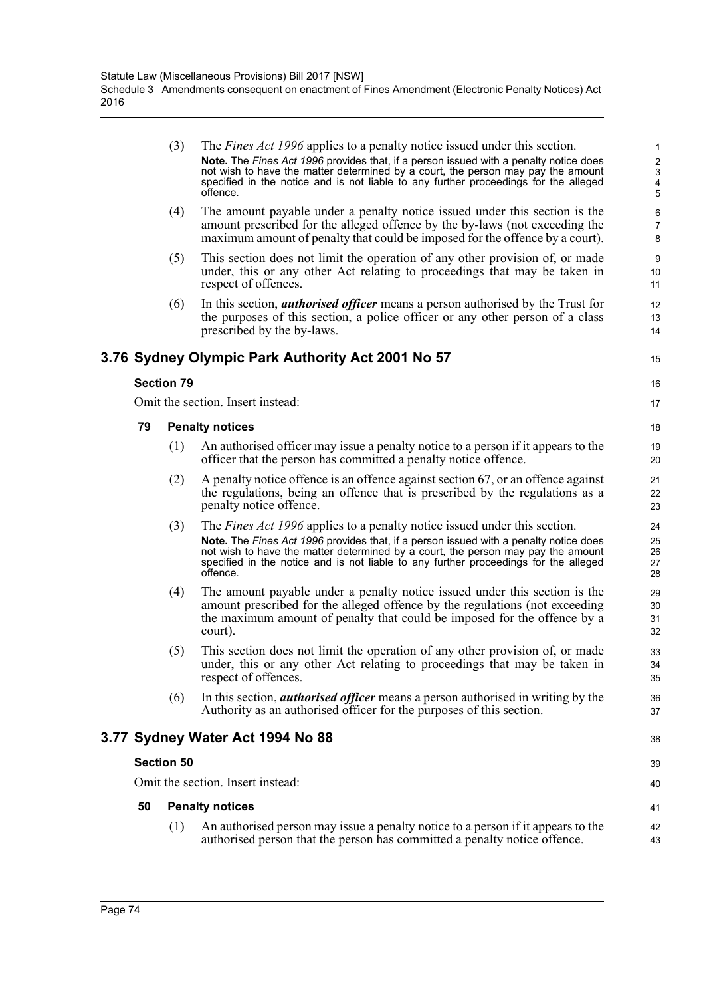|    | (3)               | The <i>Fines Act 1996</i> applies to a penalty notice issued under this section.<br>Note. The Fines Act 1996 provides that, if a person issued with a penalty notice does<br>not wish to have the matter determined by a court, the person may pay the amount<br>specified in the notice and is not liable to any further proceedings for the alleged<br>offence. | 1<br>$\boldsymbol{2}$<br>3<br>$\overline{\mathbf{4}}$<br>5 |
|----|-------------------|-------------------------------------------------------------------------------------------------------------------------------------------------------------------------------------------------------------------------------------------------------------------------------------------------------------------------------------------------------------------|------------------------------------------------------------|
|    | (4)               | The amount payable under a penalty notice issued under this section is the<br>amount prescribed for the alleged offence by the by-laws (not exceeding the<br>maximum amount of penalty that could be imposed for the offence by a court).                                                                                                                         | 6<br>$\overline{7}$<br>8                                   |
|    | (5)               | This section does not limit the operation of any other provision of, or made<br>under, this or any other Act relating to proceedings that may be taken in<br>respect of offences.                                                                                                                                                                                 | 9<br>10<br>11                                              |
|    | (6)               | In this section, <i>authorised officer</i> means a person authorised by the Trust for<br>the purposes of this section, a police officer or any other person of a class<br>prescribed by the by-laws.                                                                                                                                                              | 12<br>13<br>14                                             |
|    |                   | 3.76 Sydney Olympic Park Authority Act 2001 No 57                                                                                                                                                                                                                                                                                                                 | 15                                                         |
|    | <b>Section 79</b> |                                                                                                                                                                                                                                                                                                                                                                   | 16                                                         |
|    |                   | Omit the section. Insert instead:                                                                                                                                                                                                                                                                                                                                 | 17                                                         |
| 79 |                   | <b>Penalty notices</b>                                                                                                                                                                                                                                                                                                                                            | 18                                                         |
|    | (1)               | An authorised officer may issue a penalty notice to a person if it appears to the<br>officer that the person has committed a penalty notice offence.                                                                                                                                                                                                              | 19<br>20                                                   |
|    | (2)               | A penalty notice offence is an offence against section 67, or an offence against<br>the regulations, being an offence that is prescribed by the regulations as a<br>penalty notice offence.                                                                                                                                                                       | 21<br>22<br>23                                             |
|    | (3)               | The <i>Fines Act 1996</i> applies to a penalty notice issued under this section.<br>Note. The Fines Act 1996 provides that, if a person issued with a penalty notice does<br>not wish to have the matter determined by a court, the person may pay the amount<br>specified in the notice and is not liable to any further proceedings for the alleged<br>offence. | 24<br>25<br>26<br>27<br>28                                 |
|    | (4)               | The amount payable under a penalty notice issued under this section is the<br>amount prescribed for the alleged offence by the regulations (not exceeding<br>the maximum amount of penalty that could be imposed for the offence by a<br>court).                                                                                                                  | 29<br>30<br>31<br>32                                       |
|    | (5)               | This section does not limit the operation of any other provision of, or made<br>under, this or any other Act relating to proceedings that may be taken in<br>respect of offences.                                                                                                                                                                                 | 33<br>34<br>35                                             |
|    | (6)               | In this section, <i>authorised officer</i> means a person authorised in writing by the<br>Authority as an authorised officer for the purposes of this section.                                                                                                                                                                                                    | 36<br>37                                                   |
|    |                   | 3.77 Sydney Water Act 1994 No 88                                                                                                                                                                                                                                                                                                                                  | 38                                                         |
|    | <b>Section 50</b> |                                                                                                                                                                                                                                                                                                                                                                   | 39                                                         |
|    |                   | Omit the section. Insert instead:                                                                                                                                                                                                                                                                                                                                 | 40                                                         |
| 50 |                   | <b>Penalty notices</b>                                                                                                                                                                                                                                                                                                                                            | 41                                                         |
|    | (1)               | An authorised person may issue a penalty notice to a person if it appears to the<br>authorised person that the person has committed a penalty notice offence.                                                                                                                                                                                                     | 42<br>43                                                   |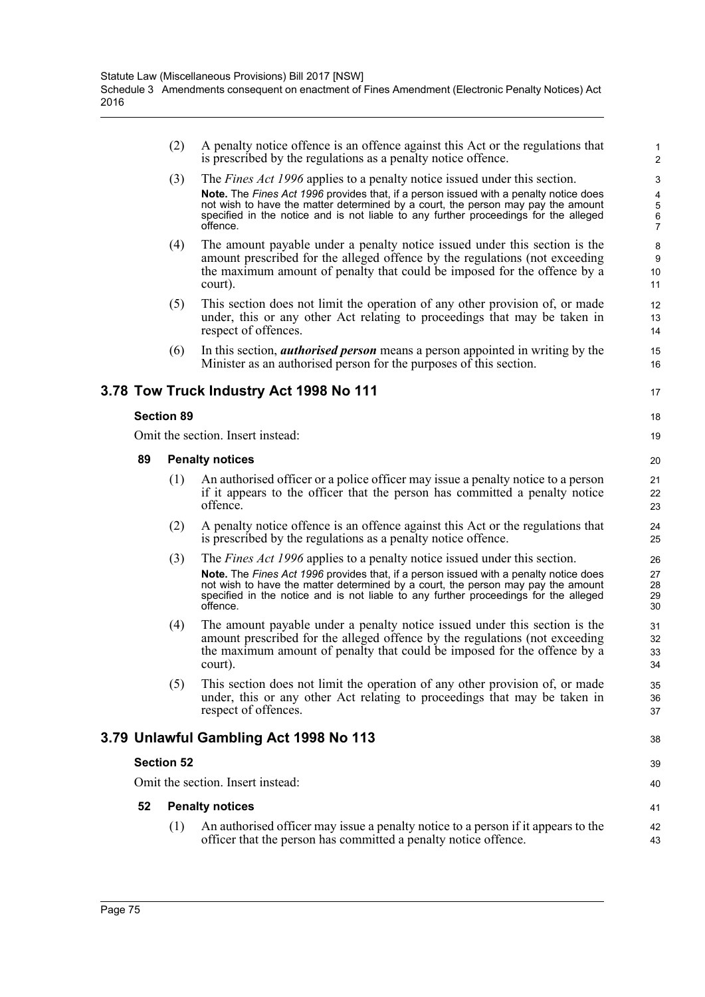(2) A penalty notice offence is an offence against this Act or the regulations that is prescribed by the regulations as a penalty notice offence.

17

18 19

38

39 40

41 42 43

- (3) The *Fines Act 1996* applies to a penalty notice issued under this section. **Note.** The *Fines Act 1996* provides that, if a person issued with a penalty notice does not wish to have the matter determined by a court, the person may pay the amount specified in the notice and is not liable to any further proceedings for the alleged offence.
- (4) The amount payable under a penalty notice issued under this section is the amount prescribed for the alleged offence by the regulations (not exceeding the maximum amount of penalty that could be imposed for the offence by a court).
- (5) This section does not limit the operation of any other provision of, or made under, this or any other Act relating to proceedings that may be taken in respect of offences.
- (6) In this section, *authorised person* means a person appointed in writing by the Minister as an authorised person for the purposes of this section.

# **3.78 Tow Truck Industry Act 1998 No 111**

## **Section 89**

Omit the section. Insert instead:

- **89 Penalty notices**
	- (1) An authorised officer or a police officer may issue a penalty notice to a person if it appears to the officer that the person has committed a penalty notice offence.
	- (2) A penalty notice offence is an offence against this Act or the regulations that is prescribed by the regulations as a penalty notice offence.
	- (3) The *Fines Act 1996* applies to a penalty notice issued under this section. **Note.** The *Fines Act 1996* provides that, if a person issued with a penalty notice does not wish to have the matter determined by a court, the person may pay the amount specified in the notice and is not liable to any further proceedings for the alleged offence.
	- (4) The amount payable under a penalty notice issued under this section is the amount prescribed for the alleged offence by the regulations (not exceeding the maximum amount of penalty that could be imposed for the offence by a court).
	- (5) This section does not limit the operation of any other provision of, or made under, this or any other Act relating to proceedings that may be taken in respect of offences.

# **3.79 Unlawful Gambling Act 1998 No 113**

## **Section 52**

Omit the section. Insert instead:

## **52 Penalty notices**

(1) An authorised officer may issue a penalty notice to a person if it appears to the officer that the person has committed a penalty notice offence.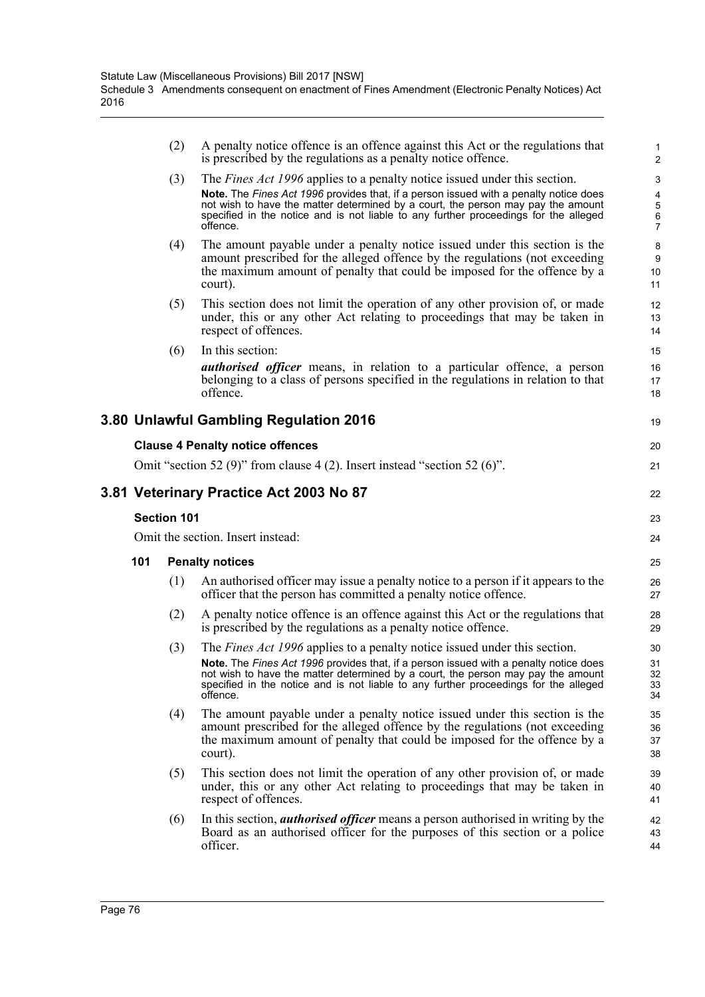| (2) | A penalty notice offence is an offence against this Act or the regulations that<br>is prescribed by the regulations as a penalty notice offence.                                                                                                                                                                                                                         |
|-----|--------------------------------------------------------------------------------------------------------------------------------------------------------------------------------------------------------------------------------------------------------------------------------------------------------------------------------------------------------------------------|
| (3) | The <i>Fines Act 1996</i> applies to a penalty notice issued under this section.<br><b>Note.</b> The Fines Act 1996 provides that, if a person issued with a penalty notice does<br>not wish to have the matter determined by a court, the person may pay the amount<br>specified in the notice and is not liable to any further proceedings for the alleged<br>offence. |
| (4) | The amount payable under a penalty notice issued under this section is the<br>amount prescribed for the alleged offence by the regulations (not exceeding<br>the maximum amount of penalty that could be imposed for the offence by a<br>court).                                                                                                                         |
| (5) | This section does not limit the operation of any other provision of, or made<br>under, this or any other Act relating to proceedings that may be taken in<br>respect of offences.                                                                                                                                                                                        |
| (6) | In this section:<br><i>authorised officer</i> means, in relation to a particular offence, a person<br>belonging to a class of persons specified in the regulations in relation to that                                                                                                                                                                                   |

19

20 21

22

23 24

## **3.80 Unlawful Gambling Regulation 2016**

### **Clause 4 Penalty notice offences**

offence.

Omit "section 52 (9)" from clause 4 (2). Insert instead "section 52 (6)".

## **3.81 Veterinary Practice Act 2003 No 87**

### **Section 101**

Omit the section. Insert instead:

### **101 Penalty notices**

- (1) An authorised officer may issue a penalty notice to a person if it appears to the officer that the person has committed a penalty notice offence.
- (2) A penalty notice offence is an offence against this Act or the regulations that is prescribed by the regulations as a penalty notice offence.
- (3) The *Fines Act 1996* applies to a penalty notice issued under this section. **Note.** The *Fines Act 1996* provides that, if a person issued with a penalty notice does not wish to have the matter determined by a court, the person may pay the amount specified in the notice and is not liable to any further proceedings for the alleged offence.
- (4) The amount payable under a penalty notice issued under this section is the amount prescribed for the alleged offence by the regulations (not exceeding the maximum amount of penalty that could be imposed for the offence by a court).
- (5) This section does not limit the operation of any other provision of, or made under, this or any other Act relating to proceedings that may be taken in respect of offences.
- (6) In this section, *authorised officer* means a person authorised in writing by the Board as an authorised officer for the purposes of this section or a police officer.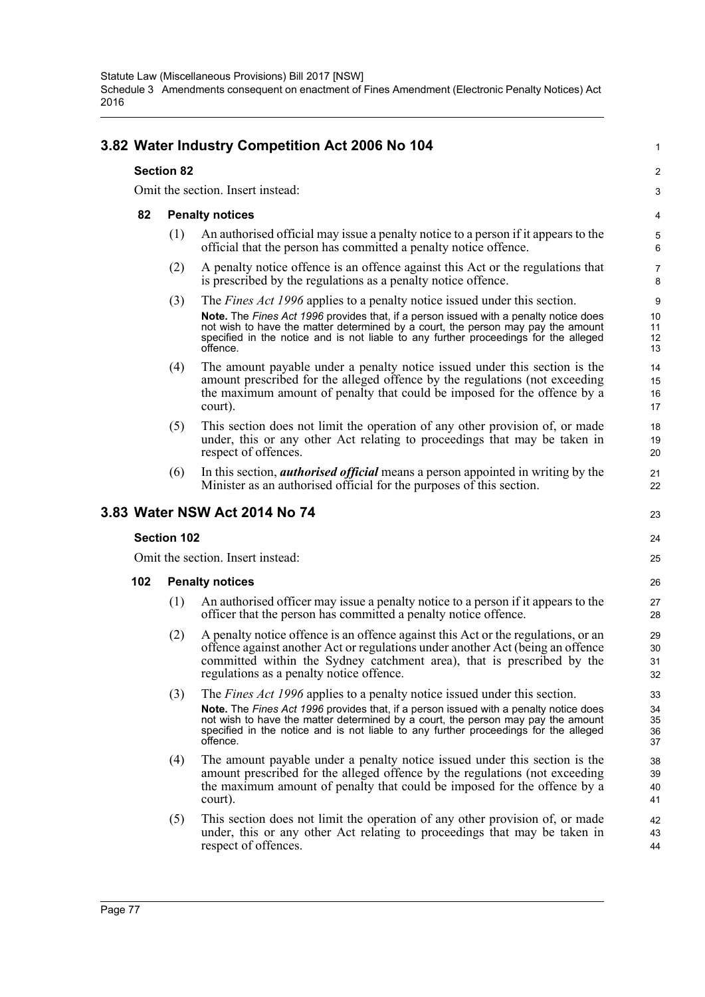|     |                    | 3.82 Water Industry Competition Act 2006 No 104                                                                                                                                                                                                                                                                                                                   | $\mathbf{1}$               |
|-----|--------------------|-------------------------------------------------------------------------------------------------------------------------------------------------------------------------------------------------------------------------------------------------------------------------------------------------------------------------------------------------------------------|----------------------------|
|     | <b>Section 82</b>  |                                                                                                                                                                                                                                                                                                                                                                   | 2                          |
|     |                    | Omit the section. Insert instead:                                                                                                                                                                                                                                                                                                                                 | 3                          |
| 82  |                    | <b>Penalty notices</b>                                                                                                                                                                                                                                                                                                                                            | 4                          |
|     | (1)                | An authorised official may issue a penalty notice to a person if it appears to the<br>official that the person has committed a penalty notice offence.                                                                                                                                                                                                            | $\overline{5}$<br>6        |
|     | (2)                | A penalty notice offence is an offence against this Act or the regulations that<br>is prescribed by the regulations as a penalty notice offence.                                                                                                                                                                                                                  | $\overline{7}$<br>8        |
|     | (3)                | The <i>Fines Act 1996</i> applies to a penalty notice issued under this section.                                                                                                                                                                                                                                                                                  | 9                          |
|     |                    | Note. The Fines Act 1996 provides that, if a person issued with a penalty notice does<br>not wish to have the matter determined by a court, the person may pay the amount<br>specified in the notice and is not liable to any further proceedings for the alleged<br>offence.                                                                                     | 10<br>11<br>12<br>13       |
|     | (4)                | The amount payable under a penalty notice issued under this section is the<br>amount prescribed for the alleged offence by the regulations (not exceeding<br>the maximum amount of penalty that could be imposed for the offence by a<br>court).                                                                                                                  | 14<br>15<br>16<br>17       |
|     | (5)                | This section does not limit the operation of any other provision of, or made<br>under, this or any other Act relating to proceedings that may be taken in<br>respect of offences.                                                                                                                                                                                 | 18<br>19<br>20             |
|     | (6)                | In this section, <i>authorised official</i> means a person appointed in writing by the<br>Minister as an authorised official for the purposes of this section.                                                                                                                                                                                                    | 21<br>22                   |
|     |                    | 3.83 Water NSW Act 2014 No 74                                                                                                                                                                                                                                                                                                                                     | 23                         |
|     | <b>Section 102</b> |                                                                                                                                                                                                                                                                                                                                                                   | 24                         |
|     |                    | Omit the section. Insert instead:                                                                                                                                                                                                                                                                                                                                 | 25                         |
| 102 |                    | <b>Penalty notices</b>                                                                                                                                                                                                                                                                                                                                            | 26                         |
|     | (1)                | An authorised officer may issue a penalty notice to a person if it appears to the<br>officer that the person has committed a penalty notice offence.                                                                                                                                                                                                              | 27<br>28                   |
|     |                    |                                                                                                                                                                                                                                                                                                                                                                   |                            |
|     | (2)                | A penalty notice offence is an offence against this Act or the regulations, or an<br>offence against another Act or regulations under another Act (being an offence<br>committed within the Sydney catchment area), that is prescribed by the<br>regulations as a penalty notice offence.                                                                         | 29<br>30<br>31<br>32       |
|     | (3)                | The <i>Fines Act 1996</i> applies to a penalty notice issued under this section.<br>Note. The Fines Act 1996 provides that, if a person issued with a penalty notice does<br>not wish to have the matter determined by a court, the person may pay the amount<br>specified in the notice and is not liable to any further proceedings for the alleged<br>offence. | 33<br>34<br>35<br>36<br>37 |
|     | (4)                | The amount payable under a penalty notice issued under this section is the<br>amount prescribed for the alleged offence by the regulations (not exceeding<br>the maximum amount of penalty that could be imposed for the offence by a<br>court).                                                                                                                  | 38<br>39<br>40<br>41       |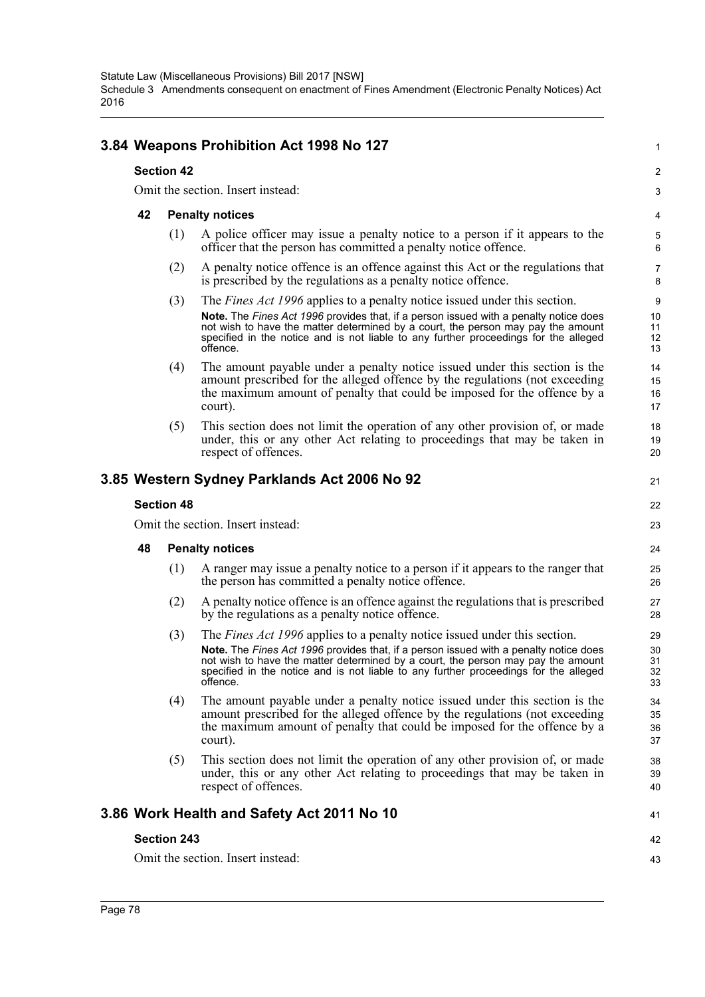# **3.84 Weapons Prohibition Act 1998 No 127**

### **Section 42**

Omit the section. Insert instead:

### **42 Penalty notices**

- (1) A police officer may issue a penalty notice to a person if it appears to the officer that the person has committed a penalty notice offence.
- (2) A penalty notice offence is an offence against this Act or the regulations that is prescribed by the regulations as a penalty notice offence.
- (3) The *Fines Act 1996* applies to a penalty notice issued under this section. **Note.** The *Fines Act 1996* provides that, if a person issued with a penalty notice does not wish to have the matter determined by a court, the person may pay the amount specified in the notice and is not liable to any further proceedings for the alleged offence.
- (4) The amount payable under a penalty notice issued under this section is the amount prescribed for the alleged offence by the regulations (not exceeding the maximum amount of penalty that could be imposed for the offence by a court).
- (5) This section does not limit the operation of any other provision of, or made under, this or any other Act relating to proceedings that may be taken in respect of offences.

## **3.85 Western Sydney Parklands Act 2006 No 92**

### **Section 48**

Omit the section. Insert instead:

### **48 Penalty notices**

- (1) A ranger may issue a penalty notice to a person if it appears to the ranger that the person has committed a penalty notice offence.
- (2) A penalty notice offence is an offence against the regulations that is prescribed by the regulations as a penalty notice offence.
- (3) The *Fines Act 1996* applies to a penalty notice issued under this section. **Note.** The *Fines Act 1996* provides that, if a person issued with a penalty notice does not wish to have the matter determined by a court, the person may pay the amount specified in the notice and is not liable to any further proceedings for the alleged offence.
- (4) The amount payable under a penalty notice issued under this section is the amount prescribed for the alleged offence by the regulations (not exceeding the maximum amount of penalty that could be imposed for the offence by a court).
- (5) This section does not limit the operation of any other provision of, or made under, this or any other Act relating to proceedings that may be taken in respect of offences.

## **3.86 Work Health and Safety Act 2011 No 10**

## **Section 243**

Omit the section. Insert instead:

1

 $\mathfrak{p}$ 3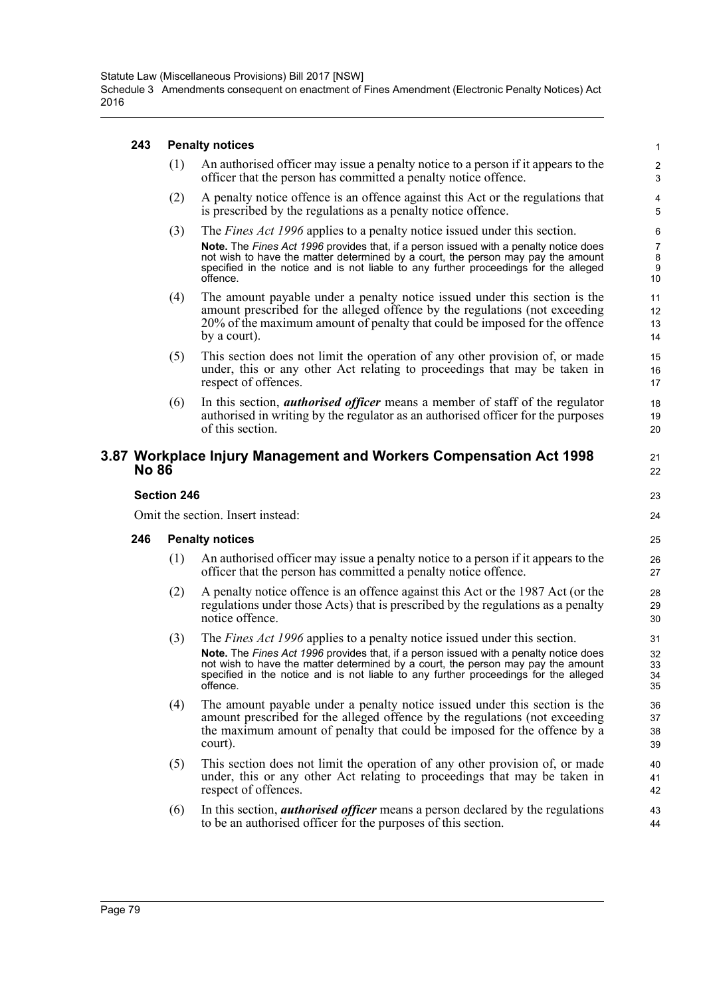### **243 Penalty notices**

- (1) An authorised officer may issue a penalty notice to a person if it appears to the officer that the person has committed a penalty notice offence.
- (2) A penalty notice offence is an offence against this Act or the regulations that is prescribed by the regulations as a penalty notice offence.
- (3) The *Fines Act 1996* applies to a penalty notice issued under this section. **Note.** The *Fines Act 1996* provides that, if a person issued with a penalty notice does not wish to have the matter determined by a court, the person may pay the amount specified in the notice and is not liable to any further proceedings for the alleged offence.
- (4) The amount payable under a penalty notice issued under this section is the amount prescribed for the alleged offence by the regulations (not exceeding 20% of the maximum amount of penalty that could be imposed for the offence by a court).
- (5) This section does not limit the operation of any other provision of, or made under, this or any other Act relating to proceedings that may be taken in respect of offences.
- (6) In this section, *authorised officer* means a member of staff of the regulator authorised in writing by the regulator as an authorised officer for the purposes of this section.

## **3.87 Workplace Injury Management and Workers Compensation Act 1998 No 86**

### **Section 246**

Omit the section. Insert instead:

### **246 Penalty notices**

- (1) An authorised officer may issue a penalty notice to a person if it appears to the officer that the person has committed a penalty notice offence.
- (2) A penalty notice offence is an offence against this Act or the 1987 Act (or the regulations under those Acts) that is prescribed by the regulations as a penalty notice offence.
- (3) The *Fines Act 1996* applies to a penalty notice issued under this section. **Note.** The *Fines Act 1996* provides that, if a person issued with a penalty notice does not wish to have the matter determined by a court, the person may pay the amount specified in the notice and is not liable to any further proceedings for the alleged offence.
- (4) The amount payable under a penalty notice issued under this section is the amount prescribed for the alleged offence by the regulations (not exceeding the maximum amount of penalty that could be imposed for the offence by a court).
- (5) This section does not limit the operation of any other provision of, or made under, this or any other Act relating to proceedings that may be taken in respect of offences.
- (6) In this section, *authorised officer* means a person declared by the regulations to be an authorised officer for the purposes of this section.

44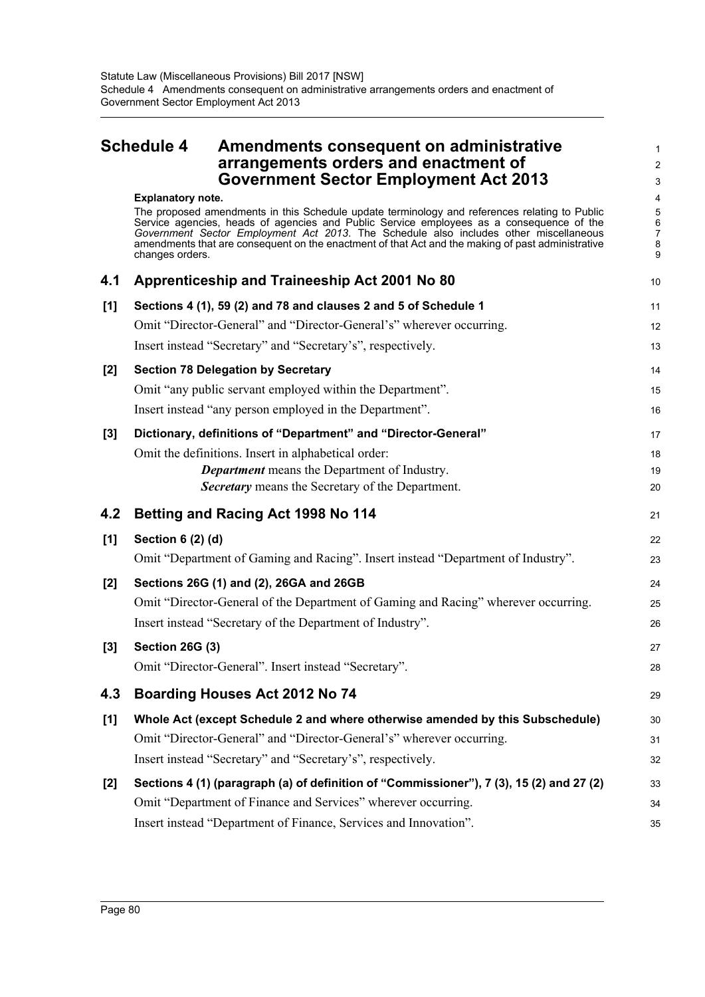|       | <b>Schedule 4</b><br>Amendments consequent on administrative<br>arrangements orders and enactment of<br><b>Government Sector Employment Act 2013</b>                                                                                                                                                                                                                                                                                   | 1<br>$\overline{2}$<br>$\mathsf 3$        |
|-------|----------------------------------------------------------------------------------------------------------------------------------------------------------------------------------------------------------------------------------------------------------------------------------------------------------------------------------------------------------------------------------------------------------------------------------------|-------------------------------------------|
|       | <b>Explanatory note.</b><br>The proposed amendments in this Schedule update terminology and references relating to Public<br>Service agencies, heads of agencies and Public Service employees as a consequence of the<br>Government Sector Employment Act 2013. The Schedule also includes other miscellaneous<br>amendments that are consequent on the enactment of that Act and the making of past administrative<br>changes orders. | 4<br>5<br>6<br>$\boldsymbol{7}$<br>8<br>9 |
| 4.1   | Apprenticeship and Traineeship Act 2001 No 80                                                                                                                                                                                                                                                                                                                                                                                          | 10                                        |
| [1]   | Sections 4 (1), 59 (2) and 78 and clauses 2 and 5 of Schedule 1<br>Omit "Director-General" and "Director-General's" wherever occurring.<br>Insert instead "Secretary" and "Secretary's", respectively.                                                                                                                                                                                                                                 | 11<br>12                                  |
| $[2]$ | <b>Section 78 Delegation by Secretary</b><br>Omit "any public servant employed within the Department".<br>Insert instead "any person employed in the Department".                                                                                                                                                                                                                                                                      | 13<br>14<br>15<br>16                      |
| $[3]$ | Dictionary, definitions of "Department" and "Director-General"<br>Omit the definitions. Insert in alphabetical order:<br><b>Department</b> means the Department of Industry.<br><b>Secretary</b> means the Secretary of the Department.                                                                                                                                                                                                | 17<br>18<br>19<br>20                      |
| 4.2   | Betting and Racing Act 1998 No 114                                                                                                                                                                                                                                                                                                                                                                                                     | 21                                        |
| [1]   | Section 6 (2) (d)<br>Omit "Department of Gaming and Racing". Insert instead "Department of Industry".                                                                                                                                                                                                                                                                                                                                  | 22<br>23                                  |
| $[2]$ | Sections 26G (1) and (2), 26GA and 26GB<br>Omit "Director-General of the Department of Gaming and Racing" wherever occurring.<br>Insert instead "Secretary of the Department of Industry".                                                                                                                                                                                                                                             | 24<br>25<br>26                            |
| $[3]$ | <b>Section 26G (3)</b><br>Omit "Director-General". Insert instead "Secretary".                                                                                                                                                                                                                                                                                                                                                         | 27<br>28                                  |
| 4.3   | Boarding Houses Act 2012 No 74                                                                                                                                                                                                                                                                                                                                                                                                         | 29                                        |
| [1]   | Whole Act (except Schedule 2 and where otherwise amended by this Subschedule)<br>Omit "Director-General" and "Director-General's" wherever occurring.<br>Insert instead "Secretary" and "Secretary's", respectively.                                                                                                                                                                                                                   | 30<br>31<br>32                            |
| $[2]$ | Sections 4 (1) (paragraph (a) of definition of "Commissioner"), 7 (3), 15 (2) and 27 (2)<br>Omit "Department of Finance and Services" wherever occurring.<br>Insert instead "Department of Finance, Services and Innovation".                                                                                                                                                                                                          | 33<br>34<br>35                            |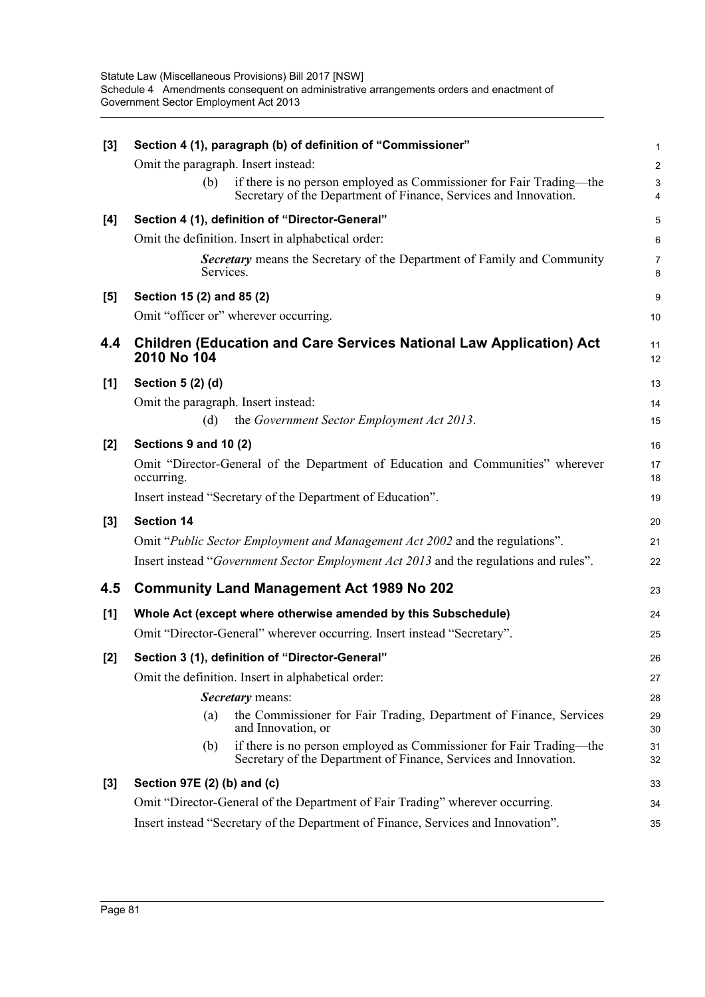| $[3]$ | Section 4 (1), paragraph (b) of definition of "Commissioner"                                                                                   | $\mathbf{1}$        |
|-------|------------------------------------------------------------------------------------------------------------------------------------------------|---------------------|
|       | Omit the paragraph. Insert instead:                                                                                                            | $\boldsymbol{2}$    |
|       | if there is no person employed as Commissioner for Fair Trading—the<br>(b)<br>Secretary of the Department of Finance, Services and Innovation. | $\mathsf 3$<br>4    |
| [4]   | Section 4 (1), definition of "Director-General"                                                                                                | $\overline{5}$      |
|       | Omit the definition. Insert in alphabetical order:                                                                                             | 6                   |
|       | <b>Secretary</b> means the Secretary of the Department of Family and Community<br>Services.                                                    | $\overline{7}$<br>8 |
| [5]   | Section 15 (2) and 85 (2)                                                                                                                      | 9                   |
|       | Omit "officer or" wherever occurring.                                                                                                          | 10                  |
| 4.4   | <b>Children (Education and Care Services National Law Application) Act</b><br>2010 No 104                                                      | 11<br>12            |
| [1]   | Section 5 (2) (d)                                                                                                                              | 13                  |
|       | Omit the paragraph. Insert instead:                                                                                                            | 14                  |
|       | the Government Sector Employment Act 2013.<br>(d)                                                                                              | 15                  |
| $[2]$ | Sections 9 and 10 (2)                                                                                                                          | 16                  |
|       | Omit "Director-General of the Department of Education and Communities" wherever<br>occurring.                                                  | 17<br>18            |
|       | Insert instead "Secretary of the Department of Education".                                                                                     | 19                  |
| $[3]$ | <b>Section 14</b>                                                                                                                              | 20                  |
|       | Omit "Public Sector Employment and Management Act 2002 and the regulations".                                                                   | 21                  |
|       | Insert instead "Government Sector Employment Act 2013 and the regulations and rules".                                                          | 22                  |
| 4.5   | <b>Community Land Management Act 1989 No 202</b>                                                                                               | 23                  |
| [1]   | Whole Act (except where otherwise amended by this Subschedule)                                                                                 | 24                  |
|       | Omit "Director-General" wherever occurring. Insert instead "Secretary".                                                                        | 25                  |
| $[2]$ | Section 3 (1), definition of "Director-General"                                                                                                | 26                  |
|       | Omit the definition. Insert in alphabetical order:                                                                                             | 27                  |
|       | Secretary means:                                                                                                                               | 28                  |
|       | the Commissioner for Fair Trading, Department of Finance, Services<br>(a)<br>and Innovation, or                                                | 29<br>30            |
|       | if there is no person employed as Commissioner for Fair Trading—the<br>(b)<br>Secretary of the Department of Finance, Services and Innovation. | 31<br>32            |
| $[3]$ | Section 97E (2) (b) and (c)                                                                                                                    | 33                  |
|       | Omit "Director-General of the Department of Fair Trading" wherever occurring.                                                                  | 34                  |
|       | Insert instead "Secretary of the Department of Finance, Services and Innovation".                                                              | 35                  |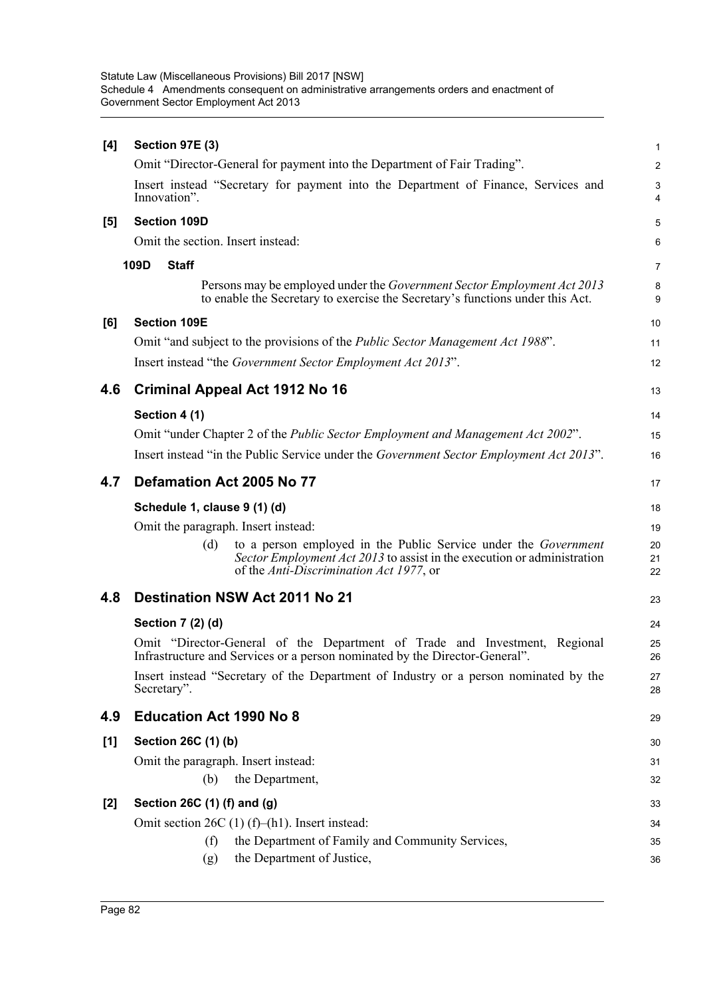| [4] | <b>Section 97E (3)</b>                                                                                                                                                                              | $\mathbf{1}$        |
|-----|-----------------------------------------------------------------------------------------------------------------------------------------------------------------------------------------------------|---------------------|
|     | Omit "Director-General for payment into the Department of Fair Trading".                                                                                                                            | $\overline{2}$      |
|     | Insert instead "Secretary for payment into the Department of Finance, Services and<br>Innovation".                                                                                                  | 3<br>$\overline{4}$ |
| [5] | <b>Section 109D</b>                                                                                                                                                                                 | 5                   |
|     | Omit the section. Insert instead:                                                                                                                                                                   | 6                   |
|     | 109D<br><b>Staff</b>                                                                                                                                                                                | $\overline{7}$      |
|     | Persons may be employed under the <i>Government Sector Employment Act 2013</i><br>to enable the Secretary to exercise the Secretary's functions under this Act.                                     | 8<br>9              |
| [6] | <b>Section 109E</b>                                                                                                                                                                                 | 10                  |
|     | Omit "and subject to the provisions of the <i>Public Sector Management Act 1988</i> ".                                                                                                              | 11                  |
|     | Insert instead "the Government Sector Employment Act 2013".                                                                                                                                         | 12                  |
| 4.6 | Criminal Appeal Act 1912 No 16                                                                                                                                                                      | 13                  |
|     | Section 4 (1)                                                                                                                                                                                       | 14                  |
|     | Omit "under Chapter 2 of the <i>Public Sector Employment and Management Act 2002"</i> .                                                                                                             | 15                  |
|     | Insert instead "in the Public Service under the Government Sector Employment Act 2013".                                                                                                             | 16                  |
| 4.7 | Defamation Act 2005 No 77                                                                                                                                                                           | 17                  |
|     | Schedule 1, clause 9 (1) (d)                                                                                                                                                                        | 18                  |
|     | Omit the paragraph. Insert instead:                                                                                                                                                                 | 19                  |
|     | (d)<br>to a person employed in the Public Service under the <i>Government</i><br>Sector Employment Act 2013 to assist in the execution or administration<br>of the Anti-Discrimination Act 1977, or | 20<br>21<br>22      |
| 4.8 | Destination NSW Act 2011 No 21                                                                                                                                                                      | 23                  |
|     | Section 7 (2) (d)                                                                                                                                                                                   | 24                  |
|     | Omit "Director-General of the Department of Trade and Investment, Regional<br>Infrastructure and Services or a person nominated by the Director-General".                                           | 25<br>26            |
|     | Insert instead "Secretary of the Department of Industry or a person nominated by the<br>Secretary".                                                                                                 | 27<br>28            |
| 4.9 | <b>Education Act 1990 No 8</b>                                                                                                                                                                      | 29                  |
| [1] | Section 26C (1) (b)                                                                                                                                                                                 | 30                  |
|     | Omit the paragraph. Insert instead:                                                                                                                                                                 | 31                  |
|     | the Department,<br>(b)                                                                                                                                                                              | 32                  |
| [2] | Section 26C (1) (f) and (g)                                                                                                                                                                         | 33                  |
|     | Omit section 26C (1) (f)–(h1). Insert instead:                                                                                                                                                      | 34                  |
|     | the Department of Family and Community Services,<br>(f)                                                                                                                                             | 35                  |
|     | the Department of Justice,<br>(g)                                                                                                                                                                   | 36                  |
|     |                                                                                                                                                                                                     |                     |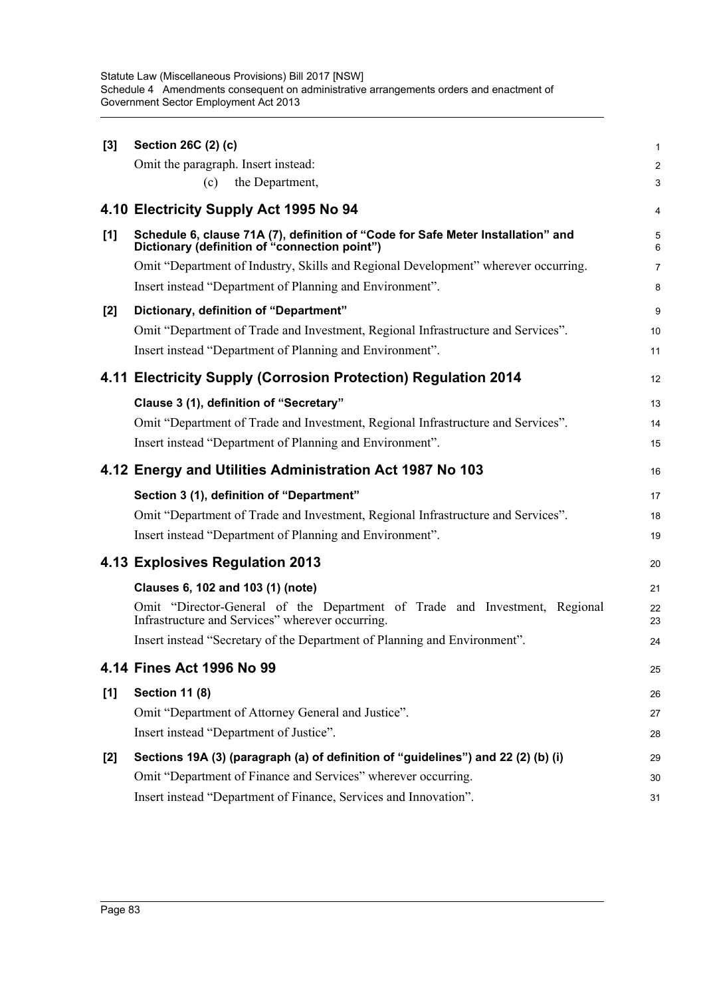| $[3]$ | Section 26C (2) (c)                                                                                                               | 1                       |
|-------|-----------------------------------------------------------------------------------------------------------------------------------|-------------------------|
|       | Omit the paragraph. Insert instead:                                                                                               | $\overline{\mathbf{c}}$ |
|       | the Department,<br>(c)                                                                                                            | 3                       |
|       | 4.10 Electricity Supply Act 1995 No 94                                                                                            | 4                       |
| $[1]$ | Schedule 6, clause 71A (7), definition of "Code for Safe Meter Installation" and<br>Dictionary (definition of "connection point") | 5<br>6                  |
|       | Omit "Department of Industry, Skills and Regional Development" wherever occurring.                                                | 7                       |
|       | Insert instead "Department of Planning and Environment".                                                                          | 8                       |
| $[2]$ | Dictionary, definition of "Department"                                                                                            | 9                       |
|       | Omit "Department of Trade and Investment, Regional Infrastructure and Services".                                                  | 10                      |
|       | Insert instead "Department of Planning and Environment".                                                                          | 11                      |
|       | 4.11 Electricity Supply (Corrosion Protection) Regulation 2014                                                                    | 12                      |
|       | Clause 3 (1), definition of "Secretary"                                                                                           | 13                      |
|       | Omit "Department of Trade and Investment, Regional Infrastructure and Services".                                                  | 14                      |
|       | Insert instead "Department of Planning and Environment".                                                                          | 15                      |
|       | 4.12 Energy and Utilities Administration Act 1987 No 103                                                                          | 16                      |
|       | Section 3 (1), definition of "Department"                                                                                         | 17                      |
|       | Omit "Department of Trade and Investment, Regional Infrastructure and Services".                                                  | 18                      |
|       | Insert instead "Department of Planning and Environment".                                                                          | 19                      |
|       | 4.13 Explosives Regulation 2013                                                                                                   | 20                      |
|       | Clauses 6, 102 and 103 (1) (note)                                                                                                 | 21                      |
|       | Omit "Director-General of the Department of Trade and Investment, Regional<br>Infrastructure and Services" wherever occurring.    | 22<br>23                |
|       | Insert instead "Secretary of the Department of Planning and Environment".                                                         | 24                      |
|       | 4.14 Fines Act 1996 No 99                                                                                                         | 25                      |
| [1]   | <b>Section 11 (8)</b>                                                                                                             | 26                      |
|       | Omit "Department of Attorney General and Justice".                                                                                | 27                      |
|       | Insert instead "Department of Justice".                                                                                           | 28                      |
| $[2]$ | Sections 19A (3) (paragraph (a) of definition of "guidelines") and 22 (2) (b) (i)                                                 | 29                      |
|       | Omit "Department of Finance and Services" wherever occurring.                                                                     | 30                      |
|       | Insert instead "Department of Finance, Services and Innovation".                                                                  | 31                      |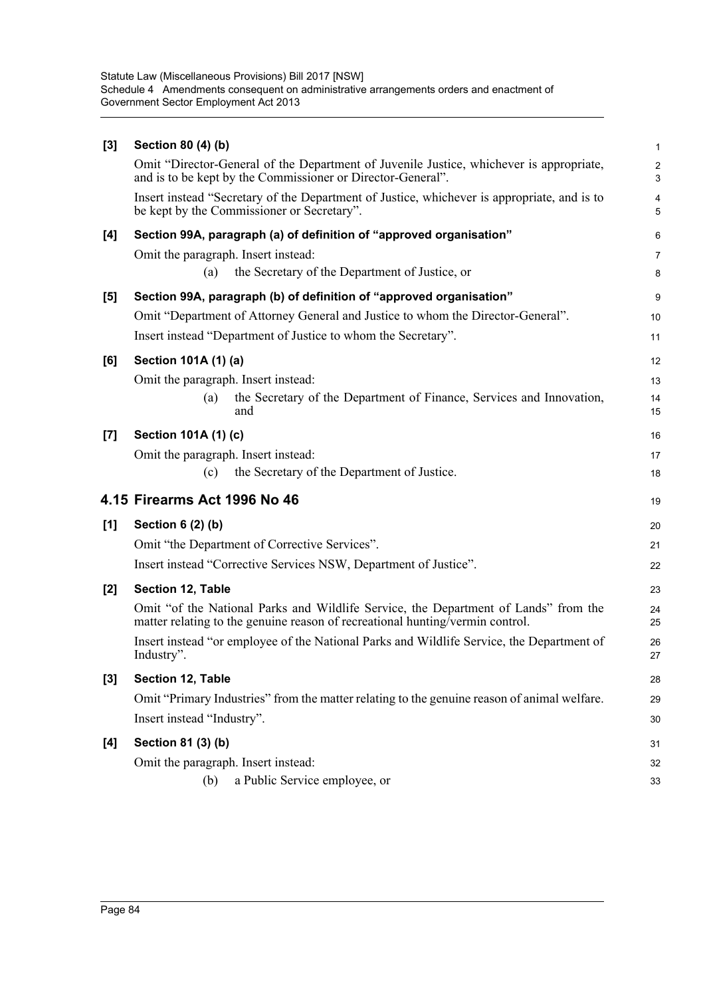| [3]   | Section 80 (4) (b)                                                                                                                                                   | 1                            |
|-------|----------------------------------------------------------------------------------------------------------------------------------------------------------------------|------------------------------|
|       | Omit "Director-General of the Department of Juvenile Justice, whichever is appropriate,<br>and is to be kept by the Commissioner or Director-General".               | $\overline{\mathbf{c}}$<br>3 |
|       | Insert instead "Secretary of the Department of Justice, whichever is appropriate, and is to<br>be kept by the Commissioner or Secretary".                            | 4<br>5                       |
| [4]   | Section 99A, paragraph (a) of definition of "approved organisation"                                                                                                  | 6                            |
|       | Omit the paragraph. Insert instead:                                                                                                                                  | 7                            |
|       | the Secretary of the Department of Justice, or<br>(a)                                                                                                                | 8                            |
| [5]   | Section 99A, paragraph (b) of definition of "approved organisation"                                                                                                  | 9                            |
|       | Omit "Department of Attorney General and Justice to whom the Director-General".                                                                                      | 10                           |
|       | Insert instead "Department of Justice to whom the Secretary".                                                                                                        | 11                           |
| [6]   | Section 101A (1) (a)                                                                                                                                                 | 12                           |
|       | Omit the paragraph. Insert instead:                                                                                                                                  | 13                           |
|       | the Secretary of the Department of Finance, Services and Innovation,<br>(a)<br>and                                                                                   | 14<br>15                     |
| [7]   | Section 101A (1) (c)                                                                                                                                                 | 16                           |
|       | Omit the paragraph. Insert instead:                                                                                                                                  | 17                           |
|       | the Secretary of the Department of Justice.<br>(c)                                                                                                                   | 18                           |
|       | 4.15 Firearms Act 1996 No 46                                                                                                                                         | 19                           |
| [1]   | Section $6(2)(b)$                                                                                                                                                    | 20                           |
|       | Omit "the Department of Corrective Services".                                                                                                                        | 21                           |
|       | Insert instead "Corrective Services NSW, Department of Justice".                                                                                                     | 22                           |
| [2]   | Section 12, Table                                                                                                                                                    | 23                           |
|       | Omit "of the National Parks and Wildlife Service, the Department of Lands" from the<br>matter relating to the genuine reason of recreational hunting/vermin control. | 24<br>25                     |
|       | Insert instead "or employee of the National Parks and Wildlife Service, the Department of<br>Industry".                                                              | 26<br>27                     |
| $[3]$ | Section 12, Table                                                                                                                                                    | 28                           |
|       | Omit "Primary Industries" from the matter relating to the genuine reason of animal welfare.                                                                          | 29                           |
|       | Insert instead "Industry".                                                                                                                                           | 30                           |
| [4]   | Section 81 (3) (b)                                                                                                                                                   | 31                           |
|       | Omit the paragraph. Insert instead:                                                                                                                                  | 32                           |
|       | a Public Service employee, or<br>(b)                                                                                                                                 | 33                           |
|       |                                                                                                                                                                      |                              |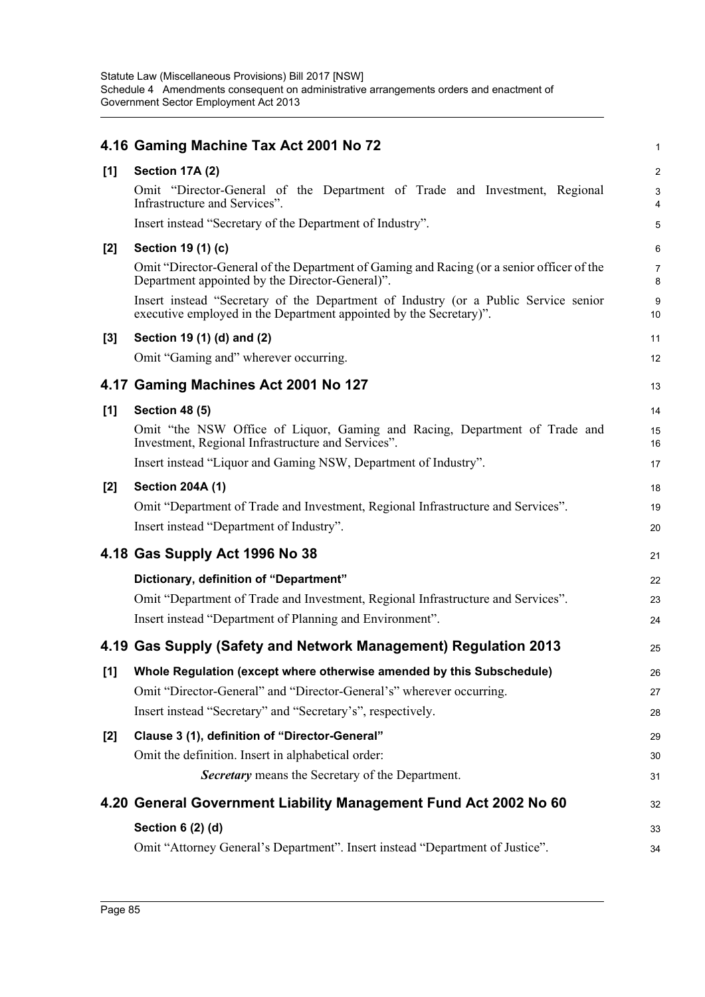|       | 4.16 Gaming Machine Tax Act 2001 No 72                                                                                                                    | 1                   |
|-------|-----------------------------------------------------------------------------------------------------------------------------------------------------------|---------------------|
| [1]   | Section 17A (2)                                                                                                                                           | $\overline{c}$      |
|       | Omit "Director-General of the Department of Trade and Investment, Regional<br>Infrastructure and Services".                                               | 3<br>$\overline{4}$ |
|       | Insert instead "Secretary of the Department of Industry".                                                                                                 | 5                   |
| [2]   | Section 19 (1) (c)                                                                                                                                        | 6                   |
|       | Omit "Director-General of the Department of Gaming and Racing (or a senior officer of the<br>Department appointed by the Director-General)".              | $\overline{7}$<br>8 |
|       | Insert instead "Secretary of the Department of Industry (or a Public Service senior<br>executive employed in the Department appointed by the Secretary)". | 9<br>10             |
| $[3]$ | Section 19 (1) (d) and (2)                                                                                                                                | 11                  |
|       | Omit "Gaming and" wherever occurring.                                                                                                                     | 12                  |
|       | 4.17 Gaming Machines Act 2001 No 127                                                                                                                      | 13                  |
| [1]   | <b>Section 48 (5)</b>                                                                                                                                     | 14                  |
|       | Omit "the NSW Office of Liquor, Gaming and Racing, Department of Trade and<br>Investment, Regional Infrastructure and Services".                          | 15<br>16            |
|       | Insert instead "Liquor and Gaming NSW, Department of Industry".                                                                                           | 17                  |
| [2]   | <b>Section 204A (1)</b>                                                                                                                                   | 18                  |
|       | Omit "Department of Trade and Investment, Regional Infrastructure and Services".                                                                          | 19                  |
|       | Insert instead "Department of Industry".                                                                                                                  | 20                  |
|       | 4.18 Gas Supply Act 1996 No 38                                                                                                                            | 21                  |
|       | Dictionary, definition of "Department"                                                                                                                    | 22                  |
|       | Omit "Department of Trade and Investment, Regional Infrastructure and Services".                                                                          | 23                  |
|       | Insert instead "Department of Planning and Environment".                                                                                                  | 24                  |
|       | 4.19 Gas Supply (Safety and Network Management) Regulation 2013                                                                                           | 25                  |
| [1]   | Whole Regulation (except where otherwise amended by this Subschedule)                                                                                     | 26                  |
|       | Omit "Director-General" and "Director-General's" wherever occurring.                                                                                      | 27                  |
|       | Insert instead "Secretary" and "Secretary's", respectively.                                                                                               | 28                  |
| [2]   | Clause 3 (1), definition of "Director-General"                                                                                                            | 29                  |
|       | Omit the definition. Insert in alphabetical order:                                                                                                        | 30                  |
|       | Secretary means the Secretary of the Department.                                                                                                          | 31                  |
|       | 4.20 General Government Liability Management Fund Act 2002 No 60                                                                                          | 32                  |
|       | Section 6 (2) (d)                                                                                                                                         | 33                  |
|       | Omit "Attorney General's Department". Insert instead "Department of Justice".                                                                             | 34                  |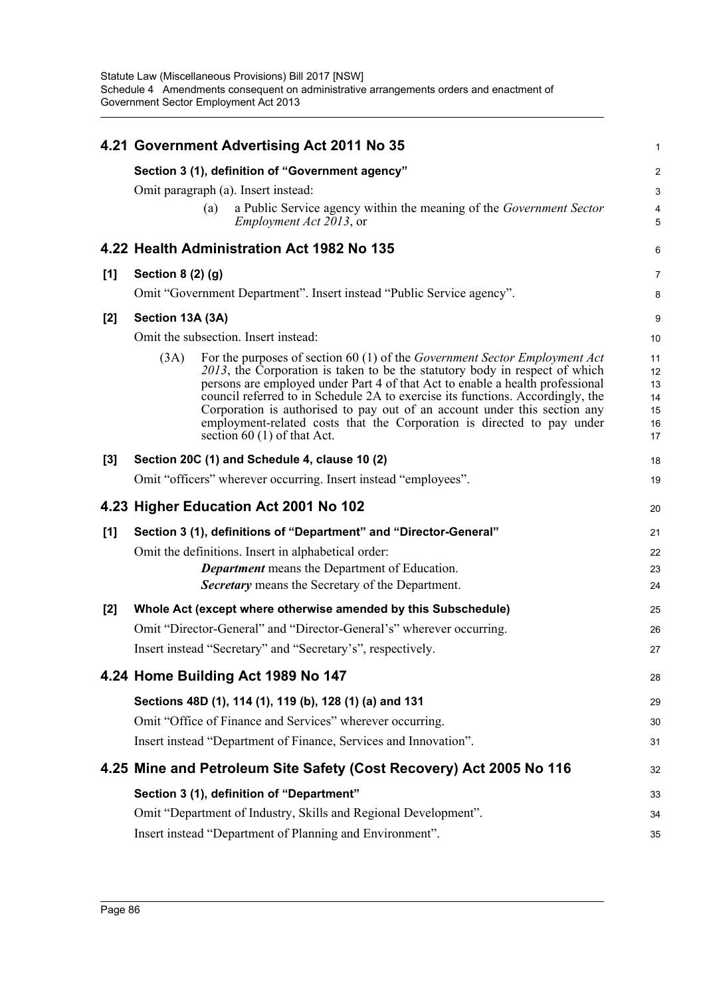|       |                   | 4.21 Government Advertising Act 2011 No 35                                                                                                                                                                                                                                                                                                                                                                                                                                                                                 | 1                                      |
|-------|-------------------|----------------------------------------------------------------------------------------------------------------------------------------------------------------------------------------------------------------------------------------------------------------------------------------------------------------------------------------------------------------------------------------------------------------------------------------------------------------------------------------------------------------------------|----------------------------------------|
|       |                   | Section 3 (1), definition of "Government agency"                                                                                                                                                                                                                                                                                                                                                                                                                                                                           | $\overline{\mathbf{c}}$                |
|       |                   | Omit paragraph (a). Insert instead:                                                                                                                                                                                                                                                                                                                                                                                                                                                                                        | 3                                      |
|       |                   | a Public Service agency within the meaning of the Government Sector<br>(a)<br><i>Employment Act 2013</i> , or                                                                                                                                                                                                                                                                                                                                                                                                              | 4<br>5                                 |
|       |                   | 4.22 Health Administration Act 1982 No 135                                                                                                                                                                                                                                                                                                                                                                                                                                                                                 | 6                                      |
| [1]   | Section 8 (2) (g) |                                                                                                                                                                                                                                                                                                                                                                                                                                                                                                                            | 7                                      |
|       |                   | Omit "Government Department". Insert instead "Public Service agency".                                                                                                                                                                                                                                                                                                                                                                                                                                                      | 8                                      |
| [2]   | Section 13A (3A)  |                                                                                                                                                                                                                                                                                                                                                                                                                                                                                                                            | 9                                      |
|       |                   | Omit the subsection. Insert instead:                                                                                                                                                                                                                                                                                                                                                                                                                                                                                       | 10                                     |
|       | (3A)              | For the purposes of section 60 (1) of the <i>Government Sector Employment Act</i><br>2013, the Corporation is taken to be the statutory body in respect of which<br>persons are employed under Part 4 of that Act to enable a health professional<br>council referred to in Schedule 2A to exercise its functions. Accordingly, the<br>Corporation is authorised to pay out of an account under this section any<br>employment-related costs that the Corporation is directed to pay under<br>section $60(1)$ of that Act. | 11<br>12<br>13<br>14<br>15<br>16<br>17 |
| $[3]$ |                   | Section 20C (1) and Schedule 4, clause 10 (2)                                                                                                                                                                                                                                                                                                                                                                                                                                                                              | 18                                     |
|       |                   | Omit "officers" wherever occurring. Insert instead "employees".                                                                                                                                                                                                                                                                                                                                                                                                                                                            | 19                                     |
|       |                   | 4.23 Higher Education Act 2001 No 102                                                                                                                                                                                                                                                                                                                                                                                                                                                                                      | 20                                     |
| [1]   |                   | Section 3 (1), definitions of "Department" and "Director-General"                                                                                                                                                                                                                                                                                                                                                                                                                                                          | 21                                     |
|       |                   | Omit the definitions. Insert in alphabetical order:                                                                                                                                                                                                                                                                                                                                                                                                                                                                        | 22                                     |
|       |                   | <b>Department</b> means the Department of Education.                                                                                                                                                                                                                                                                                                                                                                                                                                                                       | 23                                     |
|       |                   | Secretary means the Secretary of the Department.                                                                                                                                                                                                                                                                                                                                                                                                                                                                           | 24                                     |
| [2]   |                   | Whole Act (except where otherwise amended by this Subschedule)                                                                                                                                                                                                                                                                                                                                                                                                                                                             | 25                                     |
|       |                   | Omit "Director-General" and "Director-General's" wherever occurring.                                                                                                                                                                                                                                                                                                                                                                                                                                                       | 26                                     |
|       |                   | Insert instead "Secretary" and "Secretary's", respectively.                                                                                                                                                                                                                                                                                                                                                                                                                                                                | 27                                     |
|       |                   | 4.24 Home Building Act 1989 No 147                                                                                                                                                                                                                                                                                                                                                                                                                                                                                         | 28                                     |
|       |                   | Sections 48D (1), 114 (1), 119 (b), 128 (1) (a) and 131                                                                                                                                                                                                                                                                                                                                                                                                                                                                    | 29                                     |
|       |                   | Omit "Office of Finance and Services" wherever occurring.                                                                                                                                                                                                                                                                                                                                                                                                                                                                  | 30                                     |
|       |                   | Insert instead "Department of Finance, Services and Innovation".                                                                                                                                                                                                                                                                                                                                                                                                                                                           | 31                                     |
|       |                   | 4.25 Mine and Petroleum Site Safety (Cost Recovery) Act 2005 No 116                                                                                                                                                                                                                                                                                                                                                                                                                                                        | 32                                     |
|       |                   | Section 3 (1), definition of "Department"                                                                                                                                                                                                                                                                                                                                                                                                                                                                                  | 33                                     |
|       |                   | Omit "Department of Industry, Skills and Regional Development".                                                                                                                                                                                                                                                                                                                                                                                                                                                            | 34                                     |
|       |                   | Insert instead "Department of Planning and Environment".                                                                                                                                                                                                                                                                                                                                                                                                                                                                   | 35                                     |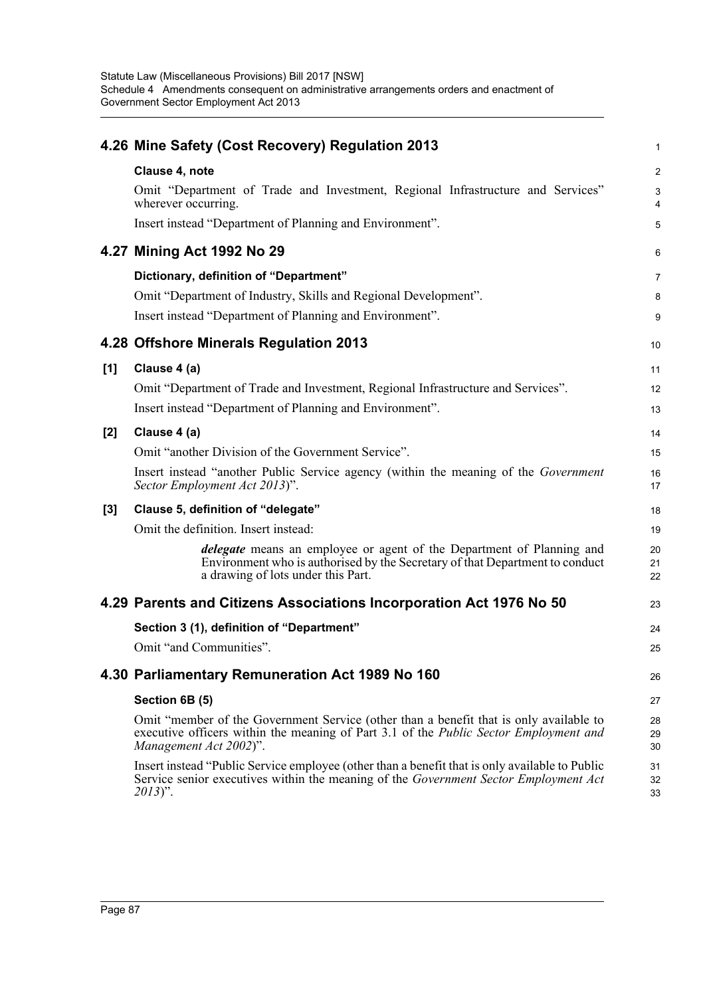|       | 4.26 Mine Safety (Cost Recovery) Regulation 2013                                                                                                                                                                 | 1              |
|-------|------------------------------------------------------------------------------------------------------------------------------------------------------------------------------------------------------------------|----------------|
|       | Clause 4, note                                                                                                                                                                                                   | $\overline{2}$ |
|       | Omit "Department of Trade and Investment, Regional Infrastructure and Services"<br>wherever occurring.                                                                                                           | 3<br>4         |
|       | Insert instead "Department of Planning and Environment".                                                                                                                                                         | 5              |
|       | 4.27 Mining Act 1992 No 29                                                                                                                                                                                       | 6              |
|       | Dictionary, definition of "Department"                                                                                                                                                                           | $\overline{7}$ |
|       | Omit "Department of Industry, Skills and Regional Development".                                                                                                                                                  | 8              |
|       | Insert instead "Department of Planning and Environment".                                                                                                                                                         | 9              |
|       | 4.28 Offshore Minerals Regulation 2013                                                                                                                                                                           | 10             |
| [1]   | Clause 4 (a)                                                                                                                                                                                                     | 11             |
|       | Omit "Department of Trade and Investment, Regional Infrastructure and Services".                                                                                                                                 | 12             |
|       | Insert instead "Department of Planning and Environment".                                                                                                                                                         | 13             |
| $[2]$ | Clause 4 (a)                                                                                                                                                                                                     | 14             |
|       | Omit "another Division of the Government Service".                                                                                                                                                               | 15             |
|       | Insert instead "another Public Service agency (within the meaning of the Government<br>Sector Employment Act 2013)".                                                                                             | 16<br>17       |
| $[3]$ | Clause 5, definition of "delegate"                                                                                                                                                                               | 18             |
|       | Omit the definition. Insert instead:                                                                                                                                                                             | 19             |
|       | delegate means an employee or agent of the Department of Planning and<br>Environment who is authorised by the Secretary of that Department to conduct<br>a drawing of lots under this Part.                      | 20<br>21<br>22 |
|       | 4.29 Parents and Citizens Associations Incorporation Act 1976 No 50                                                                                                                                              | 23             |
|       | Section 3 (1), definition of "Department"                                                                                                                                                                        | 24             |
|       | Omit "and Communities".                                                                                                                                                                                          | 25             |
|       | 4.30 Parliamentary Remuneration Act 1989 No 160                                                                                                                                                                  | 26             |
|       | Section 6B (5)                                                                                                                                                                                                   | 27             |
|       | Omit "member of the Government Service (other than a benefit that is only available to<br>executive officers within the meaning of Part 3.1 of the <i>Public Sector Employment and</i><br>Management Act 2002)". | 28<br>29<br>30 |
|       | Insert instead "Public Service employee (other than a benefit that is only available to Public<br>Service senior executives within the meaning of the <i>Government Sector Employment Act</i><br>$2013$ ".       | 31<br>32<br>33 |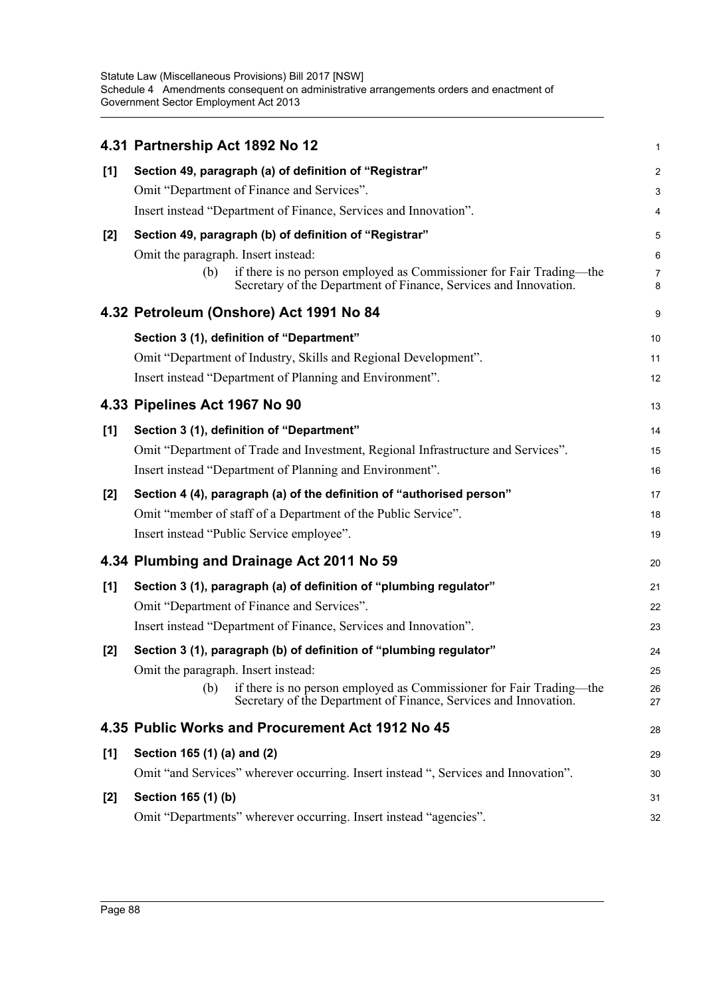|       | 4.31 Partnership Act 1892 No 12                                                                                                                | 1              |
|-------|------------------------------------------------------------------------------------------------------------------------------------------------|----------------|
| [1]   | Section 49, paragraph (a) of definition of "Registrar"                                                                                         | $\overline{c}$ |
|       | Omit "Department of Finance and Services".                                                                                                     | 3              |
|       | Insert instead "Department of Finance, Services and Innovation".                                                                               | 4              |
| $[2]$ | Section 49, paragraph (b) of definition of "Registrar"                                                                                         | 5              |
|       | Omit the paragraph. Insert instead:                                                                                                            | 6              |
|       | if there is no person employed as Commissioner for Fair Trading—the<br>(b)<br>Secretary of the Department of Finance, Services and Innovation. | 7<br>8         |
|       | 4.32 Petroleum (Onshore) Act 1991 No 84                                                                                                        | 9              |
|       | Section 3 (1), definition of "Department"                                                                                                      | 10             |
|       | Omit "Department of Industry, Skills and Regional Development".                                                                                | 11             |
|       | Insert instead "Department of Planning and Environment".                                                                                       | 12             |
|       | 4.33 Pipelines Act 1967 No 90                                                                                                                  | 13             |
| [1]   | Section 3 (1), definition of "Department"                                                                                                      | 14             |
|       | Omit "Department of Trade and Investment, Regional Infrastructure and Services".                                                               | 15             |
|       | Insert instead "Department of Planning and Environment".                                                                                       | 16             |
| [2]   | Section 4 (4), paragraph (a) of the definition of "authorised person"                                                                          | 17             |
|       | Omit "member of staff of a Department of the Public Service".                                                                                  | 18             |
|       | Insert instead "Public Service employee".                                                                                                      | 19             |
|       | 4.34 Plumbing and Drainage Act 2011 No 59                                                                                                      | 20             |
| [1]   | Section 3 (1), paragraph (a) of definition of "plumbing regulator"                                                                             | 21             |
|       | Omit "Department of Finance and Services".                                                                                                     | 22             |
|       | Insert instead "Department of Finance, Services and Innovation".                                                                               | 23             |
| [2]   | Section 3 (1), paragraph (b) of definition of "plumbing regulator"                                                                             | 24             |
|       | Omit the paragraph. Insert instead:                                                                                                            | 25             |
|       | if there is no person employed as Commissioner for Fair Trading—the<br>(b)<br>Secretary of the Department of Finance, Services and Innovation. | 26<br>27       |
|       | 4.35 Public Works and Procurement Act 1912 No 45                                                                                               | 28             |
| [1]   | Section 165 (1) (a) and (2)                                                                                                                    | 29             |
|       | Omit "and Services" wherever occurring. Insert instead ", Services and Innovation".                                                            | 30             |
| $[2]$ | Section 165 (1) (b)                                                                                                                            | 31             |
|       | Omit "Departments" wherever occurring. Insert instead "agencies".                                                                              | 32             |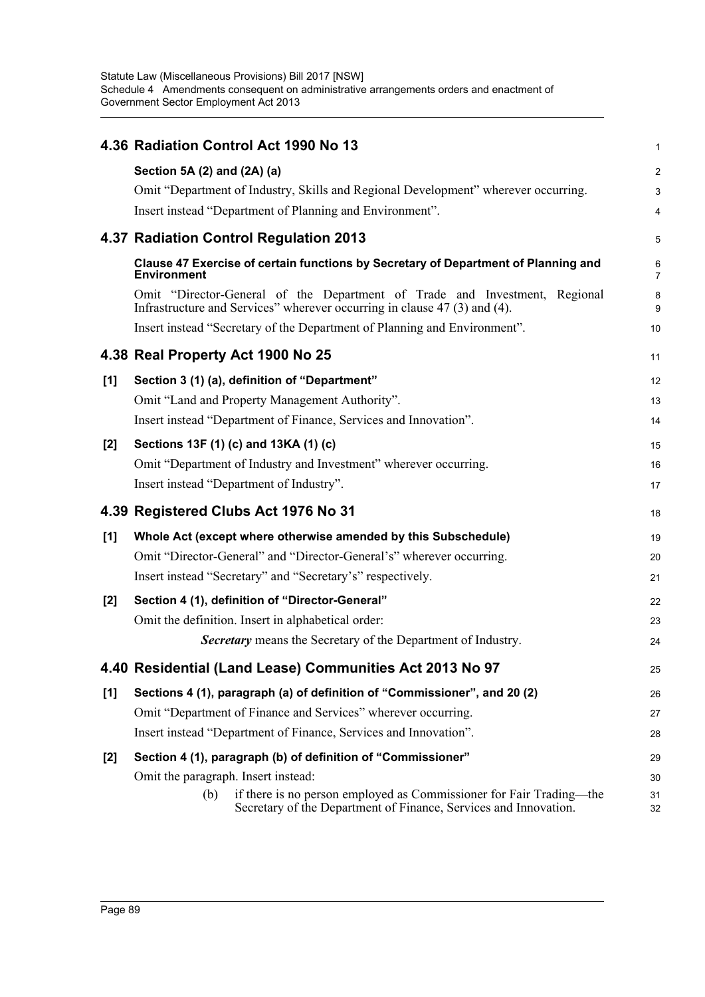|     | 4.36 Radiation Control Act 1990 No 13                                                                                                                   | 1                       |
|-----|---------------------------------------------------------------------------------------------------------------------------------------------------------|-------------------------|
|     | Section 5A (2) and (2A) (a)                                                                                                                             | $\overline{\mathbf{c}}$ |
|     | Omit "Department of Industry, Skills and Regional Development" wherever occurring.                                                                      | 3                       |
|     | Insert instead "Department of Planning and Environment".                                                                                                | 4                       |
|     | 4.37 Radiation Control Regulation 2013                                                                                                                  | 5                       |
|     | Clause 47 Exercise of certain functions by Secretary of Department of Planning and<br><b>Environment</b>                                                | 6<br>7                  |
|     | Omit "Director-General of the Department of Trade and Investment, Regional<br>Infrastructure and Services" wherever occurring in clause 47 (3) and (4). | 8<br>9                  |
|     | Insert instead "Secretary of the Department of Planning and Environment".                                                                               | 10                      |
|     | 4.38 Real Property Act 1900 No 25                                                                                                                       | 11                      |
| [1] | Section 3 (1) (a), definition of "Department"                                                                                                           | 12                      |
|     | Omit "Land and Property Management Authority".                                                                                                          | 13                      |
|     | Insert instead "Department of Finance, Services and Innovation".                                                                                        | 14                      |
| [2] | Sections 13F (1) (c) and 13KA (1) (c)                                                                                                                   | 15                      |
|     | Omit "Department of Industry and Investment" wherever occurring.                                                                                        | 16                      |
|     | Insert instead "Department of Industry".                                                                                                                | 17                      |
|     | 4.39 Registered Clubs Act 1976 No 31                                                                                                                    | 18                      |
| [1] | Whole Act (except where otherwise amended by this Subschedule)                                                                                          | 19                      |
|     | Omit "Director-General" and "Director-General's" wherever occurring.                                                                                    | 20                      |
|     | Insert instead "Secretary" and "Secretary's" respectively.                                                                                              | 21                      |
| [2] | Section 4 (1), definition of "Director-General"                                                                                                         | 22                      |
|     | Omit the definition. Insert in alphabetical order:                                                                                                      | 23                      |
|     | Secretary means the Secretary of the Department of Industry.                                                                                            | 24                      |
|     | 4.40 Residential (Land Lease) Communities Act 2013 No 97                                                                                                | 25                      |
| [1] | Sections 4 (1), paragraph (a) of definition of "Commissioner", and 20 (2)                                                                               | 26                      |
|     | Omit "Department of Finance and Services" wherever occurring.                                                                                           | 27                      |
|     | Insert instead "Department of Finance, Services and Innovation".                                                                                        | 28                      |
| [2] | Section 4 (1), paragraph (b) of definition of "Commissioner"                                                                                            | 29                      |
|     | Omit the paragraph. Insert instead:                                                                                                                     | 30                      |
|     | if there is no person employed as Commissioner for Fair Trading—the<br>(b)<br>Secretary of the Department of Finance, Services and Innovation.          | 31<br>32                |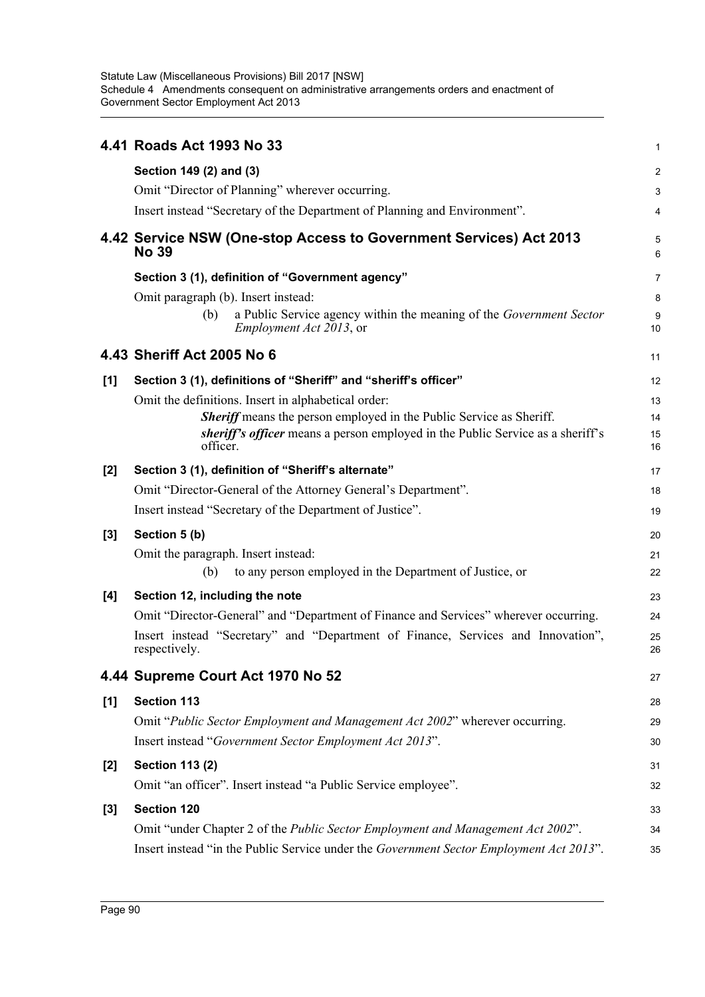|       | 4.41 Roads Act 1993 No 33                                                                                     | $\mathbf{1}$   |
|-------|---------------------------------------------------------------------------------------------------------------|----------------|
|       | Section 149 (2) and (3)                                                                                       | $\overline{c}$ |
|       | Omit "Director of Planning" wherever occurring.                                                               | 3              |
|       | Insert instead "Secretary of the Department of Planning and Environment".                                     | 4              |
|       | 4.42 Service NSW (One-stop Access to Government Services) Act 2013<br><b>No 39</b>                            | 5<br>6         |
|       | Section 3 (1), definition of "Government agency"                                                              | 7              |
|       | Omit paragraph (b). Insert instead:                                                                           | 8              |
|       | a Public Service agency within the meaning of the Government Sector<br>(b)<br><i>Employment Act 2013</i> , or | 9<br>10        |
|       | 4.43 Sheriff Act 2005 No 6                                                                                    | 11             |
| [1]   | Section 3 (1), definitions of "Sheriff" and "sheriff's officer"                                               | 12             |
|       | Omit the definitions. Insert in alphabetical order:                                                           | 13             |
|       | <b>Sheriff</b> means the person employed in the Public Service as Sheriff.                                    | 14             |
|       | <i>sheriff's officer</i> means a person employed in the Public Service as a sheriff's<br>officer.             | 15<br>16       |
| $[2]$ | Section 3 (1), definition of "Sheriff's alternate"                                                            | 17             |
|       | Omit "Director-General of the Attorney General's Department".                                                 | 18             |
|       | Insert instead "Secretary of the Department of Justice".                                                      | 19             |
| $[3]$ | Section 5 (b)                                                                                                 | 20             |
|       | Omit the paragraph. Insert instead:                                                                           | 21             |
|       | to any person employed in the Department of Justice, or<br>(b)                                                | 22             |
| [4]   | Section 12, including the note                                                                                | 23             |
|       | Omit "Director-General" and "Department of Finance and Services" wherever occurring.                          | 24             |
|       | Insert instead "Secretary" and "Department of Finance, Services and Innovation",<br>respectively.             | 25<br>26       |
|       | 4.44 Supreme Court Act 1970 No 52                                                                             | 27             |
| [1]   | <b>Section 113</b>                                                                                            | 28             |
|       | Omit "Public Sector Employment and Management Act 2002" wherever occurring.                                   | 29             |
|       | Insert instead "Government Sector Employment Act 2013".                                                       | 30             |
| $[2]$ | <b>Section 113 (2)</b>                                                                                        | 31             |
|       | Omit "an officer". Insert instead "a Public Service employee".                                                | 32             |
| $[3]$ | <b>Section 120</b>                                                                                            | 33             |
|       | Omit "under Chapter 2 of the Public Sector Employment and Management Act 2002".                               | 34             |
|       | Insert instead "in the Public Service under the Government Sector Employment Act 2013".                       | 35             |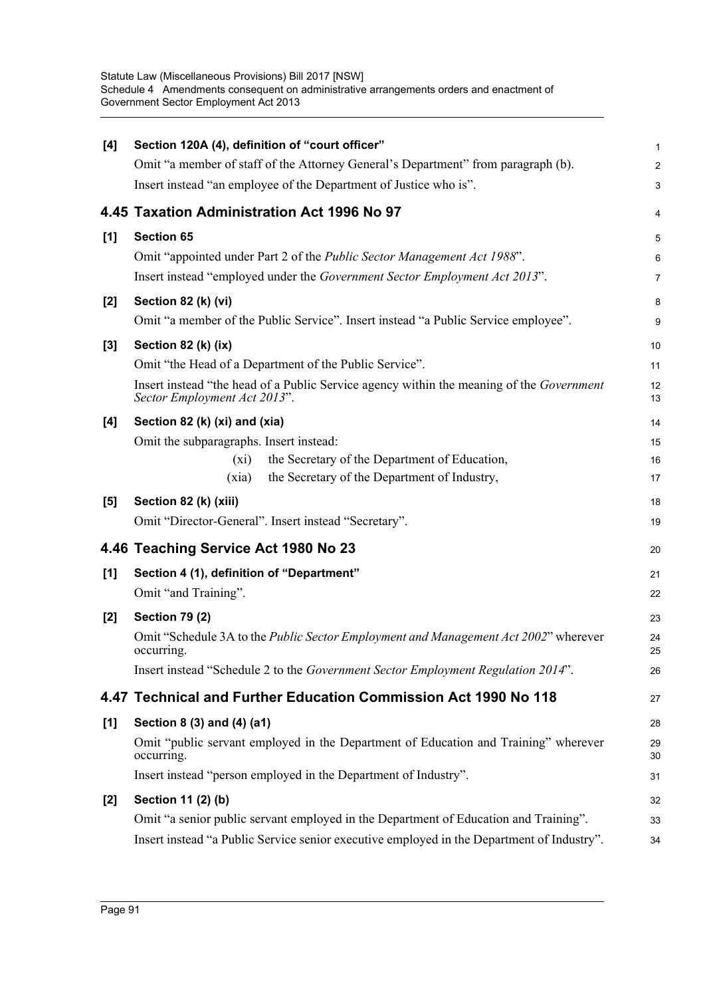| [4]   | Section 120A (4), definition of "court officer"                                                                                 | 1              |
|-------|---------------------------------------------------------------------------------------------------------------------------------|----------------|
|       | Omit "a member of staff of the Attorney General's Department" from paragraph (b).                                               | $\overline{c}$ |
|       | Insert instead "an employee of the Department of Justice who is".                                                               | 3              |
|       | 4.45 Taxation Administration Act 1996 No 97                                                                                     | 4              |
| [1]   | <b>Section 65</b>                                                                                                               | 5              |
|       | Omit "appointed under Part 2 of the <i>Public Sector Management Act 1988"</i> .                                                 | 6              |
|       | Insert instead "employed under the Government Sector Employment Act 2013".                                                      | 7              |
| $[2]$ | Section 82 (k) (vi)                                                                                                             | 8              |
|       | Omit "a member of the Public Service". Insert instead "a Public Service employee".                                              | 9              |
| $[3]$ | Section 82 (k) (ix)                                                                                                             | 10             |
|       | Omit "the Head of a Department of the Public Service".                                                                          | 11             |
|       | Insert instead "the head of a Public Service agency within the meaning of the <i>Government</i><br>Sector Employment Act 2013". | 12<br>13       |
| [4]   | Section 82 (k) (xi) and (xia)                                                                                                   | 14             |
|       | Omit the subparagraphs. Insert instead:                                                                                         | 15             |
|       | the Secretary of the Department of Education,<br>(xi)                                                                           | 16             |
|       | the Secretary of the Department of Industry,<br>(xia)                                                                           | 17             |
| [5]   | Section 82 (k) (xiii)                                                                                                           | 18             |
|       | Omit "Director-General". Insert instead "Secretary".                                                                            | 19             |
|       | 4.46 Teaching Service Act 1980 No 23                                                                                            | 20             |
| [1]   | Section 4 (1), definition of "Department"                                                                                       | 21             |
|       | Omit "and Training".                                                                                                            | 22             |
| $[2]$ | <b>Section 79 (2)</b>                                                                                                           | 23             |
|       | Omit "Schedule 3A to the <i>Public Sector Employment and Management Act 2002</i> " wherever<br>occurring.                       | 24<br>25       |
|       | Insert instead "Schedule 2 to the Government Sector Employment Regulation 2014".                                                | 26             |
|       | 4.47 Technical and Further Education Commission Act 1990 No 118                                                                 | 27             |
| $[1]$ | Section 8 (3) and (4) (a1)                                                                                                      | 28             |
|       | Omit "public servant employed in the Department of Education and Training" wherever<br>occurring.                               | 29<br>30       |
|       | Insert instead "person employed in the Department of Industry".                                                                 | 31             |
| $[2]$ | Section 11 (2) (b)                                                                                                              | 32             |
|       | Omit "a senior public servant employed in the Department of Education and Training".                                            | 33             |
|       | Insert instead "a Public Service senior executive employed in the Department of Industry".                                      | 34             |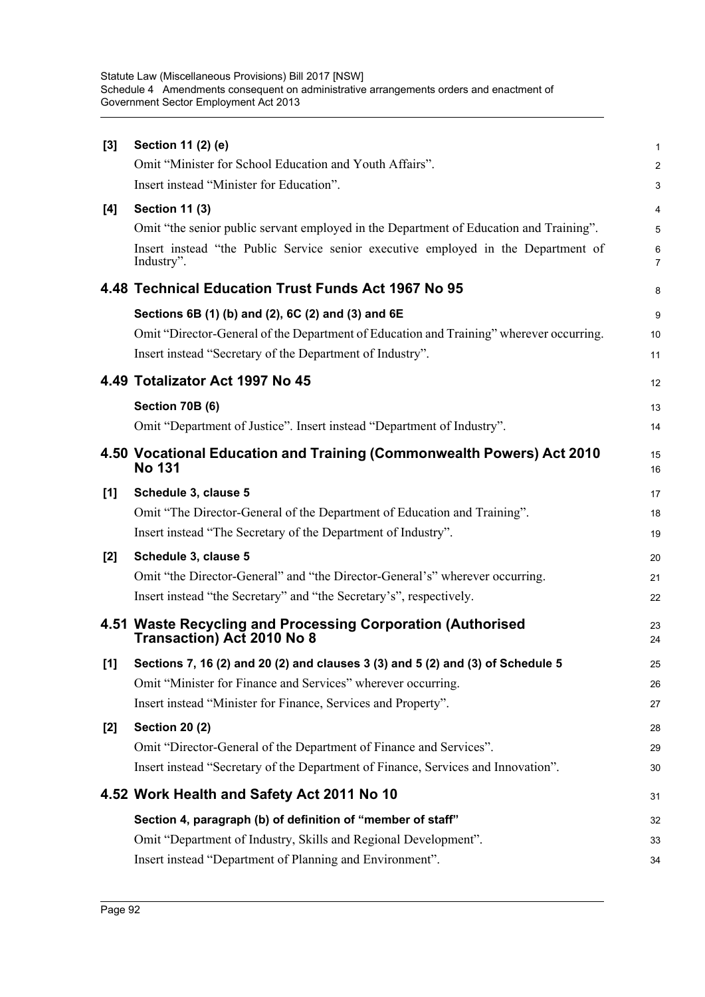| $[3]$          | Section 11 (2) (e)                                                                               | 1                   |
|----------------|--------------------------------------------------------------------------------------------------|---------------------|
|                | Omit "Minister for School Education and Youth Affairs".                                          | $\overline{a}$      |
|                | Insert instead "Minister for Education".                                                         | 3                   |
| [4]            | <b>Section 11 (3)</b>                                                                            | 4                   |
|                | Omit "the senior public servant employed in the Department of Education and Training".           | 5                   |
|                | Insert instead "the Public Service senior executive employed in the Department of<br>Industry".  | 6<br>$\overline{7}$ |
|                | 4.48 Technical Education Trust Funds Act 1967 No 95                                              | 8                   |
|                | Sections 6B (1) (b) and (2), 6C (2) and (3) and 6E                                               | 9                   |
|                | Omit "Director-General of the Department of Education and Training" wherever occurring.          | 10                  |
|                | Insert instead "Secretary of the Department of Industry".                                        | 11                  |
|                | 4.49 Totalizator Act 1997 No 45                                                                  | 12                  |
|                | Section 70B (6)                                                                                  | 13                  |
|                | Omit "Department of Justice". Insert instead "Department of Industry".                           | 14                  |
|                | 4.50 Vocational Education and Training (Commonwealth Powers) Act 2010<br><b>No 131</b>           | 15<br>16            |
| [1]            | Schedule 3, clause 5                                                                             | 17                  |
|                | Omit "The Director-General of the Department of Education and Training".                         | 18                  |
|                | Insert instead "The Secretary of the Department of Industry".                                    | 19                  |
| $[2]$          | Schedule 3, clause 5                                                                             | 20                  |
|                | Omit "the Director-General" and "the Director-General's" wherever occurring.                     | 21                  |
|                | Insert instead "the Secretary" and "the Secretary's", respectively.                              | 22                  |
|                | 4.51 Waste Recycling and Processing Corporation (Authorised<br><b>Transaction) Act 2010 No 8</b> | 23<br>24            |
| $\mathbf{[1]}$ | Sections 7, 16 (2) and 20 (2) and clauses 3 (3) and 5 (2) and (3) of Schedule 5                  | 25                  |
|                | Omit "Minister for Finance and Services" wherever occurring.                                     | 26                  |
|                | Insert instead "Minister for Finance, Services and Property".                                    | 27                  |
| $[2]$          | <b>Section 20 (2)</b>                                                                            | 28                  |
|                | Omit "Director-General of the Department of Finance and Services".                               | 29                  |
|                | Insert instead "Secretary of the Department of Finance, Services and Innovation".                | 30                  |
|                | 4.52 Work Health and Safety Act 2011 No 10                                                       | 31                  |
|                | Section 4, paragraph (b) of definition of "member of staff"                                      | 32                  |
|                | Omit "Department of Industry, Skills and Regional Development".                                  | 33                  |
|                | Insert instead "Department of Planning and Environment".                                         | 34                  |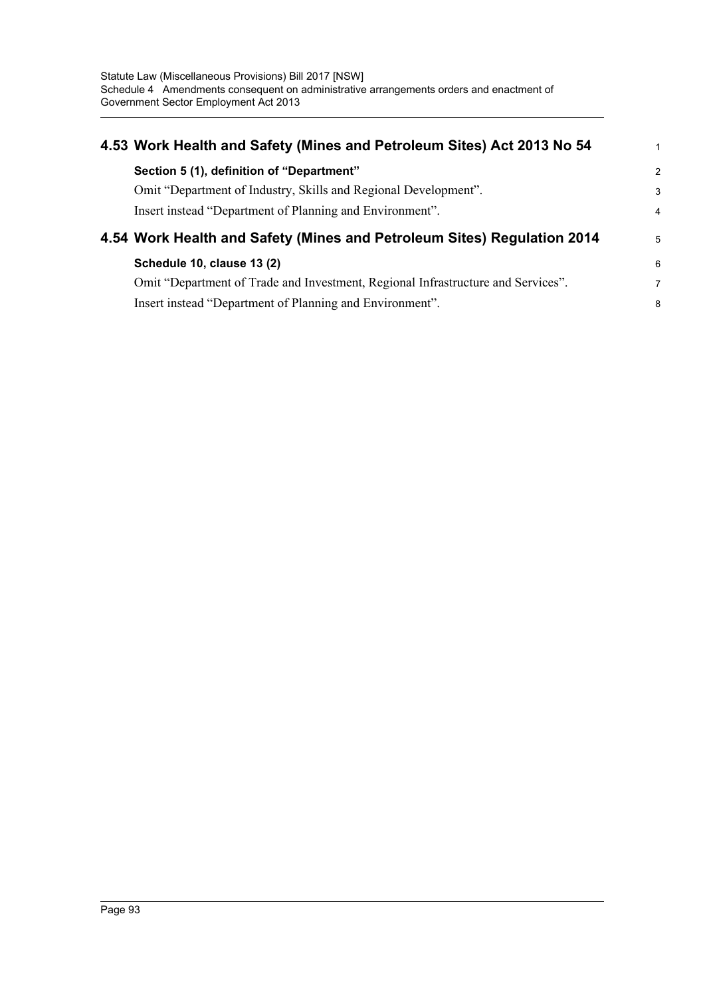| 4.53 Work Health and Safety (Mines and Petroleum Sites) Act 2013 No 54           | 1              |
|----------------------------------------------------------------------------------|----------------|
| Section 5 (1), definition of "Department"                                        | $\overline{2}$ |
| Omit "Department of Industry, Skills and Regional Development".                  | 3              |
| Insert instead "Department of Planning and Environment".                         | $\overline{4}$ |
|                                                                                  |                |
| 4.54 Work Health and Safety (Mines and Petroleum Sites) Regulation 2014          | 5              |
| Schedule 10, clause 13 (2)                                                       | 6              |
| Omit "Department of Trade and Investment, Regional Infrastructure and Services". | 7              |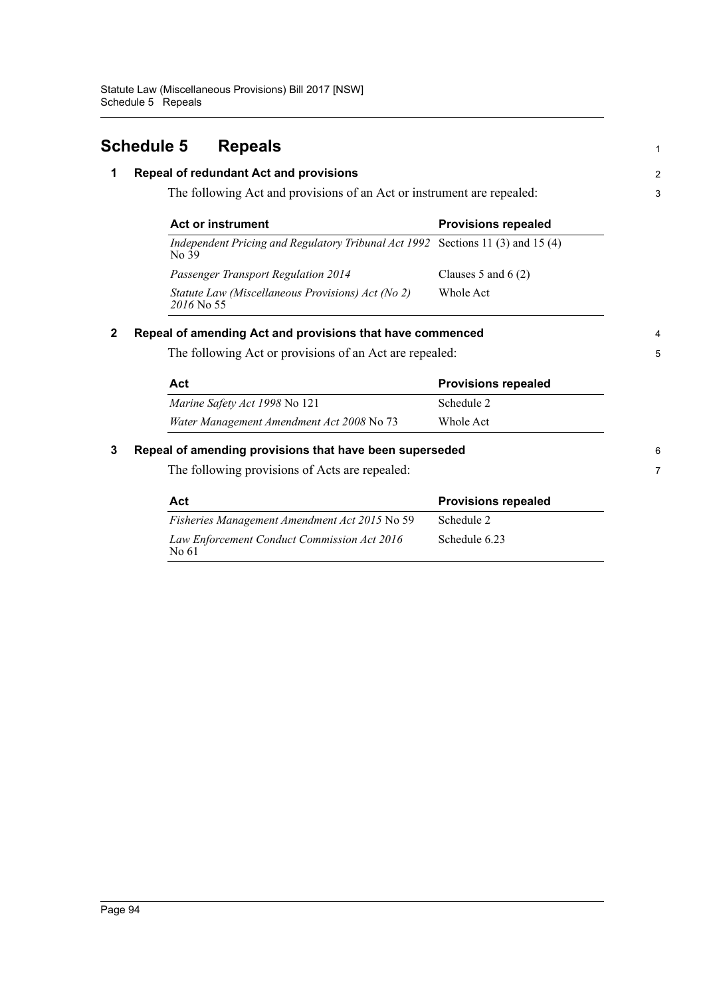## **Schedule 5 Repeals 1 Repeal of redundant Act and provisions** The following Act and provisions of an Act or instrument are repealed: **2 Repeal of amending Act and provisions that have commenced** The following Act or provisions of an Act are repealed: **3 Repeal of amending provisions that have been superseded** The following provisions of Acts are repealed: Act or instrument **Act or instrument Act or instrument** *Independent Pricing and Regulatory Tribunal Act 1992* Sections 11 (3) and 15 (4) No 39 *Passenger Transport Regulation 2014* Clauses 5 and 6 (2) *Statute Law (Miscellaneous Provisions) Act (No 2) 2016* No 55 Whole Act Act **Act Provisions repealed** *Marine Safety Act 1998* No 121 Schedule 2 *Water Management Amendment Act 2008* No 73 Whole Act Act **Provisions repealed** *Fisheries Management Amendment Act 2015* No 59 Schedule 2 *Law Enforcement Conduct Commission Act 2016* No 61 Schedule 6.23 1 2 3 4 5 6 7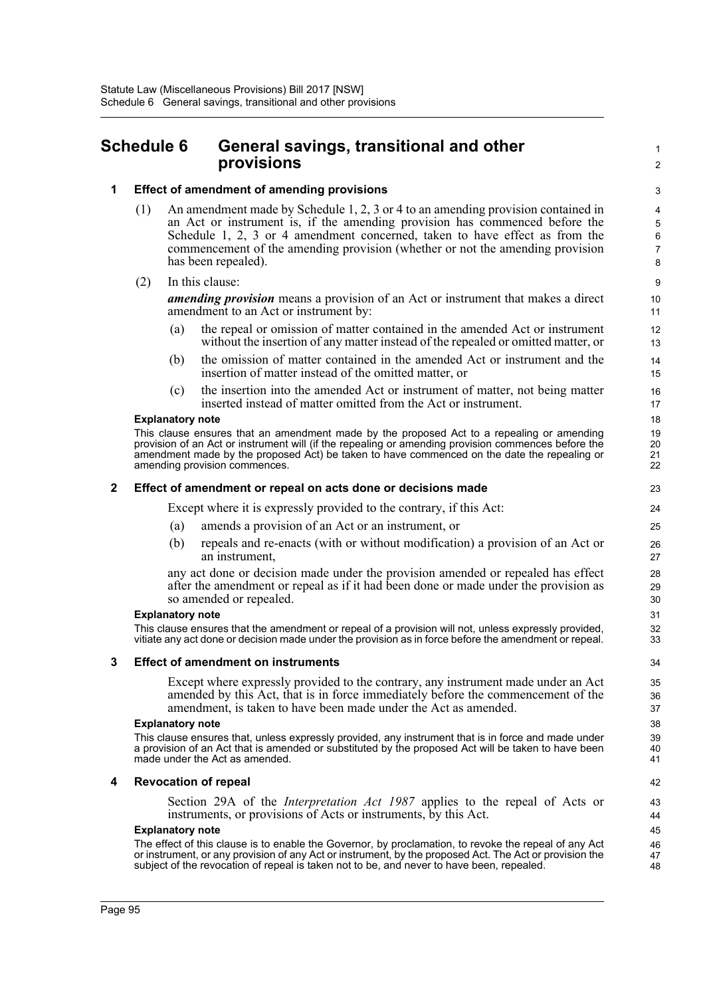# **Schedule 6 General savings, transitional and other provisions**

### **1 Effect of amendment of amending provisions**

- (1) An amendment made by Schedule 1, 2, 3 or 4 to an amending provision contained in an Act or instrument is, if the amending provision has commenced before the Schedule 1, 2, 3 or 4 amendment concerned, taken to have effect as from the commencement of the amending provision (whether or not the amending provision has been repealed).
- (2) In this clause:

*amending provision* means a provision of an Act or instrument that makes a direct amendment to an Act or instrument by:

1  $\mathfrak{p}$ 

- (a) the repeal or omission of matter contained in the amended Act or instrument without the insertion of any matter instead of the repealed or omitted matter, or
- (b) the omission of matter contained in the amended Act or instrument and the insertion of matter instead of the omitted matter, or
- (c) the insertion into the amended Act or instrument of matter, not being matter inserted instead of matter omitted from the Act or instrument.

#### **Explanatory note**

This clause ensures that an amendment made by the proposed Act to a repealing or amending provision of an Act or instrument will (if the repealing or amending provision commences before the amendment made by the proposed Act) be taken to have commenced on the date the repealing or amending provision commences.

### **2 Effect of amendment or repeal on acts done or decisions made**

Except where it is expressly provided to the contrary, if this Act:

- (a) amends a provision of an Act or an instrument, or
- (b) repeals and re-enacts (with or without modification) a provision of an Act or an instrument,

any act done or decision made under the provision amended or repealed has effect after the amendment or repeal as if it had been done or made under the provision as so amended or repealed.

#### **Explanatory note**

This clause ensures that the amendment or repeal of a provision will not, unless expressly provided, vitiate any act done or decision made under the provision as in force before the amendment or repeal.

### **3 Effect of amendment on instruments**

Except where expressly provided to the contrary, any instrument made under an Act amended by this Act, that is in force immediately before the commencement of the amendment, is taken to have been made under the Act as amended.

#### **Explanatory note**

This clause ensures that, unless expressly provided, any instrument that is in force and made under a provision of an Act that is amended or substituted by the proposed Act will be taken to have been made under the Act as amended.

#### **4 Revocation of repeal**

Section 29A of the *Interpretation Act 1987* applies to the repeal of Acts or instruments, or provisions of Acts or instruments, by this Act.

#### **Explanatory note**

The effect of this clause is to enable the Governor, by proclamation, to revoke the repeal of any Act or instrument, or any provision of any Act or instrument, by the proposed Act. The Act or provision the subject of the revocation of repeal is taken not to be, and never to have been, repealed.